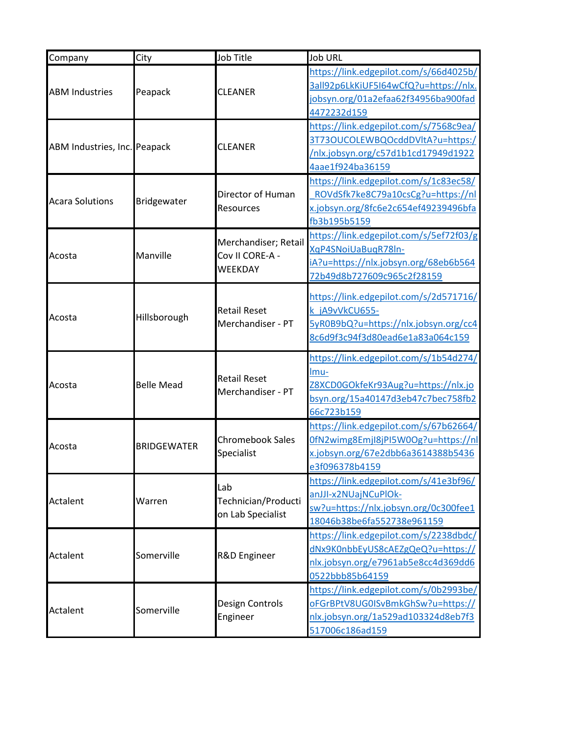| Company                      | City               | Job Title                                | Job URL                                                                     |
|------------------------------|--------------------|------------------------------------------|-----------------------------------------------------------------------------|
|                              |                    |                                          | https://link.edgepilot.com/s/66d4025b/                                      |
| <b>ABM Industries</b>        |                    | <b>CLEANER</b>                           | 3all92p6LkKiUF5I64wCfQ?u=https://nlx.                                       |
|                              | Peapack            |                                          | jobsyn.org/01a2efaa62f34956ba900fad                                         |
|                              |                    |                                          | 4472232d159                                                                 |
|                              |                    |                                          | https://link.edgepilot.com/s/7568c9ea/                                      |
| ABM Industries, Inc. Peapack |                    | <b>CLEANER</b>                           | 3T73OUCOLEWBQOcddDVltA?u=https:/                                            |
|                              |                    |                                          | /nlx.jobsyn.org/c57d1b1cd17949d1922                                         |
|                              |                    |                                          | 4aae1f924ba36159                                                            |
|                              |                    |                                          | https://link.edgepilot.com/s/1c83ec58/                                      |
| <b>Acara Solutions</b>       | Bridgewater        | Director of Human                        | ROVdSfk7ke8C79a10csCg?u=https://nl                                          |
|                              |                    | Resources                                | x.jobsyn.org/8fc6e2c654ef49239496bfa                                        |
|                              |                    |                                          | fb3b195b5159                                                                |
|                              |                    | Merchandiser; Retail                     | https://link.edgepilot.com/s/5ef72f03/g                                     |
| Acosta                       | Manville           | Cov II CORE-A -                          | XqP4SNoiUaBuqR78In-                                                         |
|                              |                    | WEEKDAY                                  | iA?u=https://nlx.jobsyn.org/68eb6b564                                       |
|                              |                    |                                          | 72b49d8b727609c965c2f28159                                                  |
|                              |                    |                                          | https://link.edgepilot.com/s/2d571716/                                      |
|                              |                    | <b>Retail Reset</b>                      | k jA9vVkCU655-                                                              |
| Acosta                       | Hillsborough       | Merchandiser - PT                        | 5yR0B9bQ?u=https://nlx.jobsyn.org/cc4                                       |
|                              |                    |                                          | 8c6d9f3c94f3d80ead6e1a83a064c159                                            |
|                              |                    |                                          |                                                                             |
|                              | <b>Belle Mead</b>  |                                          | https://link.edgepilot.com/s/1b54d274/                                      |
|                              |                    | <b>Retail Reset</b><br>Merchandiser - PT | lmu-                                                                        |
| Acosta                       |                    |                                          | Z8XCD0GOkfeKr93Aug?u=https://nlx.jo                                         |
|                              |                    |                                          | bsyn.org/15a40147d3eb47c7bec758fb2                                          |
|                              |                    |                                          | 66c723b159                                                                  |
|                              | <b>BRIDGEWATER</b> | <b>Chromebook Sales</b><br>Specialist    | https://link.edgepilot.com/s/67b62664/                                      |
| Acosta                       |                    |                                          | 0fN2wimg8EmjI8jPI5W0Og?u=https://nl                                         |
|                              |                    |                                          | x.jobsyn.org/67e2dbb6a3614388b5436                                          |
|                              |                    |                                          | e3f096378b4159                                                              |
|                              |                    | Lab                                      | https://link.edgepilot.com/s/41e3bf96/                                      |
| Actalent                     | Warren             | Technician/Producti                      | anJJI-x2NUajNCuPlOk-                                                        |
|                              |                    | on Lab Specialist                        | sw?u=https://nlx.jobsyn.org/0c300fee1                                       |
|                              |                    |                                          | 18046b38be6fa552738e961159                                                  |
|                              |                    |                                          | https://link.edgepilot.com/s/2238dbdc/                                      |
| Actalent                     | Somerville         | R&D Engineer                             | dNx9K0nbbEyUS8cAEZgQeQ?u=https://<br>nlx.jobsyn.org/e7961ab5e8cc4d369dd6    |
|                              |                    |                                          |                                                                             |
|                              |                    |                                          | 0522bbb85b64159                                                             |
|                              |                    | Design Controls                          | https://link.edgepilot.com/s/0b2993be/<br>oFGrBPtV8UG0ISvBmkGhSw?u=https:// |
| Actalent                     | Somerville         | Engineer                                 | nlx.jobsyn.org/1a529ad103324d8eb7f3                                         |
|                              |                    |                                          |                                                                             |
|                              |                    |                                          | 517006c186ad159                                                             |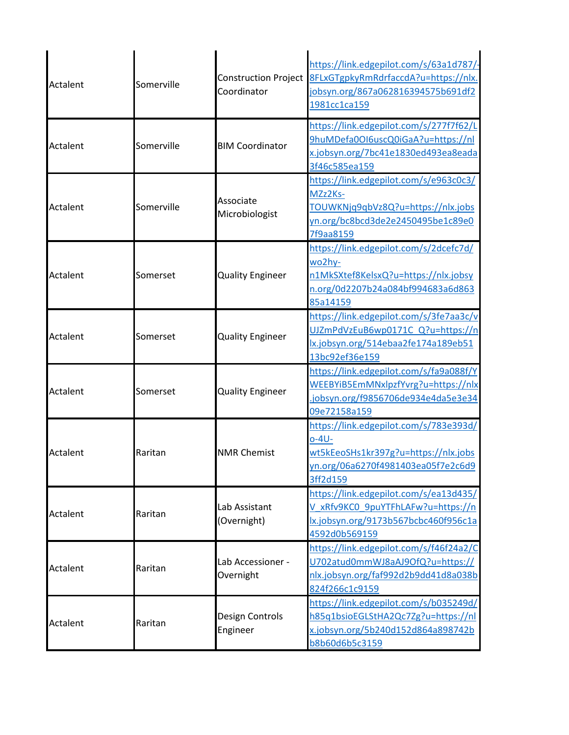|          |            |                             | https://link.edgepilot.com/s/63a1d787/  |
|----------|------------|-----------------------------|-----------------------------------------|
|          | Somerville | <b>Construction Project</b> | 8FLxGTgpkyRmRdrfaccdA?u=https://nlx.    |
| Actalent |            | Coordinator                 | jobsyn.org/867a062816394575b691df2      |
|          |            |                             | 1981cc1ca159                            |
|          |            |                             | https://link.edgepilot.com/s/277f7f62/L |
| Actalent | Somerville | <b>BIM Coordinator</b>      | 9huMDefa0OI6uscQ0iGaA?u=https://nl      |
|          |            |                             | x.jobsyn.org/7bc41e1830ed493ea8eada     |
|          |            |                             | 3f46c585ea159                           |
|          |            |                             | https://link.edgepilot.com/s/e963c0c3/  |
|          |            |                             | MZz2Ks-                                 |
| Actalent | Somerville | Associate                   | TOUWKNjq9qbVz8Q?u=https://nlx.jobs      |
|          |            | Microbiologist              | yn.org/bc8bcd3de2e2450495be1c89e0       |
|          |            |                             | 7f9aa8159                               |
|          |            |                             | https://link.edgepilot.com/s/2dcefc7d/  |
|          |            |                             | wo2hy-                                  |
| Actalent | Somerset   | <b>Quality Engineer</b>     | n1MkSXtef8KelsxQ?u=https://nlx.jobsy    |
|          |            |                             | n.org/0d2207b24a084bf994683a6d863       |
|          |            |                             | 85a14159                                |
|          |            |                             | https://link.edgepilot.com/s/3fe7aa3c/v |
|          |            |                             | UJZmPdVzEuB6wp0171C Q?u=https://n       |
| Actalent | Somerset   | <b>Quality Engineer</b>     | lx.jobsyn.org/514ebaa2fe174a189eb51     |
|          |            |                             | 13bc92ef36e159                          |
|          |            |                             | https://link.edgepilot.com/s/fa9a088f/Y |
|          |            |                             | WEEBYiB5EmMNxlpzfYvrg?u=https://nlx     |
| Actalent | Somerset   | <b>Quality Engineer</b>     | jobsyn.org/f9856706de934e4da5e3e34      |
|          |            |                             | 09e72158a159                            |
|          |            |                             | https://link.edgepilot.com/s/783e393d/  |
|          |            |                             | o-4U-                                   |
| Actalent | Raritan    | <b>NMR Chemist</b>          | wt5kEeoSHs1kr397g?u=https://nlx.jobs    |
|          |            |                             | yn.org/06a6270f4981403ea05f7e2c6d9      |
|          |            |                             | 3ff2d159                                |
|          |            |                             | https://link.edgepilot.com/s/ea13d435/  |
|          |            | Lab Assistant               | V xRfv9KC0 9puYTFhLAFw?u=https://n      |
| Actalent | Raritan    | (Overnight)                 | lx.jobsyn.org/9173b567bcbc460f956c1a    |
|          |            |                             | 4592d0b569159                           |
|          |            |                             | https://link.edgepilot.com/s/f46f24a2/C |
|          |            | Lab Accessioner -           | U702atud0mmWJ8aAJ9OfQ?u=https://        |
| Actalent | Raritan    | Overnight                   | nlx.jobsyn.org/faf992d2b9dd41d8a038b    |
|          |            |                             | 824f266c1c9159                          |
|          |            |                             | https://link.edgepilot.com/s/b035249d/  |
| Actalent |            | Design Controls             | h85q1bsioEGLStHA2Qc7Zg?u=https://nl     |
|          | Raritan    | Engineer                    | x.jobsyn.org/5b240d152d864a898742b      |
|          |            |                             | b8b60d6b5c3159                          |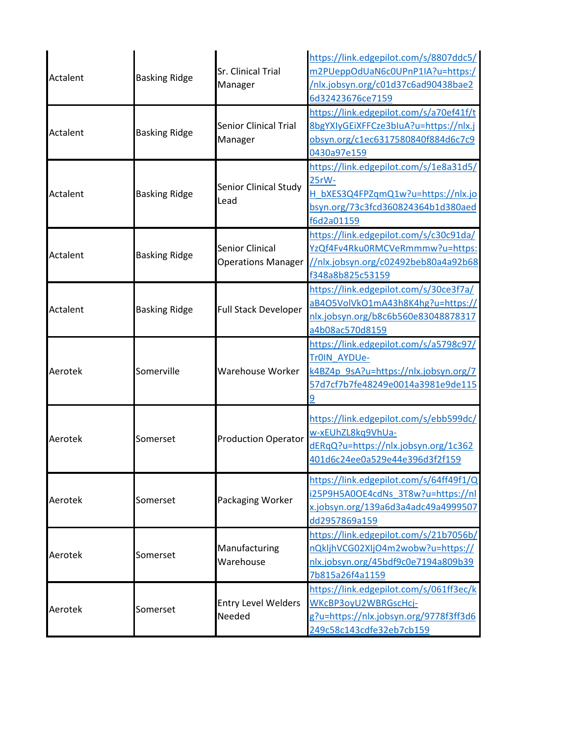| Actalent | <b>Basking Ridge</b> | Sr. Clinical Trial<br>Manager                       | https://link.edgepilot.com/s/8807ddc5/<br>m2PUeppOdUaN6c0UPnP1IA?u=https:/<br>/nlx.jobsyn.org/c01d37c6ad90438bae2<br>6d32423676ce7159     |
|----------|----------------------|-----------------------------------------------------|-------------------------------------------------------------------------------------------------------------------------------------------|
| Actalent | <b>Basking Ridge</b> | <b>Senior Clinical Trial</b><br>Manager             | https://link.edgepilot.com/s/a70ef41f/t<br>8bgYXIyGEiXFFCze3bIuA?u=https://nlx.j<br>obsyn.org/c1ec6317580840f884d6c7c9<br>0430a97e159     |
| Actalent | <b>Basking Ridge</b> | <b>Senior Clinical Study</b><br>Lead                | https://link.edgepilot.com/s/1e8a31d5/<br>25rW-<br>H bXES3Q4FPZqmQ1w?u=https://nlx.jo<br>bsyn.org/73c3fcd360824364b1d380aed<br>f6d2a01159 |
| Actalent | <b>Basking Ridge</b> | <b>Senior Clinical</b><br><b>Operations Manager</b> | https://link.edgepilot.com/s/c30c91da/<br>YzQf4Fv4Rku0RMCVeRmmmw?u=https:<br>//nlx.jobsyn.org/c02492beb80a4a92b68<br>f348a8b825c53159     |
| Actalent | <b>Basking Ridge</b> | <b>Full Stack Developer</b>                         | https://link.edgepilot.com/s/30ce3f7a/<br>aB4O5VolVkO1mA43h8K4hg?u=https://<br>nlx.jobsyn.org/b8c6b560e83048878317<br>a4b08ac570d8159     |
| Aerotek  | Somerville           | Warehouse Worker                                    | https://link.edgepilot.com/s/a5798c97<br>Tr0IN AYDUe-<br>k4BZ4p 9sA?u=https://nlx.jobsyn.org/7<br>57d7cf7b7fe48249e0014a3981e9de115       |
| Aerotek  | Somerset             | <b>Production Operator</b>                          | https://link.edgepilot.com/s/ebb599dc/<br>w-xEUhZL8kq9VhUa-<br>dERqQ?u=https://nlx.jobsyn.org/1c362<br>401d6c24ee0a529e44e396d3f2f159     |
| Aerotek  | Somerset             | Packaging Worker                                    | https://link.edgepilot.com/s/64ff49f1/Q<br>i25P9H5A0OE4cdNs 3T8w?u=https://nl<br>x.jobsyn.org/139a6d3a4adc49a4999507<br>dd2957869a159     |
| Aerotek  | Somerset             | Manufacturing<br>Warehouse                          | https://link.edgepilot.com/s/21b7056b/<br>nQkljhVCG02XIjO4m2wobw?u=https://<br>nlx.jobsyn.org/45bdf9c0e7194a809b39<br>7b815a26f4a1159     |
| Aerotek  | Somerset             | <b>Entry Level Welders</b><br>Needed                | https://link.edgepilot.com/s/061ff3ec/k<br>WKcBP3oyU2WBRGscHcj-<br>g?u=https://nlx.jobsyn.org/9778f3ff3d6<br>249c58c143cdfe32eb7cb159     |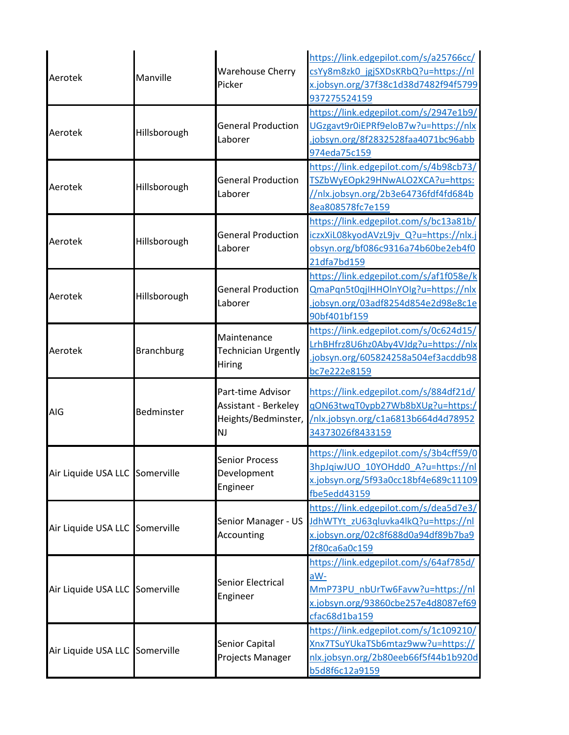| Aerotek                        | Manville          | <b>Warehouse Cherry</b><br>Picker                                             | https://link.edgepilot.com/s/a25766cc/<br>csYy8m8zk0 jgjSXDsKRbQ?u=https://nl<br>x.jobsyn.org/37f38c1d38d7482f94f5799<br>937275524159     |
|--------------------------------|-------------------|-------------------------------------------------------------------------------|-------------------------------------------------------------------------------------------------------------------------------------------|
| Aerotek                        | Hillsborough      | <b>General Production</b><br>Laborer                                          | https://link.edgepilot.com/s/2947e1b9/<br>UGzgavt9r0iEPRf9eloB7w?u=https://nlx<br>jobsyn.org/8f2832528faa4071bc96abb<br>974eda75c159      |
| Aerotek                        | Hillsborough      | <b>General Production</b><br>Laborer                                          | https://link.edgepilot.com/s/4b98cb73/<br>TSZbWyEOpk29HNwALO2XCA?u=https:<br>//nlx.jobsyn.org/2b3e64736fdf4fd684b<br>8ea808578fc7e159     |
| Aerotek                        | Hillsborough      | <b>General Production</b><br>Laborer                                          | https://link.edgepilot.com/s/bc13a81b/<br>iczxXiL08kyodAVzL9jv Q?u=https://nlx.j<br>obsyn.org/bf086c9316a74b60be2eb4f0<br>21dfa7bd159     |
| Aerotek                        | Hillsborough      | <b>General Production</b><br>Laborer                                          | https://link.edgepilot.com/s/af1f058e/k<br>QmaPqn5t0qjIHHOlnYOlg?u=https://nlx<br>.jobsyn.org/03adf8254d854e2d98e8c1e<br>90bf401bf159     |
| Aerotek                        | <b>Branchburg</b> | Maintenance<br><b>Technician Urgently</b><br>Hiring                           | https://link.edgepilot.com/s/0c624d15/<br>LrhBHfrz8U6hz0Aby4VJdg?u=https://nlx<br>jobsyn.org/605824258a504ef3acddb98<br>bc7e222e8159      |
| <b>AIG</b>                     | Bedminster        | Part-time Advisor<br>Assistant - Berkeley<br>Heights/Bedminster,<br><b>NJ</b> | https://link.edgepilot.com/s/884df21d/<br>gON63twqT0ypb27Wb8bXUg?u=https:/<br>/nlx.jobsyn.org/c1a6813b664d4d78952<br>34373026f8433159     |
| Air Liquide USA LLC Somerville |                   | <b>Senior Process</b><br>Development<br>Engineer                              | https://link.edgepilot.com/s/3b4cff59/0<br>3hpJqiwJUO 10YOHdd0 A?u=https://nl<br>x.jobsyn.org/5f93a0cc18bf4e689c11109<br>fbe5edd43159     |
| Air Liquide USA LLC Somerville |                   | Senior Manager - US<br>Accounting                                             | https://link.edgepilot.com/s/dea5d7e3/<br>JdhWTYt zU63qluvka4lkQ?u=https://nl<br>x.jobsyn.org/02c8f688d0a94df89b7ba9<br>2f80ca6a0c159     |
| Air Liquide USA LLC Somerville |                   | Senior Electrical<br>Engineer                                                 | https://link.edgepilot.com/s/64af785d/<br>aW-<br>MmP73PU nbUrTw6Favw?u=https://nl<br>x.jobsyn.org/93860cbe257e4d8087ef69<br>cfac68d1ba159 |
| Air Liquide USA LLC Somerville |                   | Senior Capital<br>Projects Manager                                            | https://link.edgepilot.com/s/1c109210/<br>Xnx7TSuYUkaTSb6mtaz9ww?u=https://<br>nlx.jobsyn.org/2b80eeb66f5f44b1b920d<br>b5d8f6c12a9159     |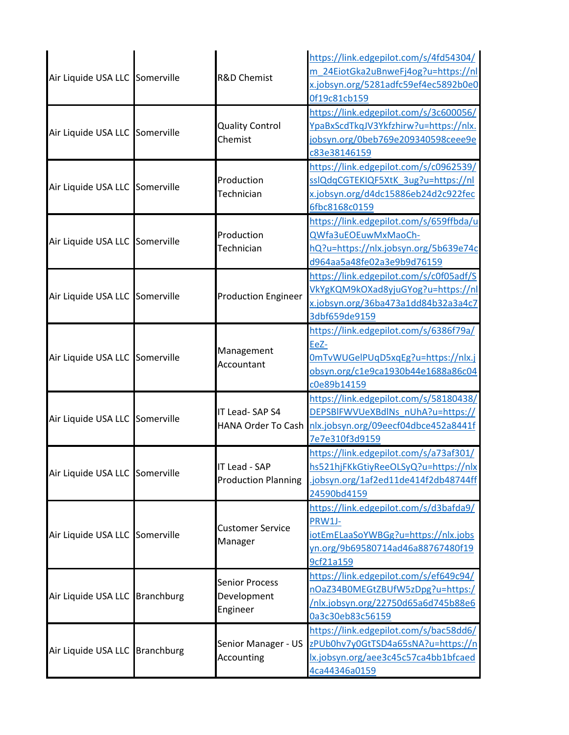| Air Liquide USA LLC Somerville | <b>R&amp;D Chemist</b>                           | https://link.edgepilot.com/s/4fd54304/<br>m_24EiotGka2uBnweFj4og?u=https://nl<br>x.jobsyn.org/5281adfc59ef4ec5892b0e0<br>0f19c81cb159     |
|--------------------------------|--------------------------------------------------|-------------------------------------------------------------------------------------------------------------------------------------------|
| Air Liquide USA LLC Somerville | <b>Quality Control</b><br>Chemist                | https://link.edgepilot.com/s/3c600056/<br>YpaBxScdTkqJV3Ykfzhirw?u=https://nlx.<br>jobsyn.org/0beb769e209340598ceee9e<br>c83e38146159     |
| Air Liquide USA LLC Somerville | Production<br>Technician                         | https://link.edgepilot.com/s/c0962539/<br>sslQdqCGTEKIQF5XtK 3ug?u=https://nl<br>x.jobsyn.org/d4dc15886eb24d2c922fec<br>6fbc8168c0159     |
| Air Liquide USA LLC Somerville | Production<br>Technician                         | https://link.edgepilot.com/s/659ffbda/u<br>QWfa3uEOEuwMxMaoCh-<br>hQ?u=https://nlx.jobsyn.org/5b639e74c<br>d964aa5a48fe02a3e9b9d76159     |
| Air Liquide USA LLC Somerville | <b>Production Engineer</b>                       | https://link.edgepilot.com/s/c0f05adf/S<br>VkYgKQM9kOXad8yjuGYog?u=https://nl<br>x.jobsyn.org/36ba473a1dd84b32a3a4c7<br>3dbf659de9159     |
| Air Liquide USA LLC Somerville | Management<br>Accountant                         | https://link.edgepilot.com/s/6386f79a/<br>EeZ-<br>OmTvWUGelPUqD5xqEg?u=https://nlx.j<br>obsyn.org/c1e9ca1930b44e1688a86c04<br>c0e89b14159 |
| Air Liquide USA LLC Somerville | IT Lead-SAP S4<br>HANA Order To Cash             | https://link.edgepilot.com/s/58180438/<br>DEPSBIFWVUeXBdlNs_nUhA?u=https://<br>nlx.jobsyn.org/09eecf04dbce452a8441f<br>7e7e310f3d9159     |
| Air Liquide USA LLC Somerville | IT Lead - SAP<br><b>Production Planning</b>      | https://link.edgepilot.com/s/a73af301/<br>hs521hjFKkGtiyReeOLSyQ?u=https://nlx<br>jobsyn.org/1af2ed11de414f2db48744ff<br>24590bd4159      |
| Air Liquide USA LLC Somerville | <b>Customer Service</b><br>Manager               | https://link.edgepilot.com/s/d3bafda9/<br>PRW1J-<br>iotEmELaaSoYWBGg?u=https://nlx.jobs<br>yn.org/9b69580714ad46a88767480f19<br>9cf21a159 |
| Air Liquide USA LLC Branchburg | <b>Senior Process</b><br>Development<br>Engineer | https://link.edgepilot.com/s/ef649c94/<br>nOaZ34B0MEGtZBUfW5zDpg?u=https:/<br>/nlx.jobsyn.org/22750d65a6d745b88e6<br>0a3c30eb83c56159     |
| Air Liquide USA LLC Branchburg | Senior Manager - US<br>Accounting                | https://link.edgepilot.com/s/bac58dd6/<br>zPUb0hv7y0GtTSD4a65sNA?u=https://n<br>lx.jobsyn.org/aee3c45c57ca4bb1bfcaed<br>4ca44346a0159     |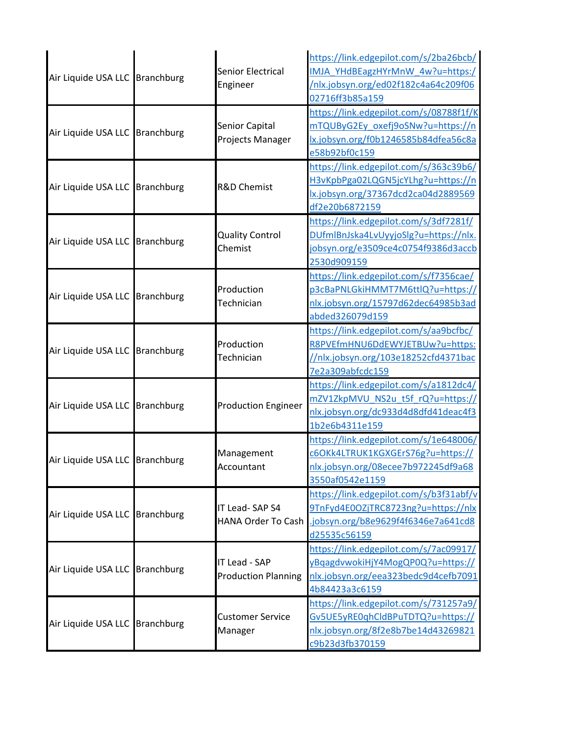| Air Liquide USA LLC Branchburg | Senior Electrical<br>Engineer               | https://link.edgepilot.com/s/2ba26bcb/<br>IMJA_YHdBEagzHYrMnW_4w?u=https:/<br>/nlx.jobsyn.org/ed02f182c4a64c209f06<br>02716ff3b85a159 |
|--------------------------------|---------------------------------------------|---------------------------------------------------------------------------------------------------------------------------------------|
| Air Liquide USA LLC Branchburg | Senior Capital<br>Projects Manager          | https://link.edgepilot.com/s/08788f1f/K<br>mTQUByG2Ey_oxefj9oSNw?u=https://n<br>lx.jobsyn.org/f0b1246585b84dfea56c8a<br>e58b92bf0c159 |
| Air Liquide USA LLC Branchburg | <b>R&amp;D Chemist</b>                      | https://link.edgepilot.com/s/363c39b6/<br>H3vKpbPga02LQGN5jcYLhg?u=https://n<br>lx.jobsyn.org/37367dcd2ca04d2889569<br>df2e20b6872159 |
| Air Liquide USA LLC Branchburg | <b>Quality Control</b><br>Chemist           | https://link.edgepilot.com/s/3df7281f/<br>DUfmlBnJska4LvUyyjoSlg?u=https://nlx.<br>jobsyn.org/e3509ce4c0754f9386d3accb<br>2530d909159 |
| Air Liquide USA LLC Branchburg | Production<br>Technician                    | https://link.edgepilot.com/s/f7356cae/<br>p3cBaPNLGkiHMMT7M6ttlQ?u=https://<br>nlx.jobsyn.org/15797d62dec64985b3ad<br>abded326079d159 |
| Air Liquide USA LLC Branchburg | Production<br>Technician                    | https://link.edgepilot.com/s/aa9bcfbc/<br>R8PVEfmHNU6DdEWYJETBUw?u=https:<br>//nlx.jobsyn.org/103e18252cfd4371bac<br>7e2a309abfcdc159 |
| Air Liquide USA LLC Branchburg | <b>Production Engineer</b>                  | https://link.edgepilot.com/s/a1812dc4/<br>mZV1ZkpMVU NS2u t5f rQ?u=https://<br>nlx.jobsyn.org/dc933d4d8dfd41deac4f3<br>1b2e6b4311e159 |
| Air Liquide USA LLC Branchburg | Management<br>Accountant                    | https://link.edgepilot.com/s/1e648006/<br>c6OKk4LTRUK1KGXGErS76g?u=https://<br>nlx.jobsyn.org/08ecee7b972245df9a68<br>3550af0542e1159 |
| Air Liquide USA LLC Branchburg | IT Lead-SAP S4<br>HANA Order To Cash        | https://link.edgepilot.com/s/b3f31abf/v<br>9TnFyd4E0OZjTRC8723ng?u=https://nlx<br>jobsyn.org/b8e9629f4f6346e7a641cd8<br>d25535c56159  |
| Air Liquide USA LLC Branchburg | IT Lead - SAP<br><b>Production Planning</b> | https://link.edgepilot.com/s/7ac09917/<br>yBqagdvwokiHjY4MogQP0Q?u=https://<br>nlx.jobsyn.org/eea323bedc9d4cefb7091<br>4b84423a3c6159 |
| Air Liquide USA LLC Branchburg | <b>Customer Service</b><br>Manager          | https://link.edgepilot.com/s/731257a9/<br>Gv5UE5yRE0qhCldBPuTDTQ?u=https://<br>nlx.jobsyn.org/8f2e8b7be14d43269821<br>c9b23d3fb370159 |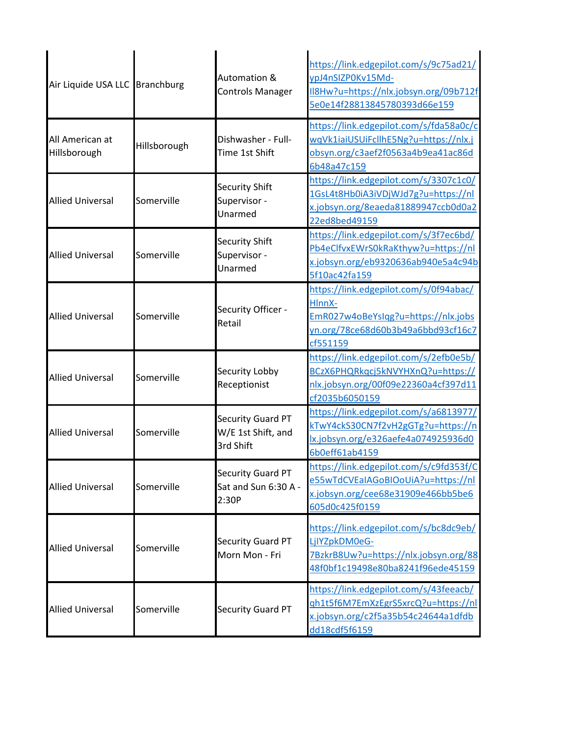| Air Liquide USA LLC Branchburg  |              | Automation &<br><b>Controls Manager</b>              | https://link.edgepilot.com/s/9c75ad21/<br>ypJ4nSIZP0Kv15Md-<br>II8Hw?u=https://nlx.jobsyn.org/09b712f<br>5e0e14f28813845780393d66e159     |
|---------------------------------|--------------|------------------------------------------------------|-------------------------------------------------------------------------------------------------------------------------------------------|
| All American at<br>Hillsborough | Hillsborough | Dishwasher - Full-<br>Time 1st Shift                 | https://link.edgepilot.com/s/fda58a0c/c<br>wqVk1iaiUSUiFcllhE5Ng?u=https://nlx.j<br>obsyn.org/c3aef2f0563a4b9ea41ac86d<br>6b48a47c159     |
| <b>Allied Universal</b>         | Somerville   | Security Shift<br>Supervisor -<br>Unarmed            | https://link.edgepilot.com/s/3307c1c0/<br>1GsL4t8Hb0iA3iVDjWJd7g?u=https://nl<br>x.jobsyn.org/8eaeda81889947ccb0d0a2<br>22ed8bed49159     |
| <b>Allied Universal</b>         | Somerville   | Security Shift<br>Supervisor -<br>Unarmed            | https://link.edgepilot.com/s/3f7ec6bd/<br>Pb4eClfvxEWrS0kRaKthyw?u=https://nl<br>x.jobsyn.org/eb9320636ab940e5a4c94b<br>5f10ac42fa159     |
| <b>Allied Universal</b>         | Somerville   | Security Officer -<br>Retail                         | https://link.edgepilot.com/s/0f94abac/<br>HlnnX-<br>EmR027w4oBeYsIqg?u=https://nlx.jobs<br>yn.org/78ce68d60b3b49a6bbd93cf16c7<br>cf551159 |
| <b>Allied Universal</b>         | Somerville   | Security Lobby<br>Receptionist                       | https://link.edgepilot.com/s/2efb0e5b/<br>BCzX6PHQRkqcj5kNVYHXnQ?u=https://<br>nlx.jobsyn.org/00f09e22360a4cf397d11<br>cf2035b6050159     |
| <b>Allied Universal</b>         | Somerville   | Security Guard PT<br>W/E 1st Shift, and<br>3rd Shift | https://link.edgepilot.com/s/a6813977/<br>kTwY4ckS30CN7f2vH2gGTg?u=https://n<br>lx.jobsyn.org/e326aefe4a074925936d0<br>6b0eff61ab4159     |
| <b>Allied Universal</b>         | Somerville   | Security Guard PT<br>Sat and Sun 6:30 A -<br>2:30P   | https://link.edgepilot.com/s/c9fd353f/C<br>e55wTdCVEaIAGoBIOoUiA?u=https://nl<br>x.jobsyn.org/cee68e31909e466bb5be6<br>605d0c425f0159     |
| <b>Allied Universal</b>         | Somerville   | <b>Security Guard PT</b><br>Morn Mon - Fri           | https://link.edgepilot.com/s/bc8dc9eb/<br>LjIYZpkDM0eG-<br>7BzkrB8Uw?u=https://nlx.jobsyn.org/88<br>48f0bf1c19498e80ba8241f96ede45159     |
| <b>Allied Universal</b>         | Somerville   | <b>Security Guard PT</b>                             | https://link.edgepilot.com/s/43feeacb/<br>gh1t5f6M7EmXzEgrS5xrcQ?u=https://nl<br>x.jobsyn.org/c2f5a35b54c24644a1dfdb<br>dd18cdf5f6159     |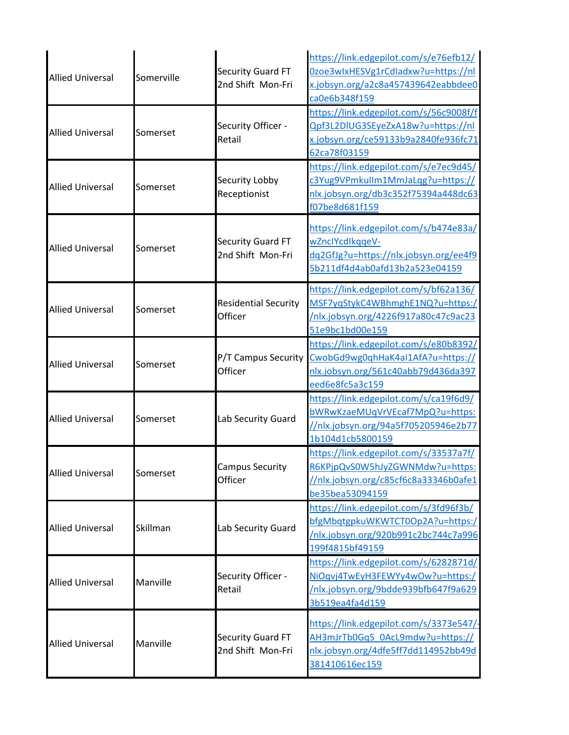| <b>Allied Universal</b> | Somerville | Security Guard FT<br>2nd Shift Mon-Fri        | https://link.edgepilot.com/s/e76efb12/<br>0zoe3wlxHESVg1rCdladxw?u=https://nl<br>x.jobsyn.org/a2c8a457439642eabbdee0<br>ca0e6b348f159 |
|-------------------------|------------|-----------------------------------------------|---------------------------------------------------------------------------------------------------------------------------------------|
| <b>Allied Universal</b> | Somerset   | Security Officer -<br>Retail                  | https://link.edgepilot.com/s/56c9008f/f<br>Qpf3L2DIUG3SEyeZxA18w?u=https://nl<br>x.jobsyn.org/ce59133b9a2840fe936fc71<br>62ca78f03159 |
| <b>Allied Universal</b> | Somerset   | Security Lobby<br>Receptionist                | https://link.edgepilot.com/s/e7ec9d45/<br>c3Yug9VPmkullm1MmJaLqg?u=https://<br>nlx.jobsyn.org/db3c352f75394a448dc63<br>f07be8d681f159 |
| <b>Allied Universal</b> | Somerset   | Security Guard FT<br>2nd Shift Mon-Fri        | https://link.edgepilot.com/s/b474e83a/<br>wZnclYcdlkggeV-<br>dq2GfJg?u=https://nlx.jobsyn.org/ee4f9<br>5b211df4d4ab0afd13b2a523e04159 |
| <b>Allied Universal</b> | Somerset   | <b>Residential Security</b><br>Officer        | https://link.edgepilot.com/s/bf62a136/<br>MSF7yqStykC4WBhmghE1NQ?u=https:/<br>/nlx.jobsyn.org/4226f917a80c47c9ac23<br>51e9bc1bd00e159 |
| <b>Allied Universal</b> | Somerset   | P/T Campus Security<br>Officer                | https://link.edgepilot.com/s/e80b8392/<br>CwobGd9wg0qhHaK4aI1AfA?u=https://<br>nlx.jobsyn.org/561c40abb79d436da397<br>eed6e8fc5a3c159 |
| <b>Allied Universal</b> | Somerset   | Lab Security Guard                            | https://link.edgepilot.com/s/ca19f6d9/<br>bWRwKzaeMUqVrVEcaf7MpQ?u=https:<br>//nlx.jobsyn.org/94a5f705205946e2b77<br>1b104d1cb5800159 |
| <b>Allied Universal</b> | Somerset   | <b>Campus Security</b><br>Officer             | https://link.edgepilot.com/s/33537a7f/<br>R6KPjpQvS0W5hJyZGWNMdw?u=https:<br>//nlx.jobsyn.org/c85cf6c8a33346b0afe1<br>be35bea53094159 |
| <b>Allied Universal</b> | Skillman   | Lab Security Guard                            | https://link.edgepilot.com/s/3fd96f3b/<br>bfgMbqtgpkuWKWTCT0Op2A?u=https:/<br>/nlx.jobsyn.org/920b991c2bc744c7a996<br>199f4815bf49159 |
| <b>Allied Universal</b> | Manville   | Security Officer -<br>Retail                  | https://link.edgepilot.com/s/6282871d/<br>NiOqvj4TwEyH3FEWYy4wOw?u=https:/<br>/nlx.jobsyn.org/9bdde939bfb647f9a629<br>3b519ea4fa4d159 |
| <b>Allied Universal</b> | Manville   | <b>Security Guard FT</b><br>2nd Shift Mon-Fri | https://link.edgepilot.com/s/3373e547/-<br>AH3mJrTb0Gq5 0AcL9mdw?u=https://<br>nlx.jobsyn.org/4dfe5ff7dd114952bb49d<br>381410616ec159 |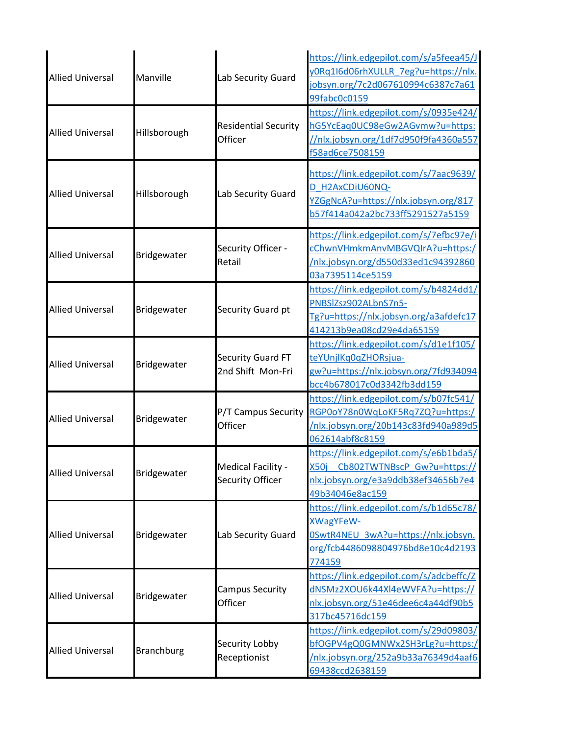| <b>Allied Universal</b> | Manville          | Lab Security Guard                     | https://link.edgepilot.com/s/a5feea45/J<br>y0Rq1I6d06rhXULLR_7eg?u=https://nlx.<br>jobsyn.org/7c2d067610994c6387c7a61<br>99fabc0c0159            |
|-------------------------|-------------------|----------------------------------------|--------------------------------------------------------------------------------------------------------------------------------------------------|
| <b>Allied Universal</b> | Hillsborough      | <b>Residential Security</b><br>Officer | https://link.edgepilot.com/s/0935e424/<br>hG5YcEaq0UC98eGw2AGvmw?u=https:<br>//nlx.jobsyn.org/1df7d950f9fa4360a557<br>f58ad6ce7508159            |
| <b>Allied Universal</b> | Hillsborough      | Lab Security Guard                     | https://link.edgepilot.com/s/7aac9639/<br>D_H2AxCDiU60NQ-<br>YZGgNcA?u=https://nlx.jobsyn.org/817<br>b57f414a042a2bc733ff5291527a5159            |
| <b>Allied Universal</b> | Bridgewater       | Security Officer -<br>Retail           | https://link.edgepilot.com/s/7efbc97e/i<br>cChwnVHmkmAnvMBGVQIrA?u=https:/<br>/nlx.jobsyn.org/d550d33ed1c94392860<br>03a7395114ce5159            |
| <b>Allied Universal</b> | Bridgewater       | Security Guard pt                      | https://link.edgepilot.com/s/b4824dd1/<br>PNBSlZsz902ALbnS7n5-<br>Tg?u=https://nlx.jobsyn.org/a3afdefc17<br>414213b9ea08cd29e4da65159            |
| <b>Allied Universal</b> | Bridgewater       | Security Guard FT<br>2nd Shift Mon-Fri | https://link.edgepilot.com/s/d1e1f105/<br>teYUnjlKq0qZHORsjua-<br>gw?u=https://nlx.jobsyn.org/7fd934094<br>bcc4b678017c0d3342fb3dd159            |
| <b>Allied Universal</b> | Bridgewater       | P/T Campus Security<br>Officer         | https://link.edgepilot.com/s/b07fc541/<br>RGP0oY78n0WqLoKF5Rq7ZQ?u=https:/<br>/nlx.jobsyn.org/20b143c83fd940a989d5<br>062614abf8c8159            |
| <b>Allied Universal</b> | Bridgewater       | Medical Facility -<br>Security Officer | https://link.edgepilot.com/s/e6b1bda5/<br>X50j Cb802TWTNBscP Gw?u=https://<br>nlx.jobsyn.org/e3a9ddb38ef34656b7e4<br>49b34046e8ac159             |
| <b>Allied Universal</b> | Bridgewater       | Lab Security Guard                     | https://link.edgepilot.com/s/b1d65c78/<br><b>XWagYFeW-</b><br>OSwtR4NEU 3wA?u=https://nlx.jobsyn.<br>org/fcb4486098804976bd8e10c4d2193<br>774159 |
| <b>Allied Universal</b> | Bridgewater       | <b>Campus Security</b><br>Officer      | https://link.edgepilot.com/s/adcbeffc/Z<br>dNSMz2XOU6k44Xl4eWVFA?u=https://<br>nlx.jobsyn.org/51e46dee6c4a44df90b5<br>317bc45716dc159            |
| <b>Allied Universal</b> | <b>Branchburg</b> | Security Lobby<br>Receptionist         | https://link.edgepilot.com/s/29d09803/<br>bfOGPV4gQ0GMNWx2SH3rLg?u=https:/<br>/nlx.jobsyn.org/252a9b33a76349d4aaf6<br>69438ccd2638159            |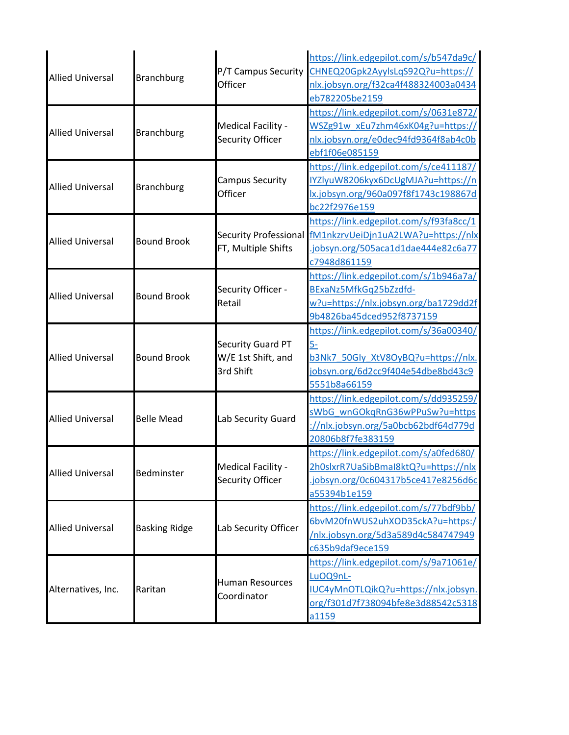| <b>Allied Universal</b> | <b>Branchburg</b>    | P/T Campus Security<br>Officer                       | https://link.edgepilot.com/s/b547da9c/<br>CHNEQ20Gpk2AyylsLqS92Q?u=https://<br>nlx.jobsyn.org/f32ca4f488324003a0434<br>eb782205be2159           |
|-------------------------|----------------------|------------------------------------------------------|-------------------------------------------------------------------------------------------------------------------------------------------------|
| <b>Allied Universal</b> | <b>Branchburg</b>    | Medical Facility -<br>Security Officer               | https://link.edgepilot.com/s/0631e872/<br>WSZg91w_xEu7zhm46xK04g?u=https://<br>nlx.jobsyn.org/e0dec94fd9364f8ab4c0b<br>ebf1f06e085159           |
| <b>Allied Universal</b> | <b>Branchburg</b>    | <b>Campus Security</b><br>Officer                    | https://link.edgepilot.com/s/ce411187/<br>IYZlyuW8206kyx6DcUgMJA?u=https://n<br>lx.jobsyn.org/960a097f8f1743c198867d<br>bc22f2976e159           |
| <b>Allied Universal</b> | <b>Bound Brook</b>   | Security Professional<br>FT, Multiple Shifts         | https://link.edgepilot.com/s/f93fa8cc/1<br>fM1nkzrvUeiDjn1uA2LWA?u=https://nlx<br>jobsyn.org/505aca1d1dae444e82c6a77<br>c7948d861159            |
| <b>Allied Universal</b> | <b>Bound Brook</b>   | Security Officer -<br>Retail                         | https://link.edgepilot.com/s/1b946a7a/<br>BExaNz5MfkGq25bZzdfd-<br>w?u=https://nlx.jobsyn.org/ba1729dd2f<br>9b4826ba45dced952f8737159           |
| <b>Allied Universal</b> | <b>Bound Brook</b>   | Security Guard PT<br>W/E 1st Shift, and<br>3rd Shift | https://link.edgepilot.com/s/36a00340/<br><u>5-</u><br>b3Nk7 50Gly XtV8OyBQ?u=https://nlx.<br>obsyn.org/6d2cc9f404e54dbe8bd43c9<br>5551b8a66159 |
| <b>Allied Universal</b> | <b>Belle Mead</b>    | Lab Security Guard                                   | https://link.edgepilot.com/s/dd935259/<br>sWbG_wnGOkqRnG36wPPuSw?u=https<br>://nlx.jobsyn.org/5a0bcb62bdf64d779d<br>20806b8f7fe383159           |
| <b>Allied Universal</b> | Bedminster           | Medical Facility -<br>Security Officer               | https://link.edgepilot.com/s/a0fed680/<br>2h0slxrR7UaSibBmaI8ktQ?u=https://nlx<br>jobsyn.org/0c604317b5ce417e8256d6c<br>a55394b1e159            |
| <b>Allied Universal</b> | <b>Basking Ridge</b> | Lab Security Officer                                 | https://link.edgepilot.com/s/77bdf9bb/<br>6bvM20fnWUS2uhXOD35ckA?u=https:/<br>/nlx.jobsyn.org/5d3a589d4c584747949<br>c635b9daf9ece159           |
| Alternatives, Inc.      | Raritan              | <b>Human Resources</b><br>Coordinator                | https://link.edgepilot.com/s/9a71061e/<br>LuOQ9nL-<br>IUC4yMnOTLQikQ?u=https://nlx.jobsyn.<br>org/f301d7f738094bfe8e3d88542c5318<br>a1159       |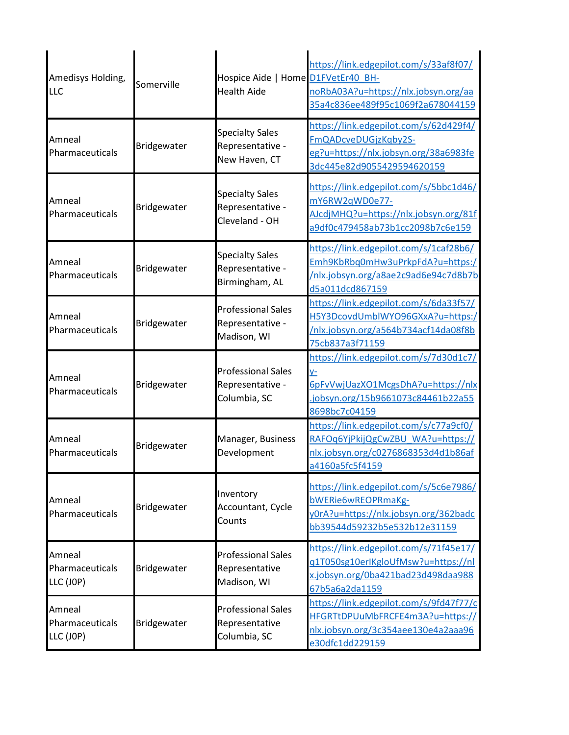| Amedisys Holding,<br>LLC               | Somerville  | Hospice Aide   Home D1FVetEr40 BH-<br><b>Health Aide</b>      | https://link.edgepilot.com/s/33af8f07/<br>noRbA03A?u=https://nlx.jobsyn.org/aa<br>35a4c836ee489f95c1069f2a678044159                              |
|----------------------------------------|-------------|---------------------------------------------------------------|--------------------------------------------------------------------------------------------------------------------------------------------------|
| Amneal<br>Pharmaceuticals              | Bridgewater | <b>Specialty Sales</b><br>Representative -<br>New Haven, CT   | https://link.edgepilot.com/s/62d429f4/<br>FmQADcveDUGjzKgby2S-<br>eg?u=https://nlx.jobsyn.org/38a6983fe<br>3dc445e82d9055429594620159            |
| Amneal<br>Pharmaceuticals              | Bridgewater | <b>Specialty Sales</b><br>Representative -<br>Cleveland - OH  | https://link.edgepilot.com/s/5bbc1d46/<br>mY6RW2qWD0e77-<br>AJcdjMHQ?u=https://nlx.jobsyn.org/81f<br>a9df0c479458ab73b1cc2098b7c6e159            |
| Amneal<br>Pharmaceuticals              | Bridgewater | <b>Specialty Sales</b><br>Representative -<br>Birmingham, AL  | https://link.edgepilot.com/s/1caf28b6/<br>Emh9KbRbq0mHw3uPrkpFdA?u=https:/<br>/nlx.jobsyn.org/a8ae2c9ad6e94c7d8b7b<br>d5a011dcd867159            |
| Amneal<br>Pharmaceuticals              | Bridgewater | <b>Professional Sales</b><br>Representative -<br>Madison, WI  | https://link.edgepilot.com/s/6da33f57/<br>H5Y3DcovdUmblWYO96GXxA?u=https:/<br>/nlx.jobsyn.org/a564b734acf14da08f8b<br>75cb837a3f71159            |
| Amneal<br>Pharmaceuticals              | Bridgewater | <b>Professional Sales</b><br>Representative -<br>Columbia, SC | https://link.edgepilot.com/s/7d30d1c7/<br><u>y-</u><br>6pFvVwjUazXO1McgsDhA?u=https://nlx<br>.jobsyn.org/15b9661073c84461b22a55<br>8698bc7c04159 |
| Amneal<br>Pharmaceuticals              | Bridgewater | Manager, Business<br>Development                              | https://link.edgepilot.com/s/c77a9cf0/<br>RAFOq6YjPkijQgCwZBU WA?u=https://<br>nlx.jobsyn.org/c0276868353d4d1b86af<br>a4160a5fc5f4159            |
| Amneal<br>Pharmaceuticals              | Bridgewater | Inventory<br>Accountant, Cycle<br>Counts                      | https://link.edgepilot.com/s/5c6e7986/<br>bWERie6wREOPRmaKg-<br>y0rA?u=https://nlx.jobsyn.org/362badc<br>bb39544d59232b5e532b12e31159            |
| Amneal<br>Pharmaceuticals<br>LLC (JOP) | Bridgewater | <b>Professional Sales</b><br>Representative<br>Madison, WI    | https://link.edgepilot.com/s/71f45e17/<br>g1T050sg10erIKgloUfMsw?u=https://nl<br>x.jobsyn.org/0ba421bad23d498daa988<br>67b5a6a2da1159            |
| Amneal<br>Pharmaceuticals<br>LLC (JOP) | Bridgewater | <b>Professional Sales</b><br>Representative<br>Columbia, SC   | https://link.edgepilot.com/s/9fd47f77/c<br>HFGRTtDPUuMbFRCFE4m3A?u=https://<br>nlx.jobsyn.org/3c354aee130e4a2aaa96<br>e30dfc1dd229159            |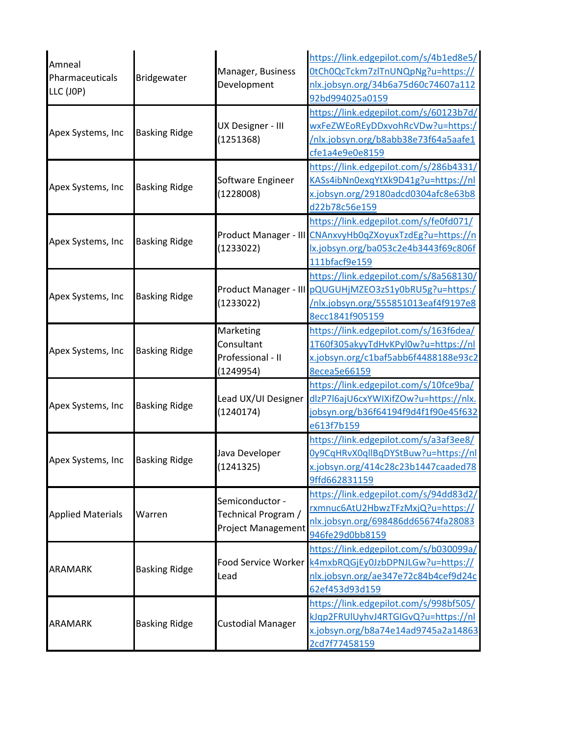| Amneal<br>Pharmaceuticals<br>LLC (JOP) | Bridgewater          | Manager, Business<br>Development                             | https://link.edgepilot.com/s/4b1ed8e5/<br>0tCh0QcTckm7zlTnUNQpNg?u=https://<br>nlx.jobsyn.org/34b6a75d60c74607a112<br>92bd994025a0159                       |
|----------------------------------------|----------------------|--------------------------------------------------------------|-------------------------------------------------------------------------------------------------------------------------------------------------------------|
| Apex Systems, Inc                      | <b>Basking Ridge</b> | UX Designer - III<br>(1251368)                               | https://link.edgepilot.com/s/60123b7d/<br>wxFeZWEoREyDDxvohRcVDw?u=https:/<br>/nlx.jobsyn.org/b8abb38e73f64a5aafe1<br>cfe1a4e9e0e8159                       |
| Apex Systems, Inc                      | <b>Basking Ridge</b> | Software Engineer<br>(1228008)                               | https://link.edgepilot.com/s/286b4331/<br>KASs4ibNn0exqYtXk9D41g?u=https://nl<br>x.jobsyn.org/29180adcd0304afc8e63b8<br>d22b78c56e159                       |
| Apex Systems, Inc                      | <b>Basking Ridge</b> | (1233022)                                                    | https://link.edgepilot.com/s/fe0fd071/<br>Product Manager - III CNAnxvyHb0qZXoyuxTzdEg?u=https://n<br>lx.jobsyn.org/ba053c2e4b3443f69c806f<br>111bfacf9e159 |
| Apex Systems, Inc                      | <b>Basking Ridge</b> | (1233022)                                                    | https://link.edgepilot.com/s/8a568130/<br>Product Manager - III pQUGUHjMZEO3zS1y0bRU5g?u=https:/<br>/nlx.jobsyn.org/555851013eaf4f9197e8<br>8ecc1841f905159 |
| Apex Systems, Inc                      | <b>Basking Ridge</b> | Marketing<br>Consultant<br>Professional - II<br>(1249954)    | https://link.edgepilot.com/s/163f6dea/<br>1T60f305akyyTdHvKPyl0w?u=https://nl<br>x.jobsyn.org/c1baf5abb6f4488188e93c2<br>8ecea5e66159                       |
| Apex Systems, Inc                      | <b>Basking Ridge</b> | Lead UX/UI Designer<br>(1240174)                             | https://link.edgepilot.com/s/10fce9ba/<br>dlzP7l6ajU6cxYWIXifZOw?u=https://nlx.<br>obsyn.org/b36f64194f9d4f1f90e45f632<br>e613f7b159                        |
| Apex Systems, Inc                      | <b>Basking Ridge</b> | Java Developer<br>(1241325)                                  | https://link.edgepilot.com/s/a3af3ee8/<br>0y9CqHRvX0qllBqDYStBuw?u=https://nl<br>x.jobsyn.org/414c28c23b1447caaded78<br>9ffd662831159                       |
| <b>Applied Materials</b>               | Warren               | Semiconductor -<br>Technical Program /<br>Project Management | https://link.edgepilot.com/s/94dd83d2/<br>rxmnuc6AtU2HbwzTFzMxjQ?u=https://<br>nlx.jobsyn.org/698486dd65674fa28083<br>946fe29d0bb8159                       |
| <b>ARAMARK</b>                         | <b>Basking Ridge</b> | Lead                                                         | https://link.edgepilot.com/s/b030099a/<br>Food Service Worker k4mxbRQGjEy0JzbDPNJLGw?u=https://<br>nlx.jobsyn.org/ae347e72c84b4cef9d24c<br>62ef453d93d159   |
| <b>ARAMARK</b>                         | <b>Basking Ridge</b> | <b>Custodial Manager</b>                                     | https://link.edgepilot.com/s/998bf505/<br>kJqp2FRUIUyhvJ4RTGIGvQ?u=https://nl<br>x.jobsyn.org/b8a74e14ad9745a2a14863<br>2cd7f77458159                       |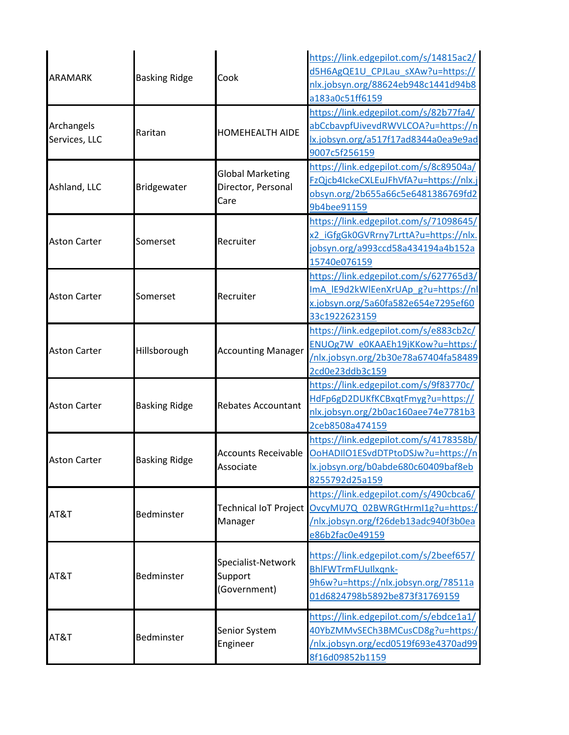| <b>ARAMARK</b>              | <b>Basking Ridge</b> | Cook                                                  | https://link.edgepilot.com/s/14815ac2/<br>d5H6AgQE1U_CPJLau_sXAw?u=https://<br>nlx.jobsyn.org/88624eb948c1441d94b8<br>a183a0c51ff6159 |
|-----------------------------|----------------------|-------------------------------------------------------|---------------------------------------------------------------------------------------------------------------------------------------|
| Archangels<br>Services, LLC | Raritan              | <b>HOMEHEALTH AIDE</b>                                | https://link.edgepilot.com/s/82b77fa4/<br>abCcbavpfUivevdRWVLCOA?u=https://n<br>lx.jobsyn.org/a517f17ad8344a0ea9e9ad<br>9007c5f256159 |
| Ashland, LLC                | Bridgewater          | <b>Global Marketing</b><br>Director, Personal<br>Care | https://link.edgepilot.com/s/8c89504a/<br>FzQjcb4IckeCXLEuJFhVfA?u=https://nlx.j<br>obsyn.org/2b655a66c5e6481386769fd2<br>9b4bee91159 |
| <b>Aston Carter</b>         | Somerset             | Recruiter                                             | https://link.edgepilot.com/s/71098645/<br>x2 iGfgGk0GVRrny7LrttA?u=https://nlx.<br>jobsyn.org/a993ccd58a434194a4b152a<br>15740e076159 |
| <b>Aston Carter</b>         | Somerset             | Recruiter                                             | https://link.edgepilot.com/s/627765d3/<br>ImA IE9d2kWlEenXrUAp g?u=https://nl<br>x.jobsyn.org/5a60fa582e654e7295ef60<br>33c1922623159 |
| <b>Aston Carter</b>         | Hillsborough         | <b>Accounting Manager</b>                             | https://link.edgepilot.com/s/e883cb2c/<br>ENUOg7W e0KAAEh19jKKow?u=https:/<br>/nlx.jobsyn.org/2b30e78a67404fa58489<br>2cd0e23ddb3c159 |
| <b>Aston Carter</b>         | <b>Basking Ridge</b> | <b>Rebates Accountant</b>                             | https://link.edgepilot.com/s/9f83770c/<br>HdFp6gD2DUKfKCBxqtFmyg?u=https://<br>nlx.jobsyn.org/2b0ac160aee74e7781b3<br>2ceb8508a474159 |
| <b>Aston Carter</b>         | <b>Basking Ridge</b> | <b>Accounts Receivable</b><br>Associate               | https://link.edgepilot.com/s/4178358b/<br>OoHADIIO1ESvdDTPtoDSJw?u=https://n<br>lx.jobsyn.org/b0abde680c60409baf8eb<br>8255792d25a159 |
| AT&T                        | Bedminster           | Technical IoT Project<br>Manager                      | https://link.edgepilot.com/s/490cbca6/<br>OvcyMU7Q_02BWRGtHrmI1g?u=https:/<br>/nlx.jobsyn.org/f26deb13adc940f3b0ea<br>e86b2fac0e49159 |
| AT&T                        | Bedminster           | Specialist-Network<br>Support<br>(Government)         | https://link.edgepilot.com/s/2beef657/<br>BhlFWTrmFUullxqnk-<br>9h6w?u=https://nlx.jobsyn.org/78511a<br>01d6824798b5892be873f31769159 |
| AT&T                        | Bedminster           | Senior System<br>Engineer                             | https://link.edgepilot.com/s/ebdce1a1/<br>40YbZMMvSECh3BMCusCD8g?u=https:/<br>/nlx.jobsyn.org/ecd0519f693e4370ad99<br>8f16d09852b1159 |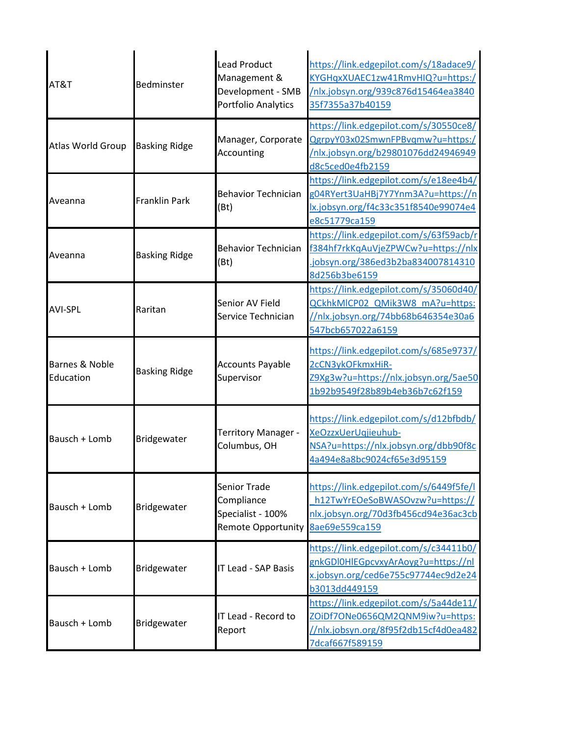| AT&T                        | Bedminster           | Lead Product<br>Management &<br>Development - SMB<br>Portfolio Analytics     | https://link.edgepilot.com/s/18adace9/<br>KYGHqxXUAEC1zw41RmvHIQ?u=https:/<br>/nlx.jobsyn.org/939c876d15464ea3840<br>35f7355a37b40159 |
|-----------------------------|----------------------|------------------------------------------------------------------------------|---------------------------------------------------------------------------------------------------------------------------------------|
| <b>Atlas World Group</b>    | <b>Basking Ridge</b> | Manager, Corporate<br>Accounting                                             | https://link.edgepilot.com/s/30550ce8/<br>QgrpyY03x02SmwnFPBvqmw?u=https:/<br>/nlx.jobsyn.org/b29801076dd24946949<br>d8c5ced0e4fb2159 |
| Aveanna                     | <b>Franklin Park</b> | <b>Behavior Technician</b><br>(Bt)                                           | https://link.edgepilot.com/s/e18ee4b4/<br>g04RYert3UaHBj7Y7Ynm3A?u=https://n<br>lx.jobsyn.org/f4c33c351f8540e99074e4<br>e8c51779ca159 |
| Aveanna                     | <b>Basking Ridge</b> | <b>Behavior Technician</b><br>(Bt)                                           | https://link.edgepilot.com/s/63f59acb/r<br>f384hf7rkKqAuVjeZPWCw?u=https://nlx<br>jobsyn.org/386ed3b2ba834007814310<br>8d256b3be6159  |
| <b>AVI-SPL</b>              | Raritan              | Senior AV Field<br>Service Technician                                        | https://link.edgepilot.com/s/35060d40/<br>QCkhkMICP02 QMik3W8 mA?u=https:<br>//nlx.jobsyn.org/74bb68b646354e30a6<br>547bcb657022a6159 |
| Barnes & Noble<br>Education | <b>Basking Ridge</b> | <b>Accounts Payable</b><br>Supervisor                                        | https://link.edgepilot.com/s/685e9737/<br>2cCN3ykOFkmxHiR-<br>Z9Xg3w?u=https://nlx.jobsyn.org/5ae50<br>1b92b9549f28b89b4eb36b7c62f159 |
| Bausch + Lomb               | Bridgewater          | Territory Manager -<br>Columbus, OH                                          | https://link.edgepilot.com/s/d12bfbdb/<br>XeOzzxUerUqjieuhub-<br>NSA?u=https://nlx.jobsyn.org/dbb90f8c<br>4a494e8a8bc9024cf65e3d95159 |
| Bausch + Lomb               | Bridgewater          | <b>Senior Trade</b><br>Compliance<br>Specialist - 100%<br>Remote Opportunity | https://link.edgepilot.com/s/6449f5fe/l<br>h12TwYrEOeSoBWASOvzw?u=https://<br>nlx.jobsyn.org/70d3fb456cd94e36ac3cb<br>8ae69e559ca159  |
| Bausch + Lomb               | Bridgewater          | <b>IT Lead - SAP Basis</b>                                                   | https://link.edgepilot.com/s/c34411b0/<br>gnkGDI0HIEGpcvxyArAoyg?u=https://nl<br>x.jobsyn.org/ced6e755c97744ec9d2e24<br>b3013dd449159 |
| Bausch + Lomb               | Bridgewater          | IT Lead - Record to<br>Report                                                | https://link.edgepilot.com/s/5a44de11/<br>ZOIDf7ONe0656QM2QNM9iw?u=https:<br>//nlx.jobsyn.org/8f95f2db15cf4d0ea482<br>7dcaf667f589159 |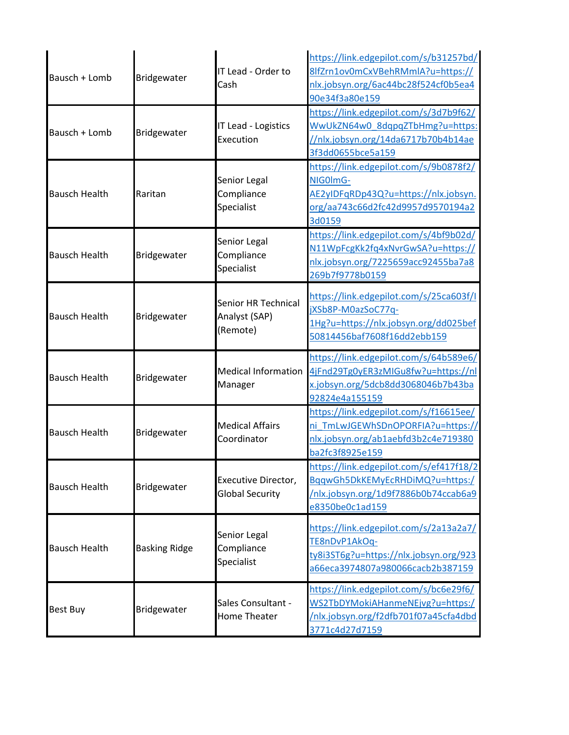| Bausch + Lomb        | Bridgewater          | IT Lead - Order to<br>Cash                       | https://link.edgepilot.com/s/b31257bd/<br>8lfZrn1ov0mCxVBehRMmlA?u=https://<br>nlx.jobsyn.org/6ac44bc28f524cf0b5ea4<br>90e34f3a80e159     |
|----------------------|----------------------|--------------------------------------------------|-------------------------------------------------------------------------------------------------------------------------------------------|
| Bausch + Lomb        | Bridgewater          | IT Lead - Logistics<br>Execution                 | https://link.edgepilot.com/s/3d7b9f62/<br>WwUkZN64w0_8dqpqZTbHmg?u=https:<br>/nlx.jobsyn.org/14da6717b70b4b14ae<br>3f3dd0655bce5a159      |
| <b>Bausch Health</b> | Raritan              | Senior Legal<br>Compliance<br>Specialist         | https://link.edgepilot.com/s/9b0878f2/<br>NIG0ImG-<br>AE2yIDFqRDp43Q?u=https://nlx.jobsyn.<br>org/aa743c66d2fc42d9957d9570194a2<br>3d0159 |
| <b>Bausch Health</b> | Bridgewater          | Senior Legal<br>Compliance<br>Specialist         | https://link.edgepilot.com/s/4bf9b02d/<br>N11WpFcgKk2fq4xNvrGwSA?u=https://<br>nlx.jobsyn.org/7225659acc92455ba7a8<br>269b7f9778b0159     |
| <b>Bausch Health</b> | Bridgewater          | Senior HR Technical<br>Analyst (SAP)<br>(Remote) | https://link.edgepilot.com/s/25ca603f/l<br>jXSb8P-M0azSoC77q-<br>1Hg?u=https://nlx.jobsyn.org/dd025bef<br>50814456baf7608f16dd2ebb159     |
| <b>Bausch Health</b> | Bridgewater          | <b>Medical Information</b><br>Manager            | https://link.edgepilot.com/s/64b589e6/<br>4jFnd29Tg0yER3zMIGu8fw?u=https://nl<br>x.jobsyn.org/5dcb8dd3068046b7b43ba<br>92824e4a155159     |
| <b>Bausch Health</b> | Bridgewater          | <b>Medical Affairs</b><br>Coordinator            | https://link.edgepilot.com/s/f16615ee/<br>ni TmLwJGEWhSDnOPORFIA?u=https://<br>nlx.jobsyn.org/ab1aebfd3b2c4e719380<br>ba2fc3f8925e159     |
| <b>Bausch Health</b> | Bridgewater          | Executive Director,<br><b>Global Security</b>    | https://link.edgepilot.com/s/ef417f18/2<br>BqqwGh5DkKEMyEcRHDiMQ?u=https:/<br>/nlx.jobsyn.org/1d9f7886b0b74ccab6a9<br>e8350be0c1ad159     |
| <b>Bausch Health</b> | <b>Basking Ridge</b> | Senior Legal<br>Compliance<br>Specialist         | https://link.edgepilot.com/s/2a13a2a7/<br>TE8nDvP1AkOq-<br>ty8i3ST6g?u=https://nlx.jobsyn.org/923<br>a66eca3974807a980066cacb2b387159     |
| <b>Best Buy</b>      | Bridgewater          | Sales Consultant -<br><b>Home Theater</b>        | https://link.edgepilot.com/s/bc6e29f6/<br>WS2TbDYMokiAHanmeNEjvg?u=https:/<br>/nlx.jobsyn.org/f2dfb701f07a45cfa4dbd<br>3771c4d27d7159     |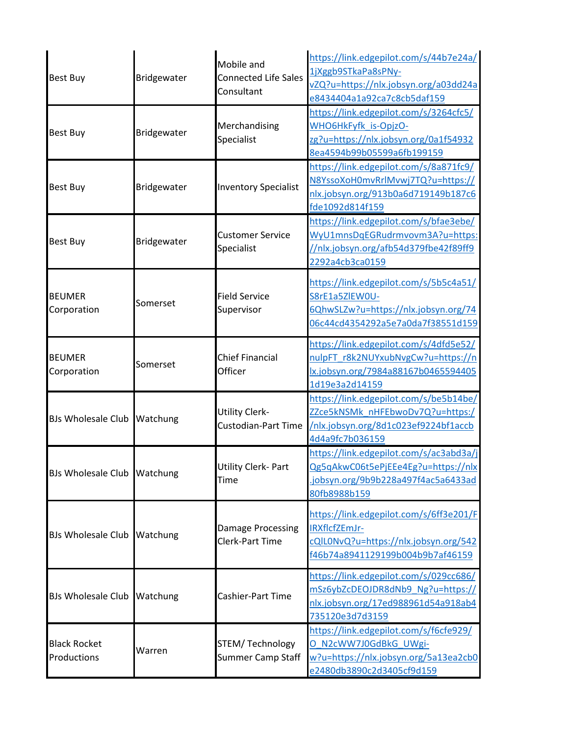| <b>Best Buy</b>                    | Bridgewater | Mobile and<br><b>Connected Life Sales</b><br>Consultant | https://link.edgepilot.com/s/44b7e24a/<br>1jXggb9STkaPa8sPNy-<br>vZQ?u=https://nlx.jobsyn.org/a03dd24a<br>e8434404a1a92ca7c8cb5daf159 |
|------------------------------------|-------------|---------------------------------------------------------|---------------------------------------------------------------------------------------------------------------------------------------|
| <b>Best Buy</b>                    | Bridgewater | Merchandising<br>Specialist                             | https://link.edgepilot.com/s/3264cfc5/<br>WHO6HkFyfk_is-OpjzO-<br>zg?u=https://nlx.jobsyn.org/0a1f54932<br>8ea4594b99b05599a6fb199159 |
| <b>Best Buy</b>                    | Bridgewater | <b>Inventory Specialist</b>                             | https://link.edgepilot.com/s/8a871fc9/<br>N8YssoXoH0mvRrlMvwj7TQ?u=https://<br>nlx.jobsyn.org/913b0a6d719149b187c6<br>fde1092d814f159 |
| <b>Best Buy</b>                    | Bridgewater | <b>Customer Service</b><br>Specialist                   | https://link.edgepilot.com/s/bfae3ebe/<br>WyU1mnsDqEGRudrmvovm3A?u=https:<br>//nlx.jobsyn.org/afb54d379fbe42f89ff9<br>2292a4cb3ca0159 |
| <b>BEUMER</b><br>Corporation       | Somerset    | <b>Field Service</b><br>Supervisor                      | https://link.edgepilot.com/s/5b5c4a51/<br>S8rE1a5ZlEW0U-<br>6QhwSLZw?u=https://nlx.jobsyn.org/74<br>06c44cd4354292a5e7a0da7f38551d159 |
| <b>BEUMER</b><br>Corporation       | Somerset    | <b>Chief Financial</b><br>Officer                       | https://link.edgepilot.com/s/4dfd5e52/<br>nulpFT_r8k2NUYxubNvgCw?u=https://n<br>lx.jobsyn.org/7984a88167b0465594405<br>1d19e3a2d14159 |
| <b>BJs Wholesale Club</b>          | Watchung    | <b>Utility Clerk-</b><br><b>Custodian-Part Time</b>     | https://link.edgepilot.com/s/be5b14be/<br>ZZce5kNSMk nHFEbwoDv7Q?u=https:/<br>/nlx.jobsyn.org/8d1c023ef9224bf1accb<br>4d4a9fc7b036159 |
| BJs Wholesale Club Watchung        |             | Utility Clerk- Part<br>Time                             | https://link.edgepilot.com/s/ac3abd3a/j<br>Qg5qAkwC06t5ePjEEe4Eg?u=https://nlx<br>.jobsyn.org/9b9b228a497f4ac5a6433ad<br>80fb8988b159 |
| BJs Wholesale Club Watchung        |             | <b>Damage Processing</b><br><b>Clerk-Part Time</b>      | https://link.edgepilot.com/s/6ff3e201/F<br>IRXflcfZEmJr-<br>cQIL0NvQ?u=https://nlx.jobsyn.org/542<br>f46b74a8941129199b004b9b7af46159 |
| BJs Wholesale Club Watchung        |             | Cashier-Part Time                                       | https://link.edgepilot.com/s/029cc686/<br>mSz6ybZcDEOJDR8dNb9 Ng?u=https://<br>nlx.jobsyn.org/17ed988961d54a918ab4<br>735120e3d7d3159 |
| <b>Black Rocket</b><br>Productions | Warren      | STEM/ Technology<br>Summer Camp Staff                   | https://link.edgepilot.com/s/f6cfe929/<br>O N2cWW7J0GdBkG UWgi-<br>w?u=https://nlx.jobsyn.org/5a13ea2cb0<br>e2480db3890c2d3405cf9d159 |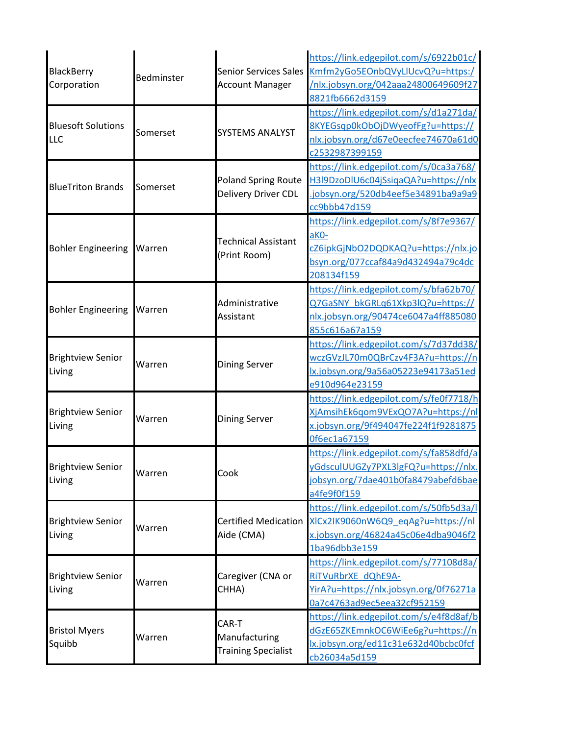|                                    |            |                              | https://link.edgepilot.com/s/6922b01c/  |
|------------------------------------|------------|------------------------------|-----------------------------------------|
| <b>BlackBerry</b><br>Corporation   |            | <b>Senior Services Sales</b> | Kmfm2yGo5EOnbQVyLlUcvQ?u=https:/        |
|                                    | Bedminster | <b>Account Manager</b>       | /nlx.jobsyn.org/042aaa24800649609f27    |
|                                    |            |                              | 8821fb6662d3159                         |
|                                    |            |                              | https://link.edgepilot.com/s/d1a271da/  |
| <b>Bluesoft Solutions</b>          |            |                              | 8KYEGsqp0kObOjDWyeofFg?u=https://       |
| <b>LLC</b>                         | Somerset   | <b>SYSTEMS ANALYST</b>       | nlx.jobsyn.org/d67e0eecfee74670a61d0    |
|                                    |            |                              | c2532987399159                          |
|                                    |            |                              | https://link.edgepilot.com/s/0ca3a768/  |
| <b>BlueTriton Brands</b>           |            | <b>Poland Spring Route</b>   | H3l9DzoDlU6c04jSsiqaQA?u=https://nlx    |
|                                    | Somerset   | Delivery Driver CDL          | jobsyn.org/520db4eef5e34891ba9a9a9      |
|                                    |            |                              | cc9bbb47d159                            |
|                                    |            |                              | https://link.edgepilot.com/s/8f7e9367/  |
|                                    |            |                              | aKO-                                    |
| <b>Bohler Engineering</b>          | Warren     | <b>Technical Assistant</b>   | cZ6ipkGjNbO2DQDKAQ?u=https://nlx.jo     |
|                                    |            | (Print Room)                 | bsyn.org/077ccaf84a9d432494a79c4dc      |
|                                    |            |                              | 208134f159                              |
|                                    |            |                              | https://link.edgepilot.com/s/bfa62b70/  |
|                                    | Warren     | Administrative<br>Assistant  | Q7GaSNY bkGRLq61Xkp3lQ?u=https://       |
| <b>Bohler Engineering</b>          |            |                              | nlx.jobsyn.org/90474ce6047a4ff885080    |
|                                    |            |                              | 855c616a67a159                          |
| <b>Brightview Senior</b>           | Warren     | <b>Dining Server</b>         | https://link.edgepilot.com/s/7d37dd38/  |
|                                    |            |                              | wczGVzJL70m0QBrCzv4F3A?u=https://n      |
| Living                             |            |                              | lx.jobsyn.org/9a56a05223e94173a51ed     |
|                                    |            |                              | e910d964e23159                          |
|                                    | Warren     |                              | https://link.edgepilot.com/s/fe0f7718/h |
| <b>Brightview Senior</b>           |            |                              | XjAmsihEk6qom9VExQO7A?u=https://nl      |
| Living                             |            | <b>Dining Server</b>         | x.jobsyn.org/9f494047fe224f1f9281875    |
|                                    |            |                              | 0f6ec1a67159                            |
|                                    | Warren     | Cook                         | https://link.edgepilot.com/s/fa858dfd/a |
| <b>Brightview Senior</b>           |            |                              | yGdsculUUGZy7PXL3lgFQ?u=https://nlx.    |
| Living                             |            |                              | jobsyn.org/7dae401b0fa8479abefd6bae     |
|                                    |            |                              | a4fe9f0f159                             |
|                                    | Warren     |                              | https://link.edgepilot.com/s/50fb5d3a/l |
| <b>Brightview Senior</b>           |            | <b>Certified Medication</b>  | XICx2IK9060nW6Q9 eqAg?u=https://nl      |
| Living                             |            | Aide (CMA)                   | x.jobsyn.org/46824a45c06e4dba9046f2     |
|                                    |            |                              | 1ba96dbb3e159                           |
|                                    |            |                              | https://link.edgepilot.com/s/77108d8a/  |
| <b>Brightview Senior</b><br>Living |            | Caregiver (CNA or            | RITVuRbrXE dQhE9A-                      |
|                                    | Warren     | CHHA)                        | YirA?u=https://nlx.jobsyn.org/0f76271a  |
|                                    |            |                              | 0a7c4763ad9ec5eea32cf952159             |
|                                    |            |                              | https://link.edgepilot.com/s/e4f8d8af/b |
| <b>Bristol Myers</b><br>Squibb     | Warren     | CAR-T                        | dGzE65ZKEmnkOC6WiEe6g?u=https://n       |
|                                    |            | Manufacturing                | lx.jobsyn.org/ed11c31e632d40bcbc0fcf    |
|                                    |            | <b>Training Specialist</b>   | cb26034a5d159                           |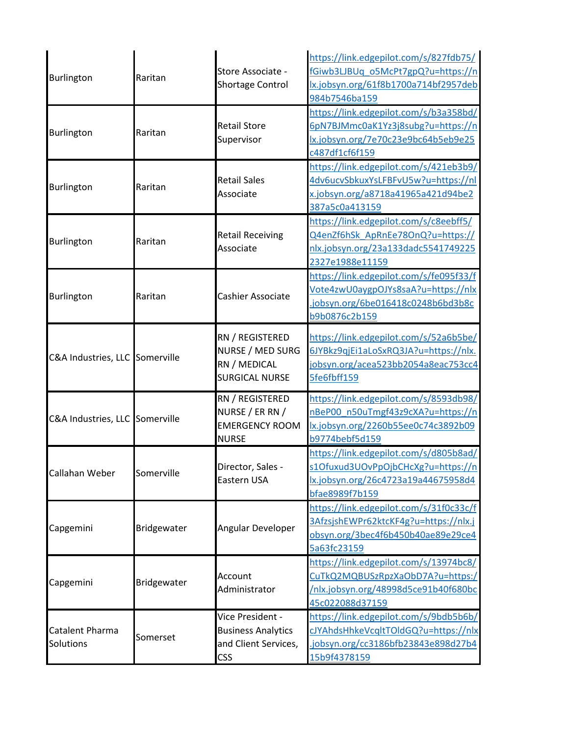| Burlington                     | Raritan     | Store Associate -<br><b>Shortage Control</b>                                        | https://link.edgepilot.com/s/827fdb75/<br>fGiwb3LJBUq_o5McPt7gpQ?u=https://n<br>lx.jobsyn.org/61f8b1700a714bf2957deb<br>984b7546ba159 |
|--------------------------------|-------------|-------------------------------------------------------------------------------------|---------------------------------------------------------------------------------------------------------------------------------------|
| Burlington                     | Raritan     | <b>Retail Store</b><br>Supervisor                                                   | https://link.edgepilot.com/s/b3a358bd/<br>6pN7BJMmc0aK1Yz3j8subg?u=https://n<br>lx.jobsyn.org/7e70c23e9bc64b5eb9e25<br>c487df1cf6f159 |
| Burlington                     | Raritan     | <b>Retail Sales</b><br>Associate                                                    | https://link.edgepilot.com/s/421eb3b9/<br>4dv6ucvSbkuxYsLFBFvU5w?u=https://nl<br>x.jobsyn.org/a8718a41965a421d94be2<br>387a5c0a413159 |
| Burlington                     | Raritan     | <b>Retail Receiving</b><br>Associate                                                | https://link.edgepilot.com/s/c8eebff5/<br>Q4enZf6hSk ApRnEe78OnQ?u=https://<br>nlx.jobsyn.org/23a133dadc5541749225<br>2327e1988e11159 |
| <b>Burlington</b>              | Raritan     | Cashier Associate                                                                   | https://link.edgepilot.com/s/fe095f33/f<br>Vote4zwU0aygpOJYs8saA?u=https://nlx<br>jobsyn.org/6be016418c0248b6bd3b8c<br>b9b0876c2b159  |
| C&A Industries, LLC Somerville |             | RN / REGISTERED<br>NURSE / MED SURG<br>RN / MEDICAL<br><b>SURGICAL NURSE</b>        | https://link.edgepilot.com/s/52a6b5be/<br>6JYBkz9qjEi1aLoSxRQ3JA?u=https://nlx.<br>jobsyn.org/acea523bb2054a8eac753cc4<br>5fe6fbff159 |
| C&A Industries, LLC Somerville |             | RN / REGISTERED<br>NURSE / ER RN /<br><b>EMERGENCY ROOM</b><br><b>NURSE</b>         | https://link.edgepilot.com/s/8593db98/<br>nBeP00_n50uTmgf43z9cXA?u=https://n<br>lx.jobsyn.org/2260b55ee0c74c3892b09<br>b9774bebf5d159 |
| Callahan Weber                 | Somerville  | Director, Sales -<br>Eastern USA                                                    | https://link.edgepilot.com/s/d805b8ad/<br>s1Ofuxud3UOvPpOjbCHcXg?u=https://n<br>lx.jobsyn.org/26c4723a19a44675958d4<br>bfae8989f7b159 |
| Capgemini                      | Bridgewater | Angular Developer                                                                   | https://link.edgepilot.com/s/31f0c33c/f<br>3AfzsjshEWPr62ktcKF4g?u=https://nlx.j<br>obsyn.org/3bec4f6b450b40ae89e29ce4<br>5a63fc23159 |
| Capgemini                      | Bridgewater | Account<br>Administrator                                                            | https://link.edgepilot.com/s/13974bc8/<br>CuTkQ2MQBUSzRpzXaObD7A?u=https:/<br>/nlx.jobsyn.org/48998d5ce91b40f680bc<br>45c022088d37159 |
| Catalent Pharma<br>Solutions   | Somerset    | Vice President -<br><b>Business Analytics</b><br>and Client Services,<br><b>CSS</b> | https://link.edgepilot.com/s/9bdb5b6b/<br>cJYAhdsHhkeVcqltTOldGQ?u=https://nlx<br>jobsyn.org/cc3186bfb23843e898d27b4<br>15b9f4378159  |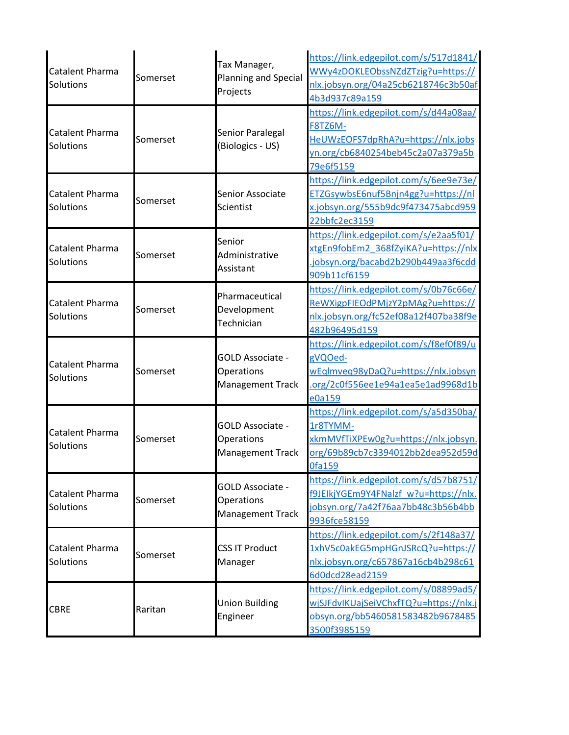| Catalent Pharma<br>Solutions | Somerset | Tax Manager,<br>Planning and Special<br>Projects          | https://link.edgepilot.com/s/517d1841/<br>WWy4zDOKLEObssNZdZTzig?u=https://<br>nlx.jobsyn.org/04a25cb6218746c3b50af<br>4b3d937c89a159     |
|------------------------------|----------|-----------------------------------------------------------|-------------------------------------------------------------------------------------------------------------------------------------------|
| Catalent Pharma<br>Solutions | Somerset | Senior Paralegal<br>(Biologics - US)                      | https://link.edgepilot.com/s/d44a08aa/<br>F8TZ6M-<br>HeUWzEOFS7dpRhA?u=https://nlx.jobs<br>yn.org/cb6840254beb45c2a07a379a5b<br>79e6f5159 |
| Catalent Pharma<br>Solutions | Somerset | Senior Associate<br>Scientist                             | https://link.edgepilot.com/s/6ee9e73e/<br>ETZGsywbsE6nuf5Bnjn4gg?u=https://nl<br>x.jobsyn.org/555b9dc9f473475abcd959<br>22bbfc2ec3159     |
| Catalent Pharma<br>Solutions | Somerset | Senior<br>Administrative<br>Assistant                     | https://link.edgepilot.com/s/e2aa5f01/<br>xtgEn9fobEm2 368fZyiKA?u=https://nlx<br>iobsyn.org/bacabd2b290b449aa3f6cdd<br>909b11cf6159      |
| Catalent Pharma<br>Solutions | Somerset | Pharmaceutical<br>Development<br>Technician               | https://link.edgepilot.com/s/0b76c66e/<br>ReWXigpFIEOdPMjzY2pMAg?u=https://<br>nlx.jobsyn.org/fc52ef08a12f407ba38f9e<br>482b96495d159     |
| Catalent Pharma<br>Solutions | Somerset | GOLD Associate -<br>Operations<br>Management Track        | https://link.edgepilot.com/s/f8ef0f89/u<br>gVQOed-<br>wEqlmveq98yDaQ?u=https://nlx.jobsyn<br>.org/2c0f556ee1e94a1ea5e1ad9968d1b<br>e0a159 |
| Catalent Pharma<br>Solutions | Somerset | GOLD Associate -<br>Operations<br><b>Management Track</b> | https://link.edgepilot.com/s/a5d350ba/<br>1r8TYMM-<br>xkmMVfTiXPEw0g?u=https://nlx.jobsyn.<br>org/69b89cb7c3394012bb2dea952d59d<br>Ofa159 |
| Catalent Pharma<br>Solutions | Somerset | GOLD Associate -<br>Operations<br><b>Management Track</b> | https://link.edgepilot.com/s/d57b8751/<br>f9JEIkjYGEm9Y4FNalzf w?u=https://nlx.<br>jobsyn.org/7a42f76aa7bb48c3b56b4bb<br>9936fce58159     |
| Catalent Pharma<br>Solutions | Somerset | <b>CSS IT Product</b><br>Manager                          | https://link.edgepilot.com/s/2f148a37/<br>1xhV5c0akEG5mpHGnJSRcQ?u=https://<br>nlx.jobsyn.org/c657867a16cb4b298c61<br>6d0dcd28ead2159     |
| <b>CBRE</b>                  | Raritan  | <b>Union Building</b><br>Engineer                         | https://link.edgepilot.com/s/08899ad5/<br>wjSJFdvIKUajSeiVChxfTQ?u=https://nlx.j<br>obsyn.org/bb5460581583482b9678485<br>3500f3985159     |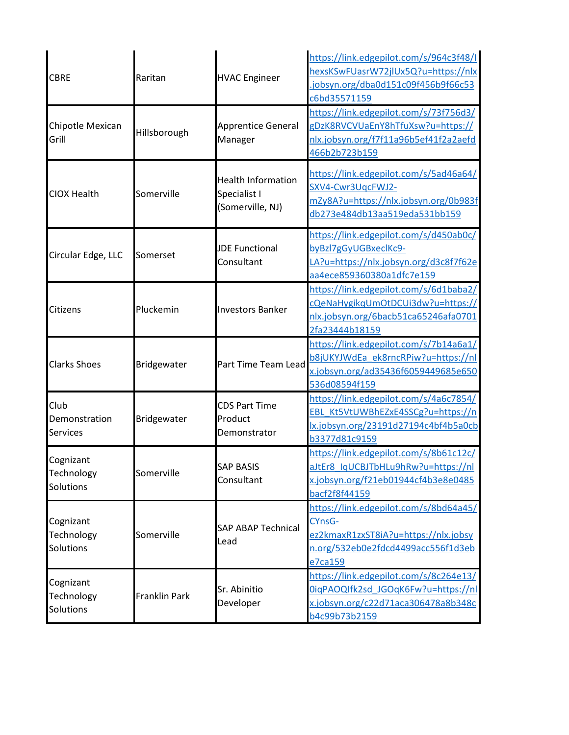| <b>CBRE</b>                              | Raritan       | <b>HVAC Engineer</b>                                          | https://link.edgepilot.com/s/964c3f48/I<br>hexsKSwFUasrW72jlUx5Q?u=https://nlx<br>jobsyn.org/dba0d151c09f456b9f66c53<br>c6bd35571159      |
|------------------------------------------|---------------|---------------------------------------------------------------|-------------------------------------------------------------------------------------------------------------------------------------------|
| Chipotle Mexican<br>Grill                | Hillsborough  | <b>Apprentice General</b><br>Manager                          | https://link.edgepilot.com/s/73f756d3/<br>gDzK8RVCVUaEnY8hTfuXsw?u=https://<br>nlx.jobsyn.org/f7f11a96b5ef41f2a2aefd<br>466b2b723b159     |
| <b>CIOX Health</b>                       | Somerville    | <b>Health Information</b><br>Specialist I<br>(Somerville, NJ) | https://link.edgepilot.com/s/5ad46a64/<br>SXV4-Cwr3UqcFWJ2-<br>mZy8A?u=https://nlx.jobsyn.org/0b983f<br>db273e484db13aa519eda531bb159     |
| Circular Edge, LLC                       | Somerset      | <b>JDE Functional</b><br>Consultant                           | https://link.edgepilot.com/s/d450ab0c/<br>byBzl7gGyUGBxeclKc9-<br>LA?u=https://nlx.jobsyn.org/d3c8f7f62e<br>aa4ece859360380a1dfc7e159     |
| Citizens                                 | Pluckemin     | <b>Investors Banker</b>                                       | https://link.edgepilot.com/s/6d1baba2/<br>cQeNaHygikqUmOtDCUi3dw?u=https://<br>nlx.jobsyn.org/6bacb51ca65246afa0701<br>2fa23444b18159     |
| <b>Clarks Shoes</b>                      | Bridgewater   | Part Time Team Lead                                           | https://link.edgepilot.com/s/7b14a6a1/<br>b8jUKYJWdEa ek8rncRPiw?u=https://nl<br>x.jobsyn.org/ad35436f6059449685e650<br>536d08594f159     |
| Club<br>Demonstration<br><b>Services</b> | Bridgewater   | <b>CDS Part Time</b><br>Product<br>Demonstrator               | https://link.edgepilot.com/s/4a6c7854/<br>EBL_Kt5VtUWBhEZxE4SSCg?u=https://n<br>lx.jobsyn.org/23191d27194c4bf4b5a0cb<br>b3377d81c9159     |
| Cognizant<br>Technology<br>Solutions     | Somerville    | <b>SAP BASIS</b><br>Consultant                                | https://link.edgepilot.com/s/8b61c12c/<br>aJtEr8 IqUCBJTbHLu9hRw?u=https://nl<br>x.jobsyn.org/f21eb01944cf4b3e8e0485<br>bacf2f8f44159     |
| Cognizant<br>Technology<br>Solutions     | Somerville    | <b>SAP ABAP Technical</b><br>Lead                             | https://link.edgepilot.com/s/8bd64a45/<br>CYnsG-<br>ez2kmaxR1zxST8iA?u=https://nlx.jobsy<br>n.org/532eb0e2fdcd4499acc556f1d3eb<br>e7ca159 |
| Cognizant<br>Technology<br>Solutions     | Franklin Park | Sr. Abinitio<br>Developer                                     | https://link.edgepilot.com/s/8c264e13/<br>0iqPAOQIfk2sd JGOqK6Fw?u=https://nl<br>x.jobsyn.org/c22d71aca306478a8b348c<br>b4c99b73b2159     |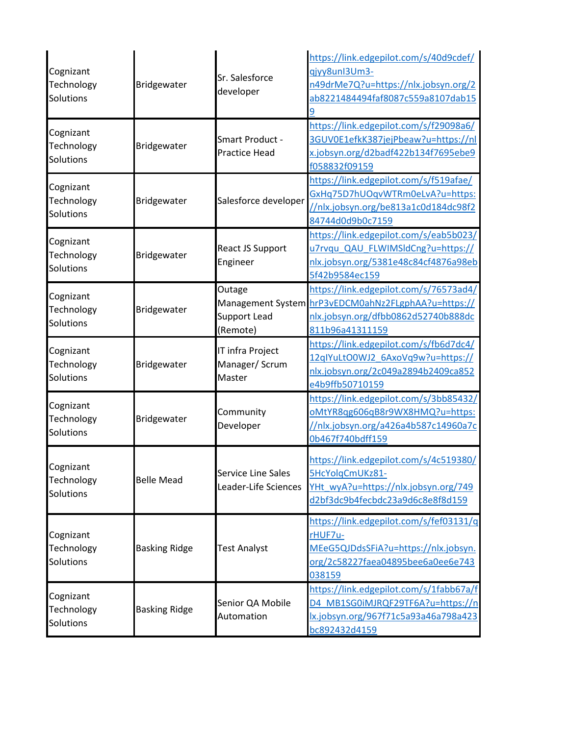|                                      |                      |                                              | https://link.edgepilot.com/s/40d9cdef/  |
|--------------------------------------|----------------------|----------------------------------------------|-----------------------------------------|
| Cognizant<br>Technology              |                      | Sr. Salesforce                               | qjyy8unl3Um3-                           |
|                                      | Bridgewater          | developer                                    | n49drMe7Q?u=https://nlx.jobsyn.org/2    |
| Solutions                            |                      |                                              | ab8221484494faf8087c559a8107dab15       |
|                                      |                      |                                              | 9                                       |
| Cognizant                            |                      |                                              | https://link.edgepilot.com/s/f29098a6/  |
| Technology                           | Bridgewater          | Smart Product -                              | 3GUV0E1efkK387jejPbeaw?u=https://nl     |
| Solutions                            |                      | <b>Practice Head</b>                         | x.jobsyn.org/d2badf422b134f7695ebe9     |
|                                      |                      |                                              | f058832f09159                           |
| Cognizant                            |                      |                                              | https://link.edgepilot.com/s/f519afae/  |
| Technology                           | Bridgewater          | Salesforce developer                         | GxHq75D7hUOqvWTRm0eLvA?u=https:         |
| Solutions                            |                      |                                              | //nlx.jobsyn.org/be813a1c0d184dc98f2    |
|                                      |                      |                                              | 84744d0d9b0c7159                        |
| Cognizant                            |                      |                                              | https://link.edgepilot.com/s/eab5b023/  |
| Technology                           |                      | React JS Support                             | u7rvqu QAU FLWIMSIdCng?u=https://       |
| Solutions                            | Bridgewater          | Engineer                                     | nlx.jobsyn.org/5381e48c84cf4876a98eb    |
|                                      |                      |                                              | 5f42b9584ec159                          |
|                                      |                      | Outage                                       | https://link.edgepilot.com/s/76573ad4/  |
| Cognizant                            |                      | Management System                            | hrP3vEDCM0ahNz2FLgphAA?u=https://       |
| Technology<br>Solutions              | Bridgewater          | <b>Support Lead</b>                          | nlx.jobsyn.org/dfbb0862d52740b888dc     |
|                                      |                      | (Remote)                                     | 811b96a41311159                         |
| Cognizant<br>Technology              | Bridgewater          | IT infra Project<br>Manager/ Scrum<br>Master | https://link.edgepilot.com/s/fb6d7dc4/  |
|                                      |                      |                                              | 12qlYuLtO0WJ2 6AxoVq9w?u=https://       |
|                                      |                      |                                              | nlx.jobsyn.org/2c049a2894b2409ca852     |
| Solutions                            |                      |                                              | e4b9ffb50710159                         |
|                                      | Bridgewater          | Community<br>Developer                       | https://link.edgepilot.com/s/3bb85432/  |
| Cognizant                            |                      |                                              | oMtYR8qg606qB8r9WX8HMQ?u=https:         |
| Technology                           |                      |                                              | //nlx.jobsyn.org/a426a4b587c14960a7c    |
| Solutions                            |                      |                                              | 0b467f740bdff159                        |
|                                      |                      |                                              |                                         |
| Cognizant                            |                      |                                              | https://link.edgepilot.com/s/4c519380/  |
| Technology                           | <b>Belle Mead</b>    | Service Line Sales                           | 5HcYolqCmUKz81-                         |
| Solutions                            |                      | Leader-Life Sciences                         | YHt wyA?u=https://nlx.jobsyn.org/749    |
|                                      |                      |                                              | d2bf3dc9b4fecbdc23a9d6c8e8f8d159        |
|                                      |                      |                                              | https://link.edgepilot.com/s/fef03131/q |
| Cognizant                            |                      |                                              | rHUF7u-                                 |
| Technology                           | <b>Basking Ridge</b> | <b>Test Analyst</b>                          | MEeG5QJDdsSFiA?u=https://nlx.jobsyn.    |
| Solutions                            |                      |                                              | org/2c58227faea04895bee6a0ee6e743       |
|                                      |                      |                                              | 038159                                  |
|                                      |                      |                                              | https://link.edgepilot.com/s/1fabb67a/f |
| Cognizant<br>Technology<br>Solutions |                      | Senior QA Mobile<br>Automation               | D4 MB1SG0iMJRQF29TF6A?u=https://n       |
|                                      | <b>Basking Ridge</b> |                                              | lx.jobsyn.org/967f71c5a93a46a798a423    |
|                                      |                      |                                              | bc892432d4159                           |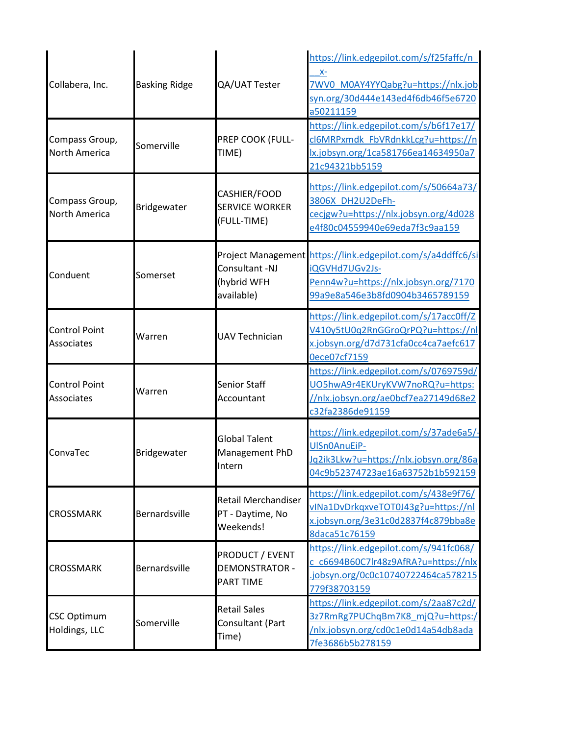| Collabera, Inc.                        | <b>Basking Ridge</b> | QA/UAT Tester                                               | https://link.edgepilot.com/s/f25faffc/n<br>$X-$<br>7WV0 M0AY4YYQabg?u=https://nlx.job<br>syn.org/30d444e143ed4f6db46f5e6720<br>a50211159                 |
|----------------------------------------|----------------------|-------------------------------------------------------------|----------------------------------------------------------------------------------------------------------------------------------------------------------|
| Compass Group,<br><b>North America</b> | Somerville           | PREP COOK (FULL-<br>TIME)                                   | https://link.edgepilot.com/s/b6f17e17/<br>cl6MRPxmdk FbVRdnkkLcg?u=https://n<br>lx.jobsyn.org/1ca581766ea14634950a7<br>21c94321bb5159                    |
| Compass Group,<br>North America        | Bridgewater          | CASHIER/FOOD<br><b>SERVICE WORKER</b><br>(FULL-TIME)        | https://link.edgepilot.com/s/50664a73/<br>3806X DH2U2DeFh-<br>cecjgw?u=https://nlx.jobsyn.org/4d028<br>e4f80c04559940e69eda7f3c9aa159                    |
| Conduent                               | Somerset             | Consultant -NJ<br>(hybrid WFH<br>available)                 | Project Management https://link.edgepilot.com/s/a4ddffc6/si<br>iQGVHd7UGv2Js-<br>Penn4w?u=https://nlx.jobsyn.org/7170<br>99a9e8a546e3b8fd0904b3465789159 |
| <b>Control Point</b><br>Associates     | Warren               | <b>UAV Technician</b>                                       | https://link.edgepilot.com/s/17acc0ff/Z<br>V410y5tU0q2RnGGroQrPQ?u=https://nl<br>x.jobsyn.org/d7d731cfa0cc4ca7aefc617<br>0ece07cf7159                    |
| <b>Control Point</b><br>Associates     | Warren               | <b>Senior Staff</b><br>Accountant                           | https://link.edgepilot.com/s/0769759d/<br>UO5hwA9r4EKUryKVW7noRQ?u=https:<br>//nlx.jobsyn.org/ae0bcf7ea27149d68e2<br>c32fa2386de91159                    |
| ConvaTec                               | Bridgewater          | <b>Global Talent</b><br>Management PhD<br>Intern            | https://link.edgepilot.com/s/37ade6a5/-<br>UISn0AnuEiP-<br>Jq2ik3Lkw?u=https://nlx.jobsyn.org/86a<br>04c9b52374723ae16a63752b1b592159                    |
| <b>CROSSMARK</b>                       | Bernardsville        | <b>Retail Merchandiser</b><br>PT - Daytime, No<br>Weekends! | https://link.edgepilot.com/s/438e9f76/<br>vINa1DvDrkqxveTOT0J43g?u=https://nl<br>x.jobsyn.org/3e31c0d2837f4c879bba8e<br>8daca51c76159                    |
| <b>CROSSMARK</b>                       | Bernardsville        | PRODUCT / EVENT<br><b>DEMONSTRATOR -</b><br>PART TIME       | https://link.edgepilot.com/s/941fc068/<br>c c6694B60C7lr48z9AfRA?u=https://nlx<br>jobsyn.org/0c0c10740722464ca578215<br>779f38703159                     |
| <b>CSC Optimum</b><br>Holdings, LLC    | Somerville           | <b>Retail Sales</b><br>Consultant (Part<br>Time)            | https://link.edgepilot.com/s/2aa87c2d/<br>3z7RmRg7PUChqBm7K8 mjQ?u=https:/<br>/nlx.jobsyn.org/cd0c1e0d14a54db8ada<br>7fe3686b5b278159                    |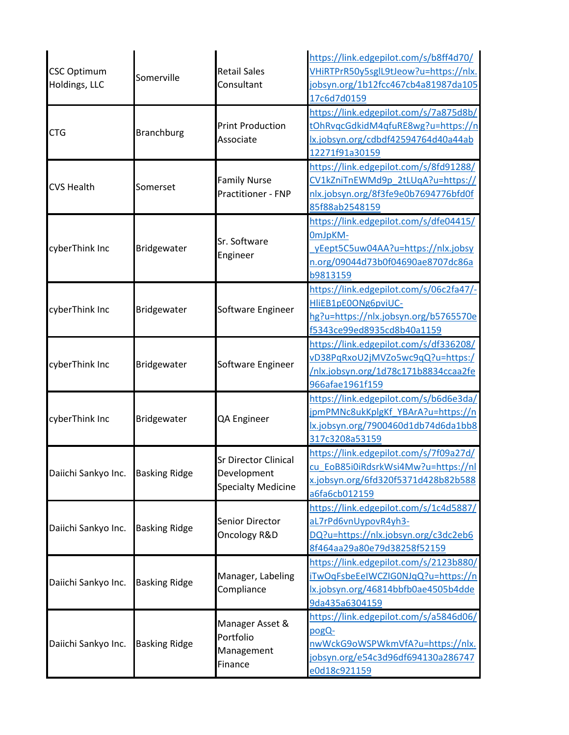| <b>CSC Optimum</b><br>Holdings, LLC | Somerville           | <b>Retail Sales</b><br>Consultant                                       | https://link.edgepilot.com/s/b8ff4d70/<br>VHiRTPrR50y5sglL9tJeow?u=https://nlx.<br>jobsyn.org/1b12fcc467cb4a81987da105                               |
|-------------------------------------|----------------------|-------------------------------------------------------------------------|------------------------------------------------------------------------------------------------------------------------------------------------------|
| <b>CTG</b>                          | <b>Branchburg</b>    | <b>Print Production</b><br>Associate                                    | 17c6d7d0159<br>https://link.edgepilot.com/s/7a875d8b/<br>tOhRvqcGdkidM4qfuRE8wg?u=https://n<br>lx.jobsyn.org/cdbdf42594764d40a44ab<br>12271f91a30159 |
| <b>CVS Health</b>                   | Somerset             | <b>Family Nurse</b><br>Practitioner - FNP                               | https://link.edgepilot.com/s/8fd91288/<br>CV1kZniTnEWMd9p 2tLUqA?u=https://<br>nlx.jobsyn.org/8f3fe9e0b7694776bfd0f<br>85f88ab2548159                |
| cyberThink Inc                      | Bridgewater          | Sr. Software<br>Engineer                                                | https://link.edgepilot.com/s/dfe04415/<br>OmJpKM-<br>yEept5C5uw04AA?u=https://nlx.jobsy<br>n.org/09044d73b0f04690ae8707dc86a<br>b9813159             |
| cyberThink Inc                      | Bridgewater          | Software Engineer                                                       | https://link.edgepilot.com/s/06c2fa47/-<br>HIiEB1pE0ONg6pviUC-<br>hg?u=https://nlx.jobsyn.org/b5765570e<br>f5343ce99ed8935cd8b40a1159                |
| cyberThink Inc                      | Bridgewater          | Software Engineer                                                       | https://link.edgepilot.com/s/df336208/<br>vD38PqRxoU2jMVZo5wc9qQ?u=https:/<br>/nlx.jobsyn.org/1d78c171b8834ccaa2fe<br>966afae1961f159                |
| cyberThink Inc                      | Bridgewater          | QA Engineer                                                             | https://link.edgepilot.com/s/b6d6e3da/<br>jpmPMNc8ukKplgKf_YBArA?u=https://n<br>lx.jobsyn.org/7900460d1db74d6da1bb8<br>317c3208a53159                |
| Daiichi Sankyo Inc.                 | <b>Basking Ridge</b> | <b>Sr Director Clinical</b><br>Development<br><b>Specialty Medicine</b> | https://link.edgepilot.com/s/7f09a27d/<br>cu EoB85i0iRdsrkWsi4Mw?u=https://nl<br>x.jobsyn.org/6fd320f5371d428b82b588<br>a6fa6cb012159                |
| Daiichi Sankyo Inc.                 | <b>Basking Ridge</b> | Senior Director<br>Oncology R&D                                         | https://link.edgepilot.com/s/1c4d5887/<br>aL7rPd6vnUypovR4yh3-<br>DQ?u=https://nlx.jobsyn.org/c3dc2eb6<br>8f464aa29a80e79d38258f52159                |
| Daiichi Sankyo Inc.                 | <b>Basking Ridge</b> | Manager, Labeling<br>Compliance                                         | https://link.edgepilot.com/s/2123b880/<br>iTwOqFsbeEeIWCZIG0NJqQ?u=https://n<br>lx.jobsyn.org/46814bbfb0ae4505b4dde<br>9da435a6304159                |
| Daiichi Sankyo Inc.                 | <b>Basking Ridge</b> | Manager Asset &<br>Portfolio<br>Management<br>Finance                   | https://link.edgepilot.com/s/a5846d06/<br>pogQ-<br>nwWckG9oWSPWkmVfA?u=https://nlx.<br>jobsyn.org/e54c3d96df694130a286747<br>e0d18c921159            |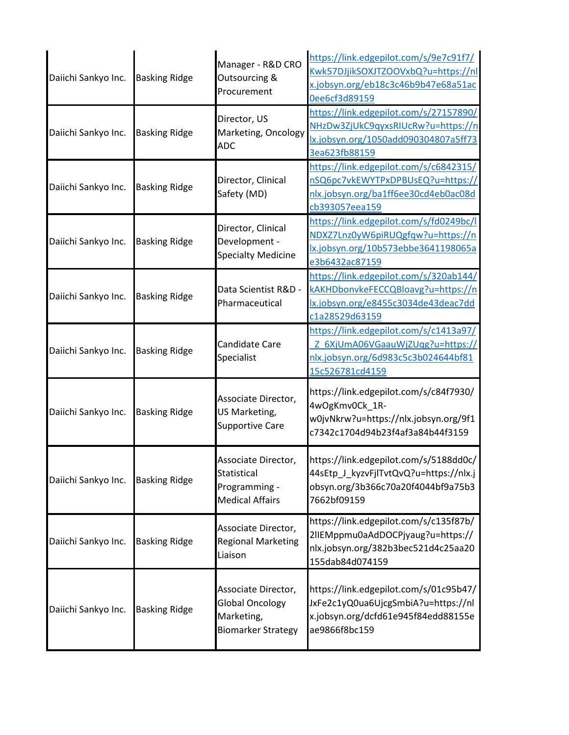| Daiichi Sankyo Inc. | <b>Basking Ridge</b> | Manager - R&D CRO<br>Outsourcing &<br>Procurement                                        | https://link.edgepilot.com/s/9e7c91f7/<br>Kwk57DJjikSOXJTZOOVxbQ?u=https://nl<br>x.jobsyn.org/eb18c3c46b9b47e68a51ac<br>0ee6cf3d89159 |
|---------------------|----------------------|------------------------------------------------------------------------------------------|---------------------------------------------------------------------------------------------------------------------------------------|
| Daiichi Sankyo Inc. | <b>Basking Ridge</b> | Director, US<br>Marketing, Oncology<br><b>ADC</b>                                        | https://link.edgepilot.com/s/27157890/<br>NHzDw3ZjUkC9qyxsRIUcRw?u=https://n<br>lx.jobsyn.org/1050add090304807a5ff73<br>3ea623fb88159 |
| Daiichi Sankyo Inc. | <b>Basking Ridge</b> | Director, Clinical<br>Safety (MD)                                                        | https://link.edgepilot.com/s/c6842315/<br>nSQ6pc7vkEWYTPxDPBUsEQ?u=https://<br>nlx.jobsyn.org/ba1ff6ee30cd4eb0ac08d<br>cb393057eea159 |
| Daiichi Sankyo Inc. | <b>Basking Ridge</b> | Director, Clinical<br>Development -<br><b>Specialty Medicine</b>                         | https://link.edgepilot.com/s/fd0249bc/l<br>NDXZ7Lnz0yW6piRUQgfqw?u=https://n<br>lx.jobsyn.org/10b573ebbe3641198065a<br>e3b6432ac87159 |
| Daiichi Sankyo Inc. | <b>Basking Ridge</b> | Data Scientist R&D -<br>Pharmaceutical                                                   | https://link.edgepilot.com/s/320ab144/<br>kAKHDbonvkeFECCQBloavg?u=https://n<br>lx.jobsyn.org/e8455c3034de43deac7dd<br>c1a28529d63159 |
| Daiichi Sankyo Inc. | <b>Basking Ridge</b> | Candidate Care<br>Specialist                                                             | https://link.edgepilot.com/s/c1413a97/<br>Z 6XjUmA06VGaauWjZUqg?u=https://<br>nlx.jobsyn.org/6d983c5c3b024644bf81<br>15c526781cd4159  |
| Daiichi Sankyo Inc. | <b>Basking Ridge</b> | Associate Director,<br>US Marketing,<br><b>Supportive Care</b>                           | https://link.edgepilot.com/s/c84f7930/<br>4wOgKmv0Ck_1R-<br>w0jvNkrw?u=https://nlx.jobsyn.org/9f1<br>c7342c1704d94b23f4af3a84b44f3159 |
| Daiichi Sankyo Inc. | <b>Basking Ridge</b> | Associate Director,<br>Statistical<br>Programming -<br><b>Medical Affairs</b>            | https://link.edgepilot.com/s/5188dd0c/<br>44sEtp_J_kyzvFjlTvtQvQ?u=https://nlx.j<br>obsyn.org/3b366c70a20f4044bf9a75b3<br>7662bf09159 |
| Daiichi Sankyo Inc. | <b>Basking Ridge</b> | Associate Director,<br><b>Regional Marketing</b><br>Liaison                              | https://link.edgepilot.com/s/c135f87b/<br>2IIEMppmu0aAdDOCPjyaug?u=https://<br>nlx.jobsyn.org/382b3bec521d4c25aa20<br>155dab84d074159 |
| Daiichi Sankyo Inc. | <b>Basking Ridge</b> | Associate Director,<br><b>Global Oncology</b><br>Marketing,<br><b>Biomarker Strategy</b> | https://link.edgepilot.com/s/01c95b47/<br>JxFe2c1yQ0ua6UjcgSmbiA?u=https://nl<br>x.jobsyn.org/dcfd61e945f84edd88155e<br>ae9866f8bc159 |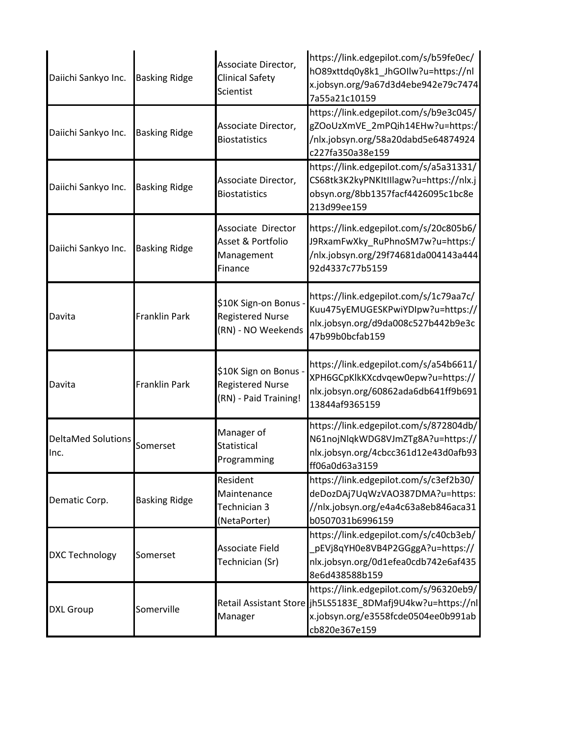| Daiichi Sankyo Inc.        | <b>Basking Ridge</b> | Associate Director,<br><b>Clinical Safety</b><br>Scientist              | https://link.edgepilot.com/s/b59fe0ec/<br>hO89xttdq0y8k1_JhGOIlw?u=https://nl<br>x.jobsyn.org/9a67d3d4ebe942e79c7474<br>7a55a21c10159                        |
|----------------------------|----------------------|-------------------------------------------------------------------------|--------------------------------------------------------------------------------------------------------------------------------------------------------------|
| Daiichi Sankyo Inc.        | <b>Basking Ridge</b> | Associate Director,<br><b>Biostatistics</b>                             | https://link.edgepilot.com/s/b9e3c045/<br>gZOoUzXmVE_2mPQih14EHw?u=https:/<br>/nlx.jobsyn.org/58a20dabd5e64874924<br>c227fa350a38e159                        |
| Daiichi Sankyo Inc.        | <b>Basking Ridge</b> | Associate Director,<br><b>Biostatistics</b>                             | https://link.edgepilot.com/s/a5a31331/<br>CS68tk3K2kyPNKItIIlagw?u=https://nlx.j<br>obsyn.org/8bb1357facf4426095c1bc8e<br>213d99ee159                        |
| Daiichi Sankyo Inc.        | <b>Basking Ridge</b> | Associate Director<br>Asset & Portfolio<br>Management<br>Finance        | https://link.edgepilot.com/s/20c805b6/<br>J9RxamFwXky_RuPhnoSM7w?u=https:/<br>/nlx.jobsyn.org/29f74681da004143a444<br>92d4337c77b5159                        |
| Davita                     | <b>Franklin Park</b> | \$10K Sign-on Bonus -<br><b>Registered Nurse</b><br>(RN) - NO Weekends  | https://link.edgepilot.com/s/1c79aa7c/<br>Kuu475yEMUGESKPwiYDIpw?u=https://<br>nlx.jobsyn.org/d9da008c527b442b9e3c<br>47b99b0bcfab159                        |
| Davita                     | Franklin Park        | \$10K Sign on Bonus<br><b>Registered Nurse</b><br>(RN) - Paid Training! | https://link.edgepilot.com/s/a54b6611/<br>XPH6GCpKlkKXcdvqew0epw?u=https://<br>nlx.jobsyn.org/60862ada6db641ff9b691<br>13844af9365159                        |
| DeltaMed Solutions<br>Inc. | Somerset             | Manager of<br>Statistical<br>Programming                                | https://link.edgepilot.com/s/872804db/<br>N61nojNlqkWDG8VJmZTg8A?u=https://<br>nlx.jobsyn.org/4cbcc361d12e43d0afb93<br>ff06a0d63a3159                        |
| Dematic Corp.              | <b>Basking Ridge</b> | Resident<br>Maintenance<br>Technician 3<br>(NetaPorter)                 | https://link.edgepilot.com/s/c3ef2b30/<br>deDozDAj7UqWzVAO387DMA?u=https:<br>//nlx.jobsyn.org/e4a4c63a8eb846aca31<br>b0507031b6996159                        |
| <b>DXC Technology</b>      | Somerset             | Associate Field<br>Technician (Sr)                                      | https://link.edgepilot.com/s/c40cb3eb/<br>pEVj8qYH0e8VB4P2GGggA?u=https://<br>nlx.jobsyn.org/0d1efea0cdb742e6af435<br>8e6d438588b159                         |
| <b>DXL Group</b>           | Somerville           | Manager                                                                 | https://link.edgepilot.com/s/96320eb9/<br>Retail Assistant Store jh5LS5183E_8DMafj9U4kw?u=https://nl<br>x.jobsyn.org/e3558fcde0504ee0b991ab<br>cb820e367e159 |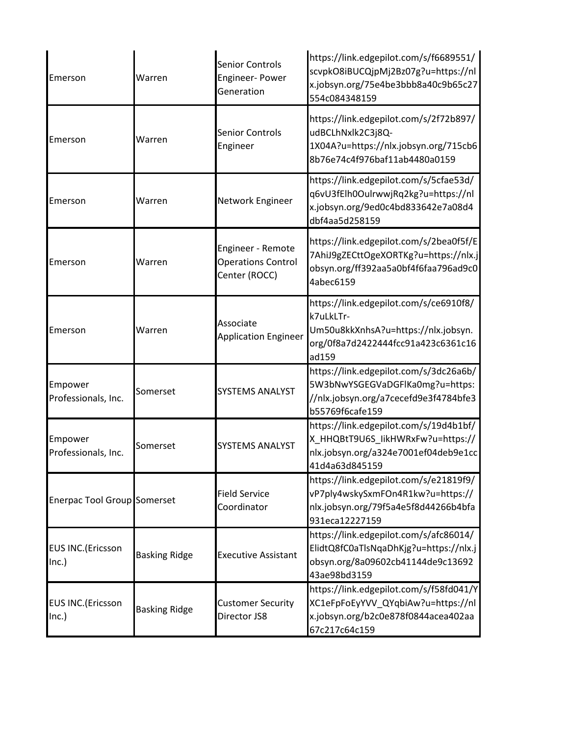| Emerson                               | Warren               | <b>Senior Controls</b><br><b>Engineer-Power</b><br>Generation   | https://link.edgepilot.com/s/f6689551/<br>scvpkO8iBUCQjpMj2Bz07g?u=https://nl<br>x.jobsyn.org/75e4be3bbb8a40c9b65c27<br>554c084348159     |
|---------------------------------------|----------------------|-----------------------------------------------------------------|-------------------------------------------------------------------------------------------------------------------------------------------|
| Emerson                               | Warren               | <b>Senior Controls</b><br>Engineer                              | https://link.edgepilot.com/s/2f72b897/<br>udBCLhNxlk2C3j8Q-<br>1X04A?u=https://nlx.jobsyn.org/715cb6<br>8b76e74c4f976baf11ab4480a0159     |
| Emerson                               | Warren               | Network Engineer                                                | https://link.edgepilot.com/s/5cfae53d/<br>q6vU3fElh0OulrwwjRq2kg?u=https://nl<br>x.jobsyn.org/9ed0c4bd833642e7a08d4<br>dbf4aa5d258159     |
| Emerson                               | Warren               | Engineer - Remote<br><b>Operations Control</b><br>Center (ROCC) | https://link.edgepilot.com/s/2bea0f5f/E<br>7AhiJ9gZECttOgeXORTKg?u=https://nlx.j<br>obsyn.org/ff392aa5a0bf4f6faa796ad9c0<br>4abec6159     |
| Emerson                               | Warren               | Associate<br><b>Application Engineer</b>                        | https://link.edgepilot.com/s/ce6910f8/<br>k7uLkLTr-<br>Um50u8kkXnhsA?u=https://nlx.jobsyn.<br>org/0f8a7d2422444fcc91a423c6361c16<br>ad159 |
| Empower<br>Professionals, Inc.        | Somerset             | <b>SYSTEMS ANALYST</b>                                          | https://link.edgepilot.com/s/3dc26a6b/<br>5W3bNwYSGEGVaDGFlKa0mg?u=https:<br>//nlx.jobsyn.org/a7cecefd9e3f4784bfe3<br>b55769f6cafe159     |
| Empower<br>Professionals, Inc.        | Somerset             | <b>SYSTEMS ANALYST</b>                                          | https://link.edgepilot.com/s/19d4b1bf/<br>X_HHQBtT9U6S_likHWRxFw?u=https://<br>nlx.jobsyn.org/a324e7001ef04deb9e1cc<br>41d4a63d845159     |
| <b>Enerpac Tool Group Somerset</b>    |                      | <b>Field Service</b><br>Coordinator                             | https://link.edgepilot.com/s/e21819f9/<br>vP7ply4wskySxmFOn4R1kw?u=https://<br>nlx.jobsyn.org/79f5a4e5f8d44266b4bfa<br>931eca12227159     |
| <b>EUS INC.</b> (Ericsson<br>Inc.)    | <b>Basking Ridge</b> | <b>Executive Assistant</b>                                      | https://link.edgepilot.com/s/afc86014/<br>ElidtQ8fC0aTlsNqaDhKjg?u=https://nlx.j<br>obsyn.org/8a09602cb41144de9c13692<br>43ae98bd3159     |
| <b>EUS INC.</b> (Ericsson<br>$lnc.$ ) | <b>Basking Ridge</b> | <b>Customer Security</b><br>Director JS8                        | https://link.edgepilot.com/s/f58fd041/Y<br>XC1eFpFoEyYVV_QYqbiAw?u=https://nl<br>x.jobsyn.org/b2c0e878f0844acea402aa<br>67c217c64c159     |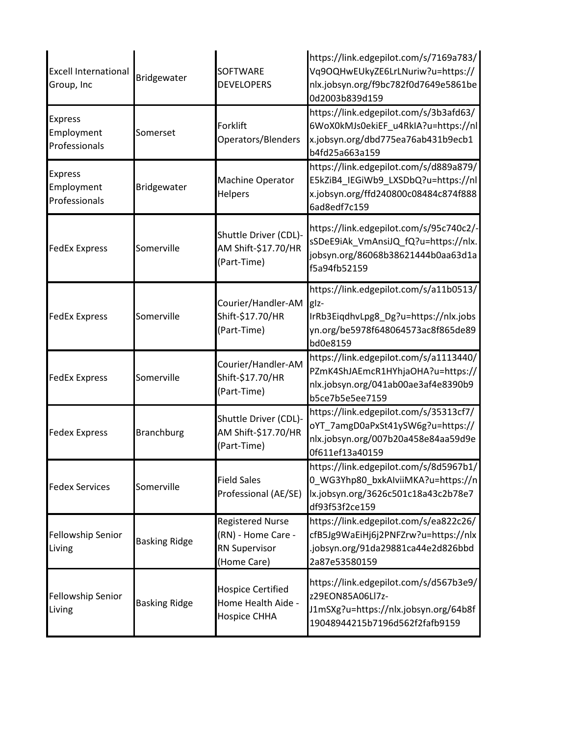| <b>Excell International</b><br>Group, Inc     | Bridgewater          | <b>SOFTWARE</b><br><b>DEVELOPERS</b>                                                 | https://link.edgepilot.com/s/7169a783/<br>Vq9OQHwEUkyZE6LrLNuriw?u=https://<br>nlx.jobsyn.org/f9bc782f0d7649e5861be<br>0d2003b839d159     |
|-----------------------------------------------|----------------------|--------------------------------------------------------------------------------------|-------------------------------------------------------------------------------------------------------------------------------------------|
| <b>Express</b><br>Employment<br>Professionals | Somerset             | Forklift<br>Operators/Blenders                                                       | https://link.edgepilot.com/s/3b3afd63/<br>6WoX0kMJs0ekiEF_u4RkIA?u=https://nl<br>x.jobsyn.org/dbd775ea76ab431b9ecb1<br>b4fd25a663a159     |
| <b>Express</b><br>Employment<br>Professionals | Bridgewater          | Machine Operator<br>Helpers                                                          | https://link.edgepilot.com/s/d889a879/<br>E5kZiB4_IEGiWb9_LXSDbQ?u=https://nl<br>x.jobsyn.org/ffd240800c08484c874f888<br>6ad8edf7c159     |
| <b>FedEx Express</b>                          | Somerville           | Shuttle Driver (CDL)-<br>AM Shift-\$17.70/HR<br>(Part-Time)                          | https://link.edgepilot.com/s/95c740c2/-<br>sSDeE9iAk_VmAnsiJQ_fQ?u=https://nlx.<br>jobsyn.org/86068b38621444b0aa63d1a<br>f5a94fb52159     |
| <b>FedEx Express</b>                          | Somerville           | Courier/Handler-AM<br>Shift-\$17.70/HR<br>(Part-Time)                                | https://link.edgepilot.com/s/a11b0513/<br>glz-<br>IrRb3EiqdhvLpg8_Dg?u=https://nlx.jobs<br>yn.org/be5978f648064573ac8f865de89<br>bd0e8159 |
| <b>FedEx Express</b>                          | Somerville           | Courier/Handler-AM<br>Shift-\$17.70/HR<br>(Part-Time)                                | https://link.edgepilot.com/s/a1113440/<br>PZmK4ShJAEmcR1HYhjaOHA?u=https://<br>nlx.jobsyn.org/041ab00ae3af4e8390b9<br>b5ce7b5e5ee7159     |
| <b>Fedex Express</b>                          | <b>Branchburg</b>    | Shuttle Driver (CDL)-<br>AM Shift-\$17.70/HR<br>(Part-Time)                          | https://link.edgepilot.com/s/35313cf7/<br>oYT 7amgD0aPxSt41ySW6g?u=https://<br>nlx.jobsyn.org/007b20a458e84aa59d9e<br>0f611ef13a40159     |
| <b>Fedex Services</b>                         | Somerville           | <b>Field Sales</b><br>Professional (AE/SE)                                           | https://link.edgepilot.com/s/8d5967b1/<br>0_WG3Yhp80_bxkAlviiMKA?u=https://n<br>lx.jobsyn.org/3626c501c18a43c2b78e7<br>df93f53f2ce159     |
| Fellowship Senior<br>Living                   | <b>Basking Ridge</b> | <b>Registered Nurse</b><br>(RN) - Home Care -<br><b>RN Supervisor</b><br>(Home Care) | https://link.edgepilot.com/s/ea822c26/<br>cfB5Jg9WaEiHj6j2PNFZrw?u=https://nlx<br>.jobsyn.org/91da29881ca44e2d826bbd<br>2a87e53580159     |
| Fellowship Senior<br>Living                   | <b>Basking Ridge</b> | <b>Hospice Certified</b><br>Home Health Aide -<br>Hospice CHHA                       | https://link.edgepilot.com/s/d567b3e9/<br>z29EON85A06Ll7z-<br>J1mSXg?u=https://nlx.jobsyn.org/64b8f<br>19048944215b7196d562f2fafb9159     |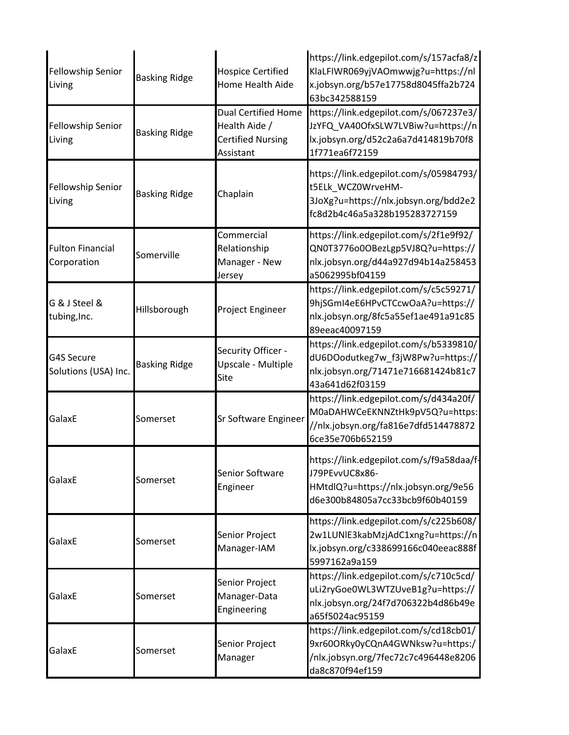| <b>Fellowship Senior</b><br>Living     | <b>Basking Ridge</b> | <b>Hospice Certified</b><br>Home Health Aide                                         | https://link.edgepilot.com/s/157acfa8/z<br>KlaLFIWR069yjVAOmwwjg?u=https://nl<br>x.jobsyn.org/b57e17758d8045ffa2b724<br>63bc342588159 |
|----------------------------------------|----------------------|--------------------------------------------------------------------------------------|---------------------------------------------------------------------------------------------------------------------------------------|
| Fellowship Senior<br>Living            | <b>Basking Ridge</b> | <b>Dual Certified Home</b><br>Health Aide /<br><b>Certified Nursing</b><br>Assistant | https://link.edgepilot.com/s/067237e3/<br>JzYFQ_VA40OfxSLW7LVBiw?u=https://n<br>lx.jobsyn.org/d52c2a6a7d414819b70f8<br>1f771ea6f72159 |
| Fellowship Senior<br>Living            | <b>Basking Ridge</b> | Chaplain                                                                             | https://link.edgepilot.com/s/05984793/<br>t5ELk_WCZ0WrveHM-<br>3JoXg?u=https://nlx.jobsyn.org/bdd2e2<br>fc8d2b4c46a5a328b195283727159 |
| <b>Fulton Financial</b><br>Corporation | Somerville           | Commercial<br>Relationship<br>Manager - New<br>Jersey                                | https://link.edgepilot.com/s/2f1e9f92/<br>QN0T3776o0OBezLgp5VJ8Q?u=https://<br>nlx.jobsyn.org/d44a927d94b14a258453<br>a5062995bf04159 |
| G & J Steel &<br>tubing, Inc.          | Hillsborough         | Project Engineer                                                                     | https://link.edgepilot.com/s/c5c59271/<br>9hjSGmI4eE6HPvCTCcwOaA?u=https://<br>nlx.jobsyn.org/8fc5a55ef1ae491a91c85<br>89eeac40097159 |
| G4S Secure<br>Solutions (USA) Inc.     | <b>Basking Ridge</b> | Security Officer -<br>Upscale - Multiple<br>Site                                     | https://link.edgepilot.com/s/b5339810/<br>dU6DOodutkeg7w_f3jW8Pw?u=https://<br>nlx.jobsyn.org/71471e716681424b81c7<br>43a641d62f03159 |
| GalaxE                                 | Somerset             | <b>Sr Software Engineer</b>                                                          | https://link.edgepilot.com/s/d434a20f/<br>M0aDAHWCeEKNNZtHk9pV5Q?u=https:<br>//nlx.jobsyn.org/fa816e7dfd514478872<br>6ce35e706b652159 |
| GalaxE                                 | Somerset             | Senior Software<br>Engineer                                                          | https://link.edgepilot.com/s/f9a58daa/f-<br>J79PEvvUC8x86-<br>HMtdlQ?u=https://nlx.jobsyn.org/9e56<br>d6e300b84805a7cc33bcb9f60b40159 |
| GalaxE                                 | Somerset             | Senior Project<br>Manager-IAM                                                        | https://link.edgepilot.com/s/c225b608/<br>2w1LUNIE3kabMzjAdC1xng?u=https://n<br>lx.jobsyn.org/c338699166c040eeac888f<br>5997162a9a159 |
| GalaxE                                 | Somerset             | Senior Project<br>Manager-Data<br>Engineering                                        | https://link.edgepilot.com/s/c710c5cd/<br>uLi2ryGoe0WL3WTZUveB1g?u=https://<br>nlx.jobsyn.org/24f7d706322b4d86b49e<br>a65f5024ac95159 |
| GalaxE                                 | Somerset             | Senior Project<br>Manager                                                            | https://link.edgepilot.com/s/cd18cb01/<br>9xr60ORky0yCQnA4GWNksw?u=https:/<br>/nlx.jobsyn.org/7fec72c7c496448e8206<br>da8c870f94ef159 |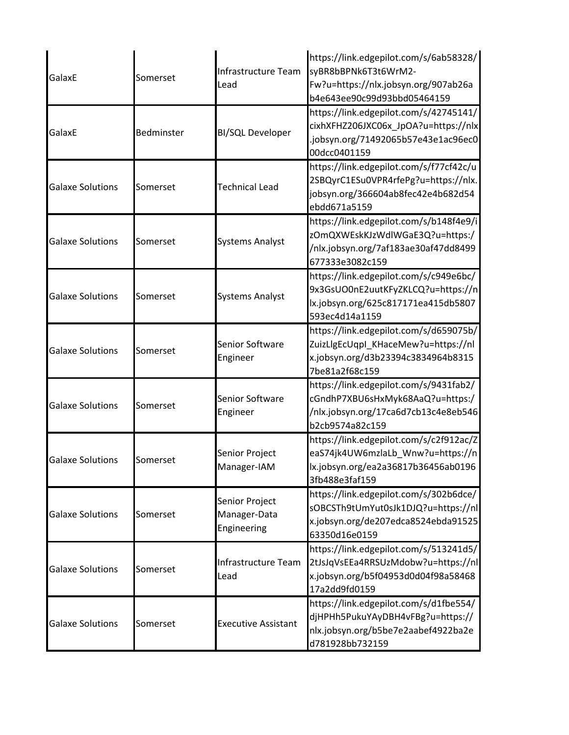| GalaxE                  | Somerset   | Infrastructure Team<br>Lead                   | https://link.edgepilot.com/s/6ab58328/<br>syBR8bBPNk6T3t6WrM2-<br>Fw?u=https://nlx.jobsyn.org/907ab26a<br>b4e643ee90c99d93bbd05464159 |
|-------------------------|------------|-----------------------------------------------|---------------------------------------------------------------------------------------------------------------------------------------|
| GalaxE                  | Bedminster | <b>BI/SQL Developer</b>                       | https://link.edgepilot.com/s/42745141/<br>cixhXFHZ206JXC06x_JpOA?u=https://nlx<br>jobsyn.org/71492065b57e43e1ac96ec0<br>00dcc0401159  |
| <b>Galaxe Solutions</b> | Somerset   | <b>Technical Lead</b>                         | https://link.edgepilot.com/s/f77cf42c/u<br>2SBQyrC1ESu0VPR4rfePg?u=https://nlx.<br>jobsyn.org/366604ab8fec42e4b682d54<br>ebdd671a5159 |
| <b>Galaxe Solutions</b> | Somerset   | <b>Systems Analyst</b>                        | https://link.edgepilot.com/s/b148f4e9/i<br>zOmQXWEskKJzWdlWGaE3Q?u=https:/<br>/nlx.jobsyn.org/7af183ae30af47dd8499<br>677333e3082c159 |
| <b>Galaxe Solutions</b> | Somerset   | <b>Systems Analyst</b>                        | https://link.edgepilot.com/s/c949e6bc/<br>9x3GsUO0nE2uutKFyZKLCQ?u=https://n<br>lx.jobsyn.org/625c817171ea415db5807<br>593ec4d14a1159 |
| <b>Galaxe Solutions</b> | Somerset   | Senior Software<br>Engineer                   | https://link.edgepilot.com/s/d659075b/<br>ZuizLlgEcUqpI_KHaceMew?u=https://nl<br>x.jobsyn.org/d3b23394c3834964b8315<br>7be81a2f68c159 |
| <b>Galaxe Solutions</b> | Somerset   | Senior Software<br>Engineer                   | https://link.edgepilot.com/s/9431fab2/<br>cGndhP7XBU6sHxMyk68AaQ?u=https:/<br>/nlx.jobsyn.org/17ca6d7cb13c4e8eb546<br>b2cb9574a82c159 |
| <b>Galaxe Solutions</b> | Somerset   | Senior Project<br>Manager-IAM                 | https://link.edgepilot.com/s/c2f912ac/Z<br>eaS74jk4UW6mzlaLb_Wnw?u=https://n<br>lx.jobsyn.org/ea2a36817b36456ab0196<br>3fb488e3faf159 |
| <b>Galaxe Solutions</b> | Somerset   | Senior Project<br>Manager-Data<br>Engineering | https://link.edgepilot.com/s/302b6dce/<br>sOBCSTh9tUmYut0sJk1DJQ?u=https://nl<br>x.jobsyn.org/de207edca8524ebda91525<br>63350d16e0159 |
| <b>Galaxe Solutions</b> | Somerset   | Infrastructure Team<br>Lead                   | https://link.edgepilot.com/s/513241d5/<br>2tJsJqVsEEa4RRSUzMdobw?u=https://nl<br>x.jobsyn.org/b5f04953d0d04f98a58468<br>17a2dd9fd0159 |
| <b>Galaxe Solutions</b> | Somerset   | <b>Executive Assistant</b>                    | https://link.edgepilot.com/s/d1fbe554/<br>djHPHh5PukuYAyDBH4vFBg?u=https://<br>nlx.jobsyn.org/b5be7e2aabef4922ba2e<br>d781928bb732159 |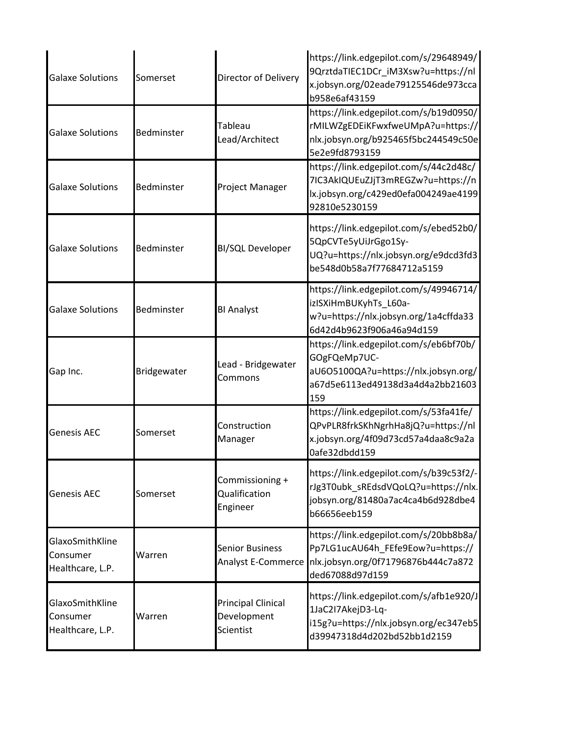| <b>Galaxe Solutions</b>                         | Somerset    | Director of Delivery                                  | https://link.edgepilot.com/s/29648949/<br>9QrztdaTIEC1DCr_iM3Xsw?u=https://nl<br>x.jobsyn.org/02eade79125546de973cca<br>b958e6af43159     |
|-------------------------------------------------|-------------|-------------------------------------------------------|-------------------------------------------------------------------------------------------------------------------------------------------|
| <b>Galaxe Solutions</b>                         | Bedminster  | Tableau<br>Lead/Architect                             | https://link.edgepilot.com/s/b19d0950/<br>rMILWZgEDEiKFwxfweUMpA?u=https://<br>nlx.jobsyn.org/b925465f5bc244549c50e<br>5e2e9fd8793159     |
| <b>Galaxe Solutions</b>                         | Bedminster  | Project Manager                                       | https://link.edgepilot.com/s/44c2d48c/<br>7IC3AkIQUEuZJjT3mREGZw?u=https://n<br>lx.jobsyn.org/c429ed0efa004249ae4199<br>92810e5230159     |
| <b>Galaxe Solutions</b>                         | Bedminster  | <b>BI/SQL Developer</b>                               | https://link.edgepilot.com/s/ebed52b0/<br>5QpCVTe5yUiJrGgo1Sy-<br>UQ?u=https://nlx.jobsyn.org/e9dcd3fd3<br>be548d0b58a7f77684712a5159     |
| <b>Galaxe Solutions</b>                         | Bedminster  | <b>BI Analyst</b>                                     | https://link.edgepilot.com/s/49946714/<br>izISXiHmBUKyhTs L60a-<br>w?u=https://nlx.jobsyn.org/1a4cffda33<br>6d42d4b9623f906a46a94d159     |
| Gap Inc.                                        | Bridgewater | Lead - Bridgewater<br>Commons                         | https://link.edgepilot.com/s/eb6bf70b/<br>GOgFQeMp7UC-<br>aU6O5100QA?u=https://nlx.jobsyn.org/<br>a67d5e6113ed49138d3a4d4a2bb21603<br>159 |
| <b>Genesis AEC</b>                              | Somerset    | Construction<br>Manager                               | https://link.edgepilot.com/s/53fa41fe/<br>QPvPLR8frkSKhNgrhHa8jQ?u=https://nl<br>x.jobsyn.org/4f09d73cd57a4daa8c9a2a<br>0afe32dbdd159     |
| <b>Genesis AEC</b>                              | Somerset    | Commissioning +<br>Qualification<br>Engineer          | https://link.edgepilot.com/s/b39c53f2/-<br>rJg3T0ubk_sREdsdVQoLQ?u=https://nlx.<br>jobsyn.org/81480a7ac4ca4b6d928dbe4<br>b66656eeb159     |
| GlaxoSmithKline<br>Consumer<br>Healthcare, L.P. | Warren      | <b>Senior Business</b><br>Analyst E-Commerce          | https://link.edgepilot.com/s/20bb8b8a/<br>Pp7LG1ucAU64h_FEfe9Eow?u=https://<br>nlx.jobsyn.org/0f71796876b444c7a872<br>ded67088d97d159     |
| GlaxoSmithKline<br>Consumer<br>Healthcare, L.P. | Warren      | <b>Principal Clinical</b><br>Development<br>Scientist | https://link.edgepilot.com/s/afb1e920/J<br>1JaC2I7AkejD3-Lq-<br>i15g?u=https://nlx.jobsyn.org/ec347eb5<br>d39947318d4d202bd52bb1d2159     |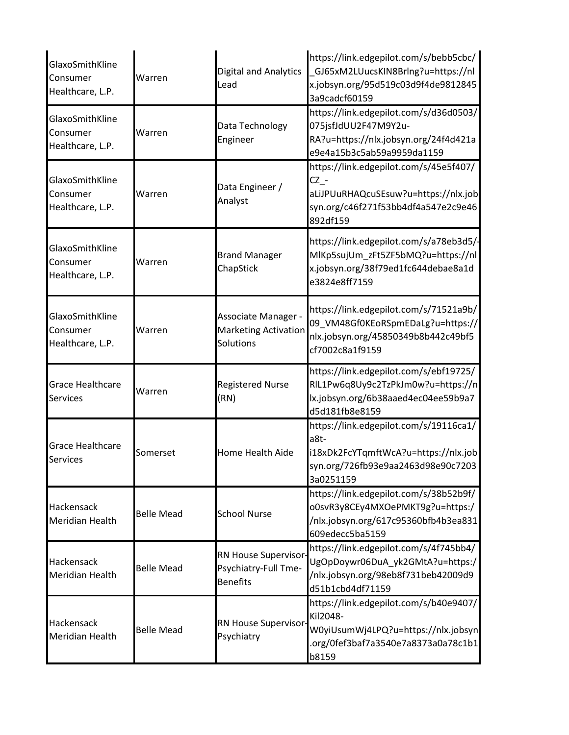| GlaxoSmithKline<br>Consumer<br>Healthcare, L.P. | Warren            | <b>Digital and Analytics</b><br>Lead                            | https://link.edgepilot.com/s/bebb5cbc/<br>GJ65xM2LUucsKIN8Brlng?u=https://nl<br>x.jobsyn.org/95d519c03d9f4de9812845<br>3a9cadcf60159        |
|-------------------------------------------------|-------------------|-----------------------------------------------------------------|---------------------------------------------------------------------------------------------------------------------------------------------|
| GlaxoSmithKline<br>Consumer<br>Healthcare, L.P. | Warren            | Data Technology<br>Engineer                                     | https://link.edgepilot.com/s/d36d0503/<br>075jsfJdUU2F47M9Y2u-<br>RA?u=https://nlx.jobsyn.org/24f4d421a<br>e9e4a15b3c5ab59a9959da1159       |
| GlaxoSmithKline<br>Consumer<br>Healthcare, L.P. | Warren            | Data Engineer /<br>Analyst                                      | https://link.edgepilot.com/s/45e5f407/<br>$CZ -$<br>aLiJPUuRHAQcuSEsuw?u=https://nlx.job<br>syn.org/c46f271f53bb4df4a547e2c9e46<br>892df159 |
| GlaxoSmithKline<br>Consumer<br>Healthcare, L.P. | Warren            | <b>Brand Manager</b><br>ChapStick                               | https://link.edgepilot.com/s/a78eb3d5/-<br>MlKp5sujUm_zFt5ZF5bMQ?u=https://nl<br>x.jobsyn.org/38f79ed1fc644debae8a1d<br>e3824e8ff7159       |
| GlaxoSmithKline<br>Consumer<br>Healthcare, L.P. | Warren            | Associate Manager -<br><b>Marketing Activation</b><br>Solutions | https://link.edgepilot.com/s/71521a9b/<br>09_VM48Gf0KEoRSpmEDaLg?u=https://<br>nlx.jobsyn.org/45850349b8b442c49bf5<br>cf7002c8a1f9159       |
| <b>Grace Healthcare</b><br><b>Services</b>      | Warren            | <b>Registered Nurse</b><br>(RN)                                 | https://link.edgepilot.com/s/ebf19725/<br>RIL1Pw6q8Uy9c2TzPkJm0w?u=https://n<br>lx.jobsyn.org/6b38aaed4ec04ee59b9a7<br>d5d181fb8e8159       |
| <b>Grace Healthcare</b><br><b>Services</b>      | Somerset          | Home Health Aide                                                | https://link.edgepilot.com/s/19116ca1/<br>a8t-<br>i18xDk2FcYTqmftWcA?u=https://nlx.job<br>syn.org/726fb93e9aa2463d98e90c7203<br>3a0251159   |
| Hackensack<br><b>Meridian Health</b>            | <b>Belle Mead</b> | <b>School Nurse</b>                                             | https://link.edgepilot.com/s/38b52b9f/<br>o0svR3y8CEy4MXOePMKT9g?u=https:/<br>/nlx.jobsyn.org/617c95360bfb4b3ea831<br>609edecc5ba5159       |
| Hackensack<br><b>Meridian Health</b>            | <b>Belle Mead</b> | RN House Supervisor-<br>Psychiatry-Full Tme-<br><b>Benefits</b> | https://link.edgepilot.com/s/4f745bb4/<br>UgOpDoywr06DuA_yk2GMtA?u=https:/<br>/nlx.jobsyn.org/98eb8f731beb42009d9<br>d51b1cbd4df71159       |
| Hackensack<br><b>Meridian Health</b>            | <b>Belle Mead</b> | RN House Supervisor-<br>Psychiatry                              | https://link.edgepilot.com/s/b40e9407/<br>Kil2048-<br>W0yiUsumWj4LPQ?u=https://nlx.jobsyn<br>org/0fef3baf7a3540e7a8373a0a78c1b1<br>b8159    |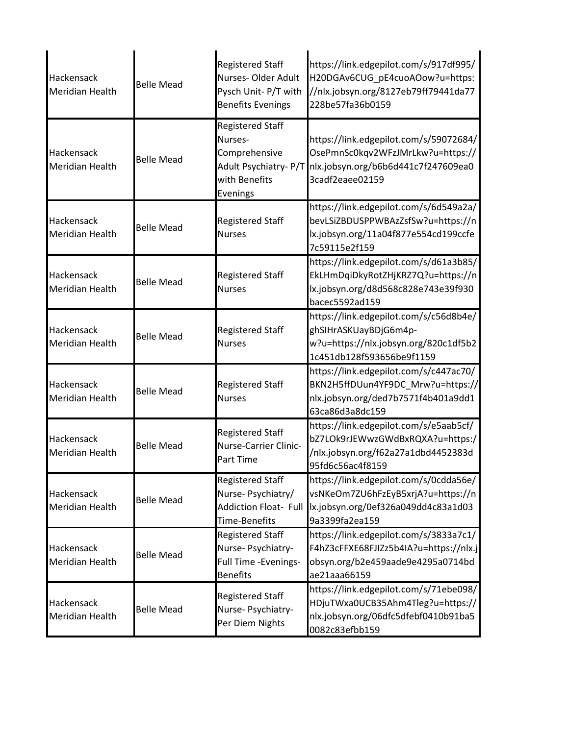| Hackensack<br><b>Meridian Health</b> | <b>Belle Mead</b> | <b>Registered Staff</b><br>Nurses-Older Adult<br>Pysch Unit- P/T with<br><b>Benefits Evenings</b>         | https://link.edgepilot.com/s/917df995/<br>H20DGAv6CUG_pE4cuoAOow?u=https:<br>//nlx.jobsyn.org/8127eb79ff79441da77<br>228be57fa36b0159 |
|--------------------------------------|-------------------|-----------------------------------------------------------------------------------------------------------|---------------------------------------------------------------------------------------------------------------------------------------|
| Hackensack<br><b>Meridian Health</b> | <b>Belle Mead</b> | <b>Registered Staff</b><br>Nurses-<br>Comprehensive<br>Adult Psychiatry- P/T<br>with Benefits<br>Evenings | https://link.edgepilot.com/s/59072684/<br>OsePmnSc0kqv2WFzJMrLkw?u=https://<br>nlx.jobsyn.org/b6b6d441c7f247609ea0<br>3cadf2eaee02159 |
| Hackensack<br>Meridian Health        | <b>Belle Mead</b> | <b>Registered Staff</b><br><b>Nurses</b>                                                                  | https://link.edgepilot.com/s/6d549a2a/<br>bevLSiZBDUSPPWBAzZsfSw?u=https://n<br>lx.jobsyn.org/11a04f877e554cd199ccfe<br>7c59115e2f159 |
| Hackensack<br>Meridian Health        | <b>Belle Mead</b> | <b>Registered Staff</b><br><b>Nurses</b>                                                                  | https://link.edgepilot.com/s/d61a3b85/<br>EkLHmDqiDkyRotZHjKRZ7Q?u=https://n<br>lx.jobsyn.org/d8d568c828e743e39f930<br>bacec5592ad159 |
| Hackensack<br>Meridian Health        | <b>Belle Mead</b> | <b>Registered Staff</b><br><b>Nurses</b>                                                                  | https://link.edgepilot.com/s/c56d8b4e/<br>ghSIHrASKUayBDjG6m4p-<br>w?u=https://nlx.jobsyn.org/820c1df5b2<br>1c451db128f593656be9f1159 |
| Hackensack<br>Meridian Health        | <b>Belle Mead</b> | <b>Registered Staff</b><br><b>Nurses</b>                                                                  | https://link.edgepilot.com/s/c447ac70/<br>BKN2H5ffDUun4YF9DC_Mrw?u=https://<br>nlx.jobsyn.org/ded7b7571f4b401a9dd1<br>63ca86d3a8dc159 |
| Hackensack<br><b>Meridian Health</b> | <b>Belle Mead</b> | <b>Registered Staff</b><br>Nurse-Carrier Clinic-<br><b>Part Time</b>                                      | https://link.edgepilot.com/s/e5aab5cf/<br>bZ7LOk9rJEWwzGWdBxRQXA?u=https:/<br>/nlx.jobsyn.org/f62a27a1dbd4452383d<br>95fd6c56ac4f8159 |
| Hackensack<br><b>Meridian Health</b> | <b>Belle Mead</b> | <b>Registered Staff</b><br>Nurse-Psychiatry/<br><b>Addiction Float- Full</b><br>Time-Benefits             | https://link.edgepilot.com/s/0cdda56e/<br>vsNKeOm7ZU6hFzEyB5xrjA?u=https://n<br>lx.jobsyn.org/0ef326a049dd4c83a1d03<br>9a3399fa2ea159 |
| Hackensack<br>Meridian Health        | <b>Belle Mead</b> | <b>Registered Staff</b><br>Nurse- Psychiatry-<br>Full Time - Evenings-<br><b>Benefits</b>                 | https://link.edgepilot.com/s/3833a7c1/<br>F4hZ3cFFXE68FJIZz5b4IA?u=https://nlx.j<br>obsyn.org/b2e459aade9e4295a0714bd<br>ae21aaa66159 |
| Hackensack<br>Meridian Health        | <b>Belle Mead</b> | <b>Registered Staff</b><br>Nurse- Psychiatry-<br>Per Diem Nights                                          | https://link.edgepilot.com/s/71ebe098/<br>HDjuTWxa0UCB35Ahm4Tleg?u=https://<br>nlx.jobsyn.org/06dfc5dfebf0410b91ba5<br>0082c83efbb159 |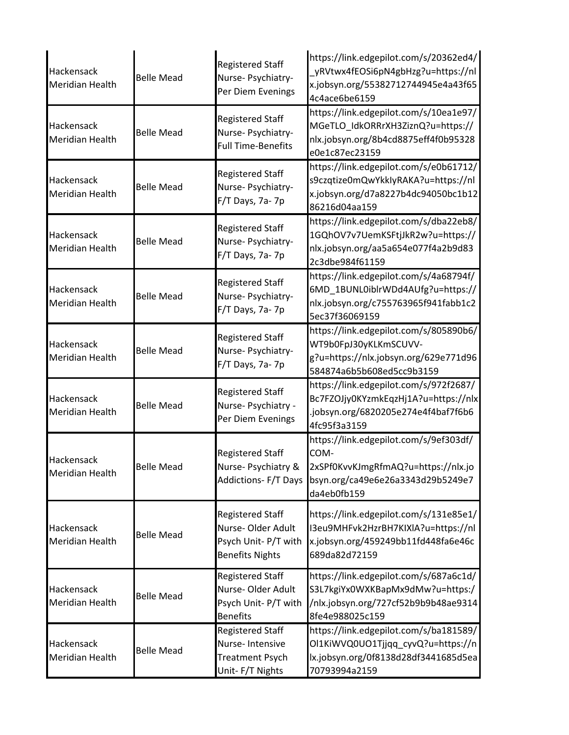| Hackensack<br><b>Meridian Health</b> | <b>Belle Mead</b> | <b>Registered Staff</b><br>Nurse- Psychiatry-<br>Per Diem Evenings                             | https://link.edgepilot.com/s/20362ed4/<br>_yRVtwx4fEOSi6pN4gbHzg?u=https://nl<br>x.jobsyn.org/55382712744945e4a43f65<br>4c4ace6be6159     |
|--------------------------------------|-------------------|------------------------------------------------------------------------------------------------|-------------------------------------------------------------------------------------------------------------------------------------------|
| Hackensack<br><b>Meridian Health</b> | <b>Belle Mead</b> | <b>Registered Staff</b><br>Nurse- Psychiatry-<br><b>Full Time-Benefits</b>                     | https://link.edgepilot.com/s/10ea1e97/<br>MGeTLO_IdkORRrXH3ZiznQ?u=https://<br>nlx.jobsyn.org/8b4cd8875eff4f0b95328<br>e0e1c87ec23159     |
| Hackensack<br><b>Meridian Health</b> | <b>Belle Mead</b> | <b>Registered Staff</b><br>Nurse- Psychiatry-<br>F/T Days, 7a-7p                               | https://link.edgepilot.com/s/e0b61712/<br>s9czqtize0mQwYkkIyRAKA?u=https://nl<br>x.jobsyn.org/d7a8227b4dc94050bc1b12<br>86216d04aa159     |
| Hackensack<br><b>Meridian Health</b> | <b>Belle Mead</b> | <b>Registered Staff</b><br>Nurse- Psychiatry-<br>F/T Days, 7a-7p                               | https://link.edgepilot.com/s/dba22eb8/<br>1GQhOV7v7UemKSFtjJkR2w?u=https://<br>nlx.jobsyn.org/aa5a654e077f4a2b9d83<br>2c3dbe984f61159     |
| Hackensack<br><b>Meridian Health</b> | <b>Belle Mead</b> | <b>Registered Staff</b><br>Nurse- Psychiatry-<br>F/T Days, 7a-7p                               | https://link.edgepilot.com/s/4a68794f/<br>6MD_1BUNL0iblrWDd4AUfg?u=https://<br>nlx.jobsyn.org/c755763965f941fabb1c2<br>5ec37f36069159     |
| Hackensack<br><b>Meridian Health</b> | <b>Belle Mead</b> | <b>Registered Staff</b><br>Nurse- Psychiatry-<br>F/T Days, 7a-7p                               | https://link.edgepilot.com/s/805890b6/<br>WT9b0FpJ30yKLKmSCUVV-<br>g?u=https://nlx.jobsyn.org/629e771d96<br>584874a6b5b608ed5cc9b3159     |
| Hackensack<br><b>Meridian Health</b> | <b>Belle Mead</b> | <b>Registered Staff</b><br>Nurse-Psychiatry -<br>Per Diem Evenings                             | https://link.edgepilot.com/s/972f2687/<br>Bc7FZOJjy0KYzmkEqzHj1A?u=https://nlx<br>.jobsyn.org/6820205e274e4f4baf7f6b6<br>4fc95f3a3159     |
| Hackensack<br><b>Meridian Health</b> | <b>Belle Mead</b> | <b>Registered Staff</b><br>Nurse- Psychiatry &<br><b>Addictions-F/T Days</b>                   | https://link.edgepilot.com/s/9ef303df/<br>COM-<br>2xSPf0KvvKJmgRfmAQ?u=https://nlx.jo<br>bsyn.org/ca49e6e26a3343d29b5249e7<br>da4eb0fb159 |
| Hackensack<br>Meridian Health        | <b>Belle Mead</b> | <b>Registered Staff</b><br>Nurse-Older Adult<br>Psych Unit- P/T with<br><b>Benefits Nights</b> | https://link.edgepilot.com/s/131e85e1/<br>I3eu9MHFvk2HzrBH7KIXIA?u=https://nl<br>x.jobsyn.org/459249bb11fd448fa6e46c<br>689da82d72159     |
| Hackensack<br><b>Meridian Health</b> | <b>Belle Mead</b> | <b>Registered Staff</b><br>Nurse-Older Adult<br>Psych Unit-P/T with<br><b>Benefits</b>         | https://link.edgepilot.com/s/687a6c1d/<br>S3L7kgiYx0WXKBapMx9dMw?u=https:/<br>/nlx.jobsyn.org/727cf52b9b9b48ae9314<br>8fe4e988025c159     |
| Hackensack<br><b>Meridian Health</b> | <b>Belle Mead</b> | <b>Registered Staff</b><br>Nurse-Intensive<br><b>Treatment Psych</b><br>Unit-F/T Nights        | https://link.edgepilot.com/s/ba181589/<br>Ol1KiWVQ0UO1Tjjqq_cyvQ?u=https://n<br>lx.jobsyn.org/0f8138d28df3441685d5ea<br>70793994a2159     |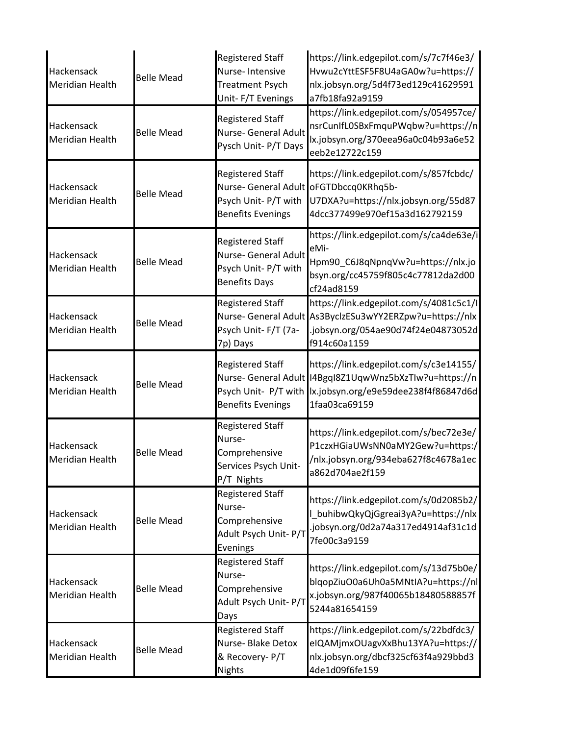| Hackensack<br><b>Meridian Health</b> | <b>Belle Mead</b> | <b>Registered Staff</b><br>Nurse-Intensive<br><b>Treatment Psych</b><br>Unit-F/T Evenings          | https://link.edgepilot.com/s/7c7f46e3/<br>Hvwu2cYttESF5F8U4aGA0w?u=https://<br>nlx.jobsyn.org/5d4f73ed129c41629591<br>a7fb18fa92a9159                        |
|--------------------------------------|-------------------|----------------------------------------------------------------------------------------------------|--------------------------------------------------------------------------------------------------------------------------------------------------------------|
| Hackensack<br><b>Meridian Health</b> | <b>Belle Mead</b> | <b>Registered Staff</b><br>Nurse- General Adult<br>Pysch Unit- P/T Days                            | https://link.edgepilot.com/s/054957ce/<br>nsrCunIfL0SBxFmquPWqbw?u=https://n<br>lx.jobsyn.org/370eea96a0c04b93a6e52<br>eeb2e12722c159                        |
| Hackensack<br><b>Meridian Health</b> | <b>Belle Mead</b> | <b>Registered Staff</b><br>Nurse- General Adult<br>Psych Unit-P/T with<br><b>Benefits Evenings</b> | https://link.edgepilot.com/s/857fcbdc/<br>oFGTDbccq0KRhq5b-<br>U7DXA?u=https://nlx.jobsyn.org/55d87<br>4dcc377499e970ef15a3d162792159                        |
| Hackensack<br><b>Meridian Health</b> | <b>Belle Mead</b> | <b>Registered Staff</b><br>Nurse- General Adult<br>Psych Unit- P/T with<br><b>Benefits Days</b>    | https://link.edgepilot.com/s/ca4de63e/i<br>eMi-<br>Hpm90_C6J8qNpnqVw?u=https://nlx.jo<br>bsyn.org/cc45759f805c4c77812da2d00<br>cf24ad8159                    |
| Hackensack<br>Meridian Health        | <b>Belle Mead</b> | <b>Registered Staff</b><br>Nurse- General Adult<br>Psych Unit-F/T (7a-<br>7p) Days                 | https://link.edgepilot.com/s/4081c5c1/l<br>As3ByclzESu3wYY2ERZpw?u=https://nlx<br>.jobsyn.org/054ae90d74f24e04873052d<br>f914c60a1159                        |
| Hackensack<br><b>Meridian Health</b> | <b>Belle Mead</b> | <b>Registered Staff</b><br>Psych Unit- P/T with<br><b>Benefits Evenings</b>                        | https://link.edgepilot.com/s/c3e14155/<br>Nurse- General Adult   I4BgqI8Z1UqwWnz5bXzTIw?u=https://n<br>lx.jobsyn.org/e9e59dee238f4f86847d6d<br>1faa03ca69159 |
| Hackensack<br><b>Meridian Health</b> | <b>Belle Mead</b> | <b>Registered Staff</b><br>Nurse-<br>Comprehensive<br>Services Psych Unit-<br>P/T Nights           | https://link.edgepilot.com/s/bec72e3e/<br>P1czxHGiaUWsNN0aMY2Gew?u=https:/<br>/nlx.jobsyn.org/934eba627f8c4678a1ec<br>a862d704ae2f159                        |
| Hackensack<br><b>Meridian Health</b> | <b>Belle Mead</b> | <b>Registered Staff</b><br>Nurse-<br>Comprehensive<br>Adult Psych Unit- P/T<br>Evenings            | https://link.edgepilot.com/s/0d2085b2/<br>L_buhibwQkyQjGgreai3yA?u=https://nlx<br>.jobsyn.org/0d2a74a317ed4914af31c1d<br>7fe00c3a9159                        |
| Hackensack<br><b>Meridian Health</b> | <b>Belle Mead</b> | <b>Registered Staff</b><br>Nurse-<br>Comprehensive<br>Adult Psych Unit- P/T<br>Days                | https://link.edgepilot.com/s/13d75b0e/<br>blqopZiuO0a6Uh0a5MNtIA?u=https://nl<br>x.jobsyn.org/987f40065b18480588857f<br>5244a81654159                        |
| Hackensack<br><b>Meridian Health</b> | <b>Belle Mead</b> | <b>Registered Staff</b><br>Nurse- Blake Detox<br>& Recovery- P/T<br><b>Nights</b>                  | https://link.edgepilot.com/s/22bdfdc3/<br>eIQAMjmxOUagvXxBhu13YA?u=https://<br>nlx.jobsyn.org/dbcf325cf63f4a929bbd3<br>4de1d09f6fe159                        |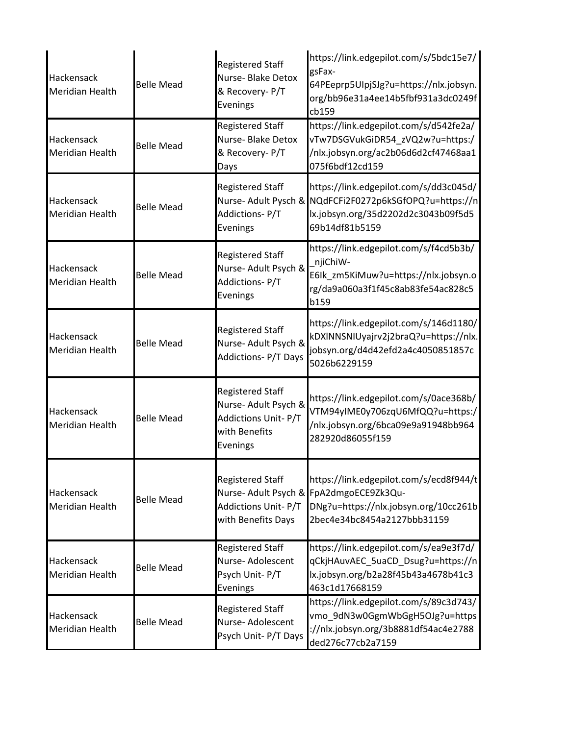| Hackensack<br><b>Meridian Health</b> | <b>Belle Mead</b> | <b>Registered Staff</b><br>Nurse- Blake Detox<br>& Recovery- P/T<br>Evenings                        | https://link.edgepilot.com/s/5bdc15e7/<br>gsFax-<br>64PEeprp5UIpjSJg?u=https://nlx.jobsyn.<br>org/bb96e31a4ee14b5fbf931a3dc0249f<br>cb159                  |
|--------------------------------------|-------------------|-----------------------------------------------------------------------------------------------------|------------------------------------------------------------------------------------------------------------------------------------------------------------|
| Hackensack<br><b>Meridian Health</b> | <b>Belle Mead</b> | <b>Registered Staff</b><br>Nurse- Blake Detox<br>& Recovery- P/T<br>Days                            | https://link.edgepilot.com/s/d542fe2a/<br>vTw7DSGVukGiDR54_zVQ2w?u=https:/<br>/nlx.jobsyn.org/ac2b06d6d2cf47468aa1<br>075f6bdf12cd159                      |
| Hackensack<br><b>Meridian Health</b> | <b>Belle Mead</b> | <b>Registered Staff</b><br>Addictions-P/T<br>Evenings                                               | https://link.edgepilot.com/s/dd3c045d/<br>Nurse- Adult Pysch & NQdFCFi2F0272p6kSGfOPQ?u=https://n<br>lx.jobsyn.org/35d2202d2c3043b09f5d5<br>69b14df81b5159 |
| Hackensack<br>Meridian Health        | <b>Belle Mead</b> | <b>Registered Staff</b><br>Nurse- Adult Psych &<br>Addictions-P/T<br>Evenings                       | https://link.edgepilot.com/s/f4cd5b3b/<br>njiChiW-<br>E6Ik_zm5KiMuw?u=https://nlx.jobsyn.o<br>rg/da9a060a3f1f45c8ab83fe54ac828c5<br>b159                   |
| Hackensack<br><b>Meridian Health</b> | <b>Belle Mead</b> | <b>Registered Staff</b><br>Nurse- Adult Psych &<br><b>Addictions-P/T Days</b>                       | https://link.edgepilot.com/s/146d1180/<br>kDXINNSNIUyajrv2j2braQ?u=https://nlx.<br>jobsyn.org/d4d42efd2a4c4050851857c<br>5026b6229159                      |
| Hackensack<br><b>Meridian Health</b> | <b>Belle Mead</b> | <b>Registered Staff</b><br>Nurse- Adult Psych &<br>Addictions Unit-P/T<br>with Benefits<br>Evenings | https://link.edgepilot.com/s/0ace368b/<br>VTM94yIME0y706zqU6MfQQ?u=https:/<br>/nlx.jobsyn.org/6bca09e9a91948bb964<br>282920d86055f159                      |
| Hackensack<br><b>Meridian Health</b> | <b>Belle Mead</b> | <b>Registered Staff</b><br>Nurse- Adult Psych &<br>Addictions Unit-P/T<br>with Benefits Days        | https://link.edgepilot.com/s/ecd8f944/t<br>FpA2dmgoECE9Zk3Qu-<br>DNg?u=https://nlx.jobsyn.org/10cc261b<br>2bec4e34bc8454a2127bbb31159                      |
| Hackensack<br><b>Meridian Health</b> | <b>Belle Mead</b> | <b>Registered Staff</b><br>Nurse- Adolescent<br>Psych Unit-P/T<br>Evenings                          | https://link.edgepilot.com/s/ea9e3f7d/<br>qCkjHAuvAEC_5uaCD_Dsug?u=https://n<br>lx.jobsyn.org/b2a28f45b43a4678b41c3<br>463c1d17668159                      |
| Hackensack<br><b>Meridian Health</b> | <b>Belle Mead</b> | <b>Registered Staff</b><br>Nurse- Adolescent<br>Psych Unit- P/T Days                                | https://link.edgepilot.com/s/89c3d743/<br>vmo_9dN3w0GgmWbGgH5OJg?u=https<br>://nlx.jobsyn.org/3b8881df54ac4e2788<br>ded276c77cb2a7159                      |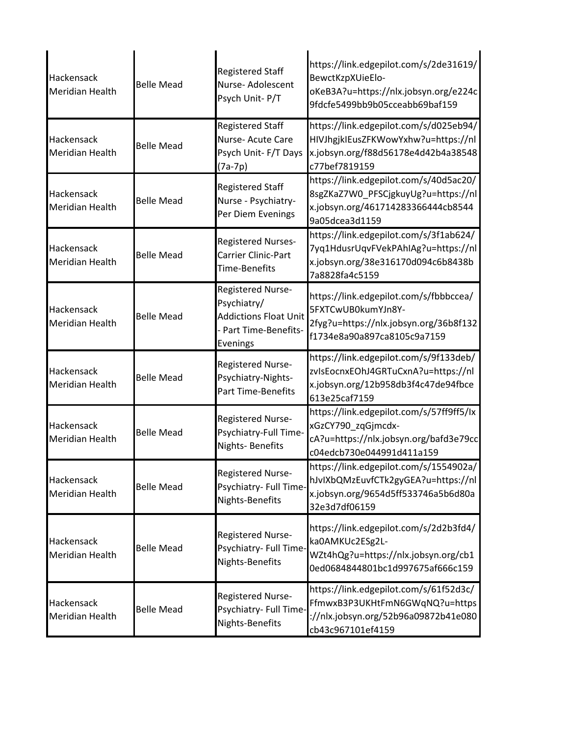| Hackensack<br><b>Meridian Health</b>        | <b>Belle Mead</b> | <b>Registered Staff</b><br>Nurse-Adolescent<br>Psych Unit-P/T                                         | https://link.edgepilot.com/s/2de31619/<br>BewctKzpXUieElo-<br>oKeB3A?u=https://nlx.jobsyn.org/e224c<br>9fdcfe5499bb9b05cceabb69baf159 |
|---------------------------------------------|-------------------|-------------------------------------------------------------------------------------------------------|---------------------------------------------------------------------------------------------------------------------------------------|
| <b>Hackensack</b><br><b>Meridian Health</b> | <b>Belle Mead</b> | <b>Registered Staff</b><br>Nurse- Acute Care<br>Psych Unit-F/T Days<br>$(7a-7p)$                      | https://link.edgepilot.com/s/d025eb94/<br>HIVJhgjkIEusZFKWowYxhw?u=https://nl<br>x.jobsyn.org/f88d56178e4d42b4a38548<br>c77bef7819159 |
| Hackensack<br><b>Meridian Health</b>        | <b>Belle Mead</b> | <b>Registered Staff</b><br>Nurse - Psychiatry-<br>Per Diem Evenings                                   | https://link.edgepilot.com/s/40d5ac20/<br>8sgZKaZ7W0_PFSCjgkuyUg?u=https://nl<br>x.jobsyn.org/461714283366444cb8544<br>9a05dcea3d1159 |
| Hackensack<br><b>Meridian Health</b>        | <b>Belle Mead</b> | <b>Registered Nurses-</b><br>Carrier Clinic-Part<br><b>Time-Benefits</b>                              | https://link.edgepilot.com/s/3f1ab624/<br>7yq1HdusrUqvFVekPAhIAg?u=https://nl<br>x.jobsyn.org/38e316170d094c6b8438b<br>7a8828fa4c5159 |
| Hackensack<br><b>Meridian Health</b>        | <b>Belle Mead</b> | Registered Nurse-<br>Psychiatry/<br><b>Addictions Float Unit</b><br>- Part Time-Benefits-<br>Evenings | https://link.edgepilot.com/s/fbbbccea/<br>5FXTCwUB0kumYJn8Y-<br>2fyg?u=https://nlx.jobsyn.org/36b8f132<br>f1734e8a90a897ca8105c9a7159 |
| Hackensack<br><b>Meridian Health</b>        | <b>Belle Mead</b> | Registered Nurse-<br>Psychiatry-Nights-<br><b>Part Time-Benefits</b>                                  | https://link.edgepilot.com/s/9f133deb/<br>zvIsEocnxEOhJ4GRTuCxnA?u=https://nl<br>x.jobsyn.org/12b958db3f4c47de94fbce<br>613e25caf7159 |
| Hackensack<br><b>Meridian Health</b>        | <b>Belle Mead</b> | Registered Nurse-<br>Psychiatry-Full Time-<br>Nights-Benefits                                         | https://link.edgepilot.com/s/57ff9ff5/lx<br>xGzCY790_zqGjmcdx-<br>cA?u=https://nlx.jobsyn.org/bafd3e79cc<br>c04edcb730e044991d411a159 |
| Hackensack<br><b>Meridian Health</b>        | <b>Belle Mead</b> | Registered Nurse-<br>Psychiatry- Full Time-<br>Nights-Benefits                                        | https://link.edgepilot.com/s/1554902a/<br>hJvIXbQMzEuvfCTk2gyGEA?u=https://nl<br>x.jobsyn.org/9654d5ff533746a5b6d80a<br>32e3d7df06159 |
| Hackensack<br><b>Meridian Health</b>        | <b>Belle Mead</b> | Registered Nurse-<br>Psychiatry- Full Time-<br>Nights-Benefits                                        | https://link.edgepilot.com/s/2d2b3fd4/<br>ka0AMKUc2ESg2L-<br>WZt4hQg?u=https://nlx.jobsyn.org/cb1<br>0ed0684844801bc1d997675af666c159 |
| Hackensack<br><b>Meridian Health</b>        | <b>Belle Mead</b> | Registered Nurse-<br>Psychiatry- Full Time-<br>Nights-Benefits                                        | https://link.edgepilot.com/s/61f52d3c/<br>FfmwxB3P3UKHtFmN6GWqNQ?u=https<br>://nlx.jobsyn.org/52b96a09872b41e080<br>cb43c967101ef4159 |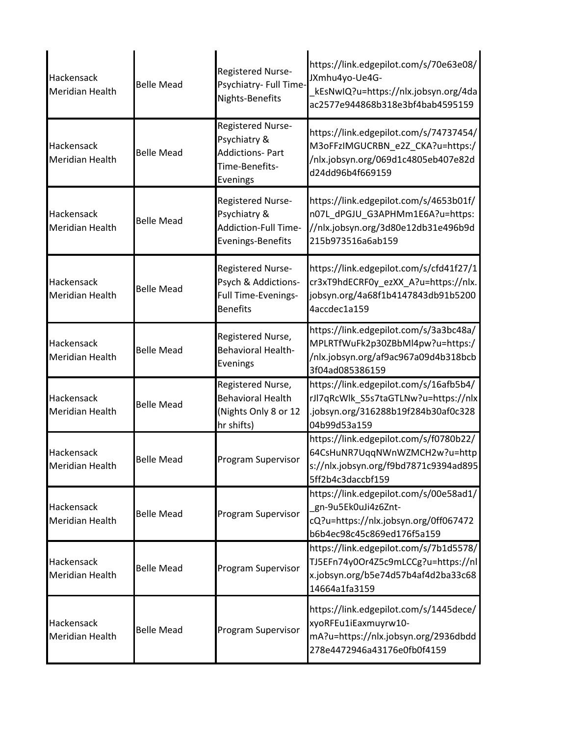| Hackensack<br><b>Meridian Health</b> | <b>Belle Mead</b> | Registered Nurse-<br>Psychiatry- Full Time-<br>Nights-Benefits                            | https://link.edgepilot.com/s/70e63e08/<br>JXmhu4yo-Ue4G-<br>kEsNwIQ?u=https://nlx.jobsyn.org/4da<br>ac2577e944868b318e3bf4bab4595159  |
|--------------------------------------|-------------------|-------------------------------------------------------------------------------------------|---------------------------------------------------------------------------------------------------------------------------------------|
| Hackensack<br>Meridian Health        | <b>Belle Mead</b> | Registered Nurse-<br>Psychiatry &<br><b>Addictions-Part</b><br>Time-Benefits-<br>Evenings | https://link.edgepilot.com/s/74737454/<br>M3oFFzIMGUCRBN_e2Z_CKA?u=https:/<br>/nlx.jobsyn.org/069d1c4805eb407e82d<br>d24dd96b4f669159 |
| Hackensack<br>Meridian Health        | <b>Belle Mead</b> | <b>Registered Nurse-</b><br>Psychiatry &<br>Addiction-Full Time-<br>Evenings-Benefits     | https://link.edgepilot.com/s/4653b01f/<br>n07L_dPGJU_G3APHMm1E6A?u=https:<br>//nlx.jobsyn.org/3d80e12db31e496b9d<br>215b973516a6ab159 |
| Hackensack<br>Meridian Health        | <b>Belle Mead</b> | Registered Nurse-<br>Psych & Addictions-<br>Full Time-Evenings-<br><b>Benefits</b>        | https://link.edgepilot.com/s/cfd41f27/1<br>cr3xT9hdECRF0y_ezXX_A?u=https://nlx.<br>jobsyn.org/4a68f1b4147843db91b5200<br>4accdec1a159 |
| Hackensack<br>Meridian Health        | <b>Belle Mead</b> | Registered Nurse,<br><b>Behavioral Health-</b><br>Evenings                                | https://link.edgepilot.com/s/3a3bc48a/<br>MPLRTfWuFk2p30ZBbMl4pw?u=https:/<br>/nlx.jobsyn.org/af9ac967a09d4b318bcb<br>3f04ad085386159 |
| Hackensack<br>Meridian Health        | <b>Belle Mead</b> | Registered Nurse,<br><b>Behavioral Health</b><br>(Nights Only 8 or 12<br>hr shifts)       | https://link.edgepilot.com/s/16afb5b4/<br>rJl7qRcWlk_S5s7taGTLNw?u=https://nlx<br>.jobsyn.org/316288b19f284b30af0c328<br>04b99d53a159 |
| Hackensack<br>Meridian Health        | <b>Belle Mead</b> | Program Supervisor                                                                        | https://link.edgepilot.com/s/f0780b22/<br>64CsHuNR7UggNWnWZMCH2w?u=http<br>s://nlx.jobsyn.org/f9bd7871c9394ad895<br>5ff2b4c3daccbf159 |
| Hackensack<br>Meridian Health        | <b>Belle Mead</b> | Program Supervisor                                                                        | https://link.edgepilot.com/s/00e58ad1/<br>gn-9u5Ek0uJi4z6Znt-<br>cQ?u=https://nlx.jobsyn.org/0ff067472<br>b6b4ec98c45c869ed176f5a159  |
| Hackensack<br>Meridian Health        | <b>Belle Mead</b> | Program Supervisor                                                                        | https://link.edgepilot.com/s/7b1d5578/<br>TJ5EFn74y0Or4Z5c9mLCCg?u=https://nl<br>x.jobsyn.org/b5e74d57b4af4d2ba33c68<br>14664a1fa3159 |
| Hackensack<br>Meridian Health        | <b>Belle Mead</b> | Program Supervisor                                                                        | https://link.edgepilot.com/s/1445dece/<br>xyoRFEu1iEaxmuyrw10-<br>mA?u=https://nlx.jobsyn.org/2936dbdd<br>278e4472946a43176e0fb0f4159 |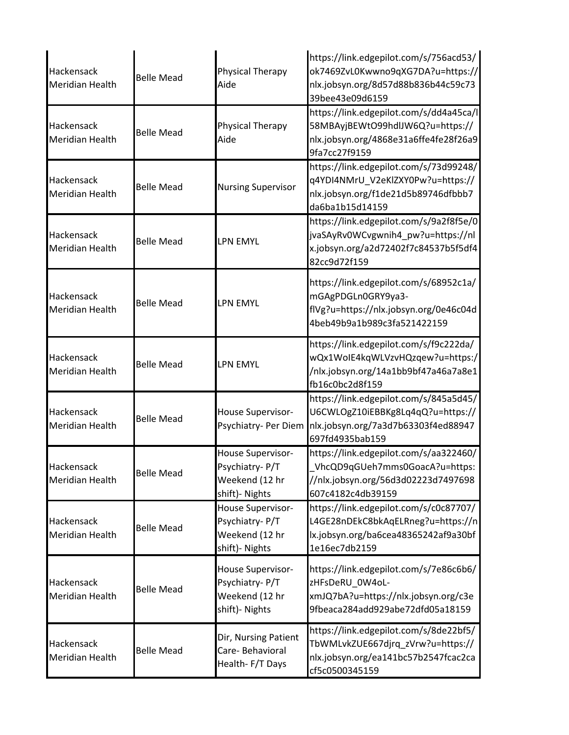| Hackensack<br><b>Meridian Health</b> | <b>Belle Mead</b> | Physical Therapy<br>Aide                                                | https://link.edgepilot.com/s/756acd53/<br>ok7469ZvL0Kwwno9qXG7DA?u=https://<br>nlx.jobsyn.org/8d57d88b836b44c59c73<br>39bee43e09d6159 |
|--------------------------------------|-------------------|-------------------------------------------------------------------------|---------------------------------------------------------------------------------------------------------------------------------------|
| Hackensack<br><b>Meridian Health</b> | <b>Belle Mead</b> | Physical Therapy<br>Aide                                                | https://link.edgepilot.com/s/dd4a45ca/l<br>58MBAyjBEWtO99hdlJW6Q?u=https://<br>nlx.jobsyn.org/4868e31a6ffe4fe28f26a9<br>9fa7cc27f9159 |
| Hackensack<br><b>Meridian Health</b> | <b>Belle Mead</b> | <b>Nursing Supervisor</b>                                               | https://link.edgepilot.com/s/73d99248/<br>q4YDI4NMrU_V2eKlZXY0Pw?u=https://<br>nlx.jobsyn.org/f1de21d5b89746dfbbb7<br>da6ba1b15d14159 |
| Hackensack<br><b>Meridian Health</b> | <b>Belle Mead</b> | <b>LPN EMYL</b>                                                         | https://link.edgepilot.com/s/9a2f8f5e/0<br>jvaSAyRv0WCvgwnih4_pw?u=https://nl<br>x.jobsyn.org/a2d72402f7c84537b5f5df4<br>82cc9d72f159 |
| Hackensack<br><b>Meridian Health</b> | <b>Belle Mead</b> | <b>LPN EMYL</b>                                                         | https://link.edgepilot.com/s/68952c1a/<br>mGAgPDGLn0GRY9ya3-<br>flVg?u=https://nlx.jobsyn.org/0e46c04d<br>4beb49b9a1b989c3fa521422159 |
| Hackensack<br>Meridian Health        | <b>Belle Mead</b> | <b>LPN EMYL</b>                                                         | https://link.edgepilot.com/s/f9c222da/<br>wQx1WoIE4kqWLVzvHQzqew?u=https:/<br>/nlx.jobsyn.org/14a1bb9bf47a46a7a8e1<br>fb16c0bc2d8f159 |
| Hackensack<br><b>Meridian Health</b> | <b>Belle Mead</b> | House Supervisor-<br>Psychiatry- Per Diem                               | https://link.edgepilot.com/s/845a5d45/<br>U6CWLOgZ10iEBBKg8Lq4qQ?u=https://<br>nlx.jobsyn.org/7a3d7b63303f4ed88947<br>697fd4935bab159 |
| Hackensack<br><b>Meridian Health</b> | <b>Belle Mead</b> | House Supervisor-<br>Psychiatry-P/T<br>Weekend (12 hr<br>shift)- Nights | https://link.edgepilot.com/s/aa322460/<br>VhcQD9qGUeh7mms0GoacA?u=https:<br>//nlx.jobsyn.org/56d3d02223d7497698<br>607c4182c4db39159  |
| Hackensack<br><b>Meridian Health</b> | <b>Belle Mead</b> | House Supervisor-<br>Psychiatry-P/T<br>Weekend (12 hr<br>shift)- Nights | https://link.edgepilot.com/s/c0c87707/<br>L4GE28nDEkC8bkAqELRneg?u=https://n<br>lx.jobsyn.org/ba6cea48365242af9a30bf<br>1e16ec7db2159 |
| Hackensack<br><b>Meridian Health</b> | <b>Belle Mead</b> | House Supervisor-<br>Psychiatry-P/T<br>Weekend (12 hr<br>shift)- Nights | https://link.edgepilot.com/s/7e86c6b6/<br>zHFsDeRU_0W4oL-<br>xmJQ7bA?u=https://nlx.jobsyn.org/c3e<br>9fbeaca284add929abe72dfd05a18159 |
| Hackensack<br><b>Meridian Health</b> | <b>Belle Mead</b> | Dir, Nursing Patient<br>Care-Behavioral<br>Health-F/T Days              | https://link.edgepilot.com/s/8de22bf5/<br>TbWMLvkZUE667djrq_zVrw?u=https://<br>nlx.jobsyn.org/ea141bc57b2547fcac2ca<br>cf5c0500345159 |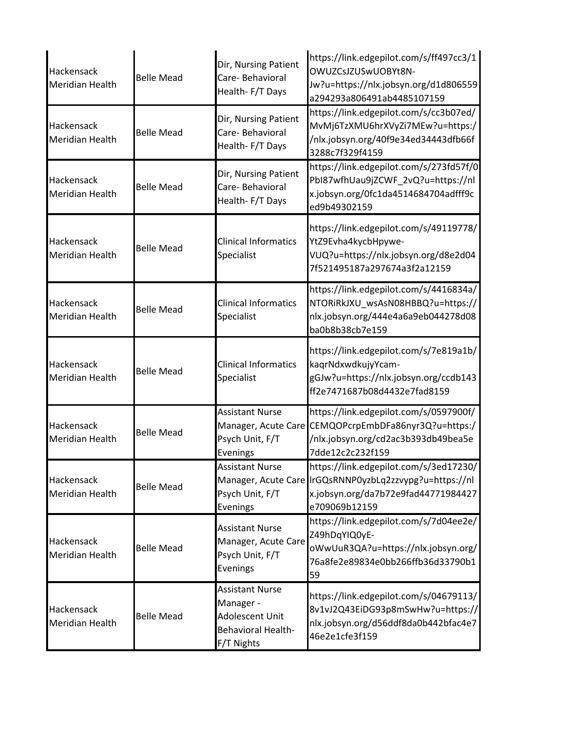| Hackensack<br><b>Meridian Health</b> | <b>Belle Mead</b> | Dir, Nursing Patient<br>Care-Behavioral<br>Health-F/T Days                                        | https://link.edgepilot.com/s/ff497cc3/1<br>OWUZCsJZUSwUOBYt8N-<br>Jw?u=https://nlx.jobsyn.org/d1d806559<br>a294293a806491ab4485107159                     |
|--------------------------------------|-------------------|---------------------------------------------------------------------------------------------------|-----------------------------------------------------------------------------------------------------------------------------------------------------------|
| Hackensack<br><b>Meridian Health</b> | <b>Belle Mead</b> | Dir, Nursing Patient<br>Care-Behavioral<br>Health-F/T Days                                        | https://link.edgepilot.com/s/cc3b07ed/<br>MvMj6TzXMU6hrXVyZi7MEw?u=https:/<br>/nlx.jobsyn.org/40f9e34ed34443dfb66f<br>3288c7f329f4159                     |
| Hackensack<br>Meridian Health        | <b>Belle Mead</b> | Dir, Nursing Patient<br>Care- Behavioral<br>Health-F/T Days                                       | https://link.edgepilot.com/s/273fd57f/0<br>PbI87wfhUau9jZCWF_2vQ?u=https://nl<br>x.jobsyn.org/0fc1da4514684704adfff9c<br>ed9b49302159                     |
| Hackensack<br><b>Meridian Health</b> | <b>Belle Mead</b> | <b>Clinical Informatics</b><br>Specialist                                                         | https://link.edgepilot.com/s/49119778/<br>YtZ9Evha4kycbHpywe-<br>VUQ?u=https://nlx.jobsyn.org/d8e2d04<br>7f521495187a297674a3f2a12159                     |
| Hackensack<br><b>Meridian Health</b> | <b>Belle Mead</b> | <b>Clinical Informatics</b><br>Specialist                                                         | https://link.edgepilot.com/s/4416834a/<br>NTORIRkJXU_wsAsN08HBBQ?u=https://<br>nlx.jobsyn.org/444e4a6a9eb044278d08<br>ba0b8b38cb7e159                     |
| Hackensack<br><b>Meridian Health</b> | <b>Belle Mead</b> | <b>Clinical Informatics</b><br>Specialist                                                         | https://link.edgepilot.com/s/7e819a1b/<br>kaqrNdxwdkujyYcam-<br>gGJw?u=https://nlx.jobsyn.org/ccdb143<br>ff2e7471687b08d4432e7fad8159                     |
| Hackensack<br><b>Meridian Health</b> | <b>Belle Mead</b> | <b>Assistant Nurse</b><br>Manager, Acute Care<br>Psych Unit, F/T<br>Evenings                      | https://link.edgepilot.com/s/0597900f/<br>CEMQOPcrpEmbDFa86nyr3Q?u=https:/<br>/nlx.jobsyn.org/cd2ac3b393db49bea5e<br>7dde12c2c232f159                     |
| Hackensack<br><b>Meridian Health</b> | <b>Belle Mead</b> | <b>Assistant Nurse</b><br>Psych Unit, F/T<br>Evenings                                             | https://link.edgepilot.com/s/3ed17230/<br>Manager, Acute Care IrGQsRNNP0yzbLq2zzvypg?u=https://nl<br>x.jobsyn.org/da7b72e9fad44771984427<br>e709069b12159 |
| Hackensack<br><b>Meridian Health</b> | <b>Belle Mead</b> | <b>Assistant Nurse</b><br>Manager, Acute Care<br>Psych Unit, F/T<br>Evenings                      | https://link.edgepilot.com/s/7d04ee2e/<br>Z49hDqYIQ0yE-<br>oWwUuR3QA?u=https://nlx.jobsyn.org/<br>76a8fe2e89834e0bb266ffb36d33790b1<br>59                 |
| Hackensack<br><b>Meridian Health</b> | <b>Belle Mead</b> | <b>Assistant Nurse</b><br>Manager -<br>Adolescent Unit<br><b>Behavioral Health-</b><br>F/T Nights | https://link.edgepilot.com/s/04679113/<br>8v1vJ2Q43EiDG93p8mSwHw?u=https://<br>nlx.jobsyn.org/d56ddf8da0b442bfac4e7<br>46e2e1cfe3f159                     |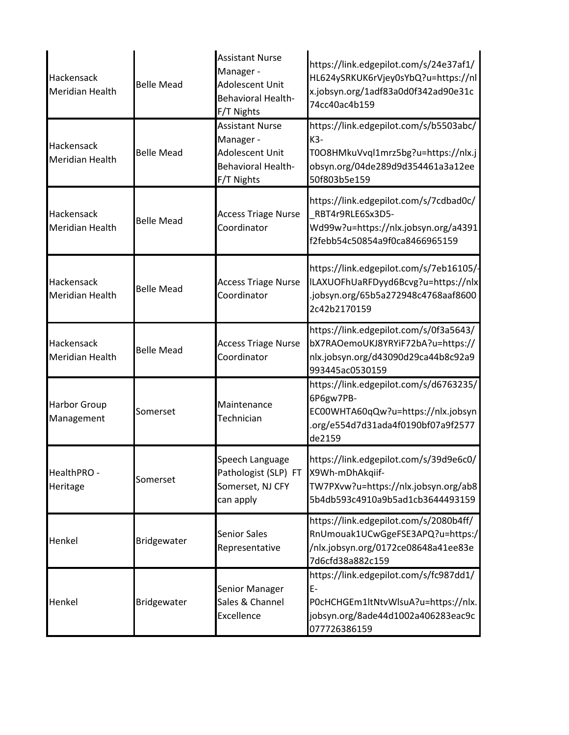| Hackensack<br><b>Meridian Health</b>        | <b>Belle Mead</b> | <b>Assistant Nurse</b><br>Manager -<br>Adolescent Unit<br>Behavioral Health-<br>F/T Nights | https://link.edgepilot.com/s/24e37af1/<br>HL624ySRKUK6rVjey0sYbQ?u=https://nl<br>x.jobsyn.org/1adf83a0d0f342ad90e31c<br>74cc40ac4b159     |
|---------------------------------------------|-------------------|--------------------------------------------------------------------------------------------|-------------------------------------------------------------------------------------------------------------------------------------------|
| Hackensack<br><b>Meridian Health</b>        | <b>Belle Mead</b> | <b>Assistant Nurse</b><br>Manager -<br>Adolescent Unit<br>Behavioral Health-<br>F/T Nights | https://link.edgepilot.com/s/b5503abc/<br>K3-<br>T0O8HMkuVvql1mrz5bg?u=https://nlx.j<br>obsyn.org/04de289d9d354461a3a12ee<br>50f803b5e159 |
| Hackensack<br>Meridian Health               | <b>Belle Mead</b> | <b>Access Triage Nurse</b><br>Coordinator                                                  | https://link.edgepilot.com/s/7cdbad0c/<br>RBT4r9RLE6Sx3D5-<br>Wd99w?u=https://nlx.jobsyn.org/a4391<br>f2febb54c50854a9f0ca8466965159      |
| <b>Hackensack</b><br><b>Meridian Health</b> | <b>Belle Mead</b> | <b>Access Triage Nurse</b><br>Coordinator                                                  | https://link.edgepilot.com/s/7eb16105/-<br>ILAXUOFhUaRFDyyd6Bcvg?u=https://nlx<br>.jobsyn.org/65b5a272948c4768aaf8600<br>2c42b2170159     |
| Hackensack<br><b>Meridian Health</b>        | <b>Belle Mead</b> | <b>Access Triage Nurse</b><br>Coordinator                                                  | https://link.edgepilot.com/s/0f3a5643/<br>bX7RAOemoUKJ8YRYiF72bA?u=https://<br>nlx.jobsyn.org/d43090d29ca44b8c92a9<br>993445ac0530159     |
| <b>Harbor Group</b><br>Management           | Somerset          | Maintenance<br>Technician                                                                  | https://link.edgepilot.com/s/d6763235/<br>6P6gw7PB-<br>EC00WHTA60qQw?u=https://nlx.jobsyn<br>.org/e554d7d31ada4f0190bf07a9f2577<br>de2159 |
| HealthPRO -<br>Heritage                     | Somerset          | Speech Language<br>Pathologist (SLP) FT X9Wh-mDhAkqiif-<br>Somerset, NJ CFY<br>can apply   | https://link.edgepilot.com/s/39d9e6c0/<br>TW7PXvw?u=https://nlx.jobsyn.org/ab8<br>5b4db593c4910a9b5ad1cb3644493159                        |
| Henkel                                      | Bridgewater       | <b>Senior Sales</b><br>Representative                                                      | https://link.edgepilot.com/s/2080b4ff/<br>RnUmouak1UCwGgeFSE3APQ?u=https:/<br>/nlx.jobsyn.org/0172ce08648a41ee83e<br>7d6cfd38a882c159     |
| Henkel                                      | Bridgewater       | Senior Manager<br>Sales & Channel<br>Excellence                                            | https://link.edgepilot.com/s/fc987dd1/<br>E-<br>POcHCHGEm1ltNtvWlsuA?u=https://nlx.<br>jobsyn.org/8ade44d1002a406283eac9c<br>077726386159 |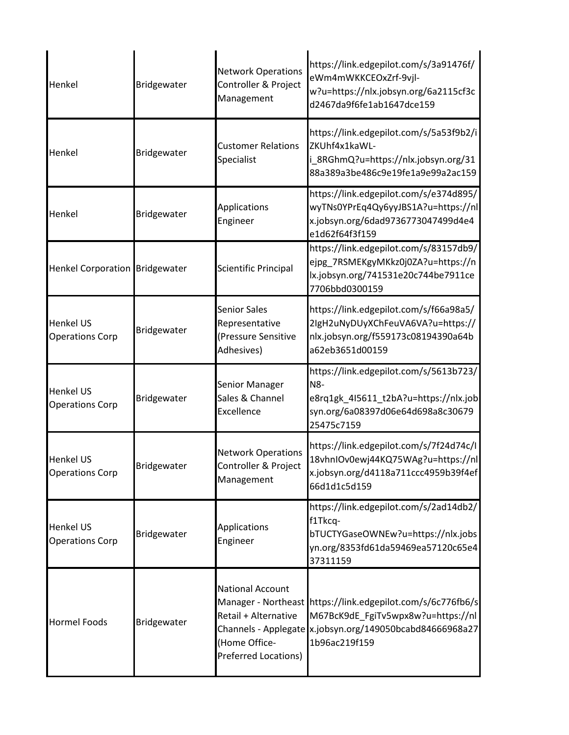| Henkel                                     | Bridgewater | <b>Network Operations</b><br>Controller & Project<br>Management                                | https://link.edgepilot.com/s/3a91476f/<br>eWm4mWKKCEOxZrf-9vjl-<br>w?u=https://nlx.jobsyn.org/6a2115cf3c<br>d2467da9f6fe1ab1647dce159                                          |
|--------------------------------------------|-------------|------------------------------------------------------------------------------------------------|--------------------------------------------------------------------------------------------------------------------------------------------------------------------------------|
| Henkel                                     | Bridgewater | <b>Customer Relations</b><br>Specialist                                                        | https://link.edgepilot.com/s/5a53f9b2/i<br>ZKUhf4x1kaWL-<br>i_8RGhmQ?u=https://nlx.jobsyn.org/31<br>88a389a3be486c9e19fe1a9e99a2ac159                                          |
| Henkel                                     | Bridgewater | Applications<br>Engineer                                                                       | https://link.edgepilot.com/s/e374d895/<br>wyTNs0YPrEq4Qy6yyJBS1A?u=https://nl<br>x.jobsyn.org/6dad9736773047499d4e4<br>e1d62f64f3f159                                          |
| Henkel Corporation Bridgewater             |             | <b>Scientific Principal</b>                                                                    | https://link.edgepilot.com/s/83157db9/<br>ejpg 7RSMEKgyMKkz0j0ZA?u=https://n<br>lx.jobsyn.org/741531e20c744be7911ce<br>7706bbd0300159                                          |
| <b>Henkel US</b><br><b>Operations Corp</b> | Bridgewater | <b>Senior Sales</b><br>Representative<br>(Pressure Sensitive<br>Adhesives)                     | https://link.edgepilot.com/s/f66a98a5/<br>2lgH2uNyDUyXChFeuVA6VA?u=https://<br>nlx.jobsyn.org/f559173c08194390a64b<br>a62eb3651d00159                                          |
| <b>Henkel US</b><br><b>Operations Corp</b> | Bridgewater | Senior Manager<br>Sales & Channel<br><b>Excellence</b>                                         | https://link.edgepilot.com/s/5613b723/<br>N8-<br>e8rq1gk_4I5611_t2bA?u=https://nlx.job<br>syn.org/6a08397d06e64d698a8c30679<br>25475c7159                                      |
| <b>Henkel US</b><br><b>Operations Corp</b> | Bridgewater | <b>Network Operations</b><br>Controller & Project<br>Management                                | https://link.edgepilot.com/s/7f24d74c/l<br>18vhnIOv0ewj44KQ75WAg?u=https://nl<br>x.jobsyn.org/d4118a711ccc4959b39f4ef<br>66d1d1c5d159                                          |
| <b>Henkel US</b><br><b>Operations Corp</b> | Bridgewater | <b>Applications</b><br>Engineer                                                                | https://link.edgepilot.com/s/2ad14db2/<br>f1Tkcq-<br>bTUCTYGaseOWNEw?u=https://nlx.jobs<br>yn.org/8353fd61da59469ea57120c65e4<br>37311159                                      |
| <b>Hormel Foods</b>                        | Bridgewater | <b>National Account</b><br>Retail + Alternative<br>Home Office-<br><b>Preferred Locations)</b> | Manager - Northeast https://link.edgepilot.com/s/6c776fb6/s<br>M67BcK9dE_FgiTv5wpx8w?u=https://nl<br>Channels - Applegate x.jobsyn.org/149050bcabd84666968a27<br>1b96ac219f159 |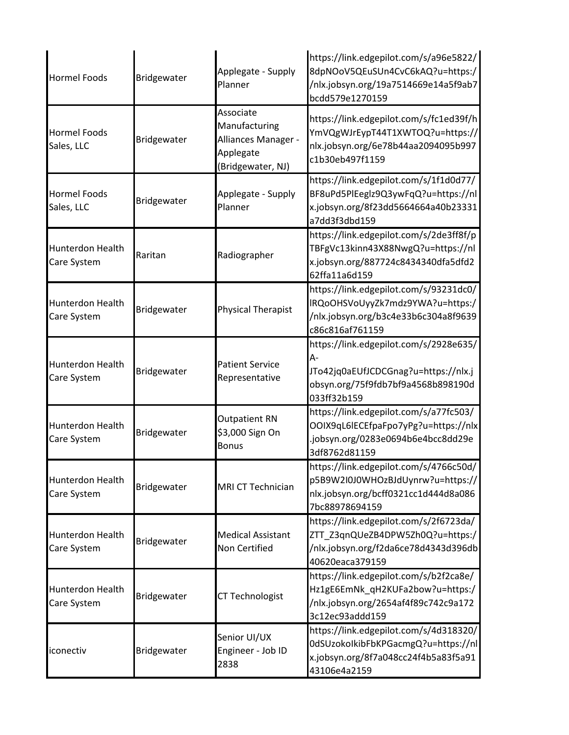| <b>Hormel Foods</b>               | Bridgewater | Applegate - Supply<br>Planner                                                       | https://link.edgepilot.com/s/a96e5822/<br>8dpNOoV5QEuSUn4CvC6kAQ?u=https:/<br>/nlx.jobsyn.org/19a7514669e14a5f9ab7<br>bcdd579e1270159     |
|-----------------------------------|-------------|-------------------------------------------------------------------------------------|-------------------------------------------------------------------------------------------------------------------------------------------|
| <b>Hormel Foods</b><br>Sales, LLC | Bridgewater | Associate<br>Manufacturing<br>Alliances Manager -<br>Applegate<br>(Bridgewater, NJ) | https://link.edgepilot.com/s/fc1ed39f/h<br>YmVQgWJrEypT44T1XWTOQ?u=https://<br>nlx.jobsyn.org/6e78b44aa2094095b997<br>c1b30eb497f1159     |
| <b>Hormel Foods</b><br>Sales, LLC | Bridgewater | Applegate - Supply<br>Planner                                                       | https://link.edgepilot.com/s/1f1d0d77/<br>BF8uPd5PlEeglz9Q3ywFqQ?u=https://nl<br>x.jobsyn.org/8f23dd5664664a40b23331<br>a7dd3f3dbd159     |
| Hunterdon Health<br>Care System   | Raritan     | Radiographer                                                                        | https://link.edgepilot.com/s/2de3ff8f/p<br>TBFgVc13kinn43X88NwgQ?u=https://nl<br>x.jobsyn.org/887724c8434340dfa5dfd2<br>62ffa11a6d159     |
| Hunterdon Health<br>Care System   | Bridgewater | <b>Physical Therapist</b>                                                           | https://link.edgepilot.com/s/93231dc0/<br>IRQoOHSVoUyyZk7mdz9YWA?u=https:/<br>/nlx.jobsyn.org/b3c4e33b6c304a8f9639<br>c86c816af761159     |
| Hunterdon Health<br>Care System   | Bridgewater | <b>Patient Service</b><br>Representative                                            | https://link.edgepilot.com/s/2928e635/<br>A-<br>JTo42jq0aEUfJCDCGnag?u=https://nlx.j<br>obsyn.org/75f9fdb7bf9a4568b898190d<br>033ff32b159 |
| Hunterdon Health<br>Care System   | Bridgewater | <b>Outpatient RN</b><br>\$3,000 Sign On<br><b>Bonus</b>                             | https://link.edgepilot.com/s/a77fc503/<br>OOIX9qL6lECEfpaFpo7yPg?u=https://nlx<br>.jobsyn.org/0283e0694b6e4bcc8dd29e<br>3df8762d81159     |
| Hunterdon Health<br>Care System   | Bridgewater | MRI CT Technician                                                                   | https://link.edgepilot.com/s/4766c50d/<br>p5B9W2I0J0WHOzBJdUynrw?u=https://<br>nlx.jobsyn.org/bcff0321cc1d444d8a086<br>7bc88978694159     |
| Hunterdon Health<br>Care System   | Bridgewater | <b>Medical Assistant</b><br>Non Certified                                           | https://link.edgepilot.com/s/2f6723da/<br>ZTT_Z3qnQUeZB4DPW5Zh0Q?u=https:/<br>/nlx.jobsyn.org/f2da6ce78d4343d396db<br>40620eaca379159     |
| Hunterdon Health<br>Care System   | Bridgewater | <b>CT Technologist</b>                                                              | https://link.edgepilot.com/s/b2f2ca8e/<br>Hz1gE6EmNk_qH2KUFa2bow?u=https:/<br>/nlx.jobsyn.org/2654af4f89c742c9a172<br>3c12ec93addd159     |
| iconectiv                         | Bridgewater | Senior UI/UX<br>Engineer - Job ID<br>2838                                           | https://link.edgepilot.com/s/4d318320/<br>0dSUzokoIkibFbKPGacmgQ?u=https://nl<br>x.jobsyn.org/8f7a048cc24f4b5a83f5a91<br>43106e4a2159     |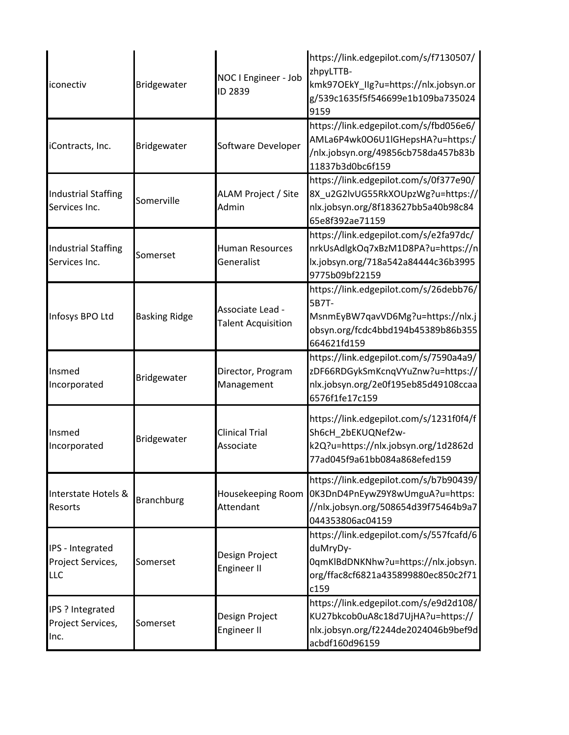| iconectiv                                     | Bridgewater          | NOC I Engineer - Job<br>ID 2839               | https://link.edgepilot.com/s/f7130507/<br>zhpyLTTB-<br>kmk97OEkY_IIg?u=https://nlx.jobsyn.or<br>g/539c1635f5f546699e1b109ba735024<br>9159               |
|-----------------------------------------------|----------------------|-----------------------------------------------|---------------------------------------------------------------------------------------------------------------------------------------------------------|
| iContracts, Inc.                              | Bridgewater          | Software Developer                            | https://link.edgepilot.com/s/fbd056e6/<br>AMLa6P4wk0O6U1lGHepsHA?u=https:/<br>/nlx.jobsyn.org/49856cb758da457b83b<br>11837b3d0bc6f159                   |
| <b>Industrial Staffing</b><br>Services Inc.   | Somerville           | ALAM Project / Site<br>Admin                  | https://link.edgepilot.com/s/0f377e90/<br>8X_u2G2lvUG55RkXOUpzWg?u=https://<br>nlx.jobsyn.org/8f183627bb5a40b98c84<br>65e8f392ae71159                   |
| <b>Industrial Staffing</b><br>Services Inc.   | Somerset             | <b>Human Resources</b><br>Generalist          | https://link.edgepilot.com/s/e2fa97dc/<br>nrkUsAdlgkOq7xBzM1D8PA?u=https://n<br>lx.jobsyn.org/718a542a84444c36b3995<br>9775b09bf22159                   |
| Infosys BPO Ltd                               | <b>Basking Ridge</b> | Associate Lead -<br><b>Talent Acquisition</b> | https://link.edgepilot.com/s/26debb76/<br>5B7T-<br>MsnmEyBW7qavVD6Mg?u=https://nlx.j<br>obsyn.org/fcdc4bbd194b45389b86b355<br>664621fd159               |
| Insmed<br>Incorporated                        | Bridgewater          | Director, Program<br>Management               | https://link.edgepilot.com/s/7590a4a9/<br>zDF66RDGykSmKcnqVYuZnw?u=https://<br>nlx.jobsyn.org/2e0f195eb85d49108ccaa<br>6576f1fe17c159                   |
| Insmed<br>Incorporated                        | Bridgewater          | <b>Clinical Trial</b><br>Associate            | https://link.edgepilot.com/s/1231f0f4/f<br>Sh6cH_2bEKUQNef2w-<br>k2Q?u=https://nlx.jobsyn.org/1d2862d<br>77ad045f9a61bb084a868efed159                   |
| Interstate Hotels &<br>Resorts                | <b>Branchburg</b>    | Attendant                                     | https://link.edgepilot.com/s/b7b90439/<br>Housekeeping Room 0K3DnD4PnEywZ9Y8wUmguA?u=https:<br>//nlx.jobsyn.org/508654d39f75464b9a7<br>044353806ac04159 |
| IPS - Integrated<br>Project Services,<br>LLC  | Somerset             | Design Project<br><b>Engineer II</b>          | https://link.edgepilot.com/s/557fcafd/6<br>duMryDy-<br>0qmKlBdDNKNhw?u=https://nlx.jobsyn.<br>org/ffac8cf6821a435899880ec850c2f71<br>c159               |
| IPS ? Integrated<br>Project Services,<br>Inc. | Somerset             | Design Project<br><b>Engineer II</b>          | https://link.edgepilot.com/s/e9d2d108/<br>KU27bkcob0uA8c18d7UjHA?u=https://<br>nlx.jobsyn.org/f2244de2024046b9bef9d<br>acbdf160d96159                   |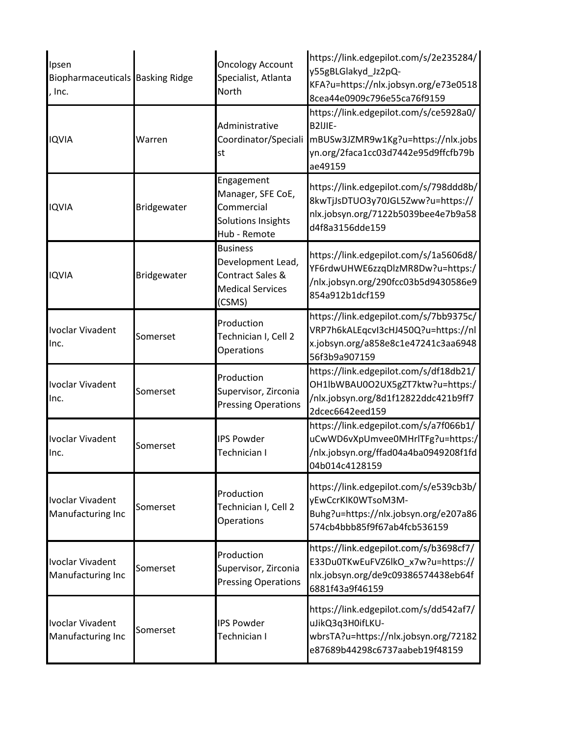| Ipsen<br>Biopharmaceuticals Basking Ridge<br>Inc. |             | <b>Oncology Account</b><br>Specialist, Atlanta<br>North                                       | https://link.edgepilot.com/s/2e235284/<br>y55gBLGlakyd_Jz2pQ-<br>KFA?u=https://nlx.jobsyn.org/e73e0518<br>8cea44e0909c796e55ca76f9159     |
|---------------------------------------------------|-------------|-----------------------------------------------------------------------------------------------|-------------------------------------------------------------------------------------------------------------------------------------------|
| <b>IQVIA</b>                                      | Warren      | Administrative<br>Coordinator/Speciali<br>st                                                  | https://link.edgepilot.com/s/ce5928a0/<br>B2IJIE-<br>mBUSw3JZMR9w1Kg?u=https://nlx.jobs<br>yn.org/2faca1cc03d7442e95d9ffcfb79b<br>ae49159 |
| <b>IQVIA</b>                                      | Bridgewater | Engagement<br>Manager, SFE CoE,<br>Commercial<br>Solutions Insights<br>Hub - Remote           | https://link.edgepilot.com/s/798ddd8b/<br>8kwTjJsDTUO3y70JGL5Zww?u=https://<br>nlx.jobsyn.org/7122b5039bee4e7b9a58<br>d4f8a3156dde159     |
| <b>IQVIA</b>                                      | Bridgewater | <b>Business</b><br>Development Lead,<br>Contract Sales &<br><b>Medical Services</b><br>(CSMS) | https://link.edgepilot.com/s/1a5606d8/<br>YF6rdwUHWE6zzqDlzMR8Dw?u=https:/<br>/nlx.jobsyn.org/290fcc03b5d9430586e9<br>854a912b1dcf159     |
| <b>Ivoclar Vivadent</b><br>Inc.                   | Somerset    | Production<br>Technician I, Cell 2<br>Operations                                              | https://link.edgepilot.com/s/7bb9375c/<br>VRP7h6kALEqcvI3cHJ450Q?u=https://nl<br>x.jobsyn.org/a858e8c1e47241c3aa6948<br>56f3b9a907159     |
| <b>Ivoclar Vivadent</b><br>Inc.                   | Somerset    | Production<br>Supervisor, Zirconia<br><b>Pressing Operations</b>                              | https://link.edgepilot.com/s/df18db21/<br>OH1lbWBAU0O2UX5gZT7ktw?u=https:/<br>/nlx.jobsyn.org/8d1f12822ddc421b9ff7<br>2dcec6642eed159     |
| <b>Ivoclar Vivadent</b><br>Inc.                   | Somerset    | <b>IPS Powder</b><br>Technician I                                                             | https://link.edgepilot.com/s/a7f066b1/<br>uCwWD6vXpUmvee0MHrlTFg?u=https:/<br>/nlx.jobsyn.org/ffad04a4ba0949208f1fd<br>04b014c4128159     |
| <b>Ivoclar Vivadent</b><br>Manufacturing Inc      | Somerset    | Production<br>Technician I, Cell 2<br>Operations                                              | https://link.edgepilot.com/s/e539cb3b/<br>yEwCcrKIK0WTsoM3M-<br>Buhg?u=https://nlx.jobsyn.org/e207a86<br>574cb4bbb85f9f67ab4fcb536159     |
| <b>Ivoclar Vivadent</b><br>Manufacturing Inc      | Somerset    | Production<br>Supervisor, Zirconia<br><b>Pressing Operations</b>                              | https://link.edgepilot.com/s/b3698cf7/<br>E33Du0TKwEuFVZ6lkO_x7w?u=https://<br>nlx.jobsyn.org/de9c09386574438eb64f<br>6881f43a9f46159     |
| <b>Ivoclar Vivadent</b><br>Manufacturing Inc      | Somerset    | <b>IPS Powder</b><br>Technician I                                                             | https://link.edgepilot.com/s/dd542af7/<br>uJikQ3q3H0ifLKU-<br>wbrsTA?u=https://nlx.jobsyn.org/72182<br>e87689b44298c6737aabeb19f48159     |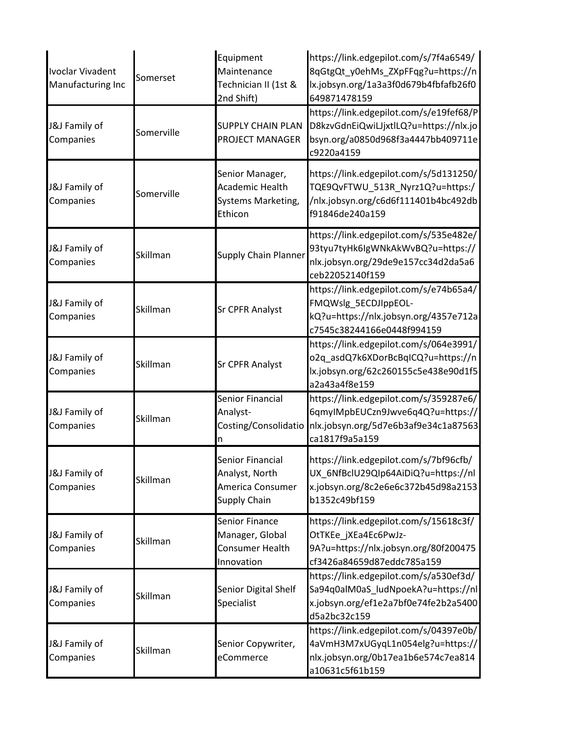| <b>Ivoclar Vivadent</b><br>Manufacturing Inc | Somerset   | Equipment<br>Maintenance<br>Technician II (1st &<br>2nd Shift)            | https://link.edgepilot.com/s/7f4a6549/<br>8qGtgQt_y0ehMs_ZXpFFqg?u=https://n<br>lx.jobsyn.org/1a3a3f0d679b4fbfafb26f0<br>649871478159 |
|----------------------------------------------|------------|---------------------------------------------------------------------------|---------------------------------------------------------------------------------------------------------------------------------------|
| J&J Family of<br>Companies                   | Somerville | <b>SUPPLY CHAIN PLAN</b><br>PROJECT MANAGER                               | https://link.edgepilot.com/s/e19fef68/P<br>D8kzvGdnEiQwiLJjxtlLQ?u=https://nlx.jo<br>bsyn.org/a0850d968f3a4447bb409711e<br>c9220a4159 |
| J&J Family of<br>Companies                   | Somerville | Senior Manager,<br>Academic Health<br>Systems Marketing,<br>Ethicon       | https://link.edgepilot.com/s/5d131250/<br>TQE9QvFTWU_513R_Nyrz1Q?u=https:/<br>/nlx.jobsyn.org/c6d6f111401b4bc492db<br>f91846de240a159 |
| J&J Family of<br>Companies                   | Skillman   | Supply Chain Planner                                                      | https://link.edgepilot.com/s/535e482e/<br>93tyu7tyHk6lgWNkAkWvBQ?u=https://<br>nlx.jobsyn.org/29de9e157cc34d2da5a6<br>ceb22052140f159 |
| J&J Family of<br>Companies                   | Skillman   | <b>Sr CPFR Analyst</b>                                                    | https://link.edgepilot.com/s/e74b65a4/<br>FMQWslg_5ECDJIppEOL-<br>kQ?u=https://nlx.jobsyn.org/4357e712a<br>c7545c38244166e0448f994159 |
| J&J Family of<br>Companies                   | Skillman   | <b>Sr CPFR Analyst</b>                                                    | https://link.edgepilot.com/s/064e3991/<br>o2q_asdQ7k6XDorBcBqICQ?u=https://n<br>lx.jobsyn.org/62c260155c5e438e90d1f5<br>a2a43a4f8e159 |
| J&J Family of<br>Companies                   | Skillman   | Senior Financial<br>Analyst-<br>Costing/Consolidatio<br>n                 | https://link.edgepilot.com/s/359287e6/<br>6qmyIMpbEUCzn9Jwve6q4Q?u=https://<br>nlx.jobsyn.org/5d7e6b3af9e34c1a87563<br>ca1817f9a5a159 |
| J&J Family of<br>Companies                   | Skillman   | Senior Financial<br>Analyst, North<br>America Consumer<br>Supply Chain    | https://link.edgepilot.com/s/7bf96cfb/<br>UX_6NfBclU29Qlp64AiDiQ?u=https://nl<br>x.jobsyn.org/8c2e6e6c372b45d98a2153<br>b1352c49bf159 |
| J&J Family of<br>Companies                   | Skillman   | <b>Senior Finance</b><br>Manager, Global<br>Consumer Health<br>Innovation | https://link.edgepilot.com/s/15618c3f/<br>OtTKEe_jXEa4Ec6PwJz-<br>9A?u=https://nlx.jobsyn.org/80f200475<br>cf3426a84659d87eddc785a159 |
| J&J Family of<br>Companies                   | Skillman   | Senior Digital Shelf<br>Specialist                                        | https://link.edgepilot.com/s/a530ef3d/<br>Sa94q0alM0aS_ludNpoekA?u=https://nl<br>x.jobsyn.org/ef1e2a7bf0e74fe2b2a5400<br>d5a2bc32c159 |
| J&J Family of<br>Companies                   | Skillman   | Senior Copywriter,<br>eCommerce                                           | https://link.edgepilot.com/s/04397e0b/<br>4aVmH3M7xUGyqL1n054elg?u=https://<br>nlx.jobsyn.org/0b17ea1b6e574c7ea814<br>a10631c5f61b159 |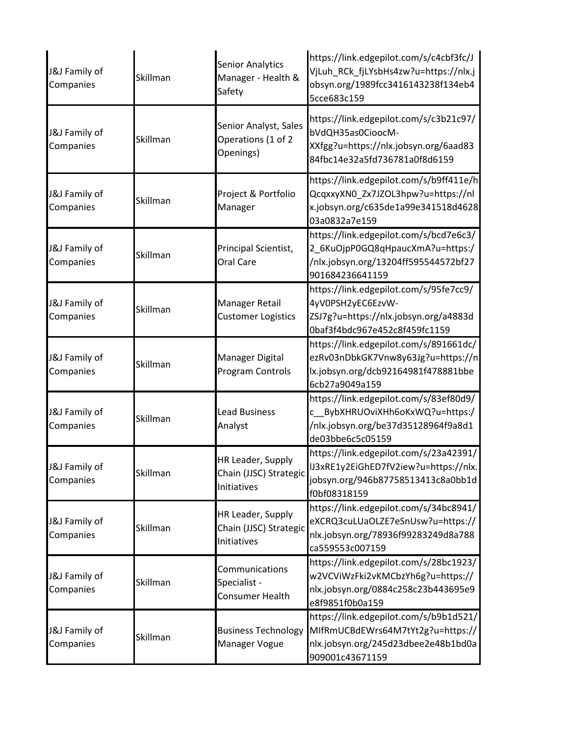| J&J Family of<br>Companies | Skillman | <b>Senior Analytics</b><br>Manager - Health &<br>Safety    | https://link.edgepilot.com/s/c4cbf3fc/J<br>VjLuh_RCk_fjLYsbHs4zw?u=https://nlx.j<br>obsyn.org/1989fcc3416143238f134eb4<br>5cce683c159 |
|----------------------------|----------|------------------------------------------------------------|---------------------------------------------------------------------------------------------------------------------------------------|
| J&J Family of<br>Companies | Skillman | Senior Analyst, Sales<br>Operations (1 of 2<br>Openings)   | https://link.edgepilot.com/s/c3b21c97/<br>bVdQH35as0CioocM-<br>XXfgg?u=https://nlx.jobsyn.org/6aad83<br>84fbc14e32a5fd736781a0f8d6159 |
| J&J Family of<br>Companies | Skillman | Project & Portfolio<br>Manager                             | https://link.edgepilot.com/s/b9ff411e/h<br>QcqxxyXN0_Zx7JZOL3hpw?u=https://nl<br>x.jobsyn.org/c635de1a99e341518d4628<br>03a0832a7e159 |
| J&J Family of<br>Companies | Skillman | Principal Scientist,<br>Oral Care                          | https://link.edgepilot.com/s/bcd7e6c3/<br>2_6KuOjpP0GQ8qHpaucXmA?u=https:/<br>/nlx.jobsyn.org/13204ff595544572bf27<br>901684236641159 |
| J&J Family of<br>Companies | Skillman | Manager Retail<br><b>Customer Logistics</b>                | https://link.edgepilot.com/s/95fe7cc9/<br>4yV0PSH2yEC6EzvW-<br>ZSJ7g?u=https://nlx.jobsyn.org/a4883d<br>0baf3f4bdc967e452c8f459fc1159 |
| J&J Family of<br>Companies | Skillman | Manager Digital<br>Program Controls                        | https://link.edgepilot.com/s/891661dc/<br>ezRv03nDbkGK7Vnw8y63Jg?u=https://n<br>lx.jobsyn.org/dcb92164981f478881bbe<br>6cb27a9049a159 |
| J&J Family of<br>Companies | Skillman | <b>Lead Business</b><br>Analyst                            | https://link.edgepilot.com/s/83ef80d9/<br>c BybXHRUOviXHh6oKxWQ?u=https:/<br>/nlx.jobsyn.org/be37d35128964f9a8d1<br>de03bbe6c5c05159  |
| J&J Family of<br>Companies | Skillman | HR Leader, Supply<br>Chain (JJSC) Strategic<br>Initiatives | https://link.edgepilot.com/s/23a42391/<br>IJ3xRE1y2EiGhED7fV2iew?u=https://nlx.<br>jobsyn.org/946b87758513413c8a0bb1d<br>f0bf08318159 |
| J&J Family of<br>Companies | Skillman | HR Leader, Supply<br>Chain (JJSC) Strategic<br>Initiatives | https://link.edgepilot.com/s/34bc8941/<br>eXCRQ3cuLUaOLZE7eSnUsw?u=https://<br>nlx.jobsyn.org/78936f99283249d8a788<br>ca559553c007159 |
| J&J Family of<br>Companies | Skillman | Communications<br>Specialist -<br>Consumer Health          | https://link.edgepilot.com/s/28bc1923/<br>w2VCViWzFki2vKMCbzYh6g?u=https://<br>nlx.jobsyn.org/0884c258c23b443695e9<br>e8f9851f0b0a159 |
| J&J Family of<br>Companies | Skillman | <b>Business Technology</b><br>Manager Vogue                | https://link.edgepilot.com/s/b9b1d521/<br>MIfRmUCBdEWrs64M7tYt2g?u=https://<br>nlx.jobsyn.org/245d23dbee2e48b1bd0a<br>909001c43671159 |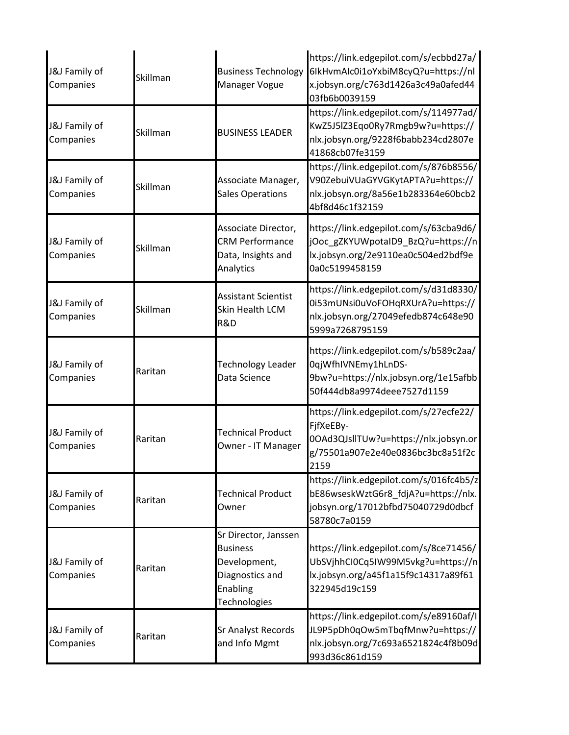| J&J Family of<br>Companies | Skillman | <b>Business Technology</b><br>Manager Vogue                                                            | https://link.edgepilot.com/s/ecbbd27a/<br>6lkHvmAlc0i1oYxbiM8cyQ?u=https://nl<br>x.jobsyn.org/c763d1426a3c49a0afed44<br>03fb6b0039159     |
|----------------------------|----------|--------------------------------------------------------------------------------------------------------|-------------------------------------------------------------------------------------------------------------------------------------------|
| J&J Family of<br>Companies | Skillman | <b>BUSINESS LEADER</b>                                                                                 | https://link.edgepilot.com/s/114977ad/<br>KwZ5J5lZ3Eqo0Ry7Rmgb9w?u=https://<br>nlx.jobsyn.org/9228f6babb234cd2807e<br>41868cb07fe3159     |
| J&J Family of<br>Companies | Skillman | Associate Manager,<br><b>Sales Operations</b>                                                          | https://link.edgepilot.com/s/876b8556/<br>V90ZebuiVUaGYVGKytAPTA?u=https://<br>nlx.jobsyn.org/8a56e1b283364e60bcb2<br>4bf8d46c1f32159     |
| J&J Family of<br>Companies | Skillman | Associate Director,<br><b>CRM Performance</b><br>Data, Insights and<br>Analytics                       | https://link.edgepilot.com/s/63cba9d6/<br>jOoc_gZKYUWpotaID9_BzQ?u=https://n<br>lx.jobsyn.org/2e9110ea0c504ed2bdf9e<br>0a0c5199458159     |
| J&J Family of<br>Companies | Skillman | <b>Assistant Scientist</b><br>Skin Health LCM<br>R&D                                                   | https://link.edgepilot.com/s/d31d8330/<br>0i53mUNsi0uVoFOHqRXUrA?u=https://<br>nlx.jobsyn.org/27049efedb874c648e90<br>5999a7268795159     |
| J&J Family of<br>Companies | Raritan  | <b>Technology Leader</b><br>Data Science                                                               | https://link.edgepilot.com/s/b589c2aa/<br>OqjWfhIVNEmy1hLnDS-<br>9bw?u=https://nlx.jobsyn.org/1e15afbb<br>50f444db8a9974deee7527d1159     |
| J&J Family of<br>Companies | Raritan  | <b>Technical Product</b><br>Owner - IT Manager                                                         | https://link.edgepilot.com/s/27ecfe22/<br>FjfXeEBy-<br>0OAd3QJsllTUw?u=https://nlx.jobsyn.or<br>g/75501a907e2e40e0836bc3bc8a51f2c<br>2159 |
| J&J Family of<br>Companies | Raritan  | <b>Technical Product</b><br>Owner                                                                      | https://link.edgepilot.com/s/016fc4b5/z<br>bE86wseskWztG6r8_fdjA?u=https://nlx.<br>jobsyn.org/17012bfbd75040729d0dbcf<br>58780c7a0159     |
| J&J Family of<br>Companies | Raritan  | Sr Director, Janssen<br><b>Business</b><br>Development,<br>Diagnostics and<br>Enabling<br>Technologies | https://link.edgepilot.com/s/8ce71456/<br>UbSVjhhCI0Cq5IW99M5vkg?u=https://n<br>lx.jobsyn.org/a45f1a15f9c14317a89f61<br>322945d19c159     |
| J&J Family of<br>Companies | Raritan  | <b>Sr Analyst Records</b><br>and Info Mgmt                                                             | https://link.edgepilot.com/s/e89160af/l<br>JL9P5pDh0qOw5mTbqfMnw?u=https://<br>nlx.jobsyn.org/7c693a6521824c4f8b09d<br>993d36c861d159     |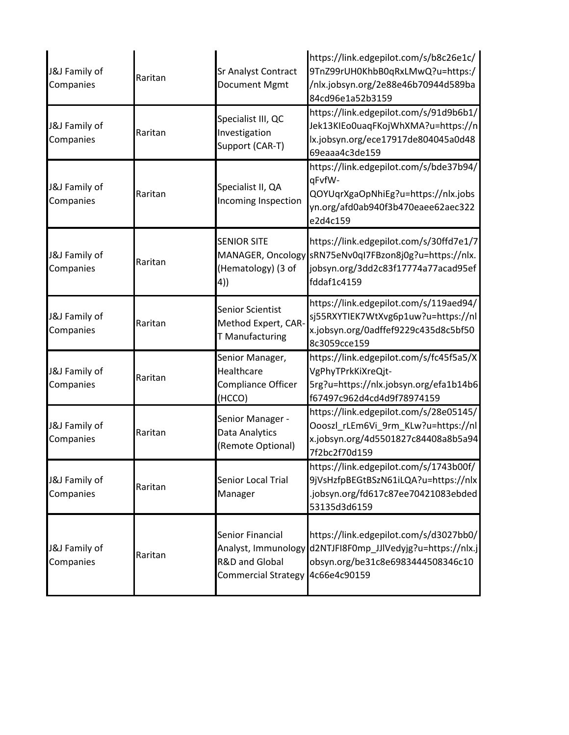| J&J Family of<br>Companies | Raritan | Sr Analyst Contract<br>Document Mgmt                                                    | https://link.edgepilot.com/s/b8c26e1c/<br>9TnZ99rUH0KhbB0qRxLMwQ?u=https:/<br>/nlx.jobsyn.org/2e88e46b70944d589ba<br>84cd96e1a52b3159                   |
|----------------------------|---------|-----------------------------------------------------------------------------------------|---------------------------------------------------------------------------------------------------------------------------------------------------------|
| J&J Family of<br>Companies | Raritan | Specialist III, QC<br>Investigation<br>Support (CAR-T)                                  | https://link.edgepilot.com/s/91d9b6b1/<br>Jek13KIEo0uaqFKojWhXMA?u=https://n<br>lx.jobsyn.org/ece17917de804045a0d48<br>69eaaa4c3de159                   |
| J&J Family of<br>Companies | Raritan | Specialist II, QA<br>Incoming Inspection                                                | https://link.edgepilot.com/s/bde37b94/<br>qFvfW-<br>QOYUqrXgaOpNhiEg?u=https://nlx.jobs<br>yn.org/afd0ab940f3b470eaee62aec322<br>e2d4c159               |
| J&J Family of<br>Companies | Raritan | <b>SENIOR SITE</b><br>(Hematology) (3 of<br>4)                                          | https://link.edgepilot.com/s/30ffd7e1/7<br>MANAGER, Oncology sRN75eNv0qI7FBzon8j0g?u=https://nlx.<br>jobsyn.org/3dd2c83f17774a77acad95ef<br>fddaf1c4159 |
| J&J Family of<br>Companies | Raritan | Senior Scientist<br>Method Expert, CAR-<br>T Manufacturing                              | https://link.edgepilot.com/s/119aed94/<br>sj55RXYTIEK7WtXvg6p1uw?u=https://nl<br>x.jobsyn.org/0adffef9229c435d8c5bf50<br>8c3059cce159                   |
| J&J Family of<br>Companies | Raritan | Senior Manager,<br>Healthcare<br>Compliance Officer<br>(HCCO)                           | https://link.edgepilot.com/s/fc45f5a5/X<br>VgPhyTPrkKiXreQjt-<br>5rg?u=https://nlx.jobsyn.org/efa1b14b6<br>f67497c962d4cd4d9f78974159                   |
| J&J Family of<br>Companies | Raritan | Senior Manager -<br>Data Analytics<br>(Remote Optional)                                 | https://link.edgepilot.com/s/28e05145/<br>Oooszl_rLEm6Vi_9rm_KLw?u=https://nl<br>x.jobsyn.org/4d5501827c84408a8b5a94<br>7f2bc2f70d159                   |
| J&J Family of<br>Companies | Raritan | Senior Local Trial<br>Manager                                                           | https://link.edgepilot.com/s/1743b00f/<br>9jVsHzfpBEGtBSzN61iLQA?u=https://nlx<br>.jobsyn.org/fd617c87ee70421083ebded<br>53135d3d6159                   |
| J&J Family of<br>Companies | Raritan | Senior Financial<br>Analyst, Immunology<br>R&D and Global<br><b>Commercial Strategy</b> | https://link.edgepilot.com/s/d3027bb0/<br>d2NTJFI8F0mp JJlVedyjg?u=https://nlx.j<br>obsyn.org/be31c8e6983444508346c10<br>4c66e4c90159                   |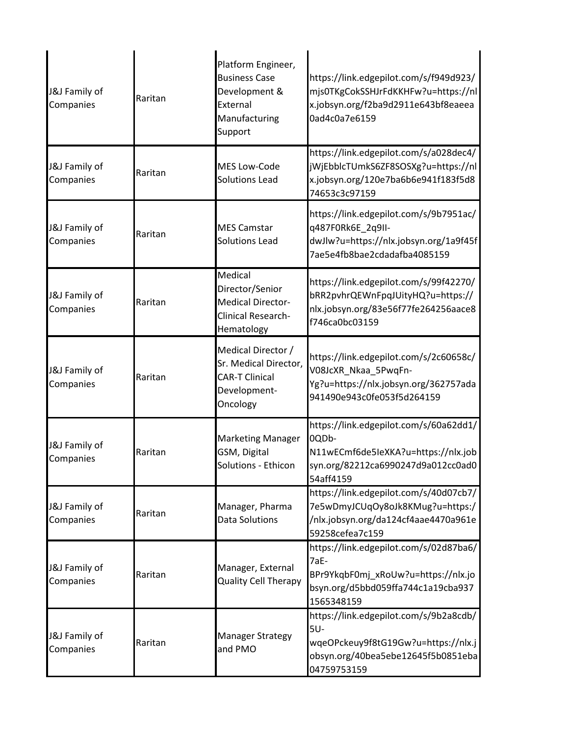| J&J Family of<br>Companies | Raritan | Platform Engineer,<br><b>Business Case</b><br>Development &<br>External<br>Manufacturing<br>Support | https://link.edgepilot.com/s/f949d923/<br>mjs0TKgCokSSHJrFdKKHFw?u=https://nl<br>x.jobsyn.org/f2ba9d2911e643bf8eaeea<br>0ad4c0a7e6159     |
|----------------------------|---------|-----------------------------------------------------------------------------------------------------|-------------------------------------------------------------------------------------------------------------------------------------------|
| J&J Family of<br>Companies | Raritan | <b>MES Low-Code</b><br><b>Solutions Lead</b>                                                        | https://link.edgepilot.com/s/a028dec4/<br>jWjEbblcTUmkS6ZF8SOSXg?u=https://nl<br>x.jobsyn.org/120e7ba6b6e941f183f5d8<br>74653c3c97159     |
| J&J Family of<br>Companies | Raritan | <b>MES Camstar</b><br><b>Solutions Lead</b>                                                         | https://link.edgepilot.com/s/9b7951ac/<br>q487F0Rk6E_2q9II-<br>dwJlw?u=https://nlx.jobsyn.org/1a9f45f<br>7ae5e4fb8bae2cdadafba4085159     |
| J&J Family of<br>Companies | Raritan | Medical<br>Director/Senior<br><b>Medical Director-</b><br>Clinical Research-<br>Hematology          | https://link.edgepilot.com/s/99f42270/<br>bRR2pvhrQEWnFpqJUityHQ?u=https://<br>nlx.jobsyn.org/83e56f77fe264256aace8<br>f746ca0bc03159     |
| J&J Family of<br>Companies | Raritan | Medical Director /<br>Sr. Medical Director,<br><b>CAR-T Clinical</b><br>Development-<br>Oncology    | https://link.edgepilot.com/s/2c60658c/<br>V08JcXR_Nkaa_5PwqFn-<br>Yg?u=https://nlx.jobsyn.org/362757ada<br>941490e943c0fe053f5d264159     |
| J&J Family of<br>Companies | Raritan | <b>Marketing Manager</b><br>GSM, Digital<br>Solutions - Ethicon                                     | https://link.edgepilot.com/s/60a62dd1/<br>0QDb-<br>N11wECmf6de5leXKA?u=https://nlx.job<br>syn.org/82212ca6990247d9a012cc0ad0<br>54aff4159 |
| J&J Family of<br>Companies | Raritan | Manager, Pharma<br><b>Data Solutions</b>                                                            | https://link.edgepilot.com/s/40d07cb7/<br>7e5wDmyJCUqOy8oJk8KMug?u=https:/<br>/nlx.jobsyn.org/da124cf4aae4470a961e<br>59258cefea7c159     |
| J&J Family of<br>Companies | Raritan | Manager, External<br><b>Quality Cell Therapy</b>                                                    | https://link.edgepilot.com/s/02d87ba6/<br>7aE-<br>BPr9YkqbF0mj_xRoUw?u=https://nlx.jo<br>bsyn.org/d5bbd059ffa744c1a19cba937<br>1565348159 |
| J&J Family of<br>Companies | Raritan | <b>Manager Strategy</b><br>and PMO                                                                  | https://link.edgepilot.com/s/9b2a8cdb/<br>5U-<br>wqeOPckeuy9f8tG19Gw?u=https://nlx.j<br>obsyn.org/40bea5ebe12645f5b0851eba<br>04759753159 |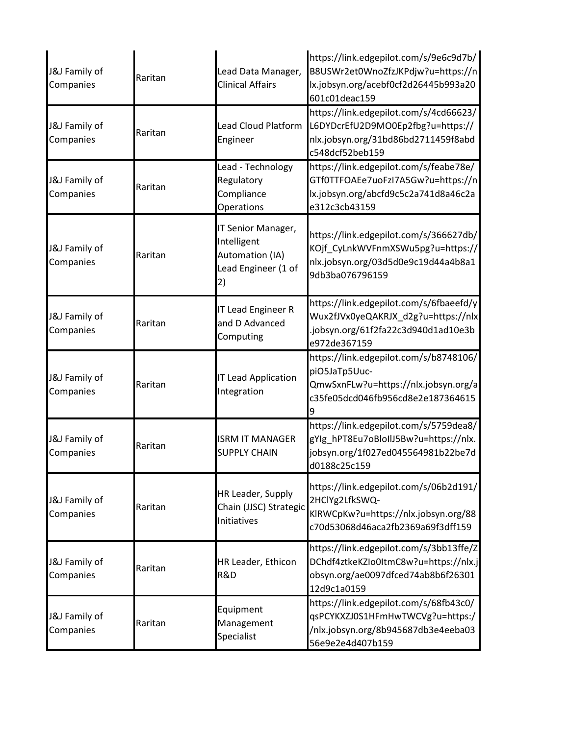| J&J Family of<br>Companies | Raritan | Lead Data Manager,<br><b>Clinical Affairs</b>                                     | https://link.edgepilot.com/s/9e6c9d7b/<br>B8USWr2et0WnoZfzJKPdjw?u=https://n<br>lx.jobsyn.org/acebf0cf2d26445b993a20<br>601c01deac159 |
|----------------------------|---------|-----------------------------------------------------------------------------------|---------------------------------------------------------------------------------------------------------------------------------------|
| J&J Family of<br>Companies | Raritan | <b>Lead Cloud Platform</b><br>Engineer                                            | https://link.edgepilot.com/s/4cd66623/<br>L6DYDcrEfU2D9MO0Ep2fbg?u=https://<br>nlx.jobsyn.org/31bd86bd2711459f8abd<br>c548dcf52beb159 |
| J&J Family of<br>Companies | Raritan | Lead - Technology<br>Regulatory<br>Compliance<br>Operations                       | https://link.edgepilot.com/s/feabe78e/<br>GTf0TTFOAEe7uoFzI7A5Gw?u=https://n<br>lx.jobsyn.org/abcfd9c5c2a741d8a46c2a<br>e312c3cb43159 |
| J&J Family of<br>Companies | Raritan | IT Senior Manager,<br>Intelligent<br>Automation (IA)<br>Lead Engineer (1 of<br>2) | https://link.edgepilot.com/s/366627db/<br>KOjf CyLnkWVFnmXSWu5pg?u=https://<br>nlx.jobsyn.org/03d5d0e9c19d44a4b8a1<br>9db3ba076796159 |
| J&J Family of<br>Companies | Raritan | <b>IT Lead Engineer R</b><br>and D Advanced<br>Computing                          | https://link.edgepilot.com/s/6fbaeefd/y<br>Wux2fJVx0yeQAKRJX_d2g?u=https://nlx<br>jobsyn.org/61f2fa22c3d940d1ad10e3b<br>e972de367159  |
| J&J Family of<br>Companies | Raritan | <b>IT Lead Application</b><br>Integration                                         | https://link.edgepilot.com/s/b8748106/<br>piO5JaTp5Uuc-<br>QmwSxnFLw?u=https://nlx.jobsyn.org/a<br>c35fe05dcd046fb956cd8e2e187364615  |
| J&J Family of<br>Companies | Raritan | <b>ISRM IT MANAGER</b><br><b>SUPPLY CHAIN</b>                                     | https://link.edgepilot.com/s/5759dea8/<br>gYlg_hPT8Eu7oBloIlJ5Bw?u=https://nlx.<br>jobsyn.org/1f027ed045564981b22be7d<br>d0188c25c159 |
| J&J Family of<br>Companies | Raritan | HR Leader, Supply<br>Chain (JJSC) Strategic<br>Initiatives                        | https://link.edgepilot.com/s/06b2d191/<br>2HClYg2LfkSWQ-<br>KIRWCpKw?u=https://nlx.jobsyn.org/88<br>c70d53068d46aca2fb2369a69f3dff159 |
| J&J Family of<br>Companies | Raritan | HR Leader, Ethicon<br>R&D                                                         | https://link.edgepilot.com/s/3bb13ffe/Z<br>DChdf4ztkeKZIo0ItmC8w?u=https://nlx.j<br>obsyn.org/ae0097dfced74ab8b6f26301<br>12d9c1a0159 |
| J&J Family of<br>Companies | Raritan | Equipment<br>Management<br>Specialist                                             | https://link.edgepilot.com/s/68fb43c0/<br>qsPCYKXZJ0S1HFmHwTWCVg?u=https:/<br>/nlx.jobsyn.org/8b945687db3e4eeba03<br>56e9e2e4d407b159 |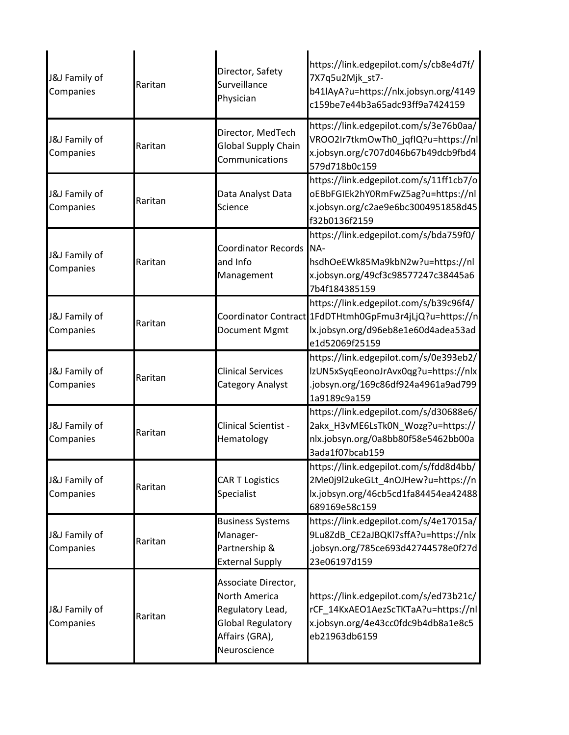| J&J Family of<br>Companies | Raritan | Director, Safety<br>Surveillance<br>Physician                                                                                 | https://link.edgepilot.com/s/cb8e4d7f/<br>7X7q5u2Mjk_st7-<br>b41lAyA?u=https://nlx.jobsyn.org/4149<br>c159be7e44b3a65adc93ff9a7424159                      |
|----------------------------|---------|-------------------------------------------------------------------------------------------------------------------------------|------------------------------------------------------------------------------------------------------------------------------------------------------------|
| J&J Family of<br>Companies | Raritan | Director, MedTech<br><b>Global Supply Chain</b><br>Communications                                                             | https://link.edgepilot.com/s/3e76b0aa/<br>VROO2Ir7tkmOwTh0_jqflQ?u=https://nl<br>x.jobsyn.org/c707d046b67b49dcb9fbd4<br>579d718b0c159                      |
| J&J Family of<br>Companies | Raritan | Data Analyst Data<br>Science                                                                                                  | https://link.edgepilot.com/s/11ff1cb7/o<br>oEBbFGIEk2hY0RmFwZ5ag?u=https://nl<br>x.jobsyn.org/c2ae9e6bc3004951858d45<br>f32b0136f2159                      |
| J&J Family of<br>Companies | Raritan | Coordinator Records NA-<br>and Info<br>Management                                                                             | https://link.edgepilot.com/s/bda759f0/<br>hsdhOeEWk85Ma9kbN2w?u=https://nl<br>x.jobsyn.org/49cf3c98577247c38445a6<br>7b4f184385159                         |
| J&J Family of<br>Companies | Raritan | Document Mgmt                                                                                                                 | https://link.edgepilot.com/s/b39c96f4/<br>Coordinator Contract 1FdDTHtmh0GpFmu3r4jLjQ?u=https://n<br>lx.jobsyn.org/d96eb8e1e60d4adea53ad<br>e1d52069f25159 |
| J&J Family of<br>Companies | Raritan | <b>Clinical Services</b><br><b>Category Analyst</b>                                                                           | https://link.edgepilot.com/s/0e393eb2/<br>lzUN5xSyqEeonoJrAvx0qg?u=https://nlx<br>jobsyn.org/169c86df924a4961a9ad799<br>1a9189c9a159                       |
| J&J Family of<br>Companies | Raritan | Clinical Scientist -<br>Hematology                                                                                            | https://link.edgepilot.com/s/d30688e6/<br>2akx_H3vME6LsTk0N_Wozg?u=https://<br>nlx.jobsyn.org/0a8bb80f58e5462bb00a<br>3ada1f07bcab159                      |
| J&J Family of<br>Companies | Raritan | <b>CAR T Logistics</b><br>Specialist                                                                                          | https://link.edgepilot.com/s/fdd8d4bb/<br>2Me0j9l2ukeGLt 4nOJHew?u=https://n<br>lx.jobsyn.org/46cb5cd1fa84454ea42488<br>689169e58c159                      |
| J&J Family of<br>Companies | Raritan | <b>Business Systems</b><br>Manager-<br>Partnership &<br><b>External Supply</b>                                                | https://link.edgepilot.com/s/4e17015a/<br>9Lu8ZdB CE2aJBQKl7sffA?u=https://nlx<br>.jobsyn.org/785ce693d42744578e0f27d<br>23e06197d159                      |
| J&J Family of<br>Companies | Raritan | Associate Director,<br><b>North America</b><br>Regulatory Lead,<br><b>Global Regulatory</b><br>Affairs (GRA),<br>Neuroscience | https://link.edgepilot.com/s/ed73b21c/<br>rCF 14KxAEO1AezScTKTaA?u=https://nl<br>x.jobsyn.org/4e43cc0fdc9b4db8a1e8c5<br>eb21963db6159                      |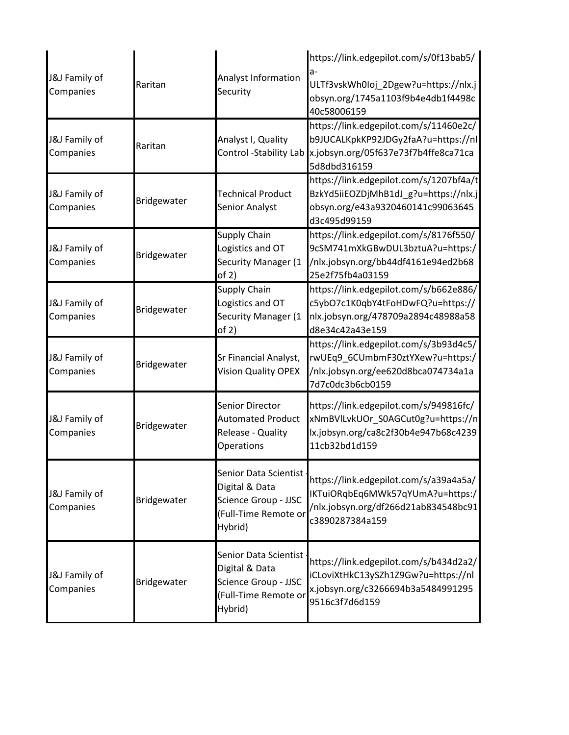| J&J Family of<br>Companies | Raritan     | Analyst Information<br>Security                                                                      | https://link.edgepilot.com/s/0f13bab5/<br>ULTf3vskWh0Ioj_2Dgew?u=https://nlx.j<br>obsyn.org/1745a1103f9b4e4db1f4498c<br>40c58006159   |
|----------------------------|-------------|------------------------------------------------------------------------------------------------------|---------------------------------------------------------------------------------------------------------------------------------------|
| J&J Family of<br>Companies | Raritan     | Analyst I, Quality<br>Control -Stability Lab                                                         | https://link.edgepilot.com/s/11460e2c/<br>b9JUCALKpkKP92JDGy2faA?u=https://nl<br>x.jobsyn.org/05f637e73f7b4ffe8ca71ca<br>5d8dbd316159 |
| J&J Family of<br>Companies | Bridgewater | <b>Technical Product</b><br>Senior Analyst                                                           | https://link.edgepilot.com/s/1207bf4a/t<br>BzkYd5iiEOZDjMhB1dJ_g?u=https://nlx.j<br>obsyn.org/e43a9320460141c99063645<br>d3c495d99159 |
| J&J Family of<br>Companies | Bridgewater | Supply Chain<br>Logistics and OT<br>Security Manager (1<br>of 2)                                     | https://link.edgepilot.com/s/8176f550/<br>9cSM741mXkGBwDUL3bztuA?u=https:/<br>/nlx.jobsyn.org/bb44df4161e94ed2b68<br>25e2f75fb4a03159 |
| J&J Family of<br>Companies | Bridgewater | Supply Chain<br>Logistics and OT<br>Security Manager (1<br>of 2)                                     | https://link.edgepilot.com/s/b662e886/<br>c5ybO7c1K0qbY4tFoHDwFQ?u=https://<br>nlx.jobsyn.org/478709a2894c48988a58<br>d8e34c42a43e159 |
| J&J Family of<br>Companies | Bridgewater | Sr Financial Analyst,<br><b>Vision Quality OPEX</b>                                                  | https://link.edgepilot.com/s/3b93d4c5/<br>rwUEq9_6CUmbmF30ztYXew?u=https:/<br>/nlx.jobsyn.org/ee620d8bca074734a1a<br>7d7c0dc3b6cb0159 |
| J&J Family of<br>Companies | Bridgewater | Senior Director<br><b>Automated Product</b><br>Release - Quality<br><b>Operations</b>                | https://link.edgepilot.com/s/949816fc/<br>xNmBVILvkUOr_S0AGCut0g?u=https://n<br>lx.jobsyn.org/ca8c2f30b4e947b68c4239<br>11cb32bd1d159 |
| J&J Family of<br>Companies | Bridgewater | Senior Data Scientist -<br>Digital & Data<br>Science Group - JJSC<br>(Full-Time Remote or<br>Hybrid) | https://link.edgepilot.com/s/a39a4a5a/<br>IKTuiORqbEq6MWk57qYUmA?u=https:/<br>/nlx.jobsyn.org/df266d21ab834548bc91<br>c3890287384a159 |
| J&J Family of<br>Companies | Bridgewater | Senior Data Scientist<br>Digital & Data<br>Science Group - JJSC<br>(Full-Time Remote or<br>Hybrid)   | https://link.edgepilot.com/s/b434d2a2/<br>iCLoviXtHkC13ySZh1Z9Gw?u=https://nl<br>x.jobsyn.org/c3266694b3a5484991295<br>9516c3f7d6d159 |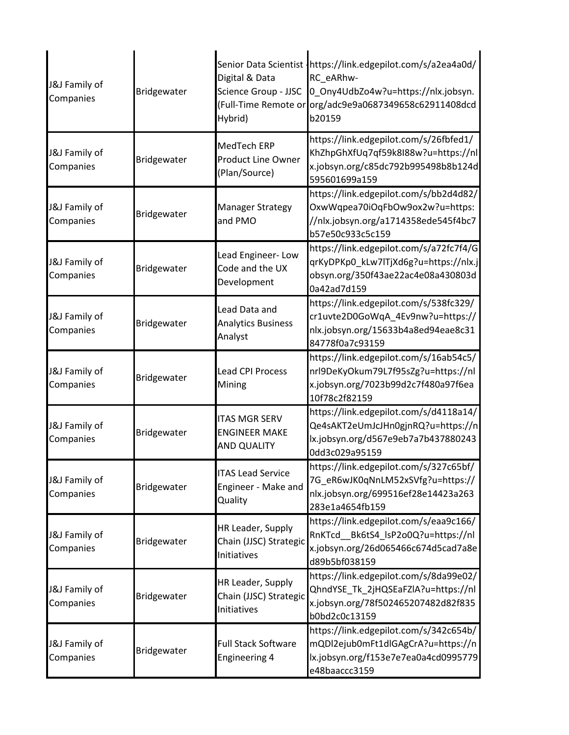| J&J Family of<br>Companies | Bridgewater | Digital & Data<br>Science Group - JJSC<br>Hybrid)                  | Senior Data Scientist Inttps://link.edgepilot.com/s/a2ea4a0d/<br>RC eARhw-<br>0_Ony4UdbZo4w?u=https://nlx.jobsyn.<br>(Full-Time Remote or org/adc9e9a0687349658c62911408dcd<br>b20159 |
|----------------------------|-------------|--------------------------------------------------------------------|---------------------------------------------------------------------------------------------------------------------------------------------------------------------------------------|
| J&J Family of<br>Companies | Bridgewater | MedTech ERP<br><b>Product Line Owner</b><br>(Plan/Source)          | https://link.edgepilot.com/s/26fbfed1/<br>KhZhpGhXfUq7qf59k8I88w?u=https://nl<br>x.jobsyn.org/c85dc792b995498b8b124d<br>595601699a159                                                 |
| J&J Family of<br>Companies | Bridgewater | <b>Manager Strategy</b><br>and PMO                                 | https://link.edgepilot.com/s/bb2d4d82/<br>OxwWqpea70iOqFbOw9ox2w?u=https:<br>//nlx.jobsyn.org/a1714358ede545f4bc7<br>b57e50c933c5c159                                                 |
| J&J Family of<br>Companies | Bridgewater | Lead Engineer-Low<br>Code and the UX<br>Development                | https://link.edgepilot.com/s/a72fc7f4/G<br>qrKyDPKp0 kLw7lTjXd6g?u=https://nlx.j<br>obsyn.org/350f43ae22ac4e08a430803d<br>0a42ad7d159                                                 |
| J&J Family of<br>Companies | Bridgewater | Lead Data and<br><b>Analytics Business</b><br>Analyst              | https://link.edgepilot.com/s/538fc329/<br>cr1uvte2D0GoWqA_4Ev9nw?u=https://<br>nlx.jobsyn.org/15633b4a8ed94eae8c31<br>84778f0a7c93159                                                 |
| J&J Family of<br>Companies | Bridgewater | <b>Lead CPI Process</b><br>Mining                                  | https://link.edgepilot.com/s/16ab54c5/<br>nrl9DeKyOkum79L7f95sZg?u=https://nl<br>x.jobsyn.org/7023b99d2c7f480a97f6ea<br>10f78c2f82159                                                 |
| J&J Family of<br>Companies | Bridgewater | <b>ITAS MGR SERV</b><br><b>ENGINEER MAKE</b><br><b>AND QUALITY</b> | https://link.edgepilot.com/s/d4118a14/<br>Qe4sAKT2eUmJcJHn0gjnRQ?u=https://n<br>lx.jobsyn.org/d567e9eb7a7b437880243<br>0dd3c029a95159                                                 |
| J&J Family of<br>Companies | Bridgewater | <b>ITAS Lead Service</b><br>Engineer - Make and<br>Quality         | https://link.edgepilot.com/s/327c65bf/<br>7G_eR6wJK0qNnLM52xSVfg?u=https://<br>nlx.jobsyn.org/699516ef28e14423a263<br>283e1a4654fb159                                                 |
| J&J Family of<br>Companies | Bridgewater | HR Leader, Supply<br>Chain (JJSC) Strategic<br>Initiatives         | https://link.edgepilot.com/s/eaa9c166/<br>RnKTcd Bk6tS4_lsP2o0Q?u=https://nl<br>x.jobsyn.org/26d065466c674d5cad7a8e<br>d89b5bf038159                                                  |
| J&J Family of<br>Companies | Bridgewater | HR Leader, Supply<br>Chain (JJSC) Strategic<br>Initiatives         | https://link.edgepilot.com/s/8da99e02/<br>QhndYSE Tk 2jHQSEaFZlA?u=https://nl<br>x.jobsyn.org/78f502465207482d82f835<br>b0bd2c0c13159                                                 |
| J&J Family of<br>Companies | Bridgewater | <b>Full Stack Software</b><br><b>Engineering 4</b>                 | https://link.edgepilot.com/s/342c654b/<br>mQDl2ejub0mFt1dlGAgCrA?u=https://n<br>lx.jobsyn.org/f153e7e7ea0a4cd0995779<br>e48baaccc3159                                                 |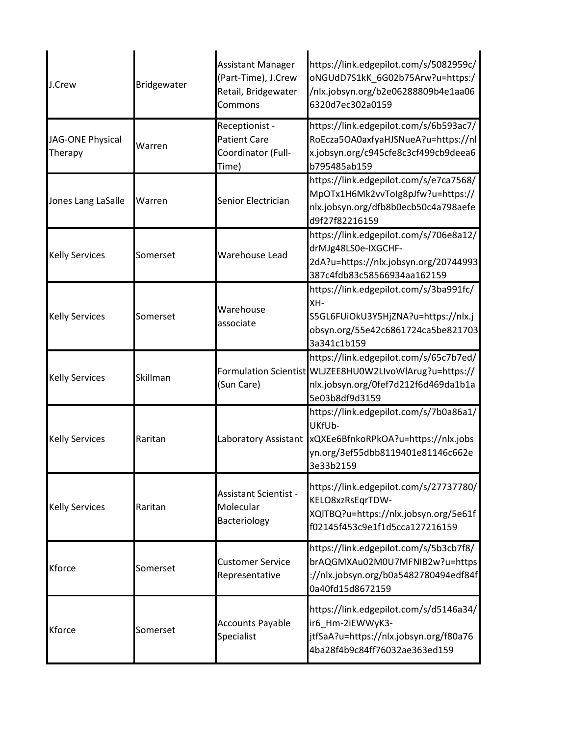| J.Crew                      | Bridgewater | <b>Assistant Manager</b><br>(Part-Time), J.Crew<br>Retail, Bridgewater<br>Commons | https://link.edgepilot.com/s/5082959c/<br>oNGUdD7S1kK_6G02b75Arw?u=https:/<br>/nlx.jobsyn.org/b2e06288809b4e1aa06<br>6320d7ec302a0159                       |
|-----------------------------|-------------|-----------------------------------------------------------------------------------|-------------------------------------------------------------------------------------------------------------------------------------------------------------|
| JAG-ONE Physical<br>Therapy | Warren      | Receptionist -<br><b>Patient Care</b><br>Coordinator (Full-<br>Time)              | https://link.edgepilot.com/s/6b593ac7/<br>RoEcza5OA0axfyaHJSNueA?u=https://nl<br>x.jobsyn.org/c945cfe8c3cf499cb9deea6<br>b795485ab159                       |
| Jones Lang LaSalle          | Warren      | Senior Electrician                                                                | https://link.edgepilot.com/s/e7ca7568/<br>MpOTx1H6Mk2vvToIg8pJfw?u=https://<br>nlx.jobsyn.org/dfb8b0ecb50c4a798aefe<br>d9f27f82216159                       |
| <b>Kelly Services</b>       | Somerset    | Warehouse Lead                                                                    | https://link.edgepilot.com/s/706e8a12/<br>drMJg48LS0e-IXGCHF-<br>2dA?u=https://nlx.jobsyn.org/20744993<br>387c4fdb83c58566934aa162159                       |
| <b>Kelly Services</b>       | Somerset    | Warehouse<br>associate                                                            | https://link.edgepilot.com/s/3ba991fc/<br>XH-<br>S5GL6FUiOkU3Y5HjZNA?u=https://nlx.j<br>obsyn.org/55e42c6861724ca5be821703<br>3a341c1b159                   |
| <b>Kelly Services</b>       | Skillman    | (Sun Care)                                                                        | https://link.edgepilot.com/s/65c7b7ed/<br>Formulation Scientist WLJZEE8HU0W2LIvoWlArug?u=https://<br>nlx.jobsyn.org/0fef7d212f6d469da1b1a<br>5e03b8df9d3159 |
| <b>Kelly Services</b>       | Raritan     | Laboratory Assistant                                                              | https://link.edgepilot.com/s/7b0a86a1/<br>UKfUb-<br>xQXEe6BfnkoRPkOA?u=https://nlx.jobs<br>yn.org/3ef55dbb8119401e81146c662e<br>3e33b2159                   |
| <b>Kelly Services</b>       | Raritan     | <b>Assistant Scientist -</b><br>Molecular<br>Bacteriology                         | https://link.edgepilot.com/s/27737780/<br>KELO8xzRsEqrTDW-<br>XQITBQ?u=https://nlx.jobsyn.org/5e61f<br>f02145f453c9e1f1d5cca127216159                       |
| Kforce                      | Somerset    | <b>Customer Service</b><br>Representative                                         | https://link.edgepilot.com/s/5b3cb7f8/<br>brAQGMXAu02M0U7MFNIB2w?u=https<br>://nlx.jobsyn.org/b0a5482780494edf84f<br>0a40fd15d8672159                       |
| Kforce                      | Somerset    | Accounts Payable<br>Specialist                                                    | https://link.edgepilot.com/s/d5146a34/<br>ir6_Hm-2iEWWyK3-<br>jtfSaA?u=https://nlx.jobsyn.org/f80a76<br>4ba28f4b9c84ff76032ae363ed159                       |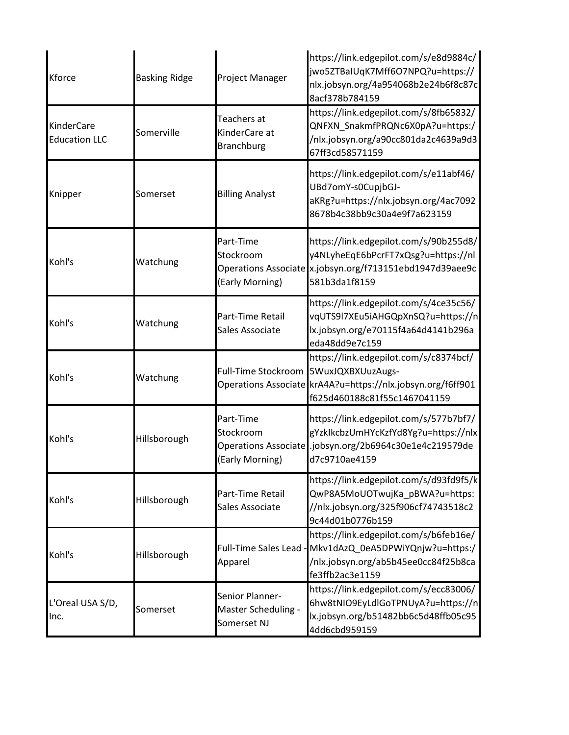| Kforce                             | <b>Basking Ridge</b> | Project Manager                                                   | https://link.edgepilot.com/s/e8d9884c/<br>jwo5ZTBaIUqK7Mff6O7NPQ?u=https://<br>nlx.jobsyn.org/4a954068b2e24b6f8c87c<br>8acf378b784159                      |
|------------------------------------|----------------------|-------------------------------------------------------------------|------------------------------------------------------------------------------------------------------------------------------------------------------------|
| KinderCare<br><b>Education LLC</b> | Somerville           | Teachers at<br>KinderCare at<br><b>Branchburg</b>                 | https://link.edgepilot.com/s/8fb65832/<br>QNFXN_SnakmfPRQNc6X0pA?u=https:/<br>/nlx.jobsyn.org/a90cc801da2c4639a9d3<br>67ff3cd58571159                      |
| Knipper                            | Somerset             | <b>Billing Analyst</b>                                            | https://link.edgepilot.com/s/e11abf46/<br>UBd7omY-s0CupjbGJ-<br>aKRg?u=https://nlx.jobsyn.org/4ac7092<br>8678b4c38bb9c30a4e9f7a623159                      |
| Kohl's                             | Watchung             | Part-Time<br>Stockroom<br>(Early Morning)                         | https://link.edgepilot.com/s/90b255d8/<br>y4NLyheEqE6bPcrFT7xQsg?u=https://nl<br>Operations Associate x.jobsyn.org/f713151ebd1947d39aee9c<br>581b3da1f8159 |
| Kohl's                             | Watchung             | Part-Time Retail<br>Sales Associate                               | https://link.edgepilot.com/s/4ce35c56/<br>vqUTS9l7XEu5iAHGQpXnSQ?u=https://n<br>lx.jobsyn.org/e70115f4a64d4141b296a<br>eda48dd9e7c159                      |
| Kohl's                             | Watchung             | Full-Time Stockroom                                               | https://link.edgepilot.com/s/c8374bcf/<br>5WuxJQXBXUuzAugs-<br>Operations Associate krA4A?u=https://nlx.jobsyn.org/f6ff901<br>f625d460188c81f55c1467041159 |
| Kohl's                             | Hillsborough         | Part-Time<br>Stockroom<br>Operations Associate<br>(Early Morning) | https://link.edgepilot.com/s/577b7bf7/<br>gYzklkcbzUmHYcKzfYd8Yg?u=https://nlx<br>.jobsyn.org/2b6964c30e1e4c219579de<br>d7c9710ae4159                      |
| Kohl's                             | Hillsborough         | Part-Time Retail<br>Sales Associate                               | https://link.edgepilot.com/s/d93fd9f5/k<br>QwP8A5MoUOTwujKa pBWA?u=https:<br>//nlx.jobsyn.org/325f906cf74743518c2<br>9c44d01b0776b159                      |
| Kohl's                             | Hillsborough         | Full-Time Sales Lead -<br>Apparel                                 | https://link.edgepilot.com/s/b6feb16e/<br>Mkv1dAzQ_0eA5DPWiYQnjw?u=https:/<br>/nlx.jobsyn.org/ab5b45ee0cc84f25b8ca<br>fe3ffb2ac3e1159                      |
| L'Oreal USA S/D,<br>Inc.           | Somerset             | Senior Planner-<br>Master Scheduling -<br>Somerset NJ             | https://link.edgepilot.com/s/ecc83006/<br>6hw8tNIO9EyLdIGoTPNUyA?u=https://n<br>lx.jobsyn.org/b51482bb6c5d48ffb05c95<br>4dd6cbd959159                      |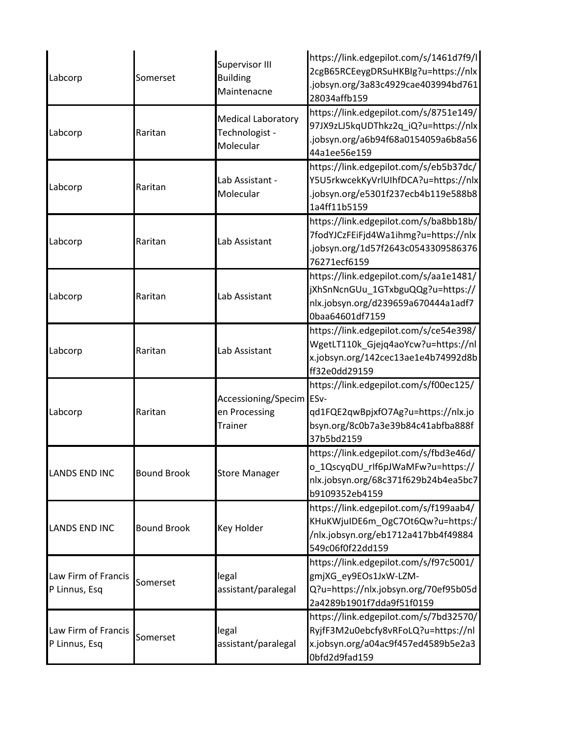| Labcorp                              | Somerset           | Supervisor III<br><b>Building</b><br>Maintenacne            | https://link.edgepilot.com/s/1461d7f9/l<br>2cgB65RCEeygDRSuHKBIg?u=https://nlx<br>jobsyn.org/3a83c4929cae403994bd761<br>28034affb159  |
|--------------------------------------|--------------------|-------------------------------------------------------------|---------------------------------------------------------------------------------------------------------------------------------------|
| Labcorp                              | Raritan            | <b>Medical Laboratory</b><br>Technologist -<br>Molecular    | https://link.edgepilot.com/s/8751e149/<br>97JX9zLJ5kqUDThkz2q_iQ?u=https://nlx<br>jobsyn.org/a6b94f68a0154059a6b8a56<br>44a1ee56e159  |
| Labcorp                              | Raritan            | Lab Assistant -<br>Molecular                                | https://link.edgepilot.com/s/eb5b37dc/<br>Y5U5rkwcekKyVrlUIhfDCA?u=https://nlx<br>jobsyn.org/e5301f237ecb4b119e588b8<br>1a4ff11b5159  |
| Labcorp                              | Raritan            | Lab Assistant                                               | https://link.edgepilot.com/s/ba8bb18b/<br>7fodYJCzFEiFjd4Wa1ihmg?u=https://nlx<br>jobsyn.org/1d57f2643c0543309586376<br>76271ecf6159  |
| Labcorp                              | Raritan            | Lab Assistant                                               | https://link.edgepilot.com/s/aa1e1481/<br>jXhSnNcnGUu_1GTxbguQQg?u=https://<br>nlx.jobsyn.org/d239659a670444a1adf7<br>0baa64601df7159 |
| Labcorp                              | Raritan            | Lab Assistant                                               | https://link.edgepilot.com/s/ce54e398/<br>WgetLT110k_Gjejq4aoYcw?u=https://nl<br>x.jobsyn.org/142cec13ae1e4b74992d8b<br>ff32e0dd29159 |
| Labcorp                              | Raritan            | Accessioning/Specim ESv-<br>en Processing<br><b>Trainer</b> | https://link.edgepilot.com/s/f00ec125/<br>qd1FQE2qwBpjxfO7Ag?u=https://nlx.jo<br>bsyn.org/8c0b7a3e39b84c41abfba888f<br>37b5bd2159     |
| <b>LANDS END INC</b>                 | <b>Bound Brook</b> | <b>Store Manager</b>                                        | https://link.edgepilot.com/s/fbd3e46d/<br>o_1QscyqDU_rlf6pJWaMFw?u=https://<br>nlx.jobsyn.org/68c371f629b24b4ea5bc7<br>b9109352eb4159 |
| <b>LANDS END INC</b>                 | <b>Bound Brook</b> | Key Holder                                                  | https://link.edgepilot.com/s/f199aab4/<br>KHuKWjuIDE6m OgC7Ot6Qw?u=https:/<br>/nlx.jobsyn.org/eb1712a417bb4f49884<br>549c06f0f22dd159 |
| Law Firm of Francis<br>P Linnus, Esq | Somerset           | legal<br>assistant/paralegal                                | https://link.edgepilot.com/s/f97c5001/<br>gmjXG_ey9EOs1JxW-LZM-<br>Q?u=https://nlx.jobsyn.org/70ef95b05d<br>2a4289b1901f7dda9f51f0159 |
| Law Firm of Francis<br>P Linnus, Esq | Somerset           | legal<br>assistant/paralegal                                | https://link.edgepilot.com/s/7bd32570/<br>RyjfF3M2u0ebcfy8vRFoLQ?u=https://nl<br>x.jobsyn.org/a04ac9f457ed4589b5e2a3<br>Obfd2d9fad159 |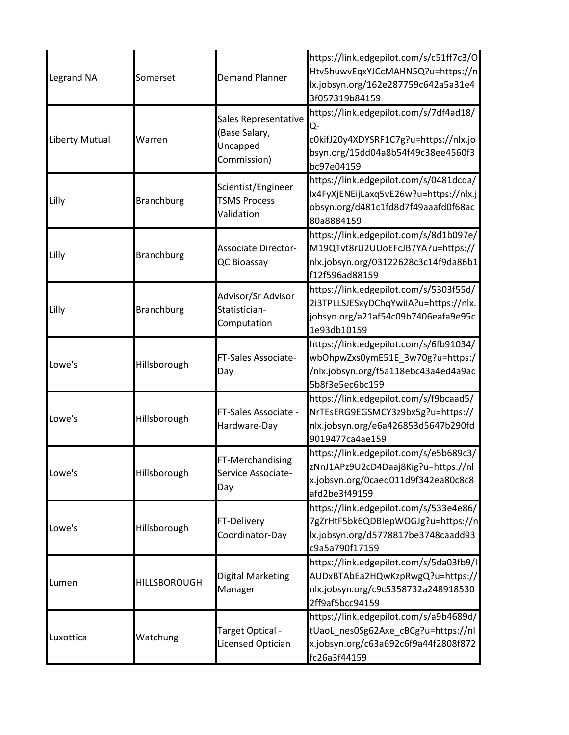| <b>Legrand NA</b> | Somerset            | <b>Demand Planner</b>                                            | https://link.edgepilot.com/s/c51ff7c3/O<br>Htv5huwvEqxYJCcMAHN5Q?u=https://n<br>lx.jobsyn.org/162e287759c642a5a31e4<br>3f057319b84159     |
|-------------------|---------------------|------------------------------------------------------------------|-------------------------------------------------------------------------------------------------------------------------------------------|
| Liberty Mutual    | Warren              | Sales Representative<br>(Base Salary,<br>Uncapped<br>Commission) | https://link.edgepilot.com/s/7df4ad18/<br>Q-<br>c0kifJ20y4XDYSRF1C7g?u=https://nlx.jo<br>bsyn.org/15dd04a8b54f49c38ee4560f3<br>bc97e04159 |
| Lilly             | <b>Branchburg</b>   | Scientist/Engineer<br><b>TSMS Process</b><br>Validation          | https://link.edgepilot.com/s/0481dcda/<br>Ix4FyXjENEijLaxq5vE26w?u=https://nlx.j<br>obsyn.org/d481c1fd8d7f49aaafd0f68ac<br>80a8884159     |
| Lilly             | <b>Branchburg</b>   | <b>Associate Director-</b><br>QC Bioassay                        | https://link.edgepilot.com/s/8d1b097e/<br>M19QTvt8rU2UUoEFcJB7YA?u=https://<br>nlx.jobsyn.org/03122628c3c14f9da86b1<br>f12f596ad88159     |
| Lilly             | <b>Branchburg</b>   | Advisor/Sr Advisor<br>Statistician-<br>Computation               | https://link.edgepilot.com/s/5303f55d/<br>2i3TPLLSJESxyDChqYwiIA?u=https://nlx.<br>jobsyn.org/a21af54c09b7406eafa9e95c<br>1e93db10159     |
| Lowe's            | Hillsborough        | FT-Sales Associate-<br>Day                                       | https://link.edgepilot.com/s/6fb91034/<br>wbOhpwZxs0ymE51E_3w70g?u=https:/<br>/nlx.jobsyn.org/f5a118ebc43a4ed4a9ac<br>5b8f3e5ec6bc159     |
| Lowe's            | Hillsborough        | FT-Sales Associate -<br>Hardware-Day                             | https://link.edgepilot.com/s/f9bcaad5/<br>NrTEsERG9EGSMCY3z9bx5g?u=https://<br>nlx.jobsyn.org/e6a426853d5647b290fd<br>9019477ca4ae159     |
| Lowe's            | Hillsborough        | FT-Merchandising<br>Service Associate-<br>Day                    | https://link.edgepilot.com/s/e5b689c3/<br>zNnJ1APz9U2cD4Daaj8Kig?u=https://nl<br>x.jobsyn.org/0caed011d9f342ea80c8c8<br>afd2be3f49159     |
| Lowe's            | Hillsborough        | FT-Delivery<br>Coordinator-Day                                   | https://link.edgepilot.com/s/533e4e86/<br>7gZrHtF5bk6QDBIepWOGJg?u=https://n<br>lx.jobsyn.org/d5778817be3748caadd93<br>c9a5a790f17159     |
| Lumen             | <b>HILLSBOROUGH</b> | <b>Digital Marketing</b><br>Manager                              | https://link.edgepilot.com/s/5da03fb9/l<br>AUDxBTAbEa2HQwKzpRwgQ?u=https://<br>nlx.jobsyn.org/c9c5358732a248918530<br>2ff9af5bcc94159     |
| Luxottica         | Watchung            | Target Optical -<br>Licensed Optician                            | https://link.edgepilot.com/s/a9b4689d/<br>tUaoL_nes0Sg62Axe_cBCg?u=https://nl<br>x.jobsyn.org/c63a692c6f9a44f2808f872<br>fc26a3f44159     |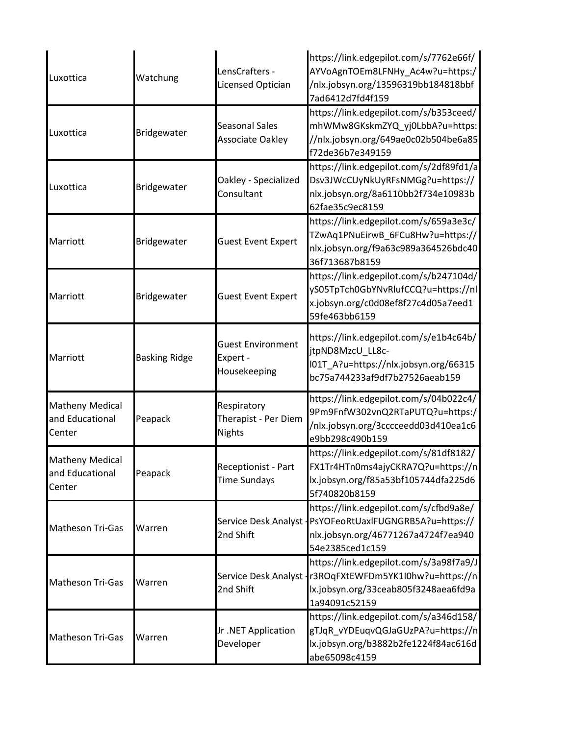| Luxottica                                           | Watchung             | LensCrafters -<br><b>Licensed Optician</b>           | https://link.edgepilot.com/s/7762e66f/<br>AYVoAgnTOEm8LFNHy_Ac4w?u=https:/<br>/nlx.jobsyn.org/13596319bb184818bbf<br>7ad6412d7fd4f159                        |
|-----------------------------------------------------|----------------------|------------------------------------------------------|--------------------------------------------------------------------------------------------------------------------------------------------------------------|
| Luxottica                                           | Bridgewater          | Seasonal Sales<br>Associate Oakley                   | https://link.edgepilot.com/s/b353ceed/<br>mhWMw8GKskmZYQ_yj0LbbA?u=https:<br>//nlx.jobsyn.org/649ae0c02b504be6a85<br>f72de36b7e349159                        |
| Luxottica                                           | Bridgewater          | Oakley - Specialized<br>Consultant                   | https://link.edgepilot.com/s/2df89fd1/a<br>Dsv3JWcCUyNkUyRFsNMGg?u=https://<br>nlx.jobsyn.org/8a6110bb2f734e10983b<br>62fae35c9ec8159                        |
| Marriott                                            | Bridgewater          | <b>Guest Event Expert</b>                            | https://link.edgepilot.com/s/659a3e3c/<br>TZwAq1PNuEirwB_6FCu8Hw?u=https://<br>nlx.jobsyn.org/f9a63c989a364526bdc40<br>36f713687b8159                        |
| Marriott                                            | Bridgewater          | <b>Guest Event Expert</b>                            | https://link.edgepilot.com/s/b247104d/<br>yS05TpTch0GbYNvRlufCCQ?u=https://nl<br>x.jobsyn.org/c0d08ef8f27c4d05a7eed1<br>59fe463bb6159                        |
| Marriott                                            | <b>Basking Ridge</b> | <b>Guest Environment</b><br>Expert -<br>Housekeeping | https://link.edgepilot.com/s/e1b4c64b/<br>jtpND8MzcU_LL8c-<br>l01T_A?u=https://nlx.jobsyn.org/66315<br>bc75a744233af9df7b27526aeab159                        |
| <b>Matheny Medical</b><br>and Educational<br>Center | Peapack              | Respiratory<br>Therapist - Per Diem<br><b>Nights</b> | https://link.edgepilot.com/s/04b022c4/<br>9Pm9FnfW302vnQ2RTaPUTQ?u=https:/<br>/nlx.jobsyn.org/3cccceedd03d410ea1c6<br>e9bb298c490b159                        |
| <b>Matheny Medical</b><br>and Educational<br>Center | Peapack              | <b>Receptionist - Part</b><br><b>Time Sundays</b>    | https://link.edgepilot.com/s/81df8182/<br>FX1Tr4HTn0ms4ajyCKRA7Q?u=https://n<br>lx.jobsyn.org/f85a53bf105744dfa225d6<br>5f740820b8159                        |
| Matheson Tri-Gas                                    | Warren               | Service Desk Analyst -<br>2nd Shift                  | https://link.edgepilot.com/s/cfbd9a8e/<br>PsYOFeoRtUaxlFUGNGRB5A?u=https://<br>nlx.jobsyn.org/46771267a4724f7ea940<br>54e2385ced1c159                        |
| Matheson Tri-Gas                                    | Warren               | 2nd Shift                                            | https://link.edgepilot.com/s/3a98f7a9/J<br>Service Desk Analyst - r3ROqFXtEWFDm5YK1I0hw?u=https://n<br>lx.jobsyn.org/33ceab805f3248aea6fd9a<br>1a94091c52159 |
| Matheson Tri-Gas                                    | Warren               | Jr.NET Application<br>Developer                      | https://link.edgepilot.com/s/a346d158/<br>gTJqR_vYDEuqvQGJaGUzPA?u=https://n<br>lx.jobsyn.org/b3882b2fe1224f84ac616d<br>abe65098c4159                        |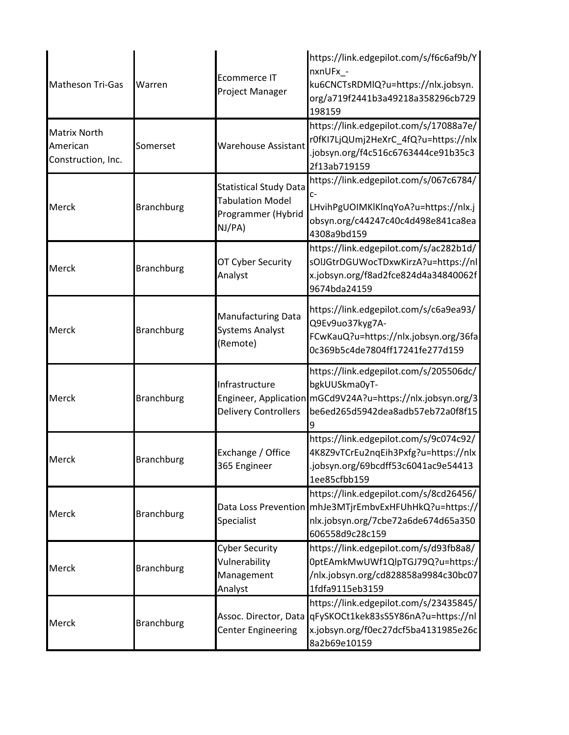| Matheson Tri-Gas                                      | Warren            | <b>Ecommerce IT</b><br>Project Manager                                                   | https://link.edgepilot.com/s/f6c6af9b/Y<br>nxnUFx_-<br>ku6CNCTsRDMIQ?u=https://nlx.jobsyn.<br>org/a719f2441b3a49218a358296cb729<br>198159                  |
|-------------------------------------------------------|-------------------|------------------------------------------------------------------------------------------|------------------------------------------------------------------------------------------------------------------------------------------------------------|
| <b>Matrix North</b><br>American<br>Construction, Inc. | Somerset          | Warehouse Assistant                                                                      | https://link.edgepilot.com/s/17088a7e/<br>r0fKI7LjQUmj2HeXrC_4fQ?u=https://nlx<br>.jobsyn.org/f4c516c6763444ce91b35c3<br>2f13ab719159                      |
| Merck                                                 | <b>Branchburg</b> | <b>Statistical Study Data</b><br><b>Tabulation Model</b><br>Programmer (Hybrid<br>NJ/PA) | https://link.edgepilot.com/s/067c6784/<br>c-<br>LHvihPgUOIMKlKlnqYoA?u=https://nlx.j<br>obsyn.org/c44247c40c4d498e841ca8ea<br>4308a9bd159                  |
| Merck                                                 | <b>Branchburg</b> | OT Cyber Security<br>Analyst                                                             | https://link.edgepilot.com/s/ac282b1d/<br>sOlJGtrDGUWocTDxwKirzA?u=https://nl<br>x.jobsyn.org/f8ad2fce824d4a34840062f<br>9674bda24159                      |
| Merck                                                 | <b>Branchburg</b> | Manufacturing Data<br><b>Systems Analyst</b><br>(Remote)                                 | https://link.edgepilot.com/s/c6a9ea93/<br>Q9Ev9uo37kyg7A-<br>FCwKauQ?u=https://nlx.jobsyn.org/36fa<br>0c369b5c4de7804ff17241fe277d159                      |
| Merck                                                 | <b>Branchburg</b> | Infrastructure<br>Engineer, Application<br><b>Delivery Controllers</b>                   | https://link.edgepilot.com/s/205506dc/<br>bgkUUSkma0yT-<br>mGCd9V24A?u=https://nlx.jobsyn.org/3<br>be6ed265d5942dea8adb57eb72a0f8f15                       |
| Merck                                                 | <b>Branchburg</b> | Exchange / Office<br>365 Engineer                                                        | https://link.edgepilot.com/s/9c074c92/<br>4K8Z9vTCrEu2nqEih3Pxfg?u=https://nlx<br>.jobsyn.org/69bcdff53c6041ac9e54413<br>1ee85cfbb159                      |
| Merck                                                 | <b>Branchburg</b> | Specialist                                                                               | https://link.edgepilot.com/s/8cd26456/<br>Data Loss Prevention mhJe3MTjrEmbvExHFUhHkQ?u=https://<br>nlx.jobsyn.org/7cbe72a6de674d65a350<br>606558d9c28c159 |
| Merck                                                 | <b>Branchburg</b> | <b>Cyber Security</b><br>Vulnerability<br>Management<br>Analyst                          | https://link.edgepilot.com/s/d93fb8a8/<br>OptEAmkMwUWf1QlpTGJ79Q?u=https:/<br>/nlx.jobsyn.org/cd828858a9984c30bc07<br>1fdfa9115eb3159                      |
| Merck                                                 | <b>Branchburg</b> | Assoc. Director, Data<br><b>Center Engineering</b>                                       | https://link.edgepilot.com/s/23435845/<br>qFySKOCt1kek83sS5Y86nA?u=https://nl<br>x.jobsyn.org/f0ec27dcf5ba4131985e26c<br>8a2b69e10159                      |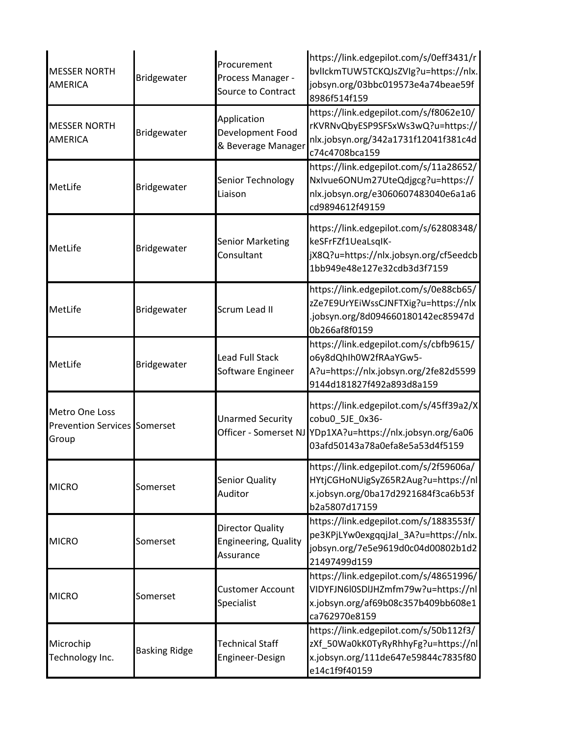| <b>MESSER NORTH</b><br>AMERICA                                 | Bridgewater          | Procurement<br>Process Manager -<br>Source to Contract              | https://link.edgepilot.com/s/0eff3431/r<br>bvlickmTUW5TCKQJsZVIg?u=https://nlx.<br>jobsyn.org/03bbc019573e4a74beae59f<br>8986f514f159 |
|----------------------------------------------------------------|----------------------|---------------------------------------------------------------------|---------------------------------------------------------------------------------------------------------------------------------------|
| <b>MESSER NORTH</b><br>AMERICA                                 | Bridgewater          | Application<br>Development Food<br>& Beverage Manager               | https://link.edgepilot.com/s/f8062e10/<br>rKVRNvQbyESP9SFSxWs3wQ?u=https://<br>nlx.jobsyn.org/342a1731f12041f381c4d<br>c74c4708bca159 |
| MetLife                                                        | Bridgewater          | Senior Technology<br>Liaison                                        | https://link.edgepilot.com/s/11a28652/<br>NxIvue6ONUm27UteQdjgcg?u=https://<br>nlx.jobsyn.org/e3060607483040e6a1a6<br>cd9894612f49159 |
| MetLife                                                        | Bridgewater          | <b>Senior Marketing</b><br>Consultant                               | https://link.edgepilot.com/s/62808348/<br>keSFrFZf1UeaLsqlK-<br>jX8Q?u=https://nlx.jobsyn.org/cf5eedcb<br>1bb949e48e127e32cdb3d3f7159 |
| MetLife                                                        | Bridgewater          | Scrum Lead II                                                       | https://link.edgepilot.com/s/0e88cb65/<br>zZe7E9UrYEiWssCJNFTXig?u=https://nlx<br>.jobsyn.org/8d094660180142ec85947d<br>0b266af8f0159 |
| MetLife                                                        | Bridgewater          | <b>Lead Full Stack</b><br>Software Engineer                         | https://link.edgepilot.com/s/cbfb9615/<br>o6y8dQhIh0W2fRAaYGw5-<br>A?u=https://nlx.jobsyn.org/2fe82d5599<br>9144d181827f492a893d8a159 |
| Metro One Loss<br><b>Prevention Services Somerset</b><br>Group |                      | <b>Unarmed Security</b><br>Officer - Somerset NJ                    | https://link.edgepilot.com/s/45ff39a2/X<br>cobu0_5JE_0x36-<br>YDp1XA?u=https://nlx.jobsyn.org/6a06<br>03afd50143a78a0efa8e5a53d4f5159 |
| <b>MICRO</b>                                                   | Somerset             | <b>Senior Quality</b><br>Auditor                                    | https://link.edgepilot.com/s/2f59606a/<br>HYtjCGHoNUigSyZ65R2Aug?u=https://nl<br>x.jobsyn.org/0ba17d2921684f3ca6b53f<br>b2a5807d17159 |
| <b>MICRO</b>                                                   | Somerset             | <b>Director Quality</b><br><b>Engineering, Quality</b><br>Assurance | https://link.edgepilot.com/s/1883553f/<br>pe3KPjLYw0exgqqjJal 3A?u=https://nlx.<br>jobsyn.org/7e5e9619d0c04d00802b1d2<br>21497499d159 |
| <b>MICRO</b>                                                   | Somerset             | <b>Customer Account</b><br>Specialist                               | https://link.edgepilot.com/s/48651996/<br>VIDYFJN6l0SDlJHZmfm79w?u=https://nl<br>x.jobsyn.org/af69b08c357b409bb608e1<br>ca762970e8159 |
| Microchip<br>Technology Inc.                                   | <b>Basking Ridge</b> | <b>Technical Staff</b><br>Engineer-Design                           | https://link.edgepilot.com/s/50b112f3/<br>zXf_50Wa0kK0TyRyRhhyFg?u=https://nl<br>x.jobsyn.org/111de647e59844c7835f80<br>e14c1f9f40159 |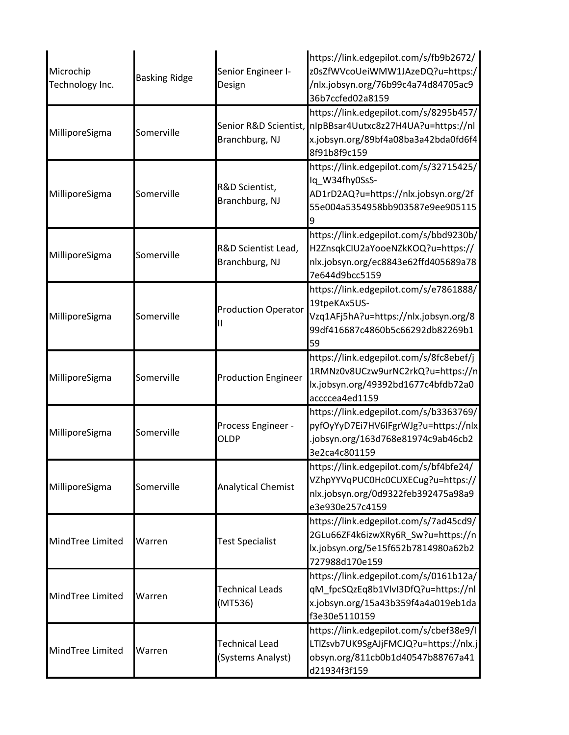| Microchip<br>Technology Inc. | <b>Basking Ridge</b> | Senior Engineer I-<br>Design               | https://link.edgepilot.com/s/fb9b2672/<br>z0sZfWVcoUeiWMW1JAzeDQ?u=https:/<br>/nlx.jobsyn.org/76b99c4a74d84705ac9<br>36b7ccfed02a8159     |
|------------------------------|----------------------|--------------------------------------------|-------------------------------------------------------------------------------------------------------------------------------------------|
| MilliporeSigma               | Somerville           | Senior R&D Scientist,<br>Branchburg, NJ    | https://link.edgepilot.com/s/8295b457/<br>nIpBBsar4Uutxc8z27H4UA?u=https://nl<br>x.jobsyn.org/89bf4a08ba3a42bda0fd6f4<br>8f91b8f9c159     |
| MilliporeSigma               | Somerville           | R&D Scientist,<br>Branchburg, NJ           | https://link.edgepilot.com/s/32715425/<br>Iq W34fhy0SsS-<br>AD1rD2AQ?u=https://nlx.jobsyn.org/2f<br>55e004a5354958bb903587e9ee905115      |
| MilliporeSigma               | Somerville           | R&D Scientist Lead,<br>Branchburg, NJ      | https://link.edgepilot.com/s/bbd9230b/<br>H2ZnsqkCIU2aYooeNZkKOQ?u=https://<br>nlx.jobsyn.org/ec8843e62ffd405689a78<br>7e644d9bcc5159     |
| MilliporeSigma               | Somerville           | <b>Production Operator</b>                 | https://link.edgepilot.com/s/e7861888/<br>19tpeKAx5US-<br>Vzq1AFj5hA?u=https://nlx.jobsyn.org/8<br>99df416687c4860b5c66292db82269b1<br>59 |
| MilliporeSigma               | Somerville           | <b>Production Engineer</b>                 | https://link.edgepilot.com/s/8fc8ebef/j<br>1RMNz0v8UCzw9urNC2rkQ?u=https://n<br>lx.jobsyn.org/49392bd1677c4bfdb72a0<br>accccea4ed1159     |
| MilliporeSigma               | Somerville           | Process Engineer -<br><b>OLDP</b>          | https://link.edgepilot.com/s/b3363769/<br>pyfOyYyD7Ei7HV6lFgrWJg?u=https://nlx<br>.jobsyn.org/163d768e81974c9ab46cb2<br>3e2ca4c801159     |
| MilliporeSigma               | Somerville           | <b>Analytical Chemist</b>                  | https://link.edgepilot.com/s/bf4bfe24/<br>VZhpYYVqPUC0Hc0CUXECug?u=https://<br>nlx.jobsyn.org/0d9322feb392475a98a9<br>e3e930e257c4159     |
| MindTree Limited             | Warren               | <b>Test Specialist</b>                     | https://link.edgepilot.com/s/7ad45cd9/<br>2GLu66ZF4k6izwXRy6R_Sw?u=https://n<br>lx.jobsyn.org/5e15f652b7814980a62b2<br>727988d170e159     |
| MindTree Limited             | Warren               | <b>Technical Leads</b><br>(MT536)          | https://link.edgepilot.com/s/0161b12a/<br>qM_fpcSQzEq8b1VlvI3DfQ?u=https://nl<br>x.jobsyn.org/15a43b359f4a4a019eb1da<br>f3e30e5110159     |
| MindTree Limited             | Warren               | <b>Technical Lead</b><br>(Systems Analyst) | https://link.edgepilot.com/s/cbef38e9/l<br>LTlZsvb7UK9SgAJjFMCJQ?u=https://nlx.j<br>obsyn.org/811cb0b1d40547b88767a41<br>d21934f3f159     |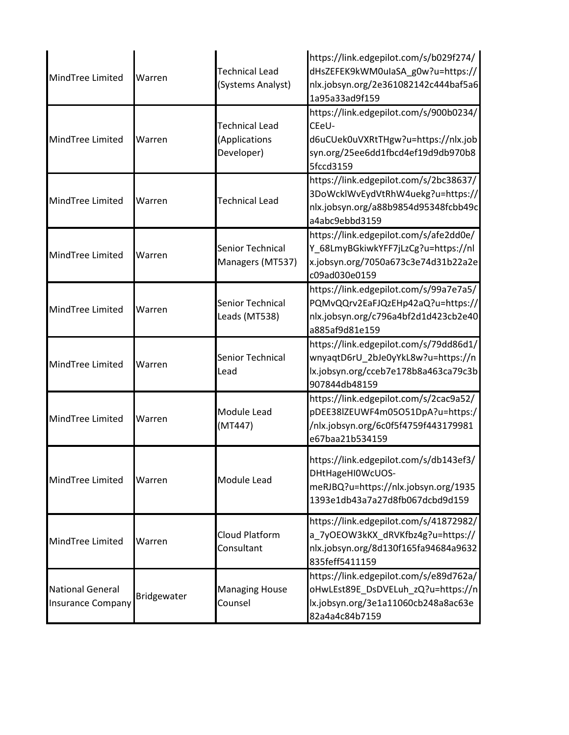| MindTree Limited                                    | Warren      | <b>Technical Lead</b><br>(Systems Analyst)           | https://link.edgepilot.com/s/b029f274/<br>dHsZEFEK9kWM0ulaSA_g0w?u=https://<br>nlx.jobsyn.org/2e361082142c444baf5a6<br>1a95a33ad9f159     |
|-----------------------------------------------------|-------------|------------------------------------------------------|-------------------------------------------------------------------------------------------------------------------------------------------|
| MindTree Limited                                    | Warren      | <b>Technical Lead</b><br>(Applications<br>Developer) | https://link.edgepilot.com/s/900b0234/<br>CEeU-<br>d6uCUek0uVXRtTHgw?u=https://nlx.job<br>syn.org/25ee6dd1fbcd4ef19d9db970b8<br>5fccd3159 |
| MindTree Limited                                    | Warren      | <b>Technical Lead</b>                                | https://link.edgepilot.com/s/2bc38637/<br>3DoWcklWvEydVtRhW4uekg?u=https://<br>nlx.jobsyn.org/a88b9854d95348fcbb49c<br>a4abc9ebbd3159     |
| MindTree Limited                                    | Warren      | Senior Technical<br>Managers (MT537)                 | https://link.edgepilot.com/s/afe2dd0e/<br>Y_68LmyBGkiwkYFF7jLzCg?u=https://nl<br>x.jobsyn.org/7050a673c3e74d31b22a2e<br>c09ad030e0159     |
| MindTree Limited                                    | Warren      | Senior Technical<br>Leads (MT538)                    | https://link.edgepilot.com/s/99a7e7a5/<br>PQMvQQrv2EaFJQzEHp42aQ?u=https://<br>nlx.jobsyn.org/c796a4bf2d1d423cb2e40<br>a885af9d81e159     |
| MindTree Limited                                    | Warren      | Senior Technical<br>Lead                             | https://link.edgepilot.com/s/79dd86d1/<br>wnyaqtD6rU_2bJe0yYkL8w?u=https://n<br>lx.jobsyn.org/cceb7e178b8a463ca79c3b<br>907844db48159     |
| MindTree Limited                                    | Warren      | Module Lead<br>(MT447)                               | https://link.edgepilot.com/s/2cac9a52/<br>pDEE38lZEUWF4m05O51DpA?u=https:/<br>/nlx.jobsyn.org/6c0f5f4759f443179981<br>e67baa21b534159     |
| MindTree Limited                                    | Warren      | Module Lead                                          | https://link.edgepilot.com/s/db143ef3/<br>DHtHageHI0WcUOS-<br>meRJBQ?u=https://nlx.jobsyn.org/1935<br>1393e1db43a7a27d8fb067dcbd9d159     |
| MindTree Limited                                    | Warren      | <b>Cloud Platform</b><br>Consultant                  | https://link.edgepilot.com/s/41872982/<br>a 7yOEOW3kKX dRVKfbz4g?u=https://<br>nlx.jobsyn.org/8d130f165fa94684a9632<br>835feff5411159     |
| <b>National General</b><br><b>Insurance Company</b> | Bridgewater | <b>Managing House</b><br>Counsel                     | https://link.edgepilot.com/s/e89d762a/<br>oHwLEst89E_DsDVELuh_zQ?u=https://n<br>lx.jobsyn.org/3e1a11060cb248a8ac63e<br>82a4a4c84b7159     |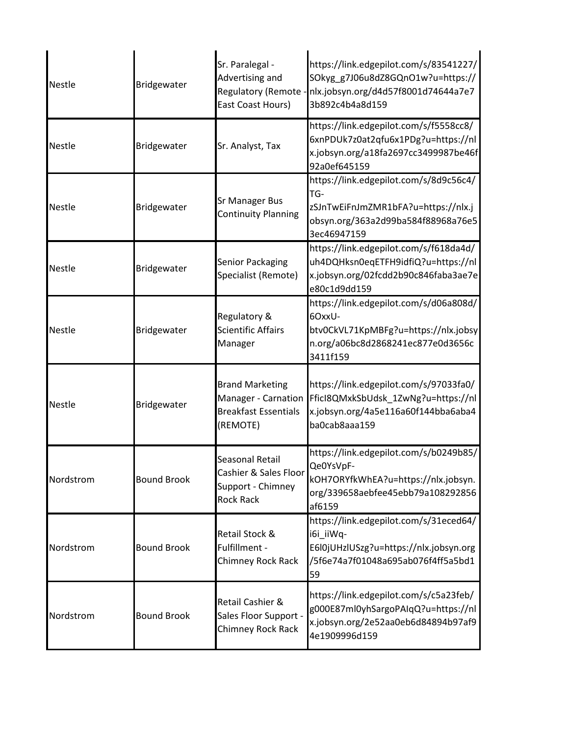| <b>Nestle</b> | Bridgewater        | Sr. Paralegal -<br>Advertising and<br>East Coast Hours)                                  | https://link.edgepilot.com/s/83541227/<br>SOkyg_g7J06u8dZ8GQnO1w?u=https://<br>Regulatory (Remote - nlx.jobsyn.org/d4d57f8001d74644a7e7<br>3b892c4b4a8d159      |
|---------------|--------------------|------------------------------------------------------------------------------------------|-----------------------------------------------------------------------------------------------------------------------------------------------------------------|
| Nestle        | Bridgewater        | Sr. Analyst, Tax                                                                         | https://link.edgepilot.com/s/f5558cc8/<br>6xnPDUk7z0at2qfu6x1PDg?u=https://nl<br>x.jobsyn.org/a18fa2697cc3499987be46f<br>92a0ef645159                           |
| <b>Nestle</b> | Bridgewater        | <b>Sr Manager Bus</b><br><b>Continuity Planning</b>                                      | https://link.edgepilot.com/s/8d9c56c4/<br>TG-<br>zSJnTwEiFnJmZMR1bFA?u=https://nlx.j<br>obsyn.org/363a2d99ba584f88968a76e5<br>3ec46947159                       |
| Nestle        | Bridgewater        | <b>Senior Packaging</b><br>Specialist (Remote)                                           | https://link.edgepilot.com/s/f618da4d/<br>uh4DQHksn0eqETFH9idfiQ?u=https://nl<br>x.jobsyn.org/02fcdd2b90c846faba3ae7e<br>e80c1d9dd159                           |
| <b>Nestle</b> | Bridgewater        | Regulatory &<br><b>Scientific Affairs</b><br>Manager                                     | https://link.edgepilot.com/s/d06a808d/<br>6OxxU-<br>btv0CkVL71KpMBFg?u=https://nlx.jobsy<br>n.org/a06bc8d2868241ec877e0d3656c<br>3411f159                       |
| <b>Nestle</b> | Bridgewater        | <b>Brand Marketing</b><br>Manager - Carnation<br><b>Breakfast Essentials</b><br>(REMOTE) | https://link.edgepilot.com/s/97033fa0/<br>FficI8QMxkSbUdsk_1ZwNg?u=https://nl<br>x.jobsyn.org/4a5e116a60f144bba6aba4<br>ba0cab8aaa159                           |
| Nordstrom     | <b>Bound Brook</b> | Seasonal Retail<br><b>Rock Rack</b>                                                      | https://link.edgepilot.com/s/b0249b85/<br>Qe0YsVpF-<br>Cashier & Sales Floor KOH7ORYfkWhEA?u=https://nlx.jobsyn.<br>org/339658aebfee45ebb79a108292856<br>af6159 |
| Nordstrom     | <b>Bound Brook</b> | Retail Stock &<br>Fulfillment -<br>Chimney Rock Rack                                     | https://link.edgepilot.com/s/31eced64/<br>i6i iiWq-<br>E6l0jUHzlUSzg?u=https://nlx.jobsyn.org<br>/5f6e74a7f01048a695ab076f4ff5a5bd1<br>59                       |
| Nordstrom     | <b>Bound Brook</b> | Retail Cashier &<br>Sales Floor Support -<br>Chimney Rock Rack                           | https://link.edgepilot.com/s/c5a23feb/<br>g000E87ml0yhSargoPAIqQ?u=https://nl<br>x.jobsyn.org/2e52aa0eb6d84894b97af9<br>4e1909996d159                           |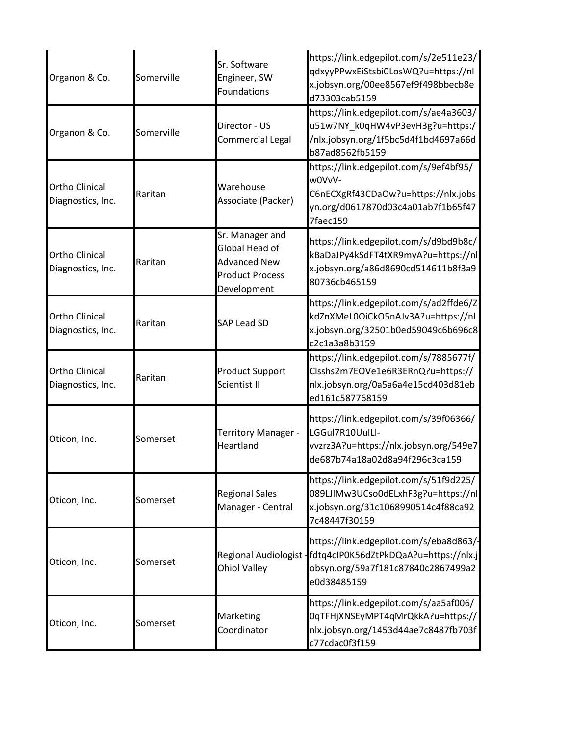| Organon & Co.                              | Somerville | Sr. Software<br>Engineer, SW<br>Foundations                                                       | https://link.edgepilot.com/s/2e511e23/<br>qdxyyPPwxEiStsbi0LosWQ?u=https://nl<br>x.jobsyn.org/00ee8567ef9f498bbecb8e<br>d73303cab5159                        |
|--------------------------------------------|------------|---------------------------------------------------------------------------------------------------|--------------------------------------------------------------------------------------------------------------------------------------------------------------|
| Organon & Co.                              | Somerville | Director - US<br>Commercial Legal                                                                 | https://link.edgepilot.com/s/ae4a3603/<br>u51w7NY_k0qHW4vP3evH3g?u=https:/<br>/nlx.jobsyn.org/1f5bc5d4f1bd4697a66d<br>b87ad8562fb5159                        |
| <b>Ortho Clinical</b><br>Diagnostics, Inc. | Raritan    | Warehouse<br>Associate (Packer)                                                                   | https://link.edgepilot.com/s/9ef4bf95/<br>w0VvV-<br>C6nECXgRf43CDaOw?u=https://nlx.jobs<br>yn.org/d0617870d03c4a01ab7f1b65f47<br>7faec159                    |
| <b>Ortho Clinical</b><br>Diagnostics, Inc. | Raritan    | Sr. Manager and<br>Global Head of<br><b>Advanced New</b><br><b>Product Process</b><br>Development | https://link.edgepilot.com/s/d9bd9b8c/<br>kBaDaJPy4kSdFT4tXR9myA?u=https://nl<br>x.jobsyn.org/a86d8690cd514611b8f3a9<br>80736cb465159                        |
| <b>Ortho Clinical</b><br>Diagnostics, Inc. | Raritan    | <b>SAP Lead SD</b>                                                                                | https://link.edgepilot.com/s/ad2ffde6/Z<br>kdZnXMeL0OiCkO5nAJv3A?u=https://nl<br>x.jobsyn.org/32501b0ed59049c6b696c8<br>c2c1a3a8b3159                        |
| <b>Ortho Clinical</b><br>Diagnostics, Inc. | Raritan    | <b>Product Support</b><br>Scientist II                                                            | https://link.edgepilot.com/s/7885677f/<br>Clsshs2m7EOVe1e6R3ERnQ?u=https://<br>nlx.jobsyn.org/0a5a6a4e15cd403d81eb<br>ed161c587768159                        |
| Oticon, Inc.                               | Somerset   | Territory Manager -<br>Heartland                                                                  | https://link.edgepilot.com/s/39f06366/<br>LGGul7R10UuILl-<br>vvzrz3A?u=https://nlx.jobsyn.org/549e7<br>de687b74a18a02d8a94f296c3ca159                        |
| Oticon, Inc.                               | Somerset   | <b>Regional Sales</b><br>Manager - Central                                                        | https://link.edgepilot.com/s/51f9d225/<br>089LJIMw3UCso0dELxhF3g?u=https://nl<br>x.jobsyn.org/31c1068990514c4f88ca92<br>7c48447f30159                        |
| Oticon, Inc.                               | Somerset   | <b>Ohiol Valley</b>                                                                               | https://link.edgepilot.com/s/eba8d863/-<br>Regional Audiologist - fdtq4cIP0K56dZtPkDQaA?u=https://nlx.j<br>obsyn.org/59a7f181c87840c2867499a2<br>e0d38485159 |
| Oticon, Inc.                               | Somerset   | Marketing<br>Coordinator                                                                          | https://link.edgepilot.com/s/aa5af006/<br>0qTFHjXNSEyMPT4qMrQkkA?u=https://<br>nlx.jobsyn.org/1453d44ae7c8487fb703f<br>c77cdac0f3f159                        |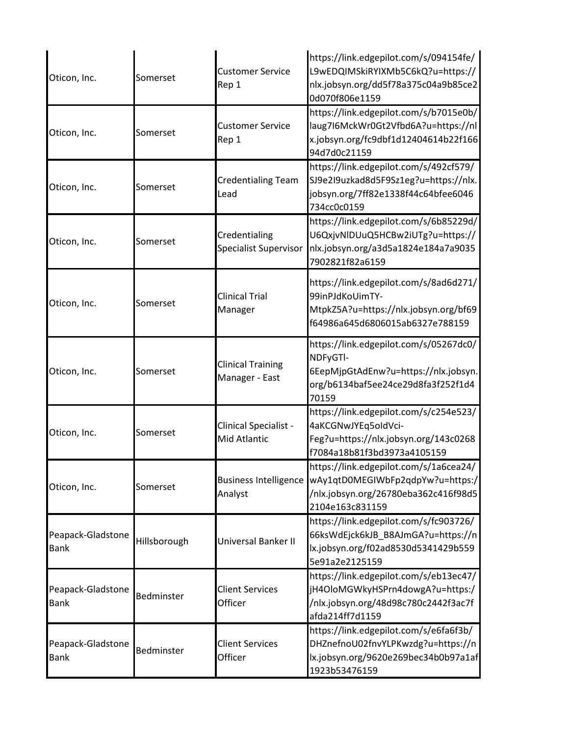| Oticon, Inc.                     | Somerset     | <b>Customer Service</b><br>Rep 1           | https://link.edgepilot.com/s/094154fe/<br>L9wEDQIMSkiRYIXMb5C6kQ?u=https://<br>nlx.jobsyn.org/dd5f78a375c04a9b85ce2<br>0d070f806e1159     |
|----------------------------------|--------------|--------------------------------------------|-------------------------------------------------------------------------------------------------------------------------------------------|
| Oticon, Inc.                     | Somerset     | <b>Customer Service</b><br>Rep 1           | https://link.edgepilot.com/s/b7015e0b/<br>laug7I6MckWr0Gt2Vfbd6A?u=https://nl<br>x.jobsyn.org/fc9dbf1d12404614b22f166<br>94d7d0c21159     |
| Oticon, Inc.                     | Somerset     | <b>Credentialing Team</b><br>Lead          | https://link.edgepilot.com/s/492cf579/<br>SJ9e2I9uzkad8d5F9Sz1eg?u=https://nlx.<br>jobsyn.org/7ff82e1338f44c64bfee6046<br>734cc0c0159     |
| Oticon, Inc.                     | Somerset     | Credentialing<br>Specialist Supervisor     | https://link.edgepilot.com/s/6b85229d/<br>U6QxjvNlDUuQ5HCBw2iUTg?u=https://<br>nlx.jobsyn.org/a3d5a1824e184a7a9035<br>7902821f82a6159     |
| Oticon, Inc.                     | Somerset     | <b>Clinical Trial</b><br>Manager           | https://link.edgepilot.com/s/8ad6d271/<br>99inPJdKoUimTY-<br>MtpkZ5A?u=https://nlx.jobsyn.org/bf69<br>f64986a645d6806015ab6327e788159     |
| Oticon, Inc.                     | Somerset     | <b>Clinical Training</b><br>Manager - East | https://link.edgepilot.com/s/05267dc0/<br>NDFyGTI-<br>6EepMjpGtAdEnw?u=https://nlx.jobsyn.<br>org/b6134baf5ee24ce29d8fa3f252f1d4<br>70159 |
| Oticon, Inc.                     | Somerset     | Clinical Specialist -<br>Mid Atlantic      | https://link.edgepilot.com/s/c254e523/<br>4aKCGNwJYEq5oldVci-<br>Feg?u=https://nlx.jobsyn.org/143c0268<br>f7084a18b81f3bd3973a4105159     |
| Oticon, Inc.                     | Somerset     | <b>Business Intelligence</b><br>Analyst    | https://link.edgepilot.com/s/1a6cea24/<br>wAy1qtD0MEGIWbFp2qdpYw?u=https:/<br>/nlx.jobsyn.org/26780eba362c416f98d5<br>2104e163c831159     |
| Peapack-Gladstone<br><b>Bank</b> | Hillsborough | Universal Banker II                        | https://link.edgepilot.com/s/fc903726/<br>66ksWdEjck6kJB_B8AJmGA?u=https://n<br>lx.jobsyn.org/f02ad8530d5341429b559<br>5e91a2e2125159     |
| Peapack-Gladstone<br><b>Bank</b> | Bedminster   | <b>Client Services</b><br>Officer          | https://link.edgepilot.com/s/eb13ec47/<br>jH4OloMGWkyHSPrn4dowgA?u=https:/<br>/nlx.jobsyn.org/48d98c780c2442f3ac7f<br>afda214ff7d1159     |
| Peapack-Gladstone<br><b>Bank</b> | Bedminster   | <b>Client Services</b><br>Officer          | https://link.edgepilot.com/s/e6fa6f3b/<br>DHZnefnoU02fnvYLPKwzdg?u=https://n<br>lx.jobsyn.org/9620e269bec34b0b97a1af<br>1923b53476159     |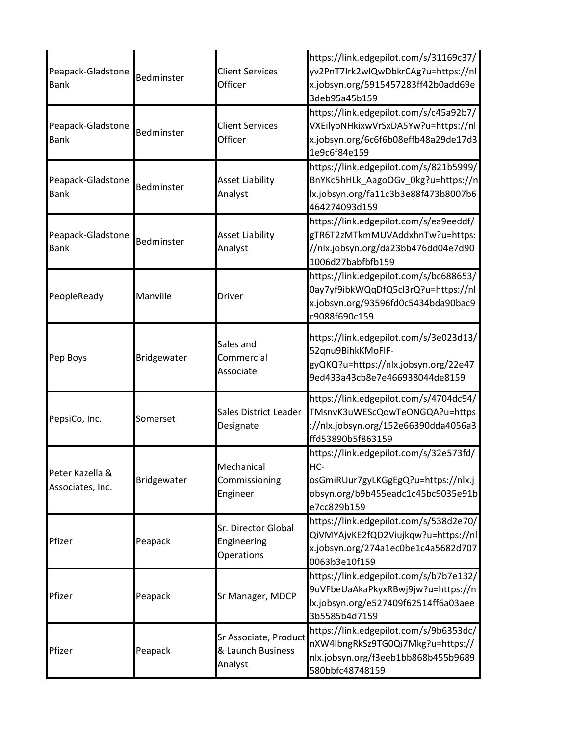| Peapack-Gladstone<br><b>Bank</b>    | Bedminster  | <b>Client Services</b><br>Officer                     | https://link.edgepilot.com/s/31169c37/<br>yv2PnT7Irk2wlQwDbkrCAg?u=https://nl<br>x.jobsyn.org/5915457283ff42b0add69e<br>3deb95a45b159     |
|-------------------------------------|-------------|-------------------------------------------------------|-------------------------------------------------------------------------------------------------------------------------------------------|
| Peapack-Gladstone<br><b>Bank</b>    | Bedminster  | <b>Client Services</b><br>Officer                     | https://link.edgepilot.com/s/c45a92b7/<br>VXEilyoNHkixwVrSxDA5Yw?u=https://nl<br>x.jobsyn.org/6c6f6b08effb48a29de17d3<br>1e9c6f84e159     |
| Peapack-Gladstone<br><b>Bank</b>    | Bedminster  | <b>Asset Liability</b><br>Analyst                     | https://link.edgepilot.com/s/821b5999/<br>BnYKc5hHLk_AagoOGv_0kg?u=https://n<br>lx.jobsyn.org/fa11c3b3e88f473b8007b6<br>464274093d159     |
| Peapack-Gladstone<br>Bank           | Bedminster  | <b>Asset Liability</b><br>Analyst                     | https://link.edgepilot.com/s/ea9eeddf/<br>gTR6T2zMTkmMUVAddxhnTw?u=https:<br>//nlx.jobsyn.org/da23bb476dd04e7d90<br>1006d27babfbfb159     |
| PeopleReady                         | Manville    | <b>Driver</b>                                         | https://link.edgepilot.com/s/bc688653/<br>0ay7yf9ibkWQqDfQ5cl3rQ?u=https://nl<br>x.jobsyn.org/93596fd0c5434bda90bac9<br>c9088f690c159     |
| Pep Boys                            | Bridgewater | Sales and<br>Commercial<br>Associate                  | https://link.edgepilot.com/s/3e023d13/<br>52qnu9BihkKMoFlF-<br>gyQKQ?u=https://nlx.jobsyn.org/22e47<br>9ed433a43cb8e7e466938044de8159     |
| PepsiCo, Inc.                       | Somerset    | Sales District Leader<br>Designate                    | https://link.edgepilot.com/s/4704dc94/<br>TMsnvK3uWEScQowTeONGQA?u=https<br>://nlx.jobsyn.org/152e66390dda4056a3<br>ffd53890b5f863159     |
| Peter Kazella &<br>Associates, Inc. | Bridgewater | Mechanical<br>Commissioning<br>Engineer               | https://link.edgepilot.com/s/32e573fd/<br>HC-<br>osGmiRUur7gyLKGgEgQ?u=https://nlx.j<br>obsyn.org/b9b455eadc1c45bc9035e91b<br>e7cc829b159 |
| Pfizer                              | Peapack     | Sr. Director Global<br>Engineering<br>Operations      | https://link.edgepilot.com/s/538d2e70/<br>QiVMYAjvKE2fQD2Viujkqw?u=https://nl<br>x.jobsyn.org/274a1ec0be1c4a5682d707<br>0063b3e10f159     |
| Pfizer                              | Peapack     | Sr Manager, MDCP                                      | https://link.edgepilot.com/s/b7b7e132/<br>9uVFbeUaAkaPkyxRBwj9jw?u=https://n<br>lx.jobsyn.org/e527409f62514ff6a03aee<br>3b5585b4d7159     |
| Pfizer                              | Peapack     | Sr Associate, Product<br>& Launch Business<br>Analyst | https://link.edgepilot.com/s/9b6353dc/<br>nXW4IbngRkSz9TG0Qi7Mkg?u=https://<br>nlx.jobsyn.org/f3eeb1bb868b455b9689<br>580bbfc48748159     |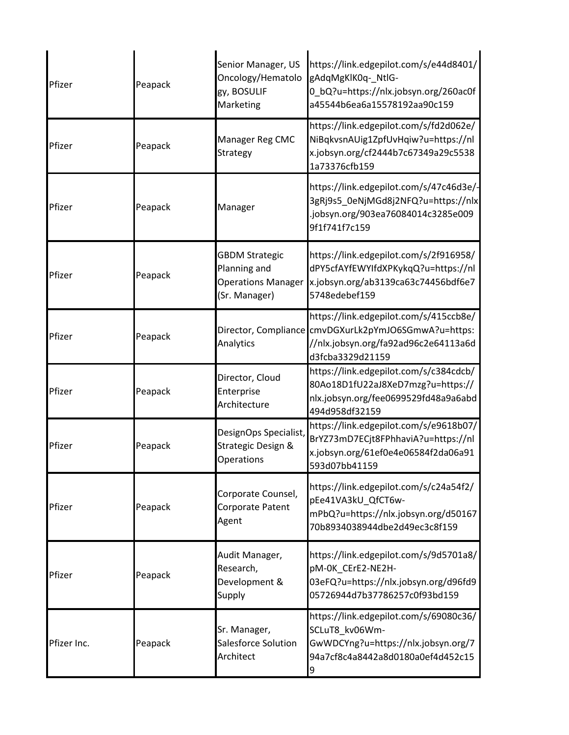| Pfizer      | Peapack | Senior Manager, US<br>Oncology/Hematolo<br>gy, BOSULIF<br>Marketing                 | https://link.edgepilot.com/s/e44d8401/<br>gAdqMgKlK0q-_NtlG-<br>0_bQ?u=https://nlx.jobsyn.org/260ac0f<br>a45544b6ea6a15578192aa90c159                      |
|-------------|---------|-------------------------------------------------------------------------------------|------------------------------------------------------------------------------------------------------------------------------------------------------------|
| Pfizer      | Peapack | Manager Reg CMC<br>Strategy                                                         | https://link.edgepilot.com/s/fd2d062e/<br>NiBqkvsnAUig1ZpfUvHqiw?u=https://nl<br>x.jobsyn.org/cf2444b7c67349a29c5538<br>1a73376cfb159                      |
| Pfizer      | Peapack | Manager                                                                             | https://link.edgepilot.com/s/47c46d3e/-<br>3gRj9s5_0eNjMGd8j2NFQ?u=https://nlx<br>.jobsyn.org/903ea76084014c3285e009<br>9f1f741f7c159                      |
| Pfizer      | Peapack | <b>GBDM Strategic</b><br>Planning and<br><b>Operations Manager</b><br>(Sr. Manager) | https://link.edgepilot.com/s/2f916958/<br>dPY5cfAYfEWYIfdXPKykqQ?u=https://nl<br>x.jobsyn.org/ab3139ca63c74456bdf6e7<br>5748edebef159                      |
| Pfizer      | Peapack | Analytics                                                                           | https://link.edgepilot.com/s/415ccb8e/<br>Director, Compliance cmvDGXurLk2pYmJO6SGmwA?u=https:<br>//nlx.jobsyn.org/fa92ad96c2e64113a6d<br>d3fcba3329d21159 |
| Pfizer      | Peapack | Director, Cloud<br>Enterprise<br>Architecture                                       | https://link.edgepilot.com/s/c384cdcb/<br>80Ao18D1fU22aJ8XeD7mzg?u=https://<br>nlx.jobsyn.org/fee0699529fd48a9a6abd<br>494d958df32159                      |
| Pfizer      | Peapack | DesignOps Specialist,<br>Strategic Design &<br>Operations                           | https://link.edgepilot.com/s/e9618b07/<br>BrYZ73mD7ECjt8FPhhaviA?u=https://nl<br>x.jobsyn.org/61ef0e4e06584f2da06a91<br>593d07bb41159                      |
| Pfizer      | Peapack | Corporate Counsel,<br>Corporate Patent<br>Agent                                     | https://link.edgepilot.com/s/c24a54f2/<br>pEe41VA3kU_QfCT6w-<br>mPbQ?u=https://nlx.jobsyn.org/d50167<br>70b8934038944dbe2d49ec3c8f159                      |
| Pfizer      | Peapack | Audit Manager,<br>Research,<br>Development &<br>Supply                              | https://link.edgepilot.com/s/9d5701a8/<br>pM-0K CErE2-NE2H-<br>03eFQ?u=https://nlx.jobsyn.org/d96fd9<br>05726944d7b37786257c0f93bd159                      |
| Pfizer Inc. | Peapack | Sr. Manager,<br>Salesforce Solution<br>Architect                                    | https://link.edgepilot.com/s/69080c36/<br>SCLuT8_kv06Wm-<br>GwWDCYng?u=https://nlx.jobsyn.org/7<br>94a7cf8c4a8442a8d0180a0ef4d452c15<br>9                  |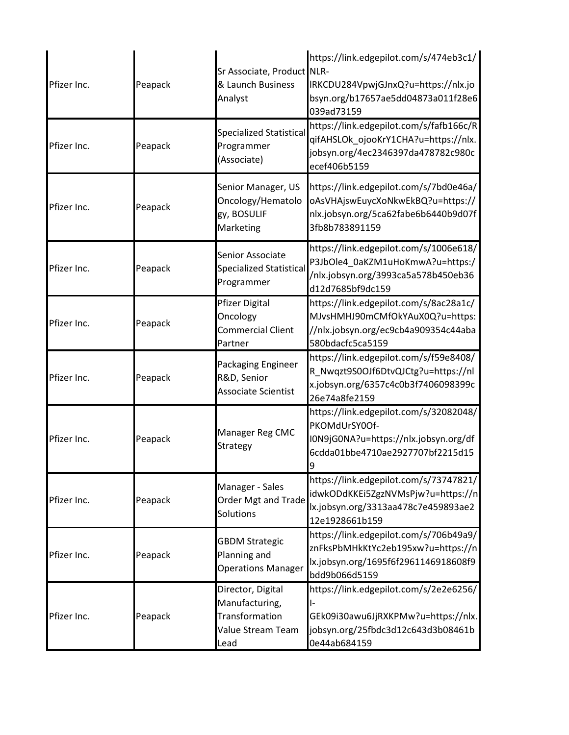| Pfizer Inc. | Peapack | Sr Associate, Product NLR-<br>& Launch Business<br>Analyst                         | https://link.edgepilot.com/s/474eb3c1/<br>IRKCDU284VpwjGJnxQ?u=https://nlx.jo<br>bsyn.org/b17657ae5dd04873a011f28e6<br>039ad73159     |
|-------------|---------|------------------------------------------------------------------------------------|---------------------------------------------------------------------------------------------------------------------------------------|
| Pfizer Inc. | Peapack | <b>Specialized Statistical</b><br>Programmer<br>(Associate)                        | https://link.edgepilot.com/s/fafb166c/R<br>qifAHSLOk_ojooKrY1CHA?u=https://nlx.<br>jobsyn.org/4ec2346397da478782c980c<br>ecef406b5159 |
| Pfizer Inc. | Peapack | Senior Manager, US<br>Oncology/Hematolo<br>gy, BOSULIF<br>Marketing                | https://link.edgepilot.com/s/7bd0e46a/<br>oAsVHAjswEuycXoNkwEkBQ?u=https://<br>nlx.jobsyn.org/5ca62fabe6b6440b9d07f<br>3fb8b783891159 |
| Pfizer Inc. | Peapack | Senior Associate<br><b>Specialized Statistical</b><br>Programmer                   | https://link.edgepilot.com/s/1006e618/<br>P3JbOle4_0aKZM1uHoKmwA?u=https:/<br>/nlx.jobsyn.org/3993ca5a578b450eb36<br>d12d7685bf9dc159 |
| Pfizer Inc. | Peapack | <b>Pfizer Digital</b><br>Oncology<br><b>Commercial Client</b><br>Partner           | https://link.edgepilot.com/s/8ac28a1c/<br>MJvsHMHJ90mCMfOkYAuX0Q?u=https:<br>//nlx.jobsyn.org/ec9cb4a909354c44aba<br>580bdacfc5ca5159 |
| Pfizer Inc. | Peapack | Packaging Engineer<br>R&D, Senior<br><b>Associate Scientist</b>                    | https://link.edgepilot.com/s/f59e8408/<br>R_Nwqzt9S0OJf6DtvQJCtg?u=https://nl<br>x.jobsyn.org/6357c4c0b3f7406098399c<br>26e74a8fe2159 |
| Pfizer Inc. | Peapack | Manager Reg CMC<br>Strategy                                                        | https://link.edgepilot.com/s/32082048/<br>PKOMdUrSY0Of-<br>I0N9jG0NA?u=https://nlx.jobsyn.org/df<br>6cdda01bbe4710ae2927707bf2215d15  |
| Pfizer Inc. | Peapack | Manager - Sales<br><b>Order Mgt and Trade</b><br>Solutions                         | https://link.edgepilot.com/s/73747821/<br>idwkODdKKEi5ZgzNVMsPjw?u=https://n<br>lx.jobsyn.org/3313aa478c7e459893ae2<br>12e1928661b159 |
| Pfizer Inc. | Peapack | <b>GBDM Strategic</b><br>Planning and<br><b>Operations Manager</b>                 | https://link.edgepilot.com/s/706b49a9/<br>znFksPbMHkKtYc2eb195xw?u=https://n<br>lx.jobsyn.org/1695f6f2961146918608f9<br>bdd9b066d5159 |
| Pfizer Inc. | Peapack | Director, Digital<br>Manufacturing,<br>Transformation<br>Value Stream Team<br>Lead | https://link.edgepilot.com/s/2e2e6256/<br>GEk09i30awu6JjRXKPMw?u=https://nlx.<br>jobsyn.org/25fbdc3d12c643d3b08461b<br>0e44ab684159   |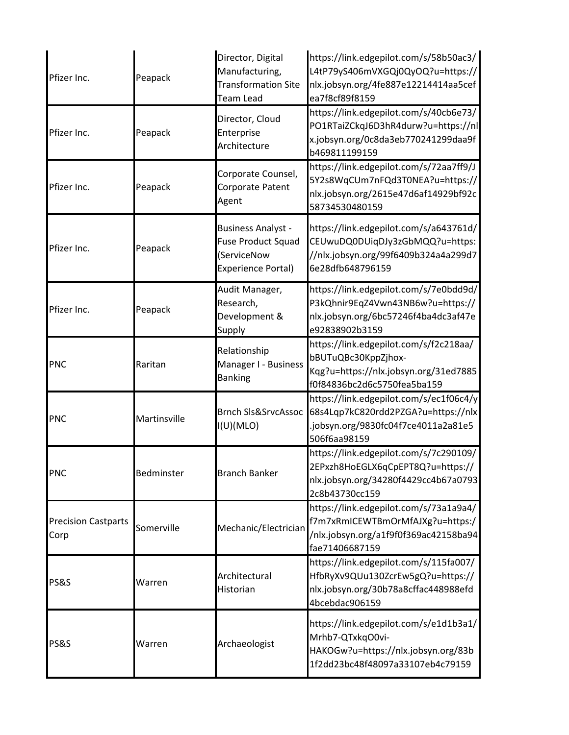| Pfizer Inc.                        | Peapack      | Director, Digital<br>Manufacturing,<br><b>Transformation Site</b><br><b>Team Lead</b>              | https://link.edgepilot.com/s/58b50ac3/<br>L4tP79yS406mVXGQj0QyOQ?u=https://<br>nlx.jobsyn.org/4fe887e12214414aa5cef<br>ea7f8cf89f8159 |
|------------------------------------|--------------|----------------------------------------------------------------------------------------------------|---------------------------------------------------------------------------------------------------------------------------------------|
| Pfizer Inc.                        | Peapack      | Director, Cloud<br>Enterprise<br>Architecture                                                      | https://link.edgepilot.com/s/40cb6e73/<br>PO1RTaiZCkqJ6D3hR4durw?u=https://nl<br>x.jobsyn.org/0c8da3eb770241299daa9f<br>b469811199159 |
| Pfizer Inc.                        | Peapack      | Corporate Counsel,<br>Corporate Patent<br>Agent                                                    | https://link.edgepilot.com/s/72aa7ff9/J<br>5Y2s8WqCUm7nFQd3T0NEA?u=https://<br>nlx.jobsyn.org/2615e47d6af14929bf92c<br>58734530480159 |
| Pfizer Inc.                        | Peapack      | <b>Business Analyst -</b><br><b>Fuse Product Squad</b><br>(ServiceNow<br><b>Experience Portal)</b> | https://link.edgepilot.com/s/a643761d/<br>CEUwuDQ0DUiqDJy3zGbMQQ?u=https:<br>//nlx.jobsyn.org/99f6409b324a4a299d7<br>6e28dfb648796159 |
| Pfizer Inc.                        | Peapack      | Audit Manager,<br>Research,<br>Development &<br>Supply                                             | https://link.edgepilot.com/s/7e0bdd9d/<br>P3kQhnir9EqZ4Vwn43NB6w?u=https://<br>nlx.jobsyn.org/6bc57246f4ba4dc3af47e<br>e92838902b3159 |
| PNC                                | Raritan      | Relationship<br>Manager I - Business<br><b>Banking</b>                                             | https://link.edgepilot.com/s/f2c218aa/<br>bBUTuQBc30KppZjhox-<br>Kqg?u=https://nlx.jobsyn.org/31ed7885<br>f0f84836bc2d6c5750fea5ba159 |
| <b>PNC</b>                         | Martinsville | <b>Brnch SIs&amp;SrvcAssoc</b><br>I(U)(MLO)                                                        | https://link.edgepilot.com/s/ec1f06c4/y<br>68s4Lqp7kC820rdd2PZGA?u=https://nlx<br>.jobsyn.org/9830fc04f7ce4011a2a81e5<br>506f6aa98159 |
| <b>PNC</b>                         | Bedminster   | <b>Branch Banker</b>                                                                               | https://link.edgepilot.com/s/7c290109/<br>2EPxzh8HoEGLX6qCpEPT8Q?u=https://<br>nlx.jobsyn.org/34280f4429cc4b67a0793<br>2c8b43730cc159 |
| <b>Precision Castparts</b><br>Corp | Somerville   | Mechanic/Electrician                                                                               | https://link.edgepilot.com/s/73a1a9a4/<br>f7m7xRmICEWTBmOrMfAJXg?u=https:/<br>/nlx.jobsyn.org/a1f9f0f369ac42158ba94<br>fae71406687159 |
| <b>PS&amp;S</b>                    | Warren       | Architectural<br>Historian                                                                         | https://link.edgepilot.com/s/115fa007/<br>HfbRyXv9QUu130ZcrEw5gQ?u=https://<br>nlx.jobsyn.org/30b78a8cffac448988efd<br>4bcebdac906159 |
| <b>PS&amp;S</b>                    | Warren       | Archaeologist                                                                                      | https://link.edgepilot.com/s/e1d1b3a1/<br>Mrhb7-QTxkqO0vi-<br>HAKOGw?u=https://nlx.jobsyn.org/83b<br>1f2dd23bc48f48097a33107eb4c79159 |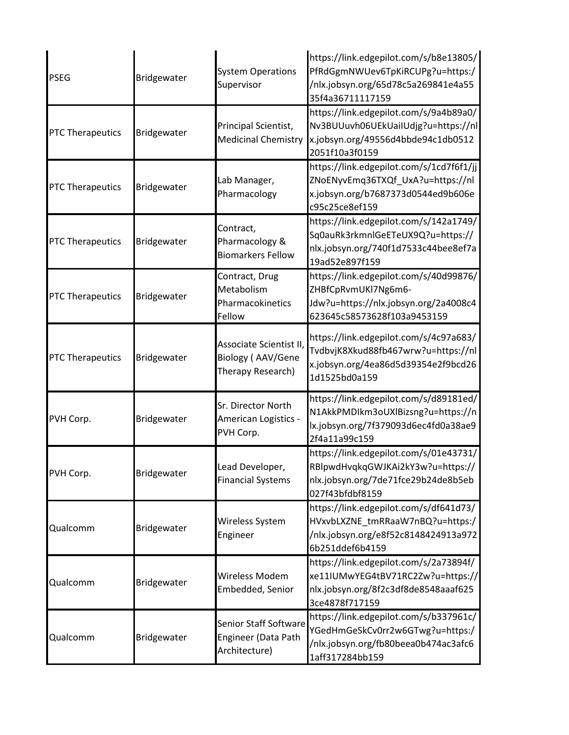| <b>PSEG</b>             | Bridgewater | <b>System Operations</b><br>Supervisor                               | https://link.edgepilot.com/s/b8e13805/<br>PfRdGgmNWUev6TpKiRCUPg?u=https:/<br>/nlx.jobsyn.org/65d78c5a269841e4a55<br>35f4a36711117159 |
|-------------------------|-------------|----------------------------------------------------------------------|---------------------------------------------------------------------------------------------------------------------------------------|
| <b>PTC Therapeutics</b> | Bridgewater | Principal Scientist,<br><b>Medicinal Chemistry</b>                   | https://link.edgepilot.com/s/9a4b89a0/<br>Nv3BUUuvh06UEkUailUdjg?u=https://nl<br>x.jobsyn.org/49556d4bbde94c1db0512<br>2051f10a3f0159 |
| <b>PTC Therapeutics</b> | Bridgewater | Lab Manager,<br>Pharmacology                                         | https://link.edgepilot.com/s/1cd7f6f1/jj<br>ZNoENyvEmq36TXQf_UxA?u=https://nl<br>x.jobsyn.org/b7687373d0544ed9b606e<br>c95c25ce8ef159 |
| <b>PTC Therapeutics</b> | Bridgewater | Contract,<br>Pharmacology &<br><b>Biomarkers Fellow</b>              | https://link.edgepilot.com/s/142a1749/<br>Sq0auRk3rkmnlGeETeUX9Q?u=https://<br>nlx.jobsyn.org/740f1d7533c44bee8ef7a<br>19ad52e897f159 |
| <b>PTC Therapeutics</b> | Bridgewater | Contract, Drug<br>Metabolism<br>Pharmacokinetics<br>Fellow           | https://link.edgepilot.com/s/40d99876/<br>ZHBfCpRvmUKl7Ng6m6-<br>Jdw?u=https://nlx.jobsyn.org/2a4008c4<br>623645c58573628f103a9453159 |
| <b>PTC Therapeutics</b> | Bridgewater | Associate Scientist II,<br>Biology (AAV/Gene<br>Therapy Research)    | https://link.edgepilot.com/s/4c97a683/<br>TvdbvjK8Xkud88fb467wrw?u=https://nl<br>x.jobsyn.org/4ea86d5d39354e2f9bcd26<br>1d1525bd0a159 |
| PVH Corp.               | Bridgewater | Sr. Director North<br>American Logistics -<br>PVH Corp.              | https://link.edgepilot.com/s/d89181ed/<br>N1AkkPMDIkm3oUXlBizsng?u=https://n<br>lx.jobsyn.org/7f379093d6ec4fd0a38ae9<br>2f4a11a99c159 |
| PVH Corp.               | Bridgewater | Lead Developer,<br><b>Financial Systems</b>                          | https://link.edgepilot.com/s/01e43731/<br>RBlpwdHvqkqGWJKAi2kY3w?u=https://<br>nlx.jobsyn.org/7de71fce29b24de8b5eb<br>027f43bfdbf8159 |
| Qualcomm                | Bridgewater | Wireless System<br>Engineer                                          | https://link.edgepilot.com/s/df641d73/<br>HVxvbLXZNE_tmRRaaW7nBQ?u=https:/<br>/nlx.jobsyn.org/e8f52c8148424913a972<br>6b251ddef6b4159 |
| Qualcomm                | Bridgewater | Wireless Modem<br>Embedded, Senior                                   | https://link.edgepilot.com/s/2a73894f/<br>xe11IUMwYEG4tBV71RC2Zw?u=https://<br>nlx.jobsyn.org/8f2c3df8de8548aaaf625<br>3ce4878f717159 |
| Qualcomm                | Bridgewater | <b>Senior Staff Software</b><br>Engineer (Data Path<br>Architecture) | https://link.edgepilot.com/s/b337961c/<br>YGedHmGeSkCv0rr2w6GTwg?u=https:/<br>/nlx.jobsyn.org/fb80beea0b474ac3afc6<br>1aff317284bb159 |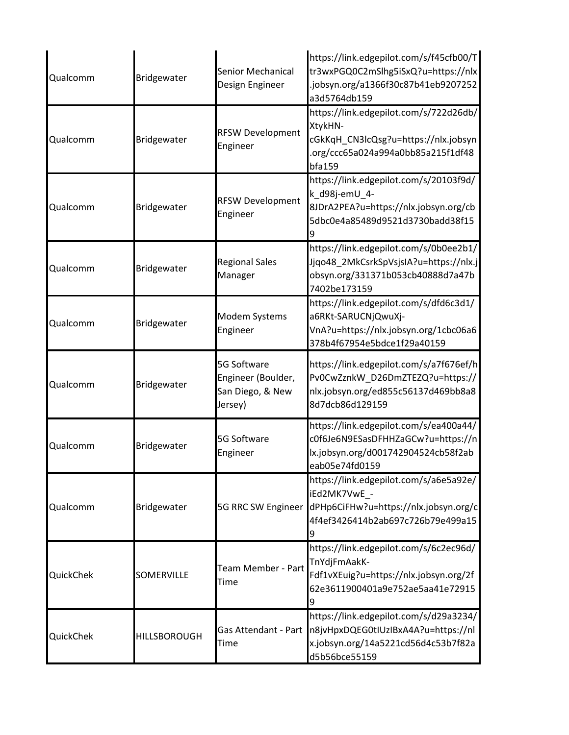| Qualcomm  | Bridgewater         | Senior Mechanical<br>Design Engineer                             | https://link.edgepilot.com/s/f45cfb00/T<br>tr3wxPGQ0C2mSlhg5iSxQ?u=https://nlx<br>.jobsyn.org/a1366f30c87b41eb9207252<br>a3d5764db159                      |
|-----------|---------------------|------------------------------------------------------------------|------------------------------------------------------------------------------------------------------------------------------------------------------------|
| Qualcomm  | Bridgewater         | <b>RFSW Development</b><br>Engineer                              | https://link.edgepilot.com/s/722d26db/<br>XtykHN-<br>cGkKqH_CN3lcQsg?u=https://nlx.jobsyn<br>.org/ccc65a024a994a0bb85a215f1df48<br>bfa159                  |
| Qualcomm  | Bridgewater         | <b>RFSW Development</b><br>Engineer                              | https://link.edgepilot.com/s/20103f9d/<br>k_d98j-emU_4-<br>8JDrA2PEA?u=https://nlx.jobsyn.org/cb<br>5dbc0e4a85489d9521d3730badd38f15                       |
| Qualcomm  | Bridgewater         | <b>Regional Sales</b><br>Manager                                 | https://link.edgepilot.com/s/0b0ee2b1/<br>Jjqo48_2MkCsrkSpVsjsIA?u=https://nlx.j<br>obsyn.org/331371b053cb40888d7a47b<br>7402be173159                      |
| Qualcomm  | Bridgewater         | Modem Systems<br>Engineer                                        | https://link.edgepilot.com/s/dfd6c3d1/<br>a6RKt-SARUCNjQwuXj-<br>VnA?u=https://nlx.jobsyn.org/1cbc06a6<br>378b4f67954e5bdce1f29a40159                      |
| Qualcomm  | Bridgewater         | 5G Software<br>Engineer (Boulder,<br>San Diego, & New<br>Jersey) | https://link.edgepilot.com/s/a7f676ef/h<br>Pv0CwZznkW_D26DmZTEZQ?u=https://<br>nlx.jobsyn.org/ed855c56137d469bb8a8<br>8d7dcb86d129159                      |
| Qualcomm  | Bridgewater         | 5G Software<br>Engineer                                          | https://link.edgepilot.com/s/ea400a44/<br>c0f6Je6N9ESasDFHHZaGCw?u=https://n<br>lx.jobsyn.org/d001742904524cb58f2ab<br>eab05e74fd0159                      |
| Qualcomm  | Bridgewater         |                                                                  | https://link.edgepilot.com/s/a6e5a92e/<br>iEd2MK7VwE -<br>5G RRC SW Engineer dPHp6CiFHw?u=https://nlx.jobsyn.org/c<br>4f4ef3426414b2ab697c726b79e499a15    |
| QuickChek | SOMERVILLE          | Team Member - Part<br>Time                                       | https://link.edgepilot.com/s/6c2ec96d/<br>TnYdjFmAakK-<br>Fdf1vXEuig?u=https://nlx.jobsyn.org/2f<br>62e3611900401a9e752ae5aa41e72915                       |
| QuickChek | <b>HILLSBOROUGH</b> | Time                                                             | https://link.edgepilot.com/s/d29a3234/<br>Gas Attendant - Part n8jvHpxDQEG0tIUzIBxA4A?u=https://nl<br>x.jobsyn.org/14a5221cd56d4c53b7f82a<br>d5b56bce55159 |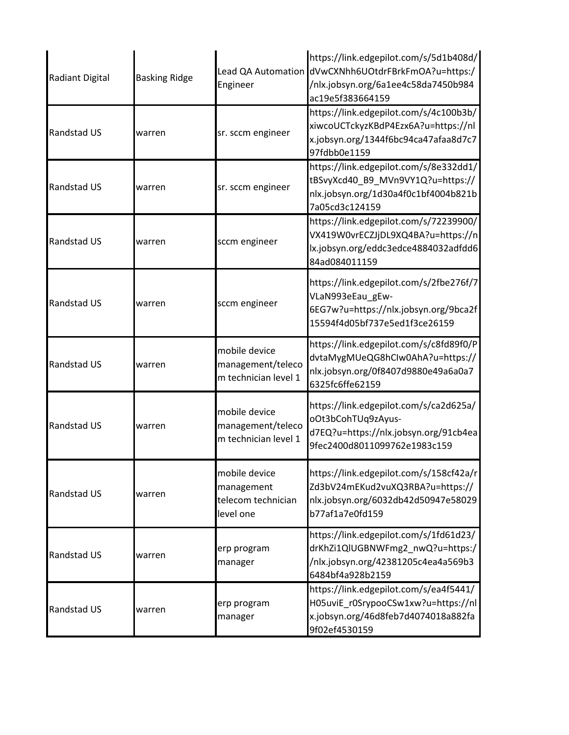| <b>Radiant Digital</b> | <b>Basking Ridge</b> | Engineer                                                       | https://link.edgepilot.com/s/5d1b408d/<br>Lead QA Automation dVwCXNhh6UOtdrFBrkFmOA?u=https:/<br>/nlx.jobsyn.org/6a1ee4c58da7450b984<br>ac19e5f383664159 |
|------------------------|----------------------|----------------------------------------------------------------|----------------------------------------------------------------------------------------------------------------------------------------------------------|
| Randstad US            | warren               | sr. sccm engineer                                              | https://link.edgepilot.com/s/4c100b3b/<br>xiwcoUCTckyzKBdP4Ezx6A?u=https://nl<br>x.jobsyn.org/1344f6bc94ca47afaa8d7c7<br>97fdbb0e1159                    |
| Randstad US            | warren               | sr. sccm engineer                                              | https://link.edgepilot.com/s/8e332dd1/<br>tBSvyXcd40_B9_MVn9VY1Q?u=https://<br>nlx.jobsyn.org/1d30a4f0c1bf4004b821b<br>7a05cd3c124159                    |
| <b>Randstad US</b>     | warren               | sccm engineer                                                  | https://link.edgepilot.com/s/72239900/<br>VX419W0vrECZJjDL9XQ4BA?u=https://n<br>lx.jobsyn.org/eddc3edce4884032adfdd6<br>84ad084011159                    |
| <b>Randstad US</b>     | warren               | sccm engineer                                                  | https://link.edgepilot.com/s/2fbe276f/7<br>VLaN993eEau gEw-<br>6EG7w?u=https://nlx.jobsyn.org/9bca2f<br>15594f4d05bf737e5ed1f3ce26159                    |
| Randstad US            | warren               | mobile device<br>management/teleco<br>m technician level 1     | https://link.edgepilot.com/s/c8fd89f0/P<br>dvtaMygMUeQG8hCIw0AhA?u=https://<br>nlx.jobsyn.org/0f8407d9880e49a6a0a7<br>6325fc6ffe62159                    |
| Randstad US            | warren               | mobile device<br>management/teleco<br>m technician level 1     | https://link.edgepilot.com/s/ca2d625a/<br>oOt3bCohTUq9zAyus-<br>d7EQ?u=https://nlx.jobsyn.org/91cb4ea<br>9fec2400d8011099762e1983c159                    |
| Randstad US            | warren               | mobile device<br>management<br>telecom technician<br>level one | https://link.edgepilot.com/s/158cf42a/r<br>Zd3bV24mEKud2vuXQ3RBA?u=https://<br>nlx.jobsyn.org/6032db42d50947e58029<br>b77af1a7e0fd159                    |
| Randstad US            | warren               | erp program<br>manager                                         | https://link.edgepilot.com/s/1fd61d23/<br>drKhZi1QlUGBNWFmg2 nwQ?u=https:/<br>/nlx.jobsyn.org/42381205c4ea4a569b3<br>6484bf4a928b2159                    |
| Randstad US            | warren               | erp program<br>manager                                         | https://link.edgepilot.com/s/ea4f5441/<br>H05uviE_r0SrypooCSw1xw?u=https://nl<br>x.jobsyn.org/46d8feb7d4074018a882fa<br>9f02ef4530159                    |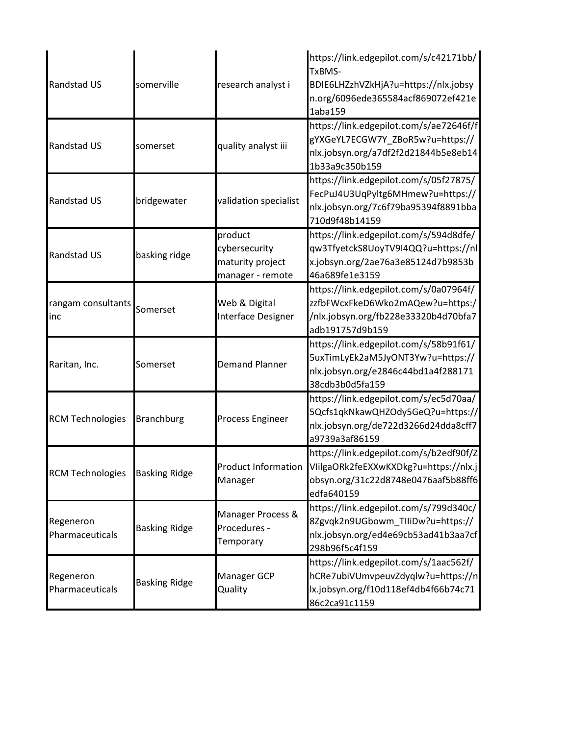| <b>Randstad US</b>           | somerville           | research analyst i                                               | https://link.edgepilot.com/s/c42171bb/<br>TxBMS-<br>BDIE6LHZzhVZkHjA?u=https://nlx.jobsy<br>n.org/6096ede365584acf869072ef421e<br>1aba159 |
|------------------------------|----------------------|------------------------------------------------------------------|-------------------------------------------------------------------------------------------------------------------------------------------|
| <b>Randstad US</b>           | somerset             | quality analyst iii                                              | https://link.edgepilot.com/s/ae72646f/f<br>gYXGeYL7ECGW7Y_ZBoR5w?u=https://<br>nlx.jobsyn.org/a7df2f2d21844b5e8eb14<br>1b33a9c350b159     |
| <b>Randstad US</b>           | bridgewater          | validation specialist                                            | https://link.edgepilot.com/s/05f27875/<br>FecPuJ4U3UqPyltg6MHmew?u=https://<br>nlx.jobsyn.org/7c6f79ba95394f8891bba<br>710d9f48b14159     |
| <b>Randstad US</b>           | basking ridge        | product<br>cybersecurity<br>maturity project<br>manager - remote | https://link.edgepilot.com/s/594d8dfe/<br>qw3TfyetckS8UoyTV9I4QQ?u=https://nl<br>x.jobsyn.org/2ae76a3e85124d7b9853b<br>46a689fe1e3159     |
| rangam consultants<br>linc   | Somerset             | Web & Digital<br>Interface Designer                              | https://link.edgepilot.com/s/0a07964f/<br>zzfbFWcxFkeD6Wko2mAQew?u=https:/<br>/nlx.jobsyn.org/fb228e33320b4d70bfa7<br>adb191757d9b159     |
| Raritan, Inc.                | Somerset             | <b>Demand Planner</b>                                            | https://link.edgepilot.com/s/58b91f61/<br>5uxTimLyEk2aM5JyONT3Yw?u=https://<br>nlx.jobsyn.org/e2846c44bd1a4f288171<br>38cdb3b0d5fa159     |
| <b>RCM Technologies</b>      | <b>Branchburg</b>    | Process Engineer                                                 | https://link.edgepilot.com/s/ec5d70aa/<br>5Qcfs1qkNkawQHZOdy5GeQ?u=https://<br>nlx.jobsyn.org/de722d3266d24dda8cff7<br>a9739a3af86159     |
| <b>RCM Technologies</b>      | <b>Basking Ridge</b> | Product Information<br>Manager                                   | https://link.edgepilot.com/s/b2edf90f/Z<br>VIilgaORk2feEXXwKXDkg?u=https://nlx.j<br>obsyn.org/31c22d8748e0476aaf5b88ff6<br>edfa640159     |
| Regeneron<br>Pharmaceuticals | <b>Basking Ridge</b> | Manager Process &<br>Procedures -<br>Temporary                   | https://link.edgepilot.com/s/799d340c/<br>8Zgvqk2n9UGbowm TIIiDw?u=https://<br>nlx.jobsyn.org/ed4e69cb53ad41b3aa7cf<br>298b96f5c4f159     |
| Regeneron<br>Pharmaceuticals | <b>Basking Ridge</b> | Manager GCP<br>Quality                                           | https://link.edgepilot.com/s/1aac562f/<br>hCRe7ubiVUmvpeuvZdyqlw?u=https://n<br>lx.jobsyn.org/f10d118ef4db4f66b74c71<br>86c2ca91c1159     |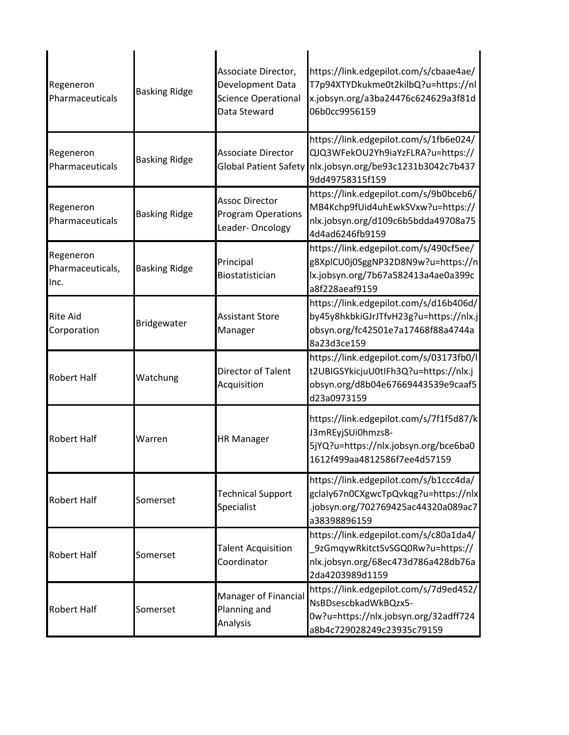| Regeneron<br>Pharmaceuticals          | <b>Basking Ridge</b> | Associate Director,<br>Development Data<br><b>Science Operational</b><br>Data Steward | https://link.edgepilot.com/s/cbaae4ae/<br>T7p94XTYDkukme0t2kilbQ?u=https://nl<br>x.jobsyn.org/a3ba24476c624629a3f81d<br>06b0cc9956159                       |
|---------------------------------------|----------------------|---------------------------------------------------------------------------------------|-------------------------------------------------------------------------------------------------------------------------------------------------------------|
| Regeneron<br>Pharmaceuticals          | <b>Basking Ridge</b> | <b>Associate Director</b>                                                             | https://link.edgepilot.com/s/1fb6e024/<br>QJQ3WFekOU2Yh9iaYzFLRA?u=https://<br>Global Patient Safety nlx.jobsyn.org/be93c1231b3042c7b437<br>9dd49758315f159 |
| Regeneron<br>Pharmaceuticals          | <b>Basking Ridge</b> | <b>Assoc Director</b><br><b>Program Operations</b><br>Leader-Oncology                 | https://link.edgepilot.com/s/9b0bceb6/<br>MB4Kchp9fUid4uhEwkSVxw?u=https://<br>nlx.jobsyn.org/d109c6b5bdda49708a75<br>4d4ad6246fb9159                       |
| Regeneron<br>Pharmaceuticals,<br>Inc. | <b>Basking Ridge</b> | Principal<br><b>Biostatistician</b>                                                   | https://link.edgepilot.com/s/490cf5ee/<br>g8XplCU0j0SggNP32D8N9w?u=https://n<br>lx.jobsyn.org/7b67a582413a4ae0a399c<br>a8f228aeaf9159                       |
| <b>Rite Aid</b><br>Corporation        | Bridgewater          | <b>Assistant Store</b><br>Manager                                                     | https://link.edgepilot.com/s/d16b406d/<br>by45y8hkbkiGJrJTfvH23g?u=https://nlx.j<br>obsyn.org/fc42501e7a17468f88a4744a<br>8a23d3ce159                       |
| <b>Robert Half</b>                    | Watchung             | Director of Talent<br>Acquisition                                                     | https://link.edgepilot.com/s/03173fb0/l<br>t2UBIGSYkicjuU0tIFh3Q?u=https://nlx.j<br>obsyn.org/d8b04e67669443539e9caaf5<br>d23a0973159                       |
| <b>Robert Half</b>                    | Warren               | <b>HR Manager</b>                                                                     | https://link.edgepilot.com/s/7f1f5d87/k<br>J3mREyjSUi0hmzs8-<br>5jYQ?u=https://nlx.jobsyn.org/bce6ba0<br>1612f499aa4812586f7ee4d57159                       |
| <b>Robert Half</b>                    | Somerset             | <b>Technical Support</b><br>Specialist                                                | https://link.edgepilot.com/s/b1ccc4da/<br>gclaly67n0CXgwcTpQvkqg?u=https://nlx<br>.jobsyn.org/702769425ac44320a089ac7<br>a38398896159                       |
| <b>Robert Half</b>                    | Somerset             | <b>Talent Acquisition</b><br>Coordinator                                              | https://link.edgepilot.com/s/c80a1da4/<br>9zGmqywRkitctSvSGQ0Rw?u=https://<br>nlx.jobsyn.org/68ec473d786a428db76a<br>2da4203989d1159                        |
| <b>Robert Half</b>                    | Somerset             | Manager of Financial<br>Planning and<br>Analysis                                      | https://link.edgepilot.com/s/7d9ed452/<br>NsBDsescbkadWkBQzx5-<br>0w?u=https://nlx.jobsyn.org/32adff724<br>a8b4c729028249c23935c79159                       |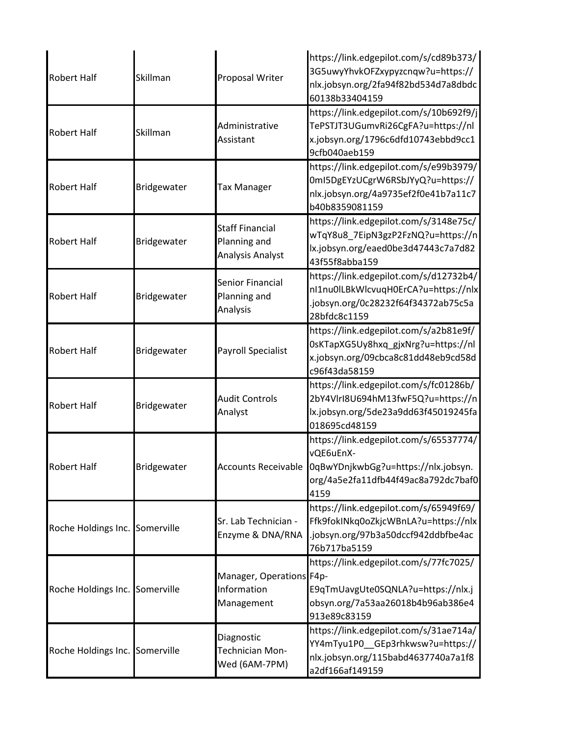| <b>Robert Half</b>             | Skillman    | Proposal Writer                                            | https://link.edgepilot.com/s/cd89b373/<br>3G5uwyYhvkOFZxypyzcnqw?u=https://<br>nlx.jobsyn.org/2fa94f82bd534d7a8dbdc<br>60138b33404159     |
|--------------------------------|-------------|------------------------------------------------------------|-------------------------------------------------------------------------------------------------------------------------------------------|
| <b>Robert Half</b>             | Skillman    | Administrative<br>Assistant                                | https://link.edgepilot.com/s/10b692f9/j<br>TePSTJT3UGumvRi26CgFA?u=https://nl<br>x.jobsyn.org/1796c6dfd10743ebbd9cc1<br>9cfb040aeb159     |
| <b>Robert Half</b>             | Bridgewater | <b>Tax Manager</b>                                         | https://link.edgepilot.com/s/e99b3979/<br>0mI5DgEYzUCgrW6RSbJYyQ?u=https://<br>nlx.jobsyn.org/4a9735ef2f0e41b7a11c7<br>b40b8359081159     |
| <b>Robert Half</b>             | Bridgewater | <b>Staff Financial</b><br>Planning and<br>Analysis Analyst | https://link.edgepilot.com/s/3148e75c/<br>wTqY8u8_7EipN3gzP2FzNQ?u=https://n<br>lx.jobsyn.org/eaed0be3d47443c7a7d82<br>43f55f8abba159     |
| <b>Robert Half</b>             | Bridgewater | Senior Financial<br>Planning and<br>Analysis               | https://link.edgepilot.com/s/d12732b4/<br>nl1nu0lLBkWlcvuqH0ErCA?u=https://nlx<br>jobsyn.org/0c28232f64f34372ab75c5a<br>28bfdc8c1159      |
| <b>Robert Half</b>             | Bridgewater | <b>Payroll Specialist</b>                                  | https://link.edgepilot.com/s/a2b81e9f/<br>0sKTapXG5Uy8hxq_gjxNrg?u=https://nl<br>x.jobsyn.org/09cbca8c81dd48eb9cd58d<br>c96f43da58159     |
| <b>Robert Half</b>             | Bridgewater | <b>Audit Controls</b><br>Analyst                           | https://link.edgepilot.com/s/fc01286b/<br>2bY4VlrI8U694hM13fwF5Q?u=https://n<br>lx.jobsyn.org/5de23a9dd63f45019245fa<br>018695cd48159     |
| <b>Robert Half</b>             | Bridgewater | <b>Accounts Receivable</b>                                 | https://link.edgepilot.com/s/65537774/<br>vQE6uEnX-<br>0qBwYDnjkwbGg?u=https://nlx.jobsyn.<br>org/4a5e2fa11dfb44f49ac8a792dc7baf0<br>4159 |
| Roche Holdings Inc. Somerville |             | Sr. Lab Technician -<br>Enzyme & DNA/RNA                   | https://link.edgepilot.com/s/65949f69/<br>Ffk9fokINkq0oZkjcWBnLA?u=https://nlx<br>.jobsyn.org/97b3a50dccf942ddbfbe4ac<br>76b717ba5159     |
| Roche Holdings Inc. Somerville |             | Manager, Operations F4p-<br>Information<br>Management      | https://link.edgepilot.com/s/77fc7025/<br>E9qTmUavgUte0SQNLA?u=https://nlx.j<br>obsyn.org/7a53aa26018b4b96ab386e4<br>913e89c83159         |
| Roche Holdings Inc. Somerville |             | Diagnostic<br>Technician Mon-<br>Wed (6AM-7PM)             | https://link.edgepilot.com/s/31ae714a/<br>YY4mTyu1P0 GEp3rhkwsw?u=https://<br>nlx.jobsyn.org/115babd4637740a7a1f8<br>a2df166af149159      |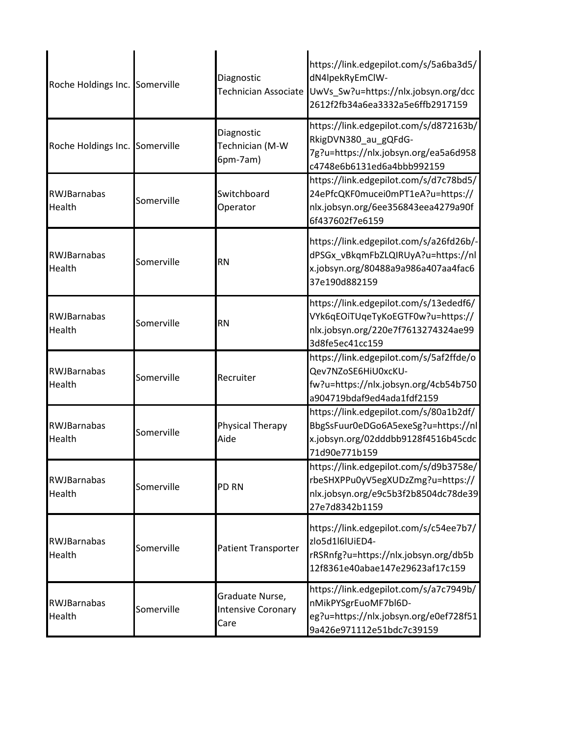| Roche Holdings Inc. Somerville      |            | Diagnostic<br>Technician Associate                   | https://link.edgepilot.com/s/5a6ba3d5/<br>dN4lpekRyEmClW-<br>UwVs_Sw?u=https://nlx.jobsyn.org/dcc<br>2612f2fb34a6ea3332a5e6ffb2917159 |
|-------------------------------------|------------|------------------------------------------------------|---------------------------------------------------------------------------------------------------------------------------------------|
| Roche Holdings Inc. Somerville      |            | Diagnostic<br>Technician (M-W<br>6pm-7am)            | https://link.edgepilot.com/s/d872163b/<br>RkigDVN380 au gQFdG-<br>7g?u=https://nlx.jobsyn.org/ea5a6d958<br>c4748e6b6131ed6a4bbb992159 |
| RWJBarnabas<br>Health               | Somerville | Switchboard<br>Operator                              | https://link.edgepilot.com/s/d7c78bd5/<br>24ePfcQKF0mucei0mPT1eA?u=https://<br>nlx.jobsyn.org/6ee356843eea4279a90f<br>6f437602f7e6159 |
| <b>RWJBarnabas</b><br><b>Health</b> | Somerville | <b>RN</b>                                            | https://link.edgepilot.com/s/a26fd26b/-<br>dPSGx_vBkqmFbZLQIRUyA?u=https://nl<br>x.jobsyn.org/80488a9a986a407aa4fac6<br>37e190d882159 |
| <b>RWJBarnabas</b><br>Health        | Somerville | <b>RN</b>                                            | https://link.edgepilot.com/s/13ededf6/<br>VYk6qEOiTUqeTyKoEGTF0w?u=https://<br>nlx.jobsyn.org/220e7f7613274324ae99<br>3d8fe5ec41cc159 |
| <b>RWJBarnabas</b><br>Health        | Somerville | Recruiter                                            | https://link.edgepilot.com/s/5af2ffde/o<br>Qev7NZoSE6HiU0xcKU-<br>fw?u=https://nlx.jobsyn.org/4cb54b750<br>a904719bdaf9ed4ada1fdf2159 |
| <b>RWJBarnabas</b><br>Health        | Somerville | Physical Therapy<br>Aide                             | https://link.edgepilot.com/s/80a1b2df/<br>BbgSsFuur0eDGo6A5exeSg?u=https://nl<br>x.jobsyn.org/02dddbb9128f4516b45cdc<br>71d90e771b159 |
| <b>RWJBarnabas</b><br>Health        | Somerville | PD RN                                                | https://link.edgepilot.com/s/d9b3758e/<br>rbeSHXPPu0yV5egXUDzZmg?u=https://<br>nlx.jobsyn.org/e9c5b3f2b8504dc78de39<br>27e7d8342b1159 |
| <b>RWJBarnabas</b><br>Health        | Somerville | <b>Patient Transporter</b>                           | https://link.edgepilot.com/s/c54ee7b7/<br>zlo5d1l6lUiED4-<br>rRSRnfg?u=https://nlx.jobsyn.org/db5b<br>12f8361e40abae147e29623af17c159 |
| <b>RWJBarnabas</b><br>Health        | Somerville | Graduate Nurse,<br><b>Intensive Coronary</b><br>Care | https://link.edgepilot.com/s/a7c7949b/<br>nMikPYSgrEuoMF7bl6D-<br>eg?u=https://nlx.jobsyn.org/e0ef728f51<br>9a426e971112e51bdc7c39159 |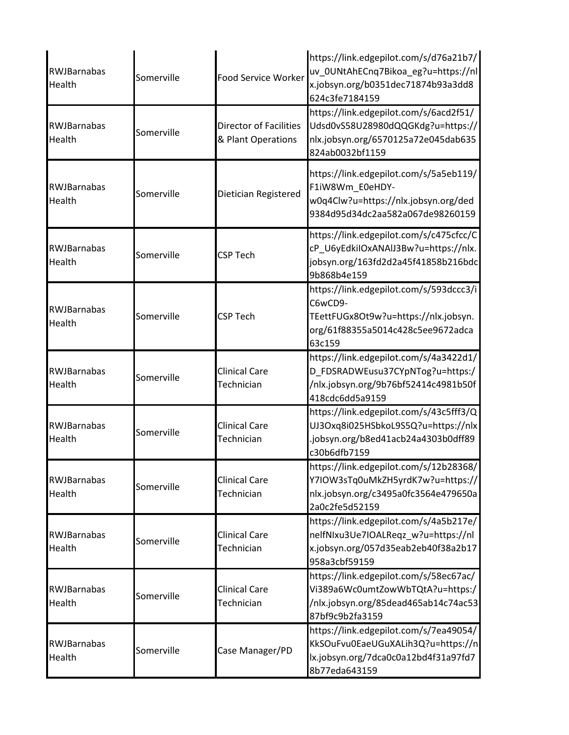| RWJBarnabas<br>Health        | Somerville | Food Service Worker                                 | https://link.edgepilot.com/s/d76a21b7/<br>uv_0UNtAhECnq7Bikoa_eg?u=https://nl<br>x.jobsyn.org/b0351dec71874b93a3dd8<br>624c3fe7184159     |
|------------------------------|------------|-----------------------------------------------------|-------------------------------------------------------------------------------------------------------------------------------------------|
| RWJBarnabas<br>Health        | Somerville | <b>Director of Facilities</b><br>& Plant Operations | https://link.edgepilot.com/s/6acd2f51/<br>Udsd0vS58U28980dQQGKdg?u=https://<br>nlx.jobsyn.org/6570125a72e045dab635<br>824ab0032bf1159     |
| RWJBarnabas<br>Health        | Somerville | Dietician Registered                                | https://link.edgepilot.com/s/5a5eb119/<br>F1iW8Wm_E0eHDY-<br>w0q4Clw?u=https://nlx.jobsyn.org/ded<br>9384d95d34dc2aa582a067de98260159     |
| RWJBarnabas<br>Health        | Somerville | <b>CSP Tech</b>                                     | https://link.edgepilot.com/s/c475cfcc/C<br>cP_U6yEdkiIOxANAIJ3Bw?u=https://nlx.<br>jobsyn.org/163fd2d2a45f41858b216bdc<br>9b868b4e159     |
| RWJBarnabas<br>Health        | Somerville | <b>CSP Tech</b>                                     | https://link.edgepilot.com/s/593dccc3/i<br>C6wCD9-<br>TEettFUGx8Ot9w?u=https://nlx.jobsyn.<br>org/61f88355a5014c428c5ee9672adca<br>63c159 |
| RWJBarnabas<br>Health        | Somerville | <b>Clinical Care</b><br>Technician                  | https://link.edgepilot.com/s/4a3422d1/<br>D_FDSRADWEusu37CYpNTog?u=https:/<br>/nlx.jobsyn.org/9b76bf52414c4981b50f<br>418cdc6dd5a9159     |
| RWJBarnabas<br>Health        | Somerville | <b>Clinical Care</b><br>Technician                  | https://link.edgepilot.com/s/43c5fff3/Q<br>UJ3Oxq8i025HSbkoL9S5Q?u=https://nlx<br>.jobsyn.org/b8ed41acb24a4303b0dff89<br>c30b6dfb7159     |
| <b>RWJBarnabas</b><br>Health | Somerville | <b>Clinical Care</b><br>Technician                  | https://link.edgepilot.com/s/12b28368/<br>Y7IOW3sTq0uMkZH5yrdK7w?u=https://<br>nlx.jobsyn.org/c3495a0fc3564e479650a<br>2a0c2fe5d52159     |
| <b>RWJBarnabas</b><br>Health | Somerville | <b>Clinical Care</b><br>Technician                  | https://link.edgepilot.com/s/4a5b217e/<br>nelfNIxu3Ue7IOALReqz w?u=https://nl<br>x.jobsyn.org/057d35eab2eb40f38a2b17<br>958a3cbf59159     |
| <b>RWJBarnabas</b><br>Health | Somerville | <b>Clinical Care</b><br>Technician                  | https://link.edgepilot.com/s/58ec67ac/<br>Vi389a6Wc0umtZowWbTQtA?u=https:/<br>/nlx.jobsyn.org/85dead465ab14c74ac53<br>87bf9c9b2fa3159     |
| RWJBarnabas<br>Health        | Somerville | Case Manager/PD                                     | https://link.edgepilot.com/s/7ea49054/<br>KkSOuFvu0EaeUGuXALih3Q?u=https://n<br>lx.jobsyn.org/7dca0c0a12bd4f31a97fd7<br>8b77eda643159     |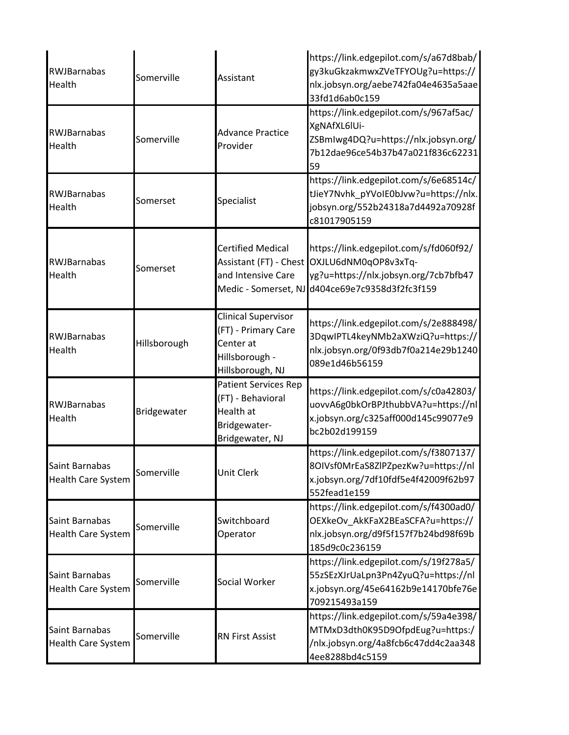| RWJBarnabas<br>Health                       | Somerville   | Assistant                                                                                            | https://link.edgepilot.com/s/a67d8bab/<br>gy3kuGkzakmwxZVeTFYOUg?u=https://<br>nlx.jobsyn.org/aebe742fa04e4635a5aae<br>33fd1d6ab0c159                      |
|---------------------------------------------|--------------|------------------------------------------------------------------------------------------------------|------------------------------------------------------------------------------------------------------------------------------------------------------------|
| RWJBarnabas<br>Health                       | Somerville   | <b>Advance Practice</b><br>Provider                                                                  | https://link.edgepilot.com/s/967af5ac/<br>XgNAfXL6IUi-<br>ZSBmIwg4DQ?u=https://nlx.jobsyn.org/<br>7b12dae96ce54b37b47a021f836c62231<br>59                  |
| RWJBarnabas<br>Health                       | Somerset     | Specialist                                                                                           | https://link.edgepilot.com/s/6e68514c/<br>tJieY7Nvhk_pYVoIE0bJvw?u=https://nlx.<br>jobsyn.org/552b24318a7d4492a70928f<br>c81017905159                      |
| <b>RWJBarnabas</b><br>Health                | Somerset     | <b>Certified Medical</b><br>Assistant (FT) - Chest<br>and Intensive Care                             | https://link.edgepilot.com/s/fd060f92/<br>OXJLU6dNM0qOP8v3xTq-<br>yg?u=https://nlx.jobsyn.org/7cb7bfb47<br>Medic - Somerset, NJ d404ce69e7c9358d3f2fc3f159 |
| RWJBarnabas<br>Health                       | Hillsborough | <b>Clinical Supervisor</b><br>(FT) - Primary Care<br>Center at<br>Hillsborough -<br>Hillsborough, NJ | https://link.edgepilot.com/s/2e888498/<br>3DqwlPTL4keyNMb2aXWziQ?u=https://<br>nlx.jobsyn.org/0f93db7f0a214e29b1240<br>089e1d46b56159                      |
| RWJBarnabas<br>Health                       | Bridgewater  | <b>Patient Services Rep</b><br>(FT) - Behavioral<br>Health at<br>Bridgewater-<br>Bridgewater, NJ     | https://link.edgepilot.com/s/c0a42803/<br>uovvA6g0bkOrBPJthubbVA?u=https://nl<br>x.jobsyn.org/c325aff000d145c99077e9<br>bc2b02d199159                      |
| Saint Barnabas<br><b>Health Care System</b> | Somerville   | Unit Clerk                                                                                           | https://link.edgepilot.com/s/f3807137/<br>8OIVsf0MrEaS8ZIPZpezKw?u=https://nl<br>x.jobsyn.org/7df10fdf5e4f42009f62b97<br>552fead1e159                      |
| Saint Barnabas<br><b>Health Care System</b> | Somerville   | Switchboard<br>Operator                                                                              | https://link.edgepilot.com/s/f4300ad0/<br>OEXkeOv AkKFaX2BEaSCFA?u=https://<br>nlx.jobsyn.org/d9f5f157f7b24bd98f69b<br>185d9c0c236159                      |
| Saint Barnabas<br><b>Health Care System</b> | Somerville   | Social Worker                                                                                        | https://link.edgepilot.com/s/19f278a5/<br>55zSEzXJrUaLpn3Pn4ZyuQ?u=https://nl<br>x.jobsyn.org/45e64162b9e14170bfe76e<br>709215493a159                      |
| Saint Barnabas<br><b>Health Care System</b> | Somerville   | <b>RN First Assist</b>                                                                               | https://link.edgepilot.com/s/59a4e398/<br>MTMxD3dth0K95D9OfpdEug?u=https:/<br>/nlx.jobsyn.org/4a8fcb6c47dd4c2aa348<br>4ee8288bd4c5159                      |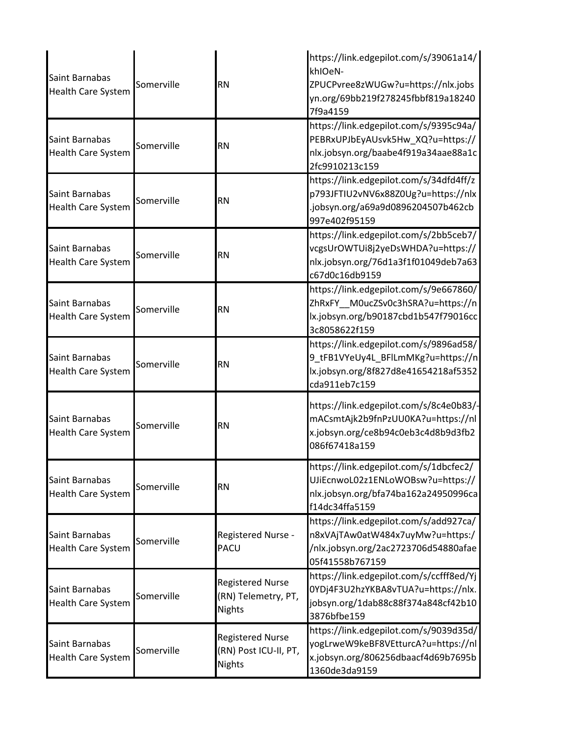| Saint Barnabas<br><b>Health Care System</b> | Somerville | <b>RN</b>                                                         | https://link.edgepilot.com/s/39061a14/<br>khIOeN-<br>ZPUCPvree8zWUGw?u=https://nlx.jobs<br>yn.org/69bb219f278245fbbf819a18240<br>7f9a4159 |
|---------------------------------------------|------------|-------------------------------------------------------------------|-------------------------------------------------------------------------------------------------------------------------------------------|
| Saint Barnabas<br><b>Health Care System</b> | Somerville | <b>RN</b>                                                         | https://link.edgepilot.com/s/9395c94a/<br>PEBRxUPJbEyAUsvk5Hw_XQ?u=https://<br>nlx.jobsyn.org/baabe4f919a34aae88a1c<br>2fc9910213c159     |
| Saint Barnabas<br><b>Health Care System</b> | Somerville | <b>RN</b>                                                         | https://link.edgepilot.com/s/34dfd4ff/z<br>p793JFTIU2vNV6x88Z0Ug?u=https://nlx<br>.jobsyn.org/a69a9d0896204507b462cb<br>997e402f95159     |
| Saint Barnabas<br><b>Health Care System</b> | Somerville | <b>RN</b>                                                         | https://link.edgepilot.com/s/2bb5ceb7/<br>vcgsUrOWTUi8j2yeDsWHDA?u=https://<br>nlx.jobsyn.org/76d1a3f1f01049deb7a63<br>c67d0c16db9159     |
| Saint Barnabas<br><b>Health Care System</b> | Somerville | <b>RN</b>                                                         | https://link.edgepilot.com/s/9e667860/<br>ZhRxFY MOucZSvOc3hSRA?u=https://n<br>lx.jobsyn.org/b90187cbd1b547f79016cc<br>3c8058622f159      |
| Saint Barnabas<br><b>Health Care System</b> | Somerville | <b>RN</b>                                                         | https://link.edgepilot.com/s/9896ad58/<br>9_tFB1VYeUy4L_BFlLmMKg?u=https://n<br>lx.jobsyn.org/8f827d8e41654218af5352<br>cda911eb7c159     |
| Saint Barnabas<br><b>Health Care System</b> | Somerville | <b>RN</b>                                                         | https://link.edgepilot.com/s/8c4e0b83/-<br>mACsmtAjk2b9fnPzUU0KA?u=https://nl<br>x.jobsyn.org/ce8b94c0eb3c4d8b9d3fb2<br>086f67418a159     |
| Saint Barnabas<br><b>Health Care System</b> | Somerville | <b>RN</b>                                                         | https://link.edgepilot.com/s/1dbcfec2/<br>UJiEcnwoL02z1ENLoWOBsw?u=https://<br>nlx.jobsyn.org/bfa74ba162a24950996ca<br>f14dc34ffa5159     |
| Saint Barnabas<br><b>Health Care System</b> | Somerville | Registered Nurse -<br><b>PACU</b>                                 | https://link.edgepilot.com/s/add927ca/<br>n8xVAjTAw0atW484x7uyMw?u=https:/<br>/nlx.jobsyn.org/2ac2723706d54880afae<br>05f41558b767159     |
| Saint Barnabas<br><b>Health Care System</b> | Somerville | <b>Registered Nurse</b><br>(RN) Telemetry, PT,<br><b>Nights</b>   | https://link.edgepilot.com/s/ccfff8ed/Yj<br>0YDj4F3U2hzYKBA8vTUA?u=https://nlx.<br>jobsyn.org/1dab88c88f374a848cf42b10<br>3876bfbe159     |
| Saint Barnabas<br><b>Health Care System</b> | Somerville | <b>Registered Nurse</b><br>(RN) Post ICU-II, PT,<br><b>Nights</b> | https://link.edgepilot.com/s/9039d35d/<br>yogLrweW9keBF8VEtturcA?u=https://nl<br>x.jobsyn.org/806256dbaacf4d69b7695b<br>1360de3da9159     |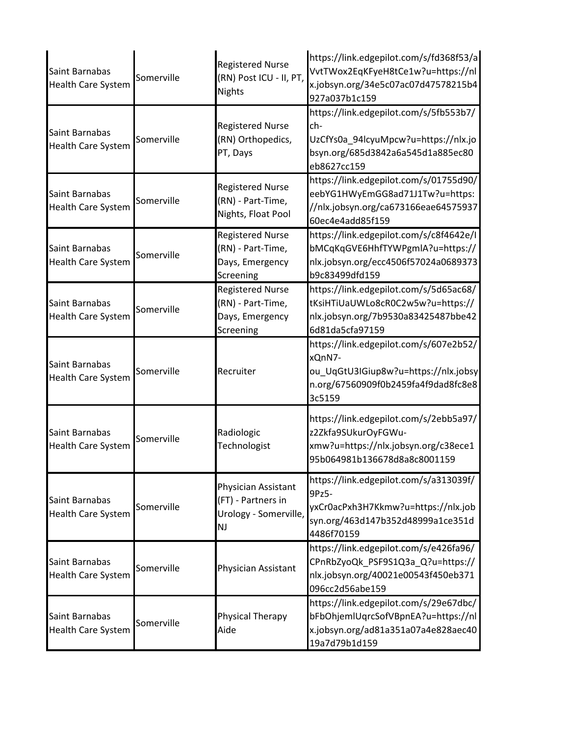| Saint Barnabas<br>Health Care System        | Somerville | <b>Registered Nurse</b><br>(RN) Post ICU - II, PT,<br><b>Nights</b>             | https://link.edgepilot.com/s/fd368f53/a<br>VvtTWox2EqKFyeH8tCe1w?u=https://nl<br>x.jobsyn.org/34e5c07ac07d47578215b4<br>927a037b1c159     |
|---------------------------------------------|------------|---------------------------------------------------------------------------------|-------------------------------------------------------------------------------------------------------------------------------------------|
| Saint Barnabas<br>Health Care System        | Somerville | <b>Registered Nurse</b><br>(RN) Orthopedics,<br>PT, Days                        | https://link.edgepilot.com/s/5fb553b7/<br>ch-<br>UzCfYs0a_94lcyuMpcw?u=https://nlx.jo<br>bsyn.org/685d3842a6a545d1a885ec80<br>eb8627cc159 |
| Saint Barnabas<br>Health Care System        | Somerville | <b>Registered Nurse</b><br>(RN) - Part-Time,<br>Nights, Float Pool              | https://link.edgepilot.com/s/01755d90/<br>eebYG1HWyEmGG8ad71J1Tw?u=https:<br>//nlx.jobsyn.org/ca673166eae64575937<br>60ec4e4add85f159     |
| Saint Barnabas<br>Health Care System        | Somerville | <b>Registered Nurse</b><br>(RN) - Part-Time,<br>Days, Emergency<br>Screening    | https://link.edgepilot.com/s/c8f4642e/l<br>bMCqKqGVE6HhfTYWPgmlA?u=https://<br>nlx.jobsyn.org/ecc4506f57024a0689373<br>b9c83499dfd159     |
| Saint Barnabas<br><b>Health Care System</b> | Somerville | <b>Registered Nurse</b><br>(RN) - Part-Time,<br>Days, Emergency<br>Screening    | https://link.edgepilot.com/s/5d65ac68/<br>tKsiHTiUaUWLo8cR0C2w5w?u=https://<br>nlx.jobsyn.org/7b9530a83425487bbe42<br>6d81da5cfa97159     |
| Saint Barnabas<br>Health Care System        | Somerville | Recruiter                                                                       | https://link.edgepilot.com/s/607e2b52/<br>xQnN7-<br>ou_UqGtU3IGiup8w?u=https://nlx.jobsy<br>n.org/67560909f0b2459fa4f9dad8fc8e8<br>3c5159 |
| Saint Barnabas<br><b>Health Care System</b> | Somerville | Radiologic<br>Technologist                                                      | https://link.edgepilot.com/s/2ebb5a97/<br>z2Zkfa9SUkurOyFGWu-<br>xmw?u=https://nlx.jobsyn.org/c38ece1<br>95b064981b136678d8a8c8001159     |
| Saint Barnabas<br><b>Health Care System</b> | Somerville | Physician Assistant<br>(FT) - Partners in<br>Urology - Somerville,<br><b>NJ</b> | https://link.edgepilot.com/s/a313039f/<br>9Pz5-<br>yxCr0acPxh3H7Kkmw?u=https://nlx.job<br>syn.org/463d147b352d48999a1ce351d<br>4486f70159 |
| Saint Barnabas<br>Health Care System        | Somerville | Physician Assistant                                                             | https://link.edgepilot.com/s/e426fa96/<br>CPnRbZyoQk_PSF9S1Q3a_Q?u=https://<br>nlx.jobsyn.org/40021e00543f450eb371<br>096cc2d56abe159     |
| Saint Barnabas<br>Health Care System        | Somerville | Physical Therapy<br>Aide                                                        | https://link.edgepilot.com/s/29e67dbc/<br>bFbOhjemIUqrcSofVBpnEA?u=https://nl<br>x.jobsyn.org/ad81a351a07a4e828aec40<br>19a7d79b1d159     |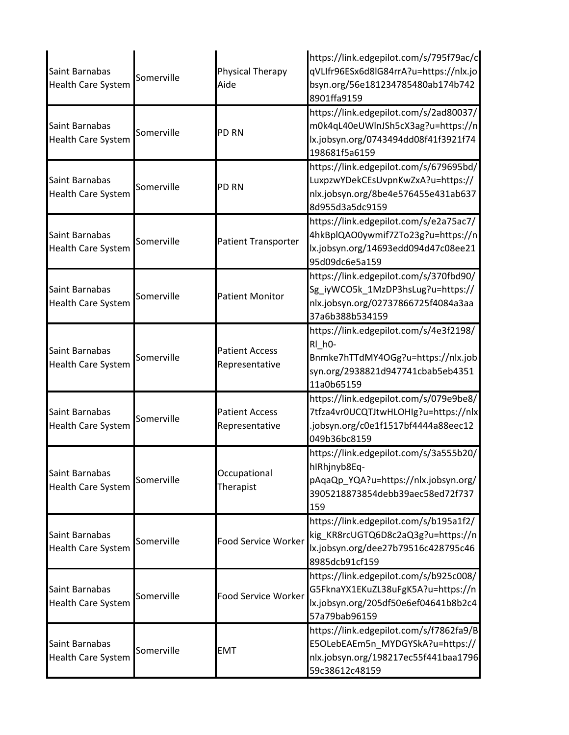| Saint Barnabas<br><b>Health Care System</b> | Somerville | Physical Therapy<br>Aide                | https://link.edgepilot.com/s/795f79ac/c<br>qVLIfr96ESx6d8lG84rrA?u=https://nlx.jo<br>bsyn.org/56e181234785480ab174b742<br>8901ffa9159                  |
|---------------------------------------------|------------|-----------------------------------------|--------------------------------------------------------------------------------------------------------------------------------------------------------|
| Saint Barnabas<br><b>Health Care System</b> | Somerville | PD RN                                   | https://link.edgepilot.com/s/2ad80037/<br>m0k4qL40eUWInJSh5cX3ag?u=https://n<br>lx.jobsyn.org/0743494dd08f41f3921f74<br>198681f5a6159                  |
| Saint Barnabas<br><b>Health Care System</b> | Somerville | PD RN                                   | https://link.edgepilot.com/s/679695bd/<br>LuxpzwYDekCEsUvpnKwZxA?u=https://<br>nlx.jobsyn.org/8be4e576455e431ab637<br>8d955d3a5dc9159                  |
| Saint Barnabas<br><b>Health Care System</b> | Somerville | Patient Transporter                     | https://link.edgepilot.com/s/e2a75ac7/<br>4hkBplQAO0ywmif7ZTo23g?u=https://n<br>lx.jobsyn.org/14693edd094d47c08ee21<br>95d09dc6e5a159                  |
| Saint Barnabas<br><b>Health Care System</b> | Somerville | <b>Patient Monitor</b>                  | https://link.edgepilot.com/s/370fbd90/<br>Sg_iyWCO5k_1MzDP3hsLug?u=https://<br>nlx.jobsyn.org/02737866725f4084a3aa<br>37a6b388b534159                  |
| Saint Barnabas<br><b>Health Care System</b> | Somerville | <b>Patient Access</b><br>Representative | https://link.edgepilot.com/s/4e3f2198/<br>RI h <sub>0</sub> -<br>Bnmke7hTTdMY4OGg?u=https://nlx.job<br>syn.org/2938821d947741cbab5eb4351<br>11a0b65159 |
| Saint Barnabas<br><b>Health Care System</b> | Somerville | <b>Patient Access</b><br>Representative | https://link.edgepilot.com/s/079e9be8/<br>7tfza4vr0UCQTJtwHLOHIg?u=https://nlx<br>jobsyn.org/c0e1f1517bf4444a88eec12<br>049b36bc8159                   |
| Saint Barnabas<br><b>Health Care System</b> | Somerville | Occupational<br>Therapist               | https://link.edgepilot.com/s/3a555b20/<br>hIRhjnyb8Eq-<br>pAqaQp_YQA?u=https://nlx.jobsyn.org/<br>3905218873854debb39aec58ed72f737<br>159              |
| Saint Barnabas<br><b>Health Care System</b> | Somerville | Food Service Worker                     | https://link.edgepilot.com/s/b195a1f2/<br>kig_KR8rcUGTQ6D8c2aQ3g?u=https://n<br>lx.jobsyn.org/dee27b79516c428795c46<br>8985dcb91cf159                  |
| Saint Barnabas<br><b>Health Care System</b> | Somerville | Food Service Worker                     | https://link.edgepilot.com/s/b925c008/<br>G5FknaYX1EKuZL38uFgK5A?u=https://n<br>lx.jobsyn.org/205df50e6ef04641b8b2c4<br>57a79bab96159                  |
| Saint Barnabas<br><b>Health Care System</b> | Somerville | <b>EMT</b>                              | https://link.edgepilot.com/s/f7862fa9/B<br>E5OLebEAEm5n_MYDGYSkA?u=https://<br>nlx.jobsyn.org/198217ec55f441baa1796<br>59c38612c48159                  |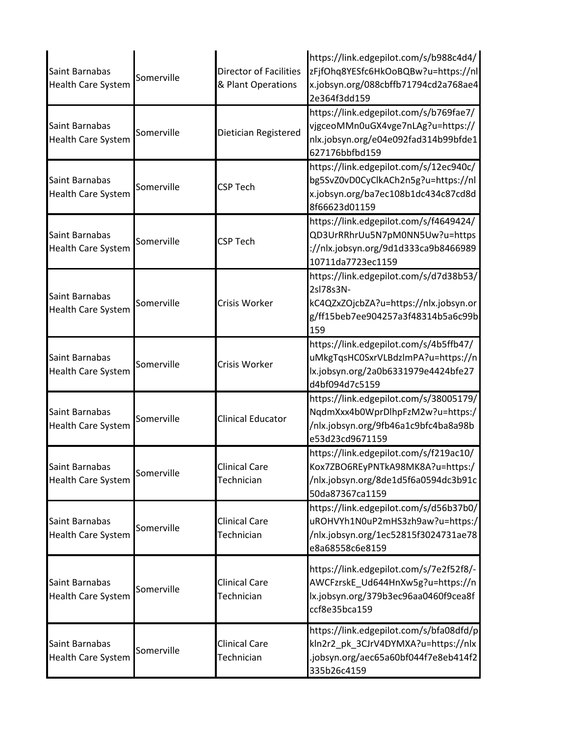| Saint Barnabas<br><b>Health Care System</b> | Somerville | <b>Director of Facilities</b><br>& Plant Operations | https://link.edgepilot.com/s/b988c4d4/<br>zFjfOhq8YESfc6HkOoBQBw?u=https://nl<br>x.jobsyn.org/088cbffb71794cd2a768ae4<br>2e364f3dd159     |
|---------------------------------------------|------------|-----------------------------------------------------|-------------------------------------------------------------------------------------------------------------------------------------------|
| Saint Barnabas<br><b>Health Care System</b> | Somerville | Dietician Registered                                | https://link.edgepilot.com/s/b769fae7/<br>vjgceoMMn0uGX4vge7nLAg?u=https://<br>nlx.jobsyn.org/e04e092fad314b99bfde1<br>627176bbfbd159     |
| Saint Barnabas<br><b>Health Care System</b> | Somerville | <b>CSP Tech</b>                                     | https://link.edgepilot.com/s/12ec940c/<br>bg5SvZ0vD0CyClkACh2n5g?u=https://nl<br>x.jobsyn.org/ba7ec108b1dc434c87cd8d<br>8f66623d01159     |
| Saint Barnabas<br><b>Health Care System</b> | Somerville | <b>CSP Tech</b>                                     | https://link.edgepilot.com/s/f4649424/<br>QD3UrRRhrUu5N7pM0NN5Uw?u=https<br>://nlx.jobsyn.org/9d1d333ca9b8466989<br>10711da7723ec1159     |
| Saint Barnabas<br><b>Health Care System</b> | Somerville | Crisis Worker                                       | https://link.edgepilot.com/s/d7d38b53/<br>2sl78s3N-<br>kC4QZxZOjcbZA?u=https://nlx.jobsyn.or<br>g/ff15beb7ee904257a3f48314b5a6c99b<br>159 |
| Saint Barnabas<br><b>Health Care System</b> | Somerville | Crisis Worker                                       | https://link.edgepilot.com/s/4b5ffb47/<br>uMkgTqsHC0SxrVLBdzlmPA?u=https://n<br>lx.jobsyn.org/2a0b6331979e4424bfe27<br>d4bf094d7c5159     |
| Saint Barnabas<br><b>Health Care System</b> | Somerville | <b>Clinical Educator</b>                            | https://link.edgepilot.com/s/38005179/<br>NqdmXxx4b0WprDlhpFzM2w?u=https:/<br>/nlx.jobsyn.org/9fb46a1c9bfc4ba8a98b<br>e53d23cd9671159     |
| Saint Barnabas<br><b>Health Care System</b> | Somerville | <b>Clinical Care</b><br>Technician                  | https://link.edgepilot.com/s/f219ac10/<br>Kox7ZBO6REyPNTkA98MK8A?u=https:/<br>/nlx.jobsyn.org/8de1d5f6a0594dc3b91c<br>50da87367ca1159     |
| Saint Barnabas<br><b>Health Care System</b> | Somerville | <b>Clinical Care</b><br>Technician                  | https://link.edgepilot.com/s/d56b37b0/<br>uROHVYh1N0uP2mHS3zh9aw?u=https:/<br>/nlx.jobsyn.org/1ec52815f3024731ae78<br>e8a68558c6e8159     |
| Saint Barnabas<br><b>Health Care System</b> | Somerville | <b>Clinical Care</b><br>Technician                  | https://link.edgepilot.com/s/7e2f52f8/-<br>AWCFzrskE_Ud644HnXw5g?u=https://n<br>lx.jobsyn.org/379b3ec96aa0460f9cea8f<br>ccf8e35bca159     |
| Saint Barnabas<br>Health Care System        | Somerville | <b>Clinical Care</b><br>Technician                  | https://link.edgepilot.com/s/bfa08dfd/p<br>kln2r2_pk_3CJrV4DYMXA?u=https://nlx<br>jobsyn.org/aec65a60bf044f7e8eb414f2<br>335b26c4159      |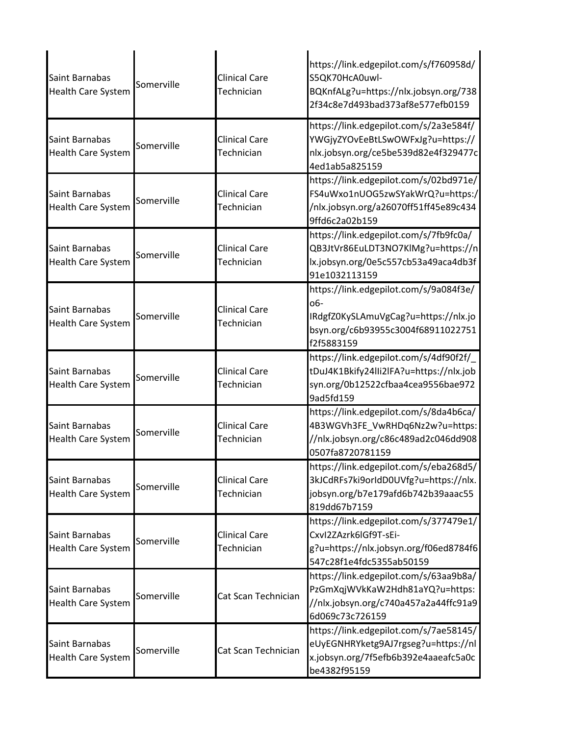| Saint Barnabas<br><b>Health Care System</b> | Somerville | <b>Clinical Care</b><br>Technician | https://link.edgepilot.com/s/f760958d/<br>S5QK70HcA0uwl-<br>BQKnfALg?u=https://nlx.jobsyn.org/738<br>2f34c8e7d493bad373af8e577efb0159     |
|---------------------------------------------|------------|------------------------------------|-------------------------------------------------------------------------------------------------------------------------------------------|
| Saint Barnabas<br><b>Health Care System</b> | Somerville | <b>Clinical Care</b><br>Technician | https://link.edgepilot.com/s/2a3e584f/<br>YWGjyZYOvEeBtLSwOWFxJg?u=https://<br>nlx.jobsyn.org/ce5be539d82e4f329477c<br>4ed1ab5a825159     |
| Saint Barnabas<br><b>Health Care System</b> | Somerville | <b>Clinical Care</b><br>Technician | https://link.edgepilot.com/s/02bd971e/<br>FS4uWxo1nUOG5zwSYakWrQ?u=https:/<br>/nlx.jobsyn.org/a26070ff51ff45e89c434<br>9ffd6c2a02b159     |
| Saint Barnabas<br><b>Health Care System</b> | Somerville | <b>Clinical Care</b><br>Technician | https://link.edgepilot.com/s/7fb9fc0a/<br>QB3JtVr86EuLDT3NO7KlMg?u=https://n<br>lx.jobsyn.org/0e5c557cb53a49aca4db3f<br>91e1032113159     |
| Saint Barnabas<br><b>Health Care System</b> | Somerville | <b>Clinical Care</b><br>Technician | https://link.edgepilot.com/s/9a084f3e/<br>o6-<br>IRdgfZ0KySLAmuVgCag?u=https://nlx.jo<br>bsyn.org/c6b93955c3004f68911022751<br>f2f5883159 |
| Saint Barnabas<br><b>Health Care System</b> | Somerville | <b>Clinical Care</b><br>Technician | https://link.edgepilot.com/s/4df90f2f/<br>tDuJ4K1Bkify24lli2lFA?u=https://nlx.job<br>syn.org/0b12522cfbaa4cea9556bae972<br>9ad5fd159      |
| Saint Barnabas<br><b>Health Care System</b> | Somerville | <b>Clinical Care</b><br>Technician | https://link.edgepilot.com/s/8da4b6ca/<br>4B3WGVh3FE_VwRHDq6Nz2w?u=https:<br>//nlx.jobsyn.org/c86c489ad2c046dd908<br>0507fa8720781159     |
| Saint Barnabas<br><b>Health Care System</b> | Somerville | <b>Clinical Care</b><br>Technician | https://link.edgepilot.com/s/eba268d5/<br>3kJCdRFs7ki9orIdD0UVfg?u=https://nlx.<br>jobsyn.org/b7e179afd6b742b39aaac55<br>819dd67b7159     |
| Saint Barnabas<br><b>Health Care System</b> | Somerville | <b>Clinical Care</b><br>Technician | https://link.edgepilot.com/s/377479e1/<br>CxvI2ZAzrk6lGf9T-sEi-<br>g?u=https://nlx.jobsyn.org/f06ed8784f6<br>547c28f1e4fdc5355ab50159     |
| Saint Barnabas<br><b>Health Care System</b> | Somerville | Cat Scan Technician                | https://link.edgepilot.com/s/63aa9b8a/<br>PzGmXqjWVkKaW2Hdh81aYQ?u=https:<br>//nlx.jobsyn.org/c740a457a2a44ffc91a9<br>6d069c73c726159     |
| Saint Barnabas<br><b>Health Care System</b> | Somerville | Cat Scan Technician                | https://link.edgepilot.com/s/7ae58145/<br>eUyEGNHRYketg9AJ7rgseg?u=https://nl<br>x.jobsyn.org/7f5efb6b392e4aaeafc5a0c<br>be4382f95159     |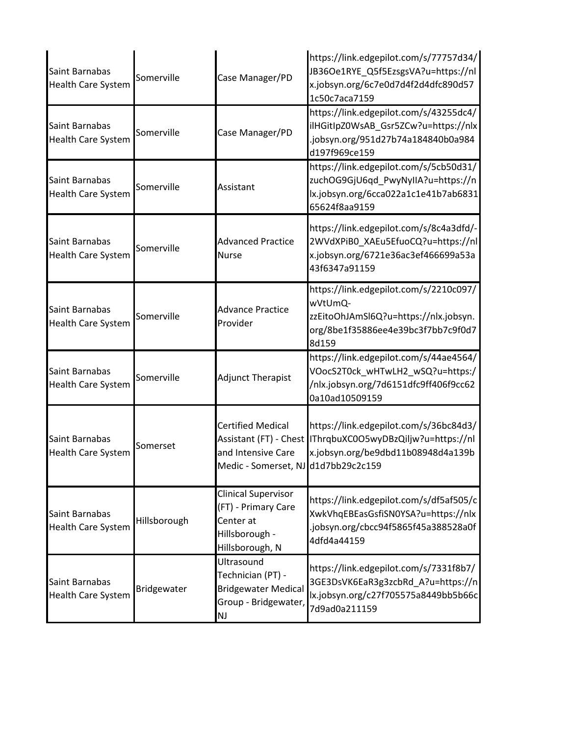| Saint Barnabas<br><b>Health Care System</b> | Somerville   | Case Manager/PD                                                                                                 | https://link.edgepilot.com/s/77757d34/<br>JB36Oe1RYE Q5f5EzsgsVA?u=https://nl<br>x.jobsyn.org/6c7e0d7d4f2d4dfc890d57<br>1c50c7aca7159     |
|---------------------------------------------|--------------|-----------------------------------------------------------------------------------------------------------------|-------------------------------------------------------------------------------------------------------------------------------------------|
| Saint Barnabas<br>Health Care System        | Somerville   | Case Manager/PD                                                                                                 | https://link.edgepilot.com/s/43255dc4/<br>ilHGitlpZ0WsAB_Gsr5ZCw?u=https://nlx<br>.jobsyn.org/951d27b74a184840b0a984<br>d197f969ce159     |
| Saint Barnabas<br>Health Care System        | Somerville   | Assistant                                                                                                       | https://link.edgepilot.com/s/5cb50d31/<br>zuchOG9GjU6qd_PwyNyIIA?u=https://n<br>lx.jobsyn.org/6cca022a1c1e41b7ab6831<br>65624f8aa9159     |
| Saint Barnabas<br>Health Care System        | Somerville   | <b>Advanced Practice</b><br>Nurse                                                                               | https://link.edgepilot.com/s/8c4a3dfd/-<br>2WVdXPiB0_XAEu5EfuoCQ?u=https://nl<br>x.jobsyn.org/6721e36ac3ef466699a53a<br>43f6347a91159     |
| Saint Barnabas<br>Health Care System        | Somerville   | <b>Advance Practice</b><br>Provider                                                                             | https://link.edgepilot.com/s/2210c097/<br>wVtUmQ-<br>zzEitoOhJAmSl6Q?u=https://nlx.jobsyn.<br>org/8be1f35886ee4e39bc3f7bb7c9f0d7<br>8d159 |
| Saint Barnabas<br>Health Care System        | Somerville   | <b>Adjunct Therapist</b>                                                                                        | https://link.edgepilot.com/s/44ae4564/<br>VOocS2T0ck_wHTwLH2_wSQ?u=https:/<br>/nlx.jobsyn.org/7d6151dfc9ff406f9cc62<br>0a10ad10509159     |
| Saint Barnabas<br><b>Health Care System</b> | Somerset     | <b>Certified Medical</b><br>Assistant (FT) - Chest<br>and Intensive Care<br>Medic - Somerset, NJ d1d7bb29c2c159 | https://link.edgepilot.com/s/36bc84d3/<br>IThrqbuXC0O5wyDBzQiljw?u=https://nl<br>x.jobsyn.org/be9dbd11b08948d4a139b                       |
| Saint Barnabas<br><b>Health Care System</b> | Hillsborough | <b>Clinical Supervisor</b><br>(FT) - Primary Care<br>Center at<br>Hillsborough -<br>Hillsborough, N             | https://link.edgepilot.com/s/df5af505/c<br>XwkVhqEBEasGsfiSN0YSA?u=https://nlx<br>.jobsyn.org/cbcc94f5865f45a388528a0f<br>4dfd4a44159     |
| Saint Barnabas<br><b>Health Care System</b> | Bridgewater  | Ultrasound<br>Technician (PT) -<br><b>Bridgewater Medical</b><br>Group - Bridgewater,<br><b>NJ</b>              | https://link.edgepilot.com/s/7331f8b7/<br>3GE3DsVK6EaR3g3zcbRd_A?u=https://n<br>lx.jobsyn.org/c27f705575a8449bb5b66c<br>7d9ad0a211159     |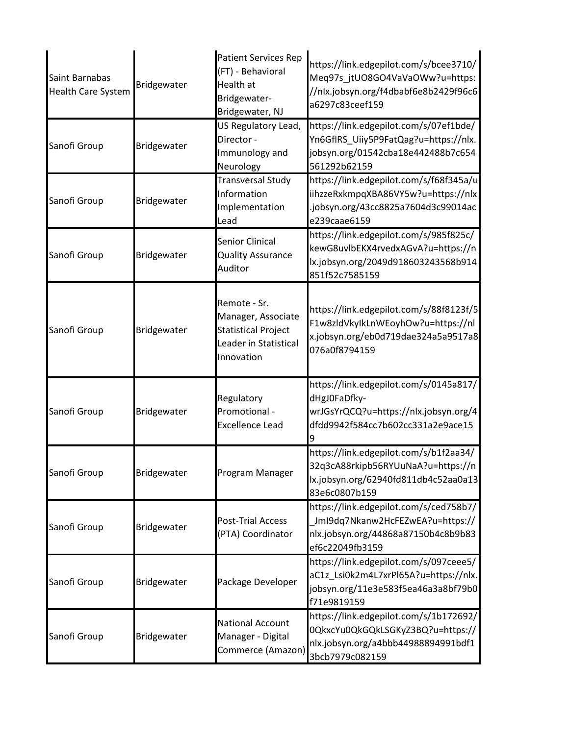| Saint Barnabas<br><b>Health Care System</b> | Bridgewater | <b>Patient Services Rep</b><br>(FT) - Behavioral<br>Health at<br>Bridgewater-<br>Bridgewater, NJ        | https://link.edgepilot.com/s/bcee3710/<br>Meq97s_jtUO8GO4VaVaOWw?u=https:<br>//nlx.jobsyn.org/f4dbabf6e8b2429f96c6<br>a6297c83ceef159 |
|---------------------------------------------|-------------|---------------------------------------------------------------------------------------------------------|---------------------------------------------------------------------------------------------------------------------------------------|
| Sanofi Group                                | Bridgewater | US Regulatory Lead,<br>Director -<br>Immunology and<br>Neurology                                        | https://link.edgepilot.com/s/07ef1bde/<br>Yn6GflRS_Uiiy5P9FatQag?u=https://nlx.<br>jobsyn.org/01542cba18e442488b7c654<br>561292b62159 |
| Sanofi Group                                | Bridgewater | <b>Transversal Study</b><br>Information<br>Implementation<br>Lead                                       | https://link.edgepilot.com/s/f68f345a/u<br>iihzzeRxkmpqXBA86VY5w?u=https://nlx<br>.jobsyn.org/43cc8825a7604d3c99014ac<br>e239caae6159 |
| Sanofi Group                                | Bridgewater | Senior Clinical<br><b>Quality Assurance</b><br>Auditor                                                  | https://link.edgepilot.com/s/985f825c/<br>kewG8uvlbEKX4rvedxAGvA?u=https://n<br>lx.jobsyn.org/2049d918603243568b914<br>851f52c7585159 |
| Sanofi Group                                | Bridgewater | Remote - Sr.<br>Manager, Associate<br><b>Statistical Project</b><br>Leader in Statistical<br>Innovation | https://link.edgepilot.com/s/88f8123f/5<br>F1w8zldVkyIkLnWEoyhOw?u=https://nl<br>x.jobsyn.org/eb0d719dae324a5a9517a8<br>076a0f8794159 |
| Sanofi Group                                | Bridgewater | Regulatory<br>Promotional -<br><b>Excellence Lead</b>                                                   | https://link.edgepilot.com/s/0145a817/<br>dHgJ0FaDfky-<br>wrJGsYrQCQ?u=https://nlx.jobsyn.org/4<br>dfdd9942f584cc7b602cc331a2e9ace15  |
| Sanofi Group                                | Bridgewater | Program Manager                                                                                         | https://link.edgepilot.com/s/b1f2aa34/<br>32q3cA88rkipb56RYUuNaA?u=https://n<br>lx.jobsyn.org/62940fd811db4c52aa0a13<br>83e6c0807b159 |
| Sanofi Group                                | Bridgewater | <b>Post-Trial Access</b><br>(PTA) Coordinator                                                           | https://link.edgepilot.com/s/ced758b7/<br>Jml9dq7Nkanw2HcFEZwEA?u=https://<br>nlx.jobsyn.org/44868a87150b4c8b9b83<br>ef6c22049fb3159  |
| Sanofi Group                                | Bridgewater | Package Developer                                                                                       | https://link.edgepilot.com/s/097ceee5/<br>aC1z_Lsi0k2m4L7xrPl65A?u=https://nlx.<br>jobsyn.org/11e3e583f5ea46a3a8bf79b0<br>f71e9819159 |
| Sanofi Group                                | Bridgewater | <b>National Account</b><br>Manager - Digital<br>Commerce (Amazon)                                       | https://link.edgepilot.com/s/1b172692/<br>0QkxcYu0QkGQkLSGKyZ3BQ?u=https://<br>nlx.jobsyn.org/a4bbb44988894991bdf1<br>3bcb7979c082159 |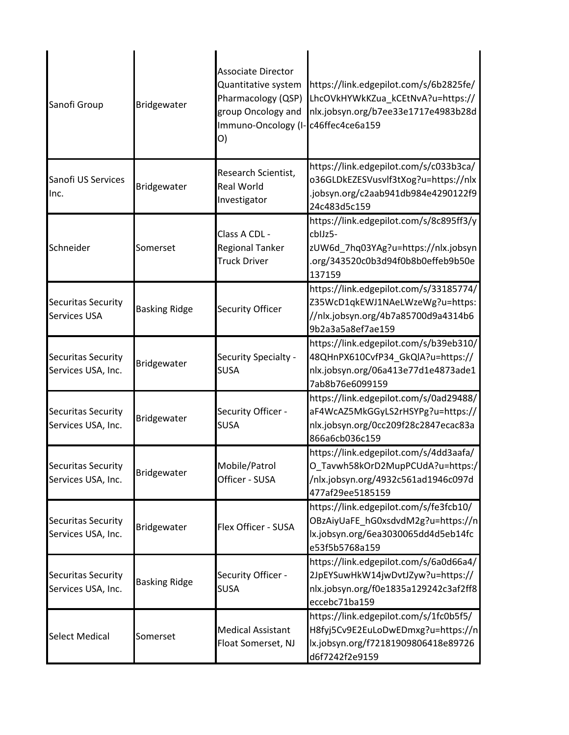| Sanofi Group                                    | Bridgewater          | <b>Associate Director</b><br>Quantitative system<br>Pharmacology (QSP)<br>group Oncology and<br>Immuno-Oncology (I-<br>O) | https://link.edgepilot.com/s/6b2825fe/<br>LhcOVkHYWkKZua kCEtNvA?u=https://<br>nlx.jobsyn.org/b7ee33e1717e4983b28d<br>c46ffec4ce6a159     |
|-------------------------------------------------|----------------------|---------------------------------------------------------------------------------------------------------------------------|-------------------------------------------------------------------------------------------------------------------------------------------|
| Sanofi US Services<br>Inc.                      | Bridgewater          | Research Scientist,<br>Real World<br>Investigator                                                                         | https://link.edgepilot.com/s/c033b3ca/<br>o36GLDkEZESVusvlf3tXog?u=https://nlx<br>.jobsyn.org/c2aab941db984e4290122f9<br>24c483d5c159     |
| Schneider                                       | Somerset             | Class A CDL -<br><b>Regional Tanker</b><br><b>Truck Driver</b>                                                            | https://link.edgepilot.com/s/8c895ff3/y<br>cbIJz5-<br>zUW6d_7hq03YAg?u=https://nlx.jobsyn<br>.org/343520c0b3d94f0b8b0effeb9b50e<br>137159 |
| Securitas Security<br><b>Services USA</b>       | <b>Basking Ridge</b> | <b>Security Officer</b>                                                                                                   | https://link.edgepilot.com/s/33185774/<br>Z35WcD1qkEWJ1NAeLWzeWg?u=https:<br>//nlx.jobsyn.org/4b7a85700d9a4314b6<br>9b2a3a5a8ef7ae159     |
| <b>Securitas Security</b><br>Services USA, Inc. | Bridgewater          | Security Specialty -<br><b>SUSA</b>                                                                                       | https://link.edgepilot.com/s/b39eb310/<br>48QHnPX610CvfP34_GkQlA?u=https://<br>nlx.jobsyn.org/06a413e77d1e4873ade1<br>7ab8b76e6099159     |
| Securitas Security<br>Services USA, Inc.        | Bridgewater          | Security Officer -<br><b>SUSA</b>                                                                                         | https://link.edgepilot.com/s/0ad29488/<br>aF4WcAZ5MkGGyLS2rHSYPg?u=https://<br>nlx.jobsyn.org/0cc209f28c2847ecac83a<br>866a6cb036c159     |
| Securitas Security<br>Services USA, Inc.        | Bridgewater          | Mobile/Patrol<br>Officer - SUSA                                                                                           | https://link.edgepilot.com/s/4dd3aafa/<br>O_Tavwh58kOrD2MupPCUdA?u=https:/<br>/nlx.jobsyn.org/4932c561ad1946c097d<br>477af29ee5185159     |
| Securitas Security<br>Services USA, Inc.        | Bridgewater          | Flex Officer - SUSA                                                                                                       | https://link.edgepilot.com/s/fe3fcb10/<br>OBzAiyUaFE hG0xsdvdM2g?u=https://n<br>lx.jobsyn.org/6ea3030065dd4d5eb14fc<br>e53f5b5768a159     |
| Securitas Security<br>Services USA, Inc.        | <b>Basking Ridge</b> | Security Officer -<br><b>SUSA</b>                                                                                         | https://link.edgepilot.com/s/6a0d66a4/<br>2JpEYSuwHkW14jwDvtJZyw?u=https://<br>nlx.jobsyn.org/f0e1835a129242c3af2ff8<br>eccebc71ba159     |
| <b>Select Medical</b>                           | Somerset             | <b>Medical Assistant</b><br>Float Somerset, NJ                                                                            | https://link.edgepilot.com/s/1fc0b5f5/<br>H8fyj5Cv9E2EuLoDwEDmxg?u=https://n<br>lx.jobsyn.org/f72181909806418e89726<br>d6f7242f2e9159     |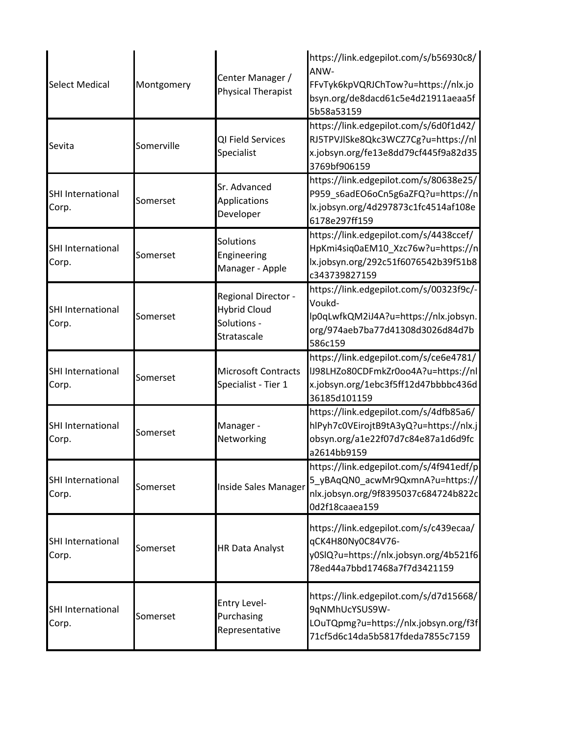| <b>Select Medical</b>             | Montgomery | Center Manager /<br><b>Physical Therapist</b>                            | https://link.edgepilot.com/s/b56930c8/<br>ANW-<br>FFvTyk6kpVQRJChTow?u=https://nlx.jo<br>bsyn.org/de8dacd61c5e4d21911aeaa5f<br>5b58a53159 |
|-----------------------------------|------------|--------------------------------------------------------------------------|-------------------------------------------------------------------------------------------------------------------------------------------|
| Sevita                            | Somerville | QI Field Services<br>Specialist                                          | https://link.edgepilot.com/s/6d0f1d42/<br>RJ5TPVJlSke8Qkc3WCZ7Cg?u=https://nl<br>x.jobsyn.org/fe13e8dd79cf445f9a82d35<br>3769bf906159     |
| <b>SHI International</b><br>Corp. | Somerset   | Sr. Advanced<br>Applications<br>Developer                                | https://link.edgepilot.com/s/80638e25/<br>P959_s6adEO6oCn5g6aZFQ?u=https://n<br>lx.jobsyn.org/4d297873c1fc4514af108e<br>6178e297ff159     |
| <b>SHI International</b><br>Corp. | Somerset   | Solutions<br>Engineering<br>Manager - Apple                              | https://link.edgepilot.com/s/4438ccef/<br>HpKmi4siq0aEM10_Xzc76w?u=https://n<br>lx.jobsyn.org/292c51f6076542b39f51b8<br>c343739827159     |
| SHI International<br>Corp.        | Somerset   | Regional Director -<br><b>Hybrid Cloud</b><br>Solutions -<br>Stratascale | https://link.edgepilot.com/s/00323f9c/-<br>Voukd-<br>lp0qLwfkQM2iJ4A?u=https://nlx.jobsyn.<br>org/974aeb7ba77d41308d3026d84d7b<br>586c159 |
| <b>SHI International</b><br>Corp. | Somerset   | <b>Microsoft Contracts</b><br>Specialist - Tier 1                        | https://link.edgepilot.com/s/ce6e4781/<br>IJ98LHZo80CDFmkZr0oo4A?u=https://nl<br>x.jobsyn.org/1ebc3f5ff12d47bbbbc436d<br>36185d101159     |
| <b>SHI International</b><br>Corp. | Somerset   | Manager -<br>Networking                                                  | https://link.edgepilot.com/s/4dfb85a6/<br>hlPyh7c0VEirojtB9tA3yQ?u=https://nlx.j<br>obsyn.org/a1e22f07d7c84e87a1d6d9fc<br>a2614bb9159     |
| SHI International<br>Corp.        | Somerset   | Inside Sales Manager                                                     | https://link.edgepilot.com/s/4f941edf/p<br>5_yBAqQN0_acwMr9QxmnA?u=https://<br>nlx.jobsyn.org/9f8395037c684724b822c<br>Od2f18caaea159     |
| <b>SHI International</b><br>Corp. | Somerset   | <b>HR Data Analyst</b>                                                   | https://link.edgepilot.com/s/c439ecaa/<br>qCK4H80Ny0C84V76-<br>y0SIQ?u=https://nlx.jobsyn.org/4b521f6<br>78ed44a7bbd17468a7f7d3421159     |
| SHI International<br>Corp.        | Somerset   | Entry Level-<br>Purchasing<br>Representative                             | https://link.edgepilot.com/s/d7d15668/<br>9qNMhUcYSUS9W-<br>LOuTQpmg?u=https://nlx.jobsyn.org/f3f<br>71cf5d6c14da5b5817fdeda7855c7159     |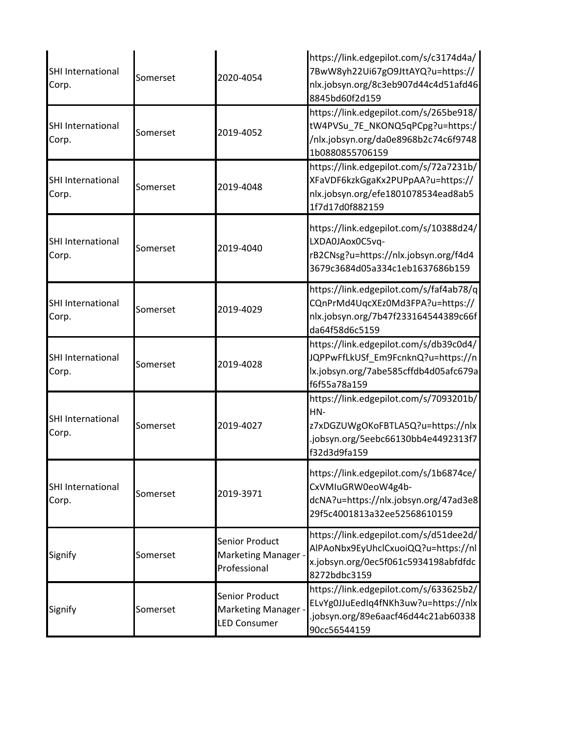| <b>SHI International</b><br>Corp. | Somerset | 2020-4054                                                    | https://link.edgepilot.com/s/c3174d4a/<br>7BwW8yh22Ui67gO9JttAYQ?u=https://<br>nlx.jobsyn.org/8c3eb907d44c4d51afd46<br>8845bd60f2d159     |
|-----------------------------------|----------|--------------------------------------------------------------|-------------------------------------------------------------------------------------------------------------------------------------------|
| <b>SHI International</b><br>Corp. | Somerset | 2019-4052                                                    | https://link.edgepilot.com/s/265be918/<br>tW4PVSu_7E_NKONQ5qPCpg?u=https:/<br>/nlx.jobsyn.org/da0e8968b2c74c6f9748<br>1b0880855706159     |
| SHI International<br>Corp.        | Somerset | 2019-4048                                                    | https://link.edgepilot.com/s/72a7231b/<br>XFaVDF6kzkGgaKx2PUPpAA?u=https://<br>nlx.jobsyn.org/efe1801078534ead8ab5<br>1f7d17d0f882159     |
| <b>SHI International</b><br>Corp. | Somerset | 2019-4040                                                    | https://link.edgepilot.com/s/10388d24/<br>LXDA0JAox0C5vq-<br>rB2CNsg?u=https://nlx.jobsyn.org/f4d4<br>3679c3684d05a334c1eb1637686b159     |
| <b>SHI International</b><br>Corp. | Somerset | 2019-4029                                                    | https://link.edgepilot.com/s/faf4ab78/q<br>CQnPrMd4UqcXEz0Md3FPA?u=https://<br>nlx.jobsyn.org/7b47f233164544389c66f<br>da64f58d6c5159     |
| <b>SHI International</b><br>Corp. | Somerset | 2019-4028                                                    | https://link.edgepilot.com/s/db39c0d4/<br>JQPPwFfLkUSf_Em9FcnknQ?u=https://n<br>lx.jobsyn.org/7abe585cffdb4d05afc679a<br>f6f55a78a159     |
| <b>SHI International</b><br>Corp. | Somerset | 2019-4027                                                    | https://link.edgepilot.com/s/7093201b/<br>HN-<br>z7xDGZUWgOKoFBTLA5Q?u=https://nlx<br>.jobsyn.org/5eebc66130bb4e4492313f7<br>f32d3d9fa159 |
| SHI International<br>Corp.        | Somerset | 2019-3971                                                    | https://link.edgepilot.com/s/1b6874ce/<br>CxVMIuGRW0eoW4g4b-<br>dcNA?u=https://nlx.jobsyn.org/47ad3e8<br>29f5c4001813a32ee52568610159     |
| Signify                           | Somerset | Senior Product<br>Marketing Manager -<br>Professional        | https://link.edgepilot.com/s/d51dee2d/<br>AlPAoNbx9EyUhclCxuoiQQ?u=https://nl<br>x.jobsyn.org/0ec5f061c5934198abfdfdc<br>8272bdbc3159     |
| Signify                           | Somerset | Senior Product<br>Marketing Manager -<br><b>LED Consumer</b> | https://link.edgepilot.com/s/633625b2/<br>ELvYg0JJuEedIq4fNKh3uw?u=https://nlx<br>.jobsyn.org/89e6aacf46d44c21ab60338<br>90cc56544159     |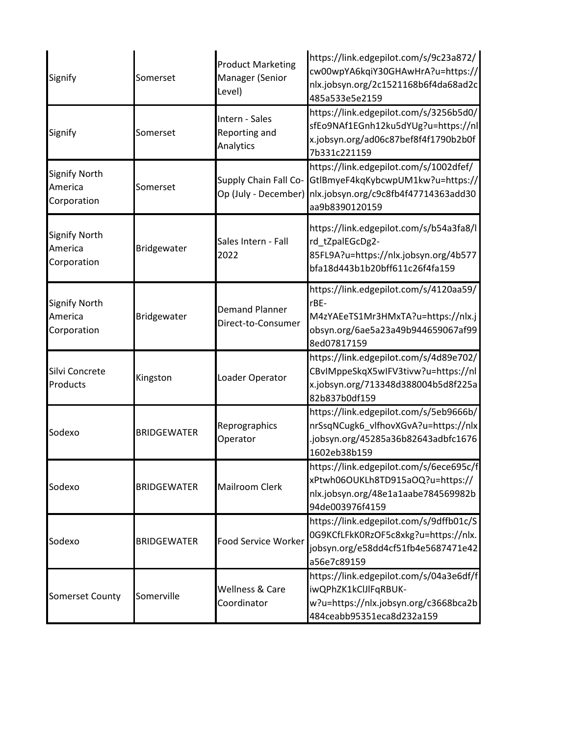| Signify                                        | Somerset           | <b>Product Marketing</b><br>Manager (Senior<br>Level) | https://link.edgepilot.com/s/9c23a872/<br>cw00wpYA6kqiY30GHAwHrA?u=https://<br>nlx.jobsyn.org/2c1521168b6f4da68ad2c<br>485a533e5e2159                      |
|------------------------------------------------|--------------------|-------------------------------------------------------|------------------------------------------------------------------------------------------------------------------------------------------------------------|
| Signify                                        | Somerset           | Intern - Sales<br>Reporting and<br>Analytics          | https://link.edgepilot.com/s/3256b5d0/<br>sfEo9NAf1EGnh12ku5dYUg?u=https://nl<br>x.jobsyn.org/ad06c87bef8f4f1790b2b0f<br>7b331c221159                      |
| <b>Signify North</b><br>America<br>Corporation | Somerset           | Supply Chain Fall Co-                                 | https://link.edgepilot.com/s/1002dfef/<br>GtlBmyeF4kqKybcwpUM1kw?u=https://<br>Op (July - December) nlx.jobsyn.org/c9c8fb4f47714363add30<br>aa9b8390120159 |
| <b>Signify North</b><br>America<br>Corporation | Bridgewater        | Sales Intern - Fall<br>2022                           | https://link.edgepilot.com/s/b54a3fa8/l<br>rd tZpalEGcDg2-<br>85FL9A?u=https://nlx.jobsyn.org/4b577<br>bfa18d443b1b20bff611c26f4fa159                      |
| <b>Signify North</b><br>America<br>Corporation | Bridgewater        | <b>Demand Planner</b><br>Direct-to-Consumer           | https://link.edgepilot.com/s/4120aa59/<br>rBE-<br>M4zYAEeTS1Mr3HMxTA?u=https://nlx.j<br>obsyn.org/6ae5a23a49b944659067af99<br>8ed07817159                  |
| Silvi Concrete<br>Products                     | Kingston           | Loader Operator                                       | https://link.edgepilot.com/s/4d89e702/<br>CBvIMppeSkqX5wIFV3tivw?u=https://nl<br>x.jobsyn.org/713348d388004b5d8f225a<br>82b837b0df159                      |
| Sodexo                                         | <b>BRIDGEWATER</b> | Reprographics<br>Operator                             | https://link.edgepilot.com/s/5eb9666b/<br>nrSsqNCugk6_vlfhovXGvA?u=https://nlx<br>.jobsyn.org/45285a36b82643adbfc1676<br>1602eb38b159                      |
| Sodexo                                         | <b>BRIDGEWATER</b> | <b>Mailroom Clerk</b>                                 | https://link.edgepilot.com/s/6ece695c/f<br>xPtwh06OUKLh8TD915aOQ?u=https://<br>nlx.jobsyn.org/48e1a1aabe784569982b<br>94de003976f4159                      |
| Sodexo                                         | <b>BRIDGEWATER</b> | Food Service Worker                                   | https://link.edgepilot.com/s/9dffb01c/S<br>0G9KCfLFkK0RzOF5c8xkg?u=https://nlx.<br>jobsyn.org/e58dd4cf51fb4e5687471e42<br>a56e7c89159                      |
| <b>Somerset County</b>                         | Somerville         | Wellness & Care<br>Coordinator                        | https://link.edgepilot.com/s/04a3e6df/f<br>iwQPhZK1kClJlFqRBUK-<br>w?u=https://nlx.jobsyn.org/c3668bca2b<br>484ceabb95351eca8d232a159                      |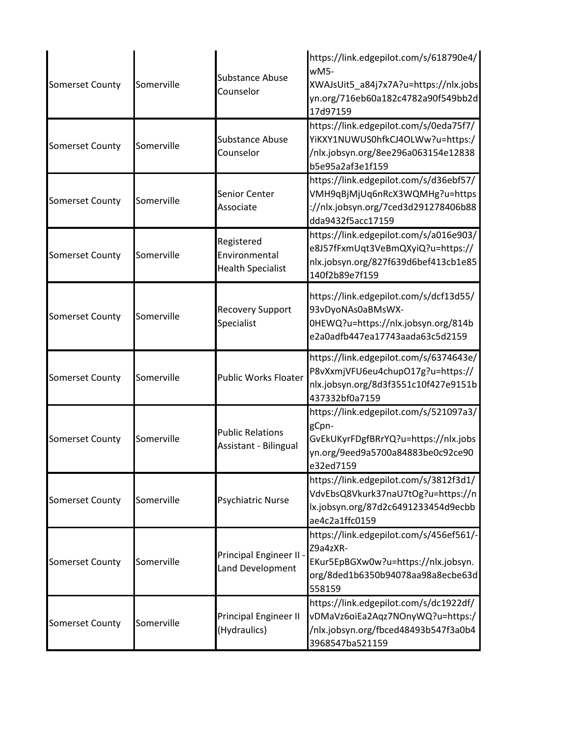| <b>Somerset County</b> | Somerville | <b>Substance Abuse</b><br>Counselor                     | https://link.edgepilot.com/s/618790e4/<br>wM5-<br>XWAJsUit5_a84j7x7A?u=https://nlx.jobs<br>yn.org/716eb60a182c4782a90f549bb2d<br>17d97159 |
|------------------------|------------|---------------------------------------------------------|-------------------------------------------------------------------------------------------------------------------------------------------|
| <b>Somerset County</b> | Somerville | <b>Substance Abuse</b><br>Counselor                     | https://link.edgepilot.com/s/0eda75f7/<br>YiKXY1NUWUS0hfkCJ4OLWw?u=https:/<br>/nlx.jobsyn.org/8ee296a063154e12838<br>b5e95a2af3e1f159     |
| <b>Somerset County</b> | Somerville | Senior Center<br>Associate                              | https://link.edgepilot.com/s/d36ebf57/<br>VMH9qBjMjUq6nRcX3WQMHg?u=https<br>://nlx.jobsyn.org/7ced3d291278406b88<br>dda9432f5acc17159     |
| <b>Somerset County</b> | Somerville | Registered<br>Environmental<br><b>Health Specialist</b> | https://link.edgepilot.com/s/a016e903/<br>e8J57fFxmUqt3VeBmQXyiQ?u=https://<br>nlx.jobsyn.org/827f639d6bef413cb1e85<br>140f2b89e7f159     |
| <b>Somerset County</b> | Somerville | <b>Recovery Support</b><br>Specialist                   | https://link.edgepilot.com/s/dcf13d55/<br>93vDyoNAs0aBMsWX-<br>0HEWQ?u=https://nlx.jobsyn.org/814b<br>e2a0adfb447ea17743aada63c5d2159     |
| <b>Somerset County</b> | Somerville | Public Works Floater                                    | https://link.edgepilot.com/s/6374643e/<br>P8vXxmjVFU6eu4chupO17g?u=https://<br>nlx.jobsyn.org/8d3f3551c10f427e9151b<br>437332bf0a7159     |
| <b>Somerset County</b> | Somerville | <b>Public Relations</b><br>Assistant - Bilingual        | https://link.edgepilot.com/s/521097a3/<br>gCpn-<br>GvEkUKyrFDgfBRrYQ?u=https://nlx.jobs<br>yn.org/9eed9a5700a84883be0c92ce90<br>e32ed7159 |
| <b>Somerset County</b> | Somerville | <b>Psychiatric Nurse</b>                                | https://link.edgepilot.com/s/3812f3d1/<br>VdvEbsQ8Vkurk37naU7tOg?u=https://n<br>lx.jobsyn.org/87d2c6491233454d9ecbb<br>ae4c2a1ffc0159     |
| <b>Somerset County</b> | Somerville | Principal Engineer II -<br>Land Development             | https://link.edgepilot.com/s/456ef561/-<br>Z9a4zXR-<br>EKur5EpBGXw0w?u=https://nlx.jobsyn.<br>org/8ded1b6350b94078aa98a8ecbe63d<br>558159 |
| <b>Somerset County</b> | Somerville | Principal Engineer II<br>(Hydraulics)                   | https://link.edgepilot.com/s/dc1922df/<br>vDMaVz6oiEa2Aqz7NOnyWQ?u=https:/<br>/nlx.jobsyn.org/fbced48493b547f3a0b4<br>3968547ba521159     |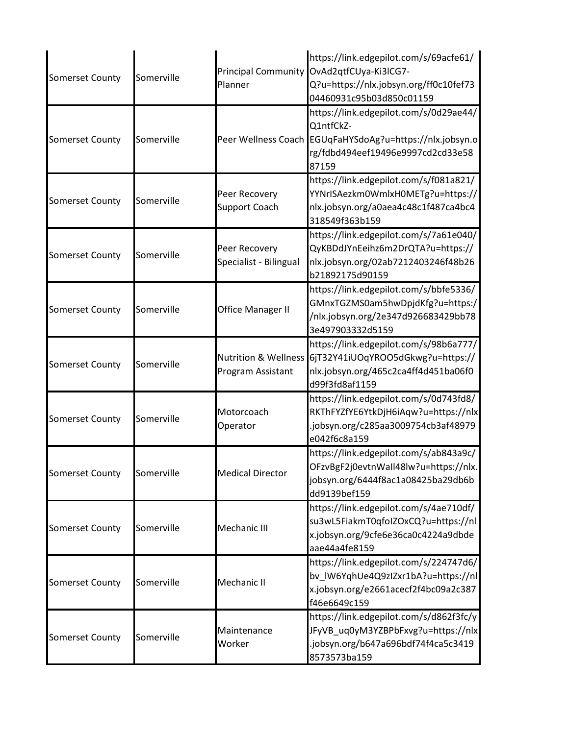| <b>Somerset County</b> | Somerville | Planner                                   | https://link.edgepilot.com/s/69acfe61/<br>Principal Community OvAd2qtfCUya-Ki3lCG7-<br>Q?u=https://nlx.jobsyn.org/ff0c10fef73<br>04460931c95b03d850c01159     |
|------------------------|------------|-------------------------------------------|---------------------------------------------------------------------------------------------------------------------------------------------------------------|
| <b>Somerset County</b> | Somerville |                                           | https://link.edgepilot.com/s/0d29ae44/<br>Q1ntfCkZ-<br>Peer Wellness Coach EGUqFaHYSdoAg?u=https://nlx.jobsyn.o<br>rg/fdbd494eef19496e9997cd2cd33e58<br>87159 |
| <b>Somerset County</b> | Somerville | Peer Recovery<br><b>Support Coach</b>     | https://link.edgepilot.com/s/f081a821/<br>YYNrISAezkm0WmlxH0METg?u=https://<br>nlx.jobsyn.org/a0aea4c48c1f487ca4bc4<br>318549f363b159                         |
| <b>Somerset County</b> | Somerville | Peer Recovery<br>Specialist - Bilingual   | https://link.edgepilot.com/s/7a61e040/<br>QyKBDdJYnEeihz6m2DrQTA?u=https://<br>nlx.jobsyn.org/02ab7212403246f48b26<br>b21892175d90159                         |
| <b>Somerset County</b> | Somerville | Office Manager II                         | https://link.edgepilot.com/s/bbfe5336/<br>GMnxTGZMS0am5hwDpjdKfg?u=https:/<br>/nlx.jobsyn.org/2e347d926683429bb78<br>3e497903332d5159                         |
| <b>Somerset County</b> | Somerville | Nutrition & Wellness<br>Program Assistant | https://link.edgepilot.com/s/98b6a777/<br>6jT32Y41iUOqYROO5dGkwg?u=https://<br>nlx.jobsyn.org/465c2ca4ff4d451ba06f0<br>d99f3fd8af1159                         |
| Somerset County        | Somerville | Motorcoach<br>Operator                    | https://link.edgepilot.com/s/0d743fd8/<br>RKThFYZfYE6YtkDjH6iAqw?u=https://nlx<br>.jobsyn.org/c285aa3009754cb3af48979<br>e042f6c8a159                         |
| <b>Somerset County</b> | Somerville | <b>Medical Director</b>                   | https://link.edgepilot.com/s/ab843a9c/<br>OFzvBgF2j0evtnWall48lw?u=https://nlx.<br>jobsyn.org/6444f8ac1a08425ba29db6b<br>dd9139bef159                         |
| <b>Somerset County</b> | Somerville | Mechanic III                              | https://link.edgepilot.com/s/4ae710df/<br>su3wL5FiakmT0qfoIZOxCQ?u=https://nl<br>x.jobsyn.org/9cfe6e36ca0c4224a9dbde<br>aae44a4fe8159                         |
| <b>Somerset County</b> | Somerville | Mechanic II                               | https://link.edgepilot.com/s/224747d6/<br>bv IW6YqhUe4Q9zIZxr1bA?u=https://nl<br>x.jobsyn.org/e2661acecf2f4bc09a2c387<br>f46e6649c159                         |
| <b>Somerset County</b> | Somerville | Maintenance<br>Worker                     | https://link.edgepilot.com/s/d862f3fc/y<br>JFyVB_uq0yM3YZBPbFxvg?u=https://nlx<br>.jobsyn.org/b647a696bdf74f4ca5c3419<br>8573573ba159                         |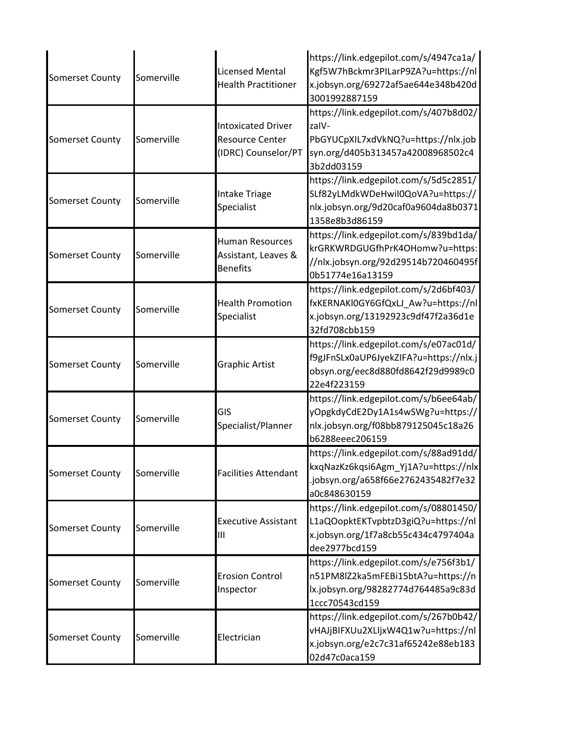| <b>Somerset County</b> | Somerville | <b>Licensed Mental</b><br><b>Health Practitioner</b>                       | https://link.edgepilot.com/s/4947ca1a/<br>Kgf5W7hBckmr3PILarP9ZA?u=https://nl<br>x.jobsyn.org/69272af5ae644e348b420d<br>3001992887159     |
|------------------------|------------|----------------------------------------------------------------------------|-------------------------------------------------------------------------------------------------------------------------------------------|
| <b>Somerset County</b> | Somerville | <b>Intoxicated Driver</b><br><b>Resource Center</b><br>(IDRC) Counselor/PT | https://link.edgepilot.com/s/407b8d02/<br>zalV-<br>PbGYUCpXIL7xdVkNQ?u=https://nlx.job<br>syn.org/d405b313457a42008968502c4<br>3b2dd03159 |
| <b>Somerset County</b> | Somerville | <b>Intake Triage</b><br>Specialist                                         | https://link.edgepilot.com/s/5d5c2851/<br>SLf82yLMdkWDeHwil0QoVA?u=https://<br>nlx.jobsyn.org/9d20caf0a9604da8b0371<br>1358e8b3d86159     |
| <b>Somerset County</b> | Somerville | <b>Human Resources</b><br>Assistant, Leaves &<br><b>Benefits</b>           | https://link.edgepilot.com/s/839bd1da/<br>krGRKWRDGUGfhPrK4OHomw?u=https:<br>//nlx.jobsyn.org/92d29514b720460495f<br>0b51774e16a13159     |
| Somerset County        | Somerville | <b>Health Promotion</b><br>Specialist                                      | https://link.edgepilot.com/s/2d6bf403/<br>fxKERNAKI0GY6GfQxLJ_Aw?u=https://nl<br>x.jobsyn.org/13192923c9df47f2a36d1e<br>32fd708cbb159     |
| Somerset County        | Somerville | Graphic Artist                                                             | https://link.edgepilot.com/s/e07ac01d/<br>f9gJFnSLx0aUP6JyekZIFA?u=https://nlx.j<br>obsyn.org/eec8d880fd8642f29d9989c0<br>22e4f223159     |
| <b>Somerset County</b> | Somerville | GIS<br>Specialist/Planner                                                  | https://link.edgepilot.com/s/b6ee64ab/<br>yOpgkdyCdE2Dy1A1s4wSWg?u=https://<br>nlx.jobsyn.org/f08bb879125045c18a26<br>b6288eeec206159     |
| <b>Somerset County</b> | Somerville | <b>Facilities Attendant</b>                                                | https://link.edgepilot.com/s/88ad91dd/<br>kxqNazKz6kqsi6Agm_Yj1A?u=https://nlx<br>.jobsyn.org/a658f66e2762435482f7e32<br>a0c848630159     |
| <b>Somerset County</b> | Somerville | <b>Executive Assistant</b><br>Ш                                            | https://link.edgepilot.com/s/08801450/<br>L1aQOopktEKTvpbtzD3giQ?u=https://nl<br>x.jobsyn.org/1f7a8cb55c434c4797404a<br>dee2977bcd159     |
| Somerset County        | Somerville | <b>Erosion Control</b><br>Inspector                                        | https://link.edgepilot.com/s/e756f3b1/<br>n51PM8lZ2ka5mFEBi15btA?u=https://n<br>lx.jobsyn.org/98282774d764485a9c83d<br>1ccc70543cd159     |
| <b>Somerset County</b> | Somerville | Electrician                                                                | https://link.edgepilot.com/s/267b0b42/<br>vHAJjBIFXUu2XLIjxW4Q1w?u=https://nl<br>x.jobsyn.org/e2c7c31af65242e88eb183<br>02d47c0aca159     |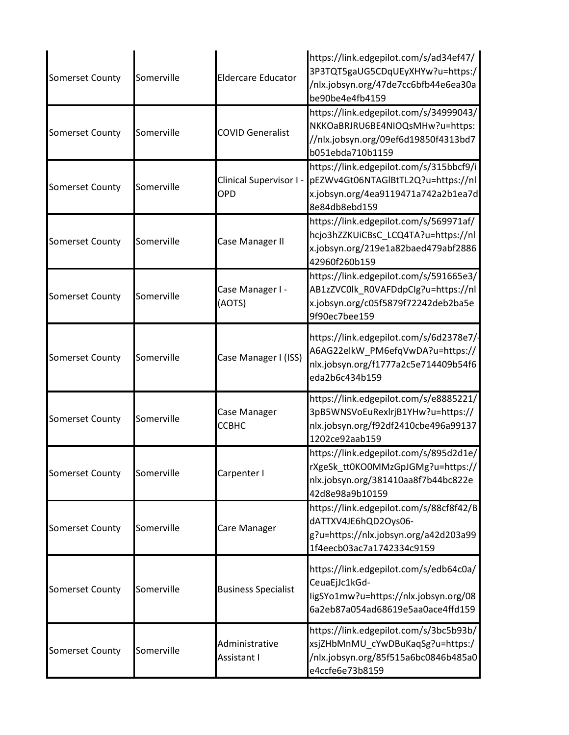| <b>Somerset County</b> | Somerville | <b>Eldercare Educator</b>             | https://link.edgepilot.com/s/ad34ef47/<br>3P3TQT5gaUG5CDqUEyXHYw?u=https:/<br>/nlx.jobsyn.org/47de7cc6bfb44e6ea30a<br>be90be4e4fb4159 |
|------------------------|------------|---------------------------------------|---------------------------------------------------------------------------------------------------------------------------------------|
| Somerset County        | Somerville | <b>COVID Generalist</b>               | https://link.edgepilot.com/s/34999043/<br>NKKOaBRJRU6BE4NIOQsMHw?u=https:<br>//nlx.jobsyn.org/09ef6d19850f4313bd7<br>b051ebda710b1159 |
| Somerset County        | Somerville | Clinical Supervisor I -<br><b>OPD</b> | https://link.edgepilot.com/s/315bbcf9/i<br>pEZWv4Gt06NTAGIBtTL2Q?u=https://nl<br>x.jobsyn.org/4ea9119471a742a2b1ea7d<br>8e84db8ebd159 |
| <b>Somerset County</b> | Somerville | Case Manager II                       | https://link.edgepilot.com/s/569971af/<br>hcjo3hZZKUiCBsC LCQ4TA?u=https://nl<br>x.jobsyn.org/219e1a82baed479abf2886<br>42960f260b159 |
| Somerset County        | Somerville | Case Manager I -<br>(AOTS)            | https://link.edgepilot.com/s/591665e3/<br>AB1zZVC0lk R0VAFDdpClg?u=https://nl<br>x.jobsyn.org/c05f5879f72242deb2ba5e<br>9f90ec7bee159 |
| <b>Somerset County</b> | Somerville | Case Manager I (ISS)                  | https://link.edgepilot.com/s/6d2378e7/-<br>A6AG22elkW_PM6efqVwDA?u=https://<br>nlx.jobsyn.org/f1777a2c5e714409b54f6<br>eda2b6c434b159 |
| <b>Somerset County</b> | Somerville | Case Manager<br>ССВНС                 | https://link.edgepilot.com/s/e8885221/<br>3pB5WNSVoEuRexlrjB1YHw?u=https://<br>nlx.jobsyn.org/f92df2410cbe496a99137<br>1202ce92aab159 |
| <b>Somerset County</b> | Somerville | Carpenter I                           | https://link.edgepilot.com/s/895d2d1e/<br>rXgeSk_tt0KO0MMzGpJGMg?u=https://<br>nlx.jobsyn.org/381410aa8f7b44bc822e<br>42d8e98a9b10159 |
| <b>Somerset County</b> | Somerville | Care Manager                          | https://link.edgepilot.com/s/88cf8f42/B<br>dATTXV4JE6hQD2Oys06-<br>g?u=https://nlx.jobsyn.org/a42d203a99<br>1f4eecb03ac7a1742334c9159 |
| Somerset County        | Somerville | <b>Business Specialist</b>            | https://link.edgepilot.com/s/edb64c0a/<br>CeuaEjJc1kGd-<br>ligSYo1mw?u=https://nlx.jobsyn.org/08<br>6a2eb87a054ad68619e5aa0ace4ffd159 |
| <b>Somerset County</b> | Somerville | Administrative<br>Assistant I         | https://link.edgepilot.com/s/3bc5b93b/<br>xsjZHbMnMU_cYwDBuKaqSg?u=https:/<br>/nlx.jobsyn.org/85f515a6bc0846b485a0<br>e4ccfe6e73b8159 |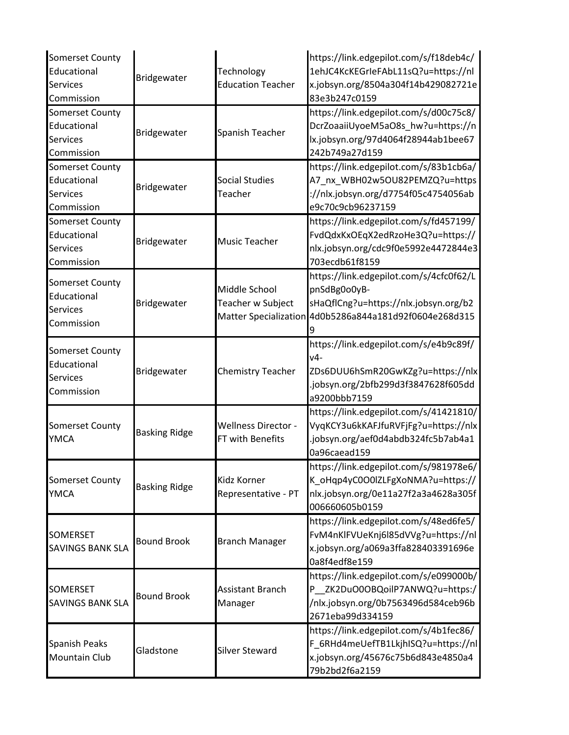| Somerset County<br>Educational<br>Services<br>Commission               | Bridgewater          | Technology<br><b>Education Teacher</b>                      | https://link.edgepilot.com/s/f18deb4c/<br>1ehJC4KcKEGrleFAbL11sQ?u=https://nl<br>x.jobsyn.org/8504a304f14b429082721e<br>83e3b247c0159     |
|------------------------------------------------------------------------|----------------------|-------------------------------------------------------------|-------------------------------------------------------------------------------------------------------------------------------------------|
| <b>Somerset County</b><br>Educational<br><b>Services</b><br>Commission | Bridgewater          | Spanish Teacher                                             | https://link.edgepilot.com/s/d00c75c8/<br>DcrZoaaiiUyoeM5aO8s_hw?u=https://n<br>lx.jobsyn.org/97d4064f28944ab1bee67<br>242b749a27d159     |
| Somerset County<br>Educational<br>Services<br>Commission               | Bridgewater          | <b>Social Studies</b><br>Teacher                            | https://link.edgepilot.com/s/83b1cb6a/<br>A7 nx WBH02w5OU82PEMZQ?u=https<br>://nlx.jobsyn.org/d7754f05c4754056ab<br>e9c70c9cb96237159     |
| <b>Somerset County</b><br>Educational<br>Services<br>Commission        | Bridgewater          | Music Teacher                                               | https://link.edgepilot.com/s/fd457199/<br>FvdQdxKxOEqX2edRzoHe3Q?u=https://<br>nlx.jobsyn.org/cdc9f0e5992e4472844e3<br>703ecdb61f8159     |
| Somerset County<br>Educational<br><b>Services</b><br>Commission        | Bridgewater          | Middle School<br>Teacher w Subject<br>Matter Specialization | https://link.edgepilot.com/s/4cfc0f62/L<br>pnSdBg0o0yB-<br>sHaQflCng?u=https://nlx.jobsyn.org/b2<br>4d0b5286a844a181d92f0604e268d315      |
| Somerset County<br>Educational<br>Services<br>Commission               | Bridgewater          | <b>Chemistry Teacher</b>                                    | https://link.edgepilot.com/s/e4b9c89f/<br>v4-<br>ZDs6DUU6hSmR20GwKZg?u=https://nlx<br>.jobsyn.org/2bfb299d3f3847628f605dd<br>a9200bbb7159 |
| <b>Somerset County</b><br><b>YMCA</b>                                  | <b>Basking Ridge</b> | <b>Wellness Director -</b><br>FT with Benefits              | https://link.edgepilot.com/s/41421810/<br>VyqKCY3u6kKAFJfuRVFjFg?u=https://nlx<br>.jobsyn.org/aef0d4abdb324fc5b7ab4a1<br>0a96caead159     |
| Somerset County<br><b>YMCA</b>                                         | <b>Basking Ridge</b> | Kidz Korner<br>Representative - PT                          | https://link.edgepilot.com/s/981978e6/<br>K_oHqp4yC0O0lZLFgXoNMA?u=https://<br>nlx.jobsyn.org/0e11a27f2a3a4628a305f<br>006660605b0159     |
| SOMERSET<br><b>SAVINGS BANK SLA</b>                                    | <b>Bound Brook</b>   | <b>Branch Manager</b>                                       | https://link.edgepilot.com/s/48ed6fe5/<br>FvM4nKlFVUeKnj6l85dVVg?u=https://nl<br>x.jobsyn.org/a069a3ffa828403391696e<br>0a8f4edf8e159     |
| SOMERSET<br><b>SAVINGS BANK SLA</b>                                    | <b>Bound Brook</b>   | Assistant Branch<br>Manager                                 | https://link.edgepilot.com/s/e099000b/<br>P_ZK2DuO0OBQoilP7ANWQ?u=https:/<br>/nlx.jobsyn.org/0b7563496d584ceb96b<br>2671eba99d334159      |
| Spanish Peaks<br>Mountain Club                                         | Gladstone            | <b>Silver Steward</b>                                       | https://link.edgepilot.com/s/4b1fec86/<br>F_6RHd4meUefTB1LkjhISQ?u=https://nl<br>x.jobsyn.org/45676c75b6d843e4850a4<br>79b2bd2f6a2159     |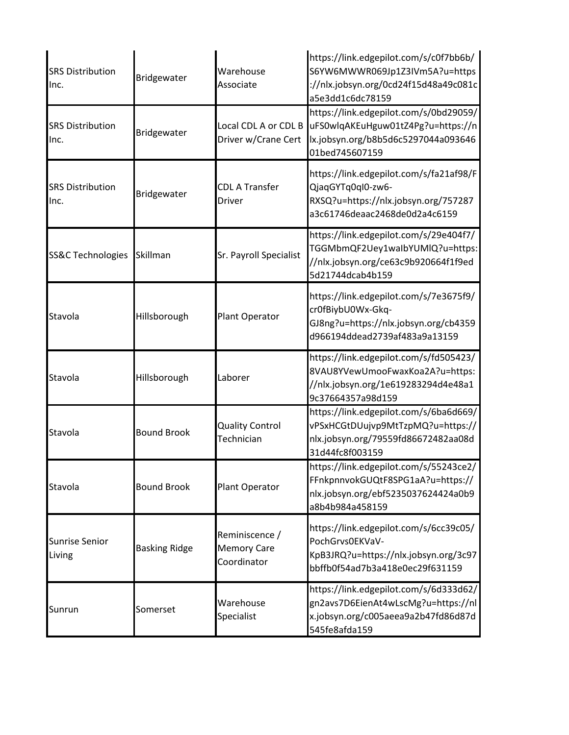| <b>SRS Distribution</b><br>Inc. | Bridgewater          | Warehouse<br>Associate                              | https://link.edgepilot.com/s/c0f7bb6b/<br>S6YW6MWWR069Jp1Z3IVm5A?u=https<br>://nlx.jobsyn.org/0cd24f15d48a49c081c<br>a5e3dd1c6dc78159 |
|---------------------------------|----------------------|-----------------------------------------------------|---------------------------------------------------------------------------------------------------------------------------------------|
| <b>SRS Distribution</b><br>Inc. | Bridgewater          | Local CDL A or CDL B<br>Driver w/Crane Cert         | https://link.edgepilot.com/s/0bd29059/<br>uFS0wlqAKEuHguw01tZ4Pg?u=https://n<br>lx.jobsyn.org/b8b5d6c5297044a093646<br>01bed745607159 |
| <b>SRS Distribution</b><br>Inc. | Bridgewater          | <b>CDL A Transfer</b><br>Driver                     | https://link.edgepilot.com/s/fa21af98/F<br>QjaqGYTq0ql0-zw6-<br>RXSQ?u=https://nlx.jobsyn.org/757287<br>a3c61746deaac2468de0d2a4c6159 |
| <b>SS&amp;C Technologies</b>    | Skillman             | Sr. Payroll Specialist                              | https://link.edgepilot.com/s/29e404f7/<br>TGGMbmQF2Uey1walbYUMlQ?u=https:<br>//nlx.jobsyn.org/ce63c9b920664f1f9ed<br>5d21744dcab4b159 |
| Stavola                         | Hillsborough         | Plant Operator                                      | https://link.edgepilot.com/s/7e3675f9/<br>cr0fBiybU0Wx-Gkq-<br>GJ8ng?u=https://nlx.jobsyn.org/cb4359<br>d966194ddead2739af483a9a13159 |
| Stavola                         | Hillsborough         | Laborer                                             | https://link.edgepilot.com/s/fd505423/<br>8VAU8YVewUmooFwaxKoa2A?u=https:<br>//nlx.jobsyn.org/1e619283294d4e48a1<br>9c37664357a98d159 |
| Stavola                         | <b>Bound Brook</b>   | <b>Quality Control</b><br>Technician                | https://link.edgepilot.com/s/6ba6d669/<br>vPSxHCGtDUujvp9MtTzpMQ?u=https://<br>nlx.jobsyn.org/79559fd86672482aa08d<br>31d44fc8f003159 |
| Stavola                         | <b>Bound Brook</b>   | Plant Operator                                      | https://link.edgepilot.com/s/55243ce2/<br>FFnkpnnvokGUQtF8SPG1aA?u=https://<br>nlx.jobsyn.org/ebf5235037624424a0b9<br>a8b4b984a458159 |
| <b>Sunrise Senior</b><br>Living | <b>Basking Ridge</b> | Reminiscence /<br><b>Memory Care</b><br>Coordinator | https://link.edgepilot.com/s/6cc39c05/<br>PochGrvs0EKVaV-<br>KpB3JRQ?u=https://nlx.jobsyn.org/3c97<br>bbffb0f54ad7b3a418e0ec29f631159 |
| Sunrun                          | Somerset             | Warehouse<br>Specialist                             | https://link.edgepilot.com/s/6d333d62/<br>gn2avs7D6EienAt4wLscMg?u=https://nl<br>x.jobsyn.org/c005aeea9a2b47fd86d87d<br>545fe8afda159 |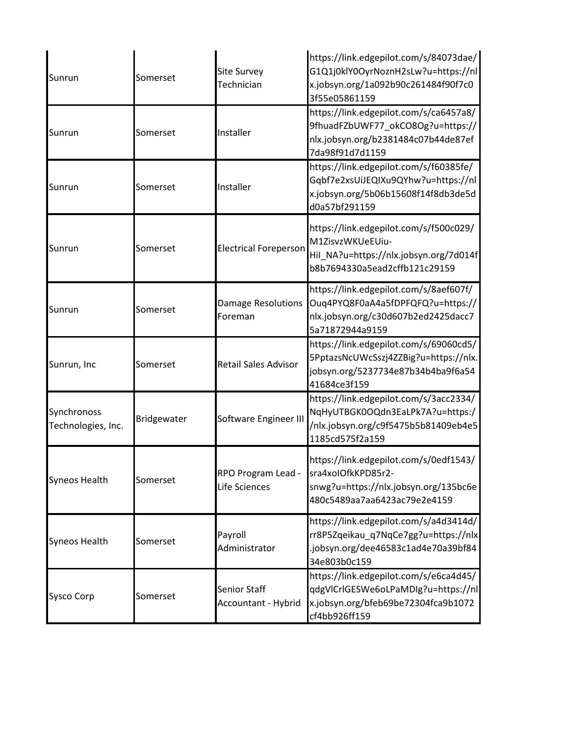| Sunrun                            | Somerset    | <b>Site Survey</b><br>Technician     | https://link.edgepilot.com/s/84073dae/<br>G1Q1j0klY0OyrNoznH2sLw?u=https://nl<br>x.jobsyn.org/1a092b90c261484f90f7c0<br>3f55e05861159 |
|-----------------------------------|-------------|--------------------------------------|---------------------------------------------------------------------------------------------------------------------------------------|
| Sunrun                            | Somerset    | Installer                            | https://link.edgepilot.com/s/ca6457a8/<br>9fhuadFZbUWF77_okCO8Og?u=https://<br>nlx.jobsyn.org/b2381484c07b44de87ef<br>7da98f91d7d1159 |
| Sunrun                            | Somerset    | Installer                            | https://link.edgepilot.com/s/f60385fe/<br>Gqbf7e2xsUiJEQIXu9QYhw?u=https://nl<br>x.jobsyn.org/5b06b15608f14f8db3de5d<br>d0a57bf291159 |
| Sunrun                            | Somerset    | <b>Electrical Foreperson</b>         | https://link.edgepilot.com/s/f500c029/<br>M1ZisvzWKUeEUiu-<br>Hil_NA?u=https://nlx.jobsyn.org/7d014f<br>b8b7694330a5ead2cffb121c29159 |
| Sunrun                            | Somerset    | <b>Damage Resolutions</b><br>Foreman | https://link.edgepilot.com/s/8aef607f/<br>Oug4PYQ8F0aA4a5fDPFQFQ?u=https://<br>nlx.jobsyn.org/c30d607b2ed2425dacc7<br>5a71872944a9159 |
| Sunrun, Inc                       | Somerset    | <b>Retail Sales Advisor</b>          | https://link.edgepilot.com/s/69060cd5/<br>5PptazsNcUWcSszj4ZZBig?u=https://nlx.<br>jobsyn.org/5237734e87b34b4ba9f6a54<br>41684ce3f159 |
| Synchronoss<br>Technologies, Inc. | Bridgewater | Software Engineer III                | https://link.edgepilot.com/s/3acc2334/<br>NqHyUTBGK0OQdn3EaLPk7A?u=https:/<br>/nlx.jobsyn.org/c9f5475b5b81409eb4e5<br>1185cd575f2a159 |
| <b>Syneos Health</b>              | Somerset    | RPO Program Lead -<br>Life Sciences  | https://link.edgepilot.com/s/0edf1543/<br>sra4xoIOfkKPD85r2-<br>snwg?u=https://nlx.jobsyn.org/135bc6e<br>480c5489aa7aa6423ac79e2e4159 |
| <b>Syneos Health</b>              | Somerset    | Payroll<br>Administrator             | https://link.edgepilot.com/s/a4d3414d/<br>rr8P5Zqeikau_q7NqCe7gg?u=https://nlx<br>.jobsyn.org/dee46583c1ad4e70a39bf84<br>34e803b0c159 |
| <b>Sysco Corp</b>                 | Somerset    | Senior Staff<br>Accountant - Hybrid  | https://link.edgepilot.com/s/e6ca4d45/<br>qdgVlCrlGESWe6oLPaMDlg?u=https://nl<br>x.jobsyn.org/bfeb69be72304fca9b1072<br>cf4bb926ff159 |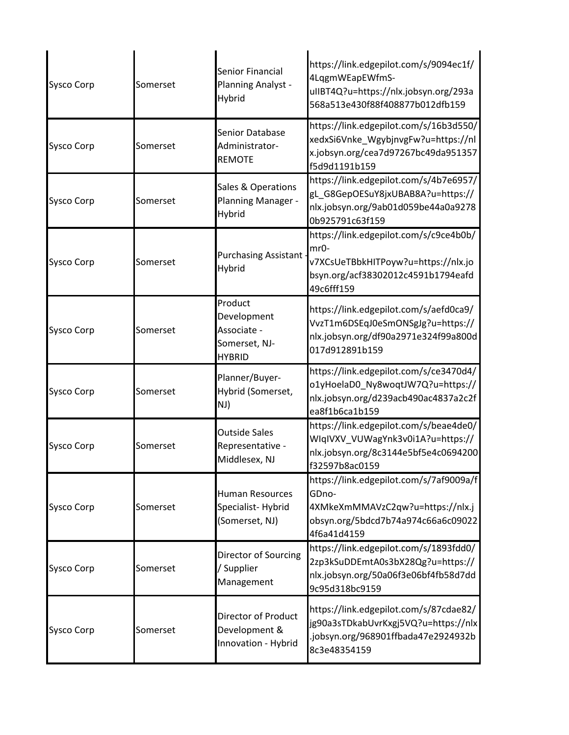| <b>Sysco Corp</b> | Somerset | Senior Financial<br>Planning Analyst -<br>Hybrid                        | https://link.edgepilot.com/s/9094ec1f/<br>4LqgmWEapEWfmS-<br>ullBT4Q?u=https://nlx.jobsyn.org/293a<br>568a513e430f88f408877b012dfb159     |
|-------------------|----------|-------------------------------------------------------------------------|-------------------------------------------------------------------------------------------------------------------------------------------|
| <b>Sysco Corp</b> | Somerset | Senior Database<br>Administrator-<br><b>REMOTE</b>                      | https://link.edgepilot.com/s/16b3d550/<br>xedxSi6Vnke_WgybjnvgFw?u=https://nl<br>x.jobsyn.org/cea7d97267bc49da951357<br>f5d9d1191b159     |
| <b>Sysco Corp</b> | Somerset | Sales & Operations<br>Planning Manager -<br>Hybrid                      | https://link.edgepilot.com/s/4b7e6957/<br>gL_G8GepOESuY8jxUBAB8A?u=https://<br>nlx.jobsyn.org/9ab01d059be44a0a9278<br>0b925791c63f159     |
| <b>Sysco Corp</b> | Somerset | <b>Purchasing Assistant</b><br>Hybrid                                   | https://link.edgepilot.com/s/c9ce4b0b/<br>mr0-<br>v7XCsUeTBbkHITPoyw?u=https://nlx.jo<br>bsyn.org/acf38302012c4591b1794eafd<br>49c6fff159 |
| <b>Sysco Corp</b> | Somerset | Product<br>Development<br>Associate -<br>Somerset, NJ-<br><b>HYBRID</b> | https://link.edgepilot.com/s/aefd0ca9/<br>VvzT1m6DSEqJ0eSmONSgJg?u=https://<br>nlx.jobsyn.org/df90a2971e324f99a800d<br>017d912891b159     |
| <b>Sysco Corp</b> | Somerset | Planner/Buyer-<br>Hybrid (Somerset,<br>NJ)                              | https://link.edgepilot.com/s/ce3470d4/<br>o1yHoelaD0_Ny8woqtJW7Q?u=https://<br>nlx.jobsyn.org/d239acb490ac4837a2c2f<br>ea8f1b6ca1b159     |
| <b>Sysco Corp</b> | Somerset | <b>Outside Sales</b><br>Representative -<br>Middlesex, NJ               | https://link.edgepilot.com/s/beae4de0/<br>WIqIVXV VUWagYnk3v0i1A?u=https://<br>nlx.jobsyn.org/8c3144e5bf5e4c0694200<br>f32597b8ac0159     |
| <b>Sysco Corp</b> | Somerset | <b>Human Resources</b><br>Specialist-Hybrid<br>(Somerset, NJ)           | https://link.edgepilot.com/s/7af9009a/f<br>GDno-<br>4XMkeXmMMAVzC2qw?u=https://nlx.j<br>obsyn.org/5bdcd7b74a974c66a6c09022<br>4f6a41d4159 |
| <b>Sysco Corp</b> | Somerset | Director of Sourcing<br>Supplier<br>Management                          | https://link.edgepilot.com/s/1893fdd0/<br>2zp3kSuDDEmtA0s3bX28Qg?u=https://<br>nlx.jobsyn.org/50a06f3e06bf4fb58d7dd<br>9c95d318bc9159     |
| <b>Sysco Corp</b> | Somerset | <b>Director of Product</b><br>Development &<br>Innovation - Hybrid      | https://link.edgepilot.com/s/87cdae82/<br>jg90a3sTDkabUvrKxgj5VQ?u=https://nlx<br>.jobsyn.org/968901ffbada47e2924932b<br>8c3e48354159     |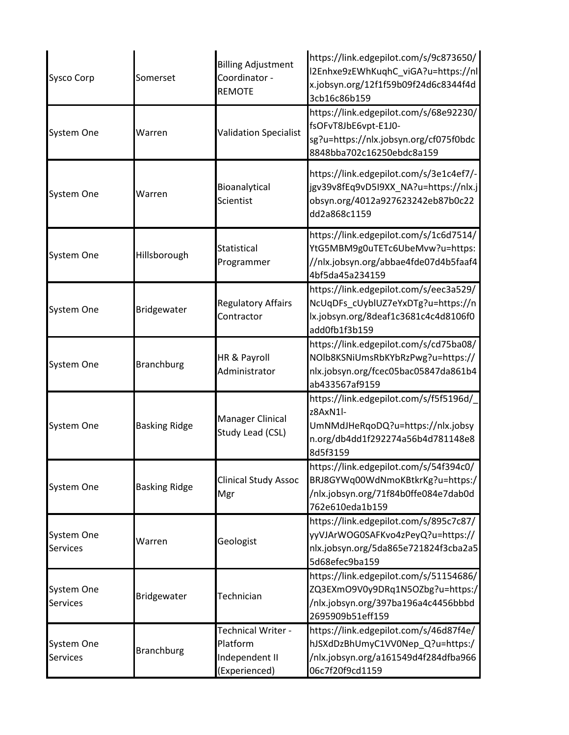| <b>Sysco Corp</b>             | Somerset             | <b>Billing Adjustment</b><br>Coordinator -<br><b>REMOTE</b>       | https://link.edgepilot.com/s/9c873650/<br>I2Enhxe9zEWhKuqhC_viGA?u=https://nl<br>x.jobsyn.org/12f1f59b09f24d6c8344f4d<br>3cb16c86b159    |
|-------------------------------|----------------------|-------------------------------------------------------------------|------------------------------------------------------------------------------------------------------------------------------------------|
| System One                    | Warren               | <b>Validation Specialist</b>                                      | https://link.edgepilot.com/s/68e92230/<br>fsOFvT8JbE6vpt-E1J0-<br>sg?u=https://nlx.jobsyn.org/cf075f0bdc<br>8848bba702c16250ebdc8a159    |
| System One                    | Warren               | Bioanalytical<br>Scientist                                        | https://link.edgepilot.com/s/3e1c4ef7/-<br>jgv39v8fEq9vD5I9XX_NA?u=https://nlx.j<br>obsyn.org/4012a927623242eb87b0c22<br>dd2a868c1159    |
| System One                    | Hillsborough         | Statistical<br>Programmer                                         | https://link.edgepilot.com/s/1c6d7514/<br>YtG5MBM9g0uTETc6UbeMvw?u=https:<br>//nlx.jobsyn.org/abbae4fde07d4b5faaf4<br>4bf5da45a234159    |
| System One                    | Bridgewater          | <b>Regulatory Affairs</b><br>Contractor                           | https://link.edgepilot.com/s/eec3a529/<br>NcUqDFs cUyblUZ7eYxDTg?u=https://n<br>lx.jobsyn.org/8deaf1c3681c4c4d8106f0<br>add0fb1f3b159    |
| System One                    | <b>Branchburg</b>    | HR & Payroll<br>Administrator                                     | https://link.edgepilot.com/s/cd75ba08/<br>NOIb8KSNiUmsRbKYbRzPwg?u=https://<br>nlx.jobsyn.org/fcec05bac05847da861b4<br>ab433567af9159    |
| System One                    | <b>Basking Ridge</b> | <b>Manager Clinical</b><br>Study Lead (CSL)                       | https://link.edgepilot.com/s/f5f5196d/<br>z8AxN1l-<br>UmNMdJHeRqoDQ?u=https://nlx.jobsy<br>n.org/db4dd1f292274a56b4d781148e8<br>8d5f3159 |
| System One                    | <b>Basking Ridge</b> | <b>Clinical Study Assoc</b><br>Mgr                                | https://link.edgepilot.com/s/54f394c0/<br>BRJ8GYWq00WdNmoKBtkrKg?u=https:/<br>/nlx.jobsyn.org/71f84b0ffe084e7dab0d<br>762e610eda1b159    |
| System One<br>Services        | Warren               | Geologist                                                         | https://link.edgepilot.com/s/895c7c87/<br>yyVJArWOG0SAFKvo4zPeyQ?u=https://<br>nlx.jobsyn.org/5da865e721824f3cba2a5<br>5d68efec9ba159    |
| System One<br><b>Services</b> | Bridgewater          | Technician                                                        | https://link.edgepilot.com/s/51154686/<br>ZQ3EXmO9V0y9DRq1N5OZbg?u=https:/<br>/nlx.jobsyn.org/397ba196a4c4456bbbd<br>2695909b51eff159    |
| System One<br><b>Services</b> | <b>Branchburg</b>    | Technical Writer -<br>Platform<br>Independent II<br>(Experienced) | https://link.edgepilot.com/s/46d87f4e/<br>hJSXdDzBhUmyC1VV0Nep_Q?u=https:/<br>/nlx.jobsyn.org/a161549d4f284dfba966<br>06c7f20f9cd1159    |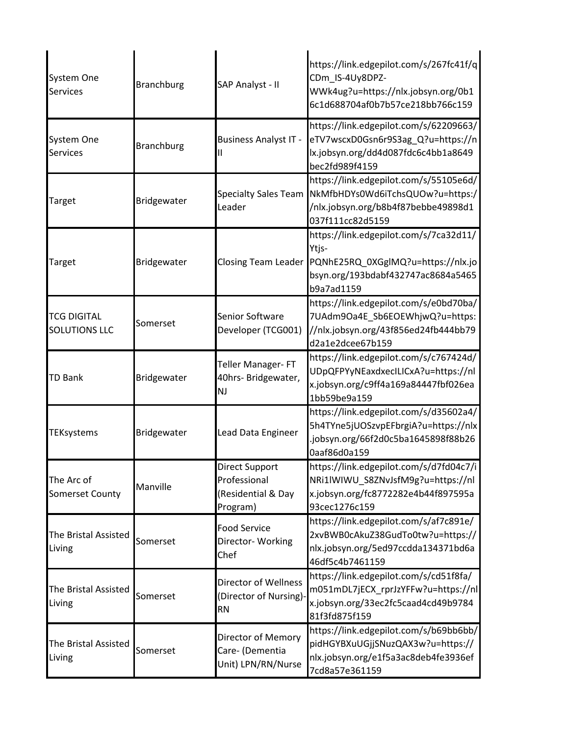| System One<br><b>Services</b>        | <b>Branchburg</b> | SAP Analyst - II                                                 | https://link.edgepilot.com/s/267fc41f/q<br>CDm_IS-4Uy8DPZ-<br>WWk4ug?u=https://nlx.jobsyn.org/0b1<br>6c1d688704af0b7b57ce218bb766c159     |
|--------------------------------------|-------------------|------------------------------------------------------------------|-------------------------------------------------------------------------------------------------------------------------------------------|
| System One<br><b>Services</b>        | <b>Branchburg</b> | <b>Business Analyst IT -</b>                                     | https://link.edgepilot.com/s/62209663/<br>eTV7wscxD0Gsn6r9S3ag_Q?u=https://n<br>lx.jobsyn.org/dd4d087fdc6c4bb1a8649<br>bec2fd989f4159     |
| Target                               | Bridgewater       | <b>Specialty Sales Team</b><br>Leader                            | https://link.edgepilot.com/s/55105e6d/<br>NkMfbHDYs0Wd6iTchsQUOw?u=https:/<br>/nlx.jobsyn.org/b8b4f87bebbe49898d1<br>037f111cc82d5159     |
| Target                               | Bridgewater       | <b>Closing Team Leader</b>                                       | https://link.edgepilot.com/s/7ca32d11/<br>Ytjs-<br>PQNhE25RQ_0XGglMQ?u=https://nlx.jo<br>bsyn.org/193bdabf432747ac8684a5465<br>b9a7ad1159 |
| <b>TCG DIGITAL</b><br>SOLUTIONS LLC  | Somerset          | Senior Software<br>Developer (TCG001)                            | https://link.edgepilot.com/s/e0bd70ba/<br>7UAdm9Oa4E_Sb6EOEWhjwQ?u=https:<br>//nlx.jobsyn.org/43f856ed24fb444bb79<br>d2a1e2dcee67b159     |
| <b>TD Bank</b>                       | Bridgewater       | Teller Manager-FT<br>40hrs- Bridgewater,<br>NJ                   | https://link.edgepilot.com/s/c767424d/<br>UDpQFPYyNEaxdxecILICxA?u=https://nl<br>x.jobsyn.org/c9ff4a169a84447fbf026ea<br>1bb59be9a159     |
| <b>TEKsystems</b>                    | Bridgewater       | Lead Data Engineer                                               | https://link.edgepilot.com/s/d35602a4/<br>5h4TYne5jUOSzvpEFbrgiA?u=https://nlx<br>.jobsyn.org/66f2d0c5ba1645898f88b26<br>0aaf86d0a159     |
| The Arc of<br><b>Somerset County</b> | Manville          | Direct Support<br>Professional<br>(Residential & Day<br>Program) | https://link.edgepilot.com/s/d7fd04c7/i<br>NRi1lWIWU_S8ZNvJsfM9g?u=https://nl<br>x.jobsyn.org/fc8772282e4b44f897595a<br>93cec1276c159     |
| The Bristal Assisted<br>Living       | Somerset          | <b>Food Service</b><br>Director-Working<br>Chef                  | https://link.edgepilot.com/s/af7c891e/<br>2xvBWB0cAkuZ38GudTo0tw?u=https://<br>nlx.jobsyn.org/5ed97ccdda134371bd6a<br>46df5c4b7461159     |
| The Bristal Assisted<br>Living       | Somerset          | Director of Wellness<br>(Director of Nursing)<br><b>RN</b>       | https://link.edgepilot.com/s/cd51f8fa/<br>m051mDL7jECX_rprJzYFFw?u=https://nl<br>x.jobsyn.org/33ec2fc5caad4cd49b9784<br>81f3fd875f159     |
| The Bristal Assisted<br>Living       | Somerset          | Director of Memory<br>Care- (Dementia<br>Unit) LPN/RN/Nurse      | https://link.edgepilot.com/s/b69bb6bb/<br>pidHGYBXuUGjjSNuzQAX3w?u=https://<br>nlx.jobsyn.org/e1f5a3ac8deb4fe3936ef<br>7cd8a57e361159     |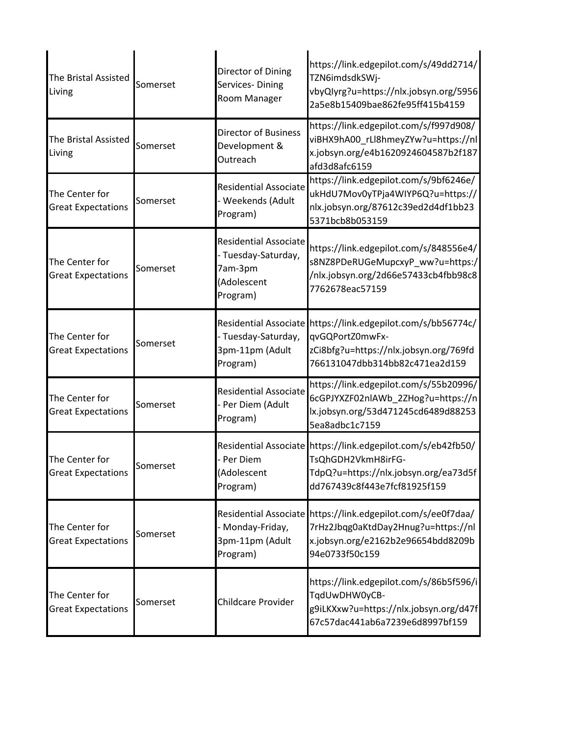| The Bristal Assisted<br>Living              | Somerset | Director of Dining<br>Services-Dining<br>Room Manager                                     | https://link.edgepilot.com/s/49dd2714/<br>TZN6imdsdkSWj-<br>vbyQlyrg?u=https://nlx.jobsyn.org/5956<br>2a5e8b15409bae862fe95ff415b4159                       |
|---------------------------------------------|----------|-------------------------------------------------------------------------------------------|-------------------------------------------------------------------------------------------------------------------------------------------------------------|
| The Bristal Assisted<br>Living              | Somerset | Director of Business<br>Development &<br>Outreach                                         | https://link.edgepilot.com/s/f997d908/<br>viBHX9hA00_rLl8hmeyZYw?u=https://nl<br>x.jobsyn.org/e4b1620924604587b2f187<br>afd3d8afc6159                       |
| The Center for<br><b>Great Expectations</b> | Somerset | <b>Residential Associate</b><br>- Weekends (Adult<br>Program)                             | https://link.edgepilot.com/s/9bf6246e/<br>ukHdU7Mov0yTPja4WIYP6Q?u=https://<br>nlx.jobsyn.org/87612c39ed2d4df1bb23<br>5371bcb8b053159                       |
| The Center for<br><b>Great Expectations</b> | Somerset | <b>Residential Associate</b><br>- Tuesday-Saturday,<br>7am-3pm<br>(Adolescent<br>Program) | https://link.edgepilot.com/s/848556e4/<br>s8NZ8PDeRUGeMupcxyP_ww?u=https:/<br>/nlx.jobsyn.org/2d66e57433cb4fbb98c8<br>7762678eac57159                       |
| The Center for<br><b>Great Expectations</b> | Somerset | - Tuesday-Saturday,<br>3pm-11pm (Adult<br>Program)                                        | Residential Associate https://link.edgepilot.com/s/bb56774c/<br>qvGQPortZ0mwFx-<br>zCi8bfg?u=https://nlx.jobsyn.org/769fd<br>766131047dbb314bb82c471ea2d159 |
| The Center for<br><b>Great Expectations</b> | Somerset | <b>Residential Associate</b><br>- Per Diem (Adult<br>Program)                             | https://link.edgepilot.com/s/55b20996/<br>6cGPJYXZF02nlAWb 2ZHog?u=https://n<br>lx.jobsyn.org/53d471245cd6489d88253<br>5ea8adbc1c7159                       |
| The Center for<br><b>Great Expectations</b> | Somerset | Per Diem<br>(Adolescent<br>Program)                                                       | Residential Associate https://link.edgepilot.com/s/eb42fb50/<br>TsQhGDH2VkmH8irFG-<br>TdpQ?u=https://nlx.jobsyn.org/ea73d5f<br>dd767439c8f443e7fcf81925f159 |
| The Center for<br><b>Great Expectations</b> | Somerset | - Monday-Friday,<br>3pm-11pm (Adult<br>Program)                                           | Residential Associate https://link.edgepilot.com/s/ee0f7daa/<br>7rHz2Jbqg0aKtdDay2Hnug?u=https://nl<br>x.jobsyn.org/e2162b2e96654bdd8209b<br>94e0733f50c159 |
| The Center for<br><b>Great Expectations</b> | Somerset | Childcare Provider                                                                        | https://link.edgepilot.com/s/86b5f596/i<br>TqdUwDHW0yCB-<br>g9iLKXxw?u=https://nlx.jobsyn.org/d47f<br>67c57dac441ab6a7239e6d8997bf159                       |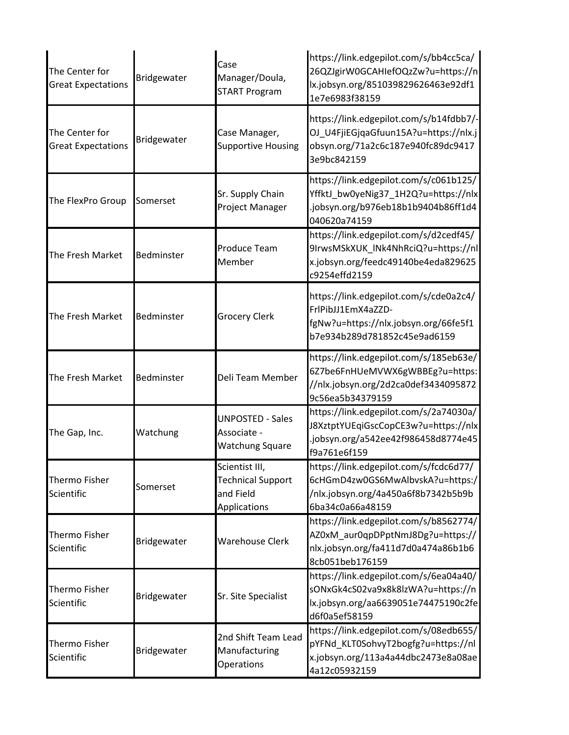| The Center for<br><b>Great Expectations</b> | Bridgewater | Case<br>Manager/Doula,<br><b>START Program</b>                          | https://link.edgepilot.com/s/bb4cc5ca/<br>26QZJgirW0GCAHIefOQzZw?u=https://n<br>lx.jobsyn.org/851039829626463e92df1<br>1e7e6983f38159 |
|---------------------------------------------|-------------|-------------------------------------------------------------------------|---------------------------------------------------------------------------------------------------------------------------------------|
| The Center for<br><b>Great Expectations</b> | Bridgewater | Case Manager,<br><b>Supportive Housing</b>                              | https://link.edgepilot.com/s/b14fdbb7/-<br>OJ_U4FjiEGjqaGfuun15A?u=https://nlx.j<br>obsyn.org/71a2c6c187e940fc89dc9417<br>3e9bc842159 |
| The FlexPro Group                           | Somerset    | Sr. Supply Chain<br>Project Manager                                     | https://link.edgepilot.com/s/c061b125/<br>YffktJ_bw0yeNig37_1H2Q?u=https://nlx<br>.jobsyn.org/b976eb18b1b9404b86ff1d4<br>040620a74159 |
| The Fresh Market                            | Bedminster  | <b>Produce Team</b><br>Member                                           | https://link.edgepilot.com/s/d2cedf45/<br>9IrwsMSkXUK_INk4NhRciQ?u=https://nl<br>x.jobsyn.org/feedc49140be4eda829625<br>c9254effd2159 |
| The Fresh Market                            | Bedminster  | <b>Grocery Clerk</b>                                                    | https://link.edgepilot.com/s/cde0a2c4/<br>FrlPibJJ1EmX4aZZD-<br>fgNw?u=https://nlx.jobsyn.org/66fe5f1<br>b7e934b289d781852c45e9ad6159 |
| The Fresh Market                            | Bedminster  | Deli Team Member                                                        | https://link.edgepilot.com/s/185eb63e/<br>6Z7be6FnHUeMVWX6gWBBEg?u=https:<br>//nlx.jobsyn.org/2d2ca0def3434095872<br>9c56ea5b34379159 |
| The Gap, Inc.                               | Watchung    | <b>UNPOSTED - Sales</b><br>Associate -<br><b>Watchung Square</b>        | https://link.edgepilot.com/s/2a74030a/<br>J8XztptYUEqiGscCopCE3w?u=https://nlx<br>.jobsyn.org/a542ee42f986458d8774e45<br>f9a761e6f159 |
| <b>Thermo Fisher</b><br>Scientific          | Somerset    | Scientist III,<br><b>Technical Support</b><br>and Field<br>Applications | https://link.edgepilot.com/s/fcdc6d77/<br>6cHGmD4zw0GS6MwAlbvskA?u=https:/<br>/nlx.jobsyn.org/4a450a6f8b7342b5b9b<br>6ba34c0a66a48159 |
| <b>Thermo Fisher</b><br>Scientific          | Bridgewater | <b>Warehouse Clerk</b>                                                  | https://link.edgepilot.com/s/b8562774/<br>AZ0xM_aur0qpDPptNmJ8Dg?u=https://<br>nlx.jobsyn.org/fa411d7d0a474a86b1b6<br>8cb051beb176159 |
| Thermo Fisher<br>Scientific                 | Bridgewater | Sr. Site Specialist                                                     | https://link.edgepilot.com/s/6ea04a40/<br>sONxGk4cS02va9x8k8lzWA?u=https://n<br>lx.jobsyn.org/aa6639051e74475190c2fe<br>d6f0a5ef58159 |
| <b>Thermo Fisher</b><br>Scientific          | Bridgewater | 2nd Shift Team Lead<br>Manufacturing<br>Operations                      | https://link.edgepilot.com/s/08edb655/<br>pYFNd_KLT0SohvyT2bogfg?u=https://nl<br>x.jobsyn.org/113a4a44dbc2473e8a08ae<br>4a12c05932159 |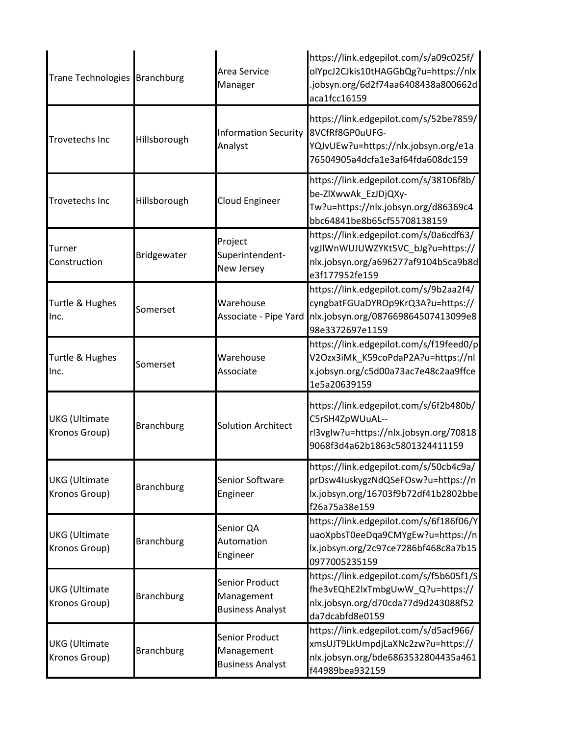| Trane Technologies Branchburg         |                   | Area Service<br>Manager                                 | https://link.edgepilot.com/s/a09c025f/<br>olYpcJ2CJkis10tHAGGbQg?u=https://nlx<br>.jobsyn.org/6d2f74aa6408438a800662d<br>aca1fcc16159 |
|---------------------------------------|-------------------|---------------------------------------------------------|---------------------------------------------------------------------------------------------------------------------------------------|
| <b>Trovetechs Inc</b>                 | Hillsborough      | <b>Information Security</b><br>Analyst                  | https://link.edgepilot.com/s/52be7859/<br>8VCfRf8GP0uUFG-<br>YQJvUEw?u=https://nlx.jobsyn.org/e1a<br>76504905a4dcfa1e3af64fda608dc159 |
| <b>Trovetechs Inc</b>                 | Hillsborough      | Cloud Engineer                                          | https://link.edgepilot.com/s/38106f8b/<br>be-ZlXwwAk_EzJDjQXy-<br>Tw?u=https://nlx.jobsyn.org/d86369c4<br>bbc64841be8b65cf55708138159 |
| Turner<br>Construction                | Bridgewater       | Project<br>Superintendent-<br>New Jersey                | https://link.edgepilot.com/s/0a6cdf63/<br>vgJlWnWUJUWZYKt5VC_bJg?u=https://<br>nlx.jobsyn.org/a696277af9104b5ca9b8d<br>e3f177952fe159 |
| Turtle & Hughes<br>Inc.               | Somerset          | Warehouse<br>Associate - Pipe Yard                      | https://link.edgepilot.com/s/9b2aa2f4/<br>cyngbatFGUaDYROp9KrQ3A?u=https://<br>nlx.jobsyn.org/087669864507413099e8<br>98e3372697e1159 |
| Turtle & Hughes<br>Inc.               | Somerset          | Warehouse<br>Associate                                  | https://link.edgepilot.com/s/f19feed0/p<br>V2Ozx3iMk_K59coPdaP2A?u=https://nl<br>x.jobsyn.org/c5d00a73ac7e48c2aa9ffce<br>1e5a20639159 |
| <b>UKG</b> (Ultimate<br>Kronos Group) | <b>Branchburg</b> | <b>Solution Architect</b>                               | https://link.edgepilot.com/s/6f2b480b/<br>C5rSH4ZpWUuAL--<br>rl3vgIw?u=https://nlx.jobsyn.org/70818<br>9068f3d4a62b1863c5801324411159 |
| <b>UKG</b> (Ultimate<br>Kronos Group) | <b>Branchburg</b> | Senior Software<br>Engineer                             | https://link.edgepilot.com/s/50cb4c9a/<br>prDsw4IuskygzNdQSeFOsw?u=https://n<br>lx.jobsyn.org/16703f9b72df41b2802bbe<br>f26a75a38e159 |
| <b>UKG</b> (Ultimate<br>Kronos Group) | <b>Branchburg</b> | Senior QA<br>Automation<br>Engineer                     | https://link.edgepilot.com/s/6f186f06/Y<br>uaoXpbsT0eeDqa9CMYgEw?u=https://n<br>lx.jobsyn.org/2c97ce7286bf468c8a7b15<br>0977005235159 |
| <b>UKG</b> (Ultimate<br>Kronos Group) | <b>Branchburg</b> | Senior Product<br>Management<br><b>Business Analyst</b> | https://link.edgepilot.com/s/f5b605f1/S<br>fhe3vEQhE2lxTmbgUwW_Q?u=https://<br>nlx.jobsyn.org/d70cda77d9d243088f52<br>da7dcabfd8e0159 |
| <b>UKG</b> (Ultimate<br>Kronos Group) | <b>Branchburg</b> | Senior Product<br>Management<br><b>Business Analyst</b> | https://link.edgepilot.com/s/d5acf966/<br>xmsUJT9LkUmpdjLaXNc2zw?u=https://<br>nlx.jobsyn.org/bde6863532804435a461<br>f44989bea932159 |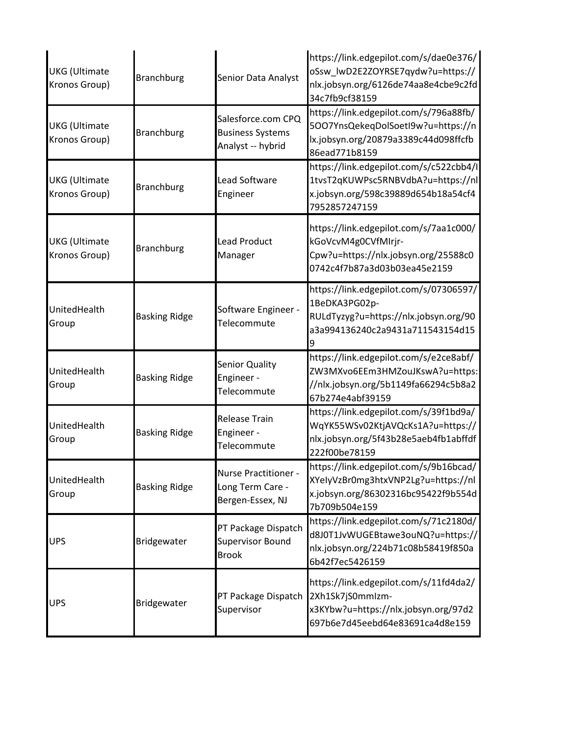| <b>UKG</b> (Ultimate<br>Kronos Group) | <b>Branchburg</b>    | Senior Data Analyst                                                | https://link.edgepilot.com/s/dae0e376/<br>oSsw_lwD2E2ZOYRSE7qydw?u=https://<br>nlx.jobsyn.org/6126de74aa8e4cbe9c2fd<br>34c7fb9cf38159 |
|---------------------------------------|----------------------|--------------------------------------------------------------------|---------------------------------------------------------------------------------------------------------------------------------------|
| <b>UKG</b> (Ultimate<br>Kronos Group) | <b>Branchburg</b>    | Salesforce.com CPQ<br><b>Business Systems</b><br>Analyst -- hybrid | https://link.edgepilot.com/s/796a88fb/<br>5007YnsQekeqDolSoetI9w?u=https://n<br>lx.jobsyn.org/20879a3389c44d098ffcfb<br>86ead771b8159 |
| <b>UKG</b> (Ultimate<br>Kronos Group) | <b>Branchburg</b>    | Lead Software<br>Engineer                                          | https://link.edgepilot.com/s/c522cbb4/l<br>1tvsT2qKUWPsc5RNBVdbA?u=https://nl<br>x.jobsyn.org/598c39889d654b18a54cf4<br>7952857247159 |
| <b>UKG</b> (Ultimate<br>Kronos Group) | <b>Branchburg</b>    | <b>Lead Product</b><br>Manager                                     | https://link.edgepilot.com/s/7aa1c000/<br>kGoVcvM4g0CVfMIrjr-<br>Cpw?u=https://nlx.jobsyn.org/25588c0<br>0742c4f7b87a3d03b03ea45e2159 |
| UnitedHealth<br>Group                 | <b>Basking Ridge</b> | Software Engineer -<br>Telecommute                                 | https://link.edgepilot.com/s/07306597/<br>1BeDKA3PG02p-<br>RULdTyzyg?u=https://nlx.jobsyn.org/90<br>a3a994136240c2a9431a711543154d15  |
| UnitedHealth<br>Group                 | <b>Basking Ridge</b> | <b>Senior Quality</b><br>Engineer -<br>Telecommute                 | https://link.edgepilot.com/s/e2ce8abf/<br>ZW3MXvo6EEm3HMZouJKswA?u=https:<br>//nlx.jobsyn.org/5b1149fa66294c5b8a2<br>67b274e4abf39159 |
| UnitedHealth<br>Group                 | <b>Basking Ridge</b> | <b>Release Train</b><br>Engineer -<br>Telecommute                  | https://link.edgepilot.com/s/39f1bd9a/<br>WqYK55WSv02KtjAVQcKs1A?u=https://<br>nlx.jobsyn.org/5f43b28e5aeb4fb1abffdf<br>222f00be78159 |
| UnitedHealth<br>Group                 | <b>Basking Ridge</b> | Nurse Practitioner -<br>Long Term Care -<br>Bergen-Essex, NJ       | https://link.edgepilot.com/s/9b16bcad/<br>XYelyVzBr0mg3htxVNP2Lg?u=https://nl<br>x.jobsyn.org/86302316bc95422f9b554d<br>7b709b504e159 |
| <b>UPS</b>                            | Bridgewater          | PT Package Dispatch<br><b>Supervisor Bound</b><br><b>Brook</b>     | https://link.edgepilot.com/s/71c2180d/<br>d8J0T1JvWUGEBtawe3ouNQ?u=https://<br>nlx.jobsyn.org/224b71c08b58419f850a<br>6b42f7ec5426159 |
| <b>UPS</b>                            | Bridgewater          | PT Package Dispatch<br>Supervisor                                  | https://link.edgepilot.com/s/11fd4da2/<br>2Xh1Sk7jS0mmlzm-<br>x3KYbw?u=https://nlx.jobsyn.org/97d2<br>697b6e7d45eebd64e83691ca4d8e159 |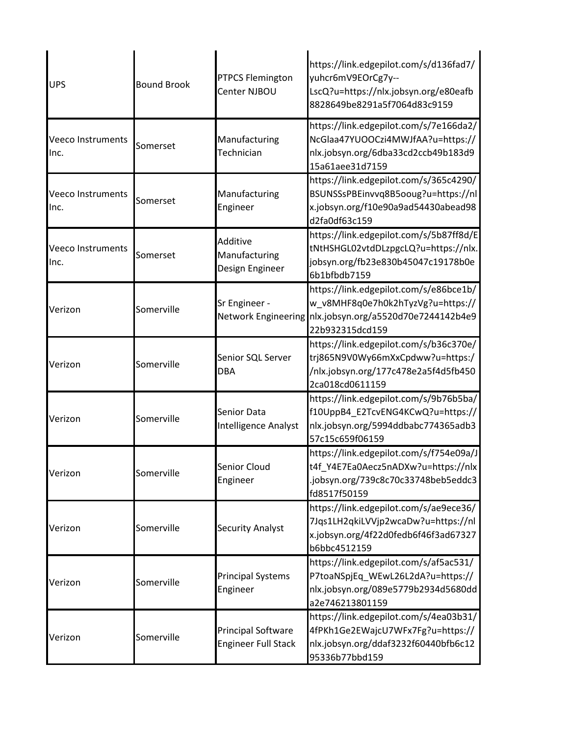| <b>UPS</b>                       | <b>Bound Brook</b> | <b>PTPCS Flemington</b><br>Center NJBOU                 | https://link.edgepilot.com/s/d136fad7/<br>yuhcr6mV9EOrCg7y--<br>LscQ?u=https://nlx.jobsyn.org/e80eafb<br>8828649be8291a5f7064d83c9159                     |
|----------------------------------|--------------------|---------------------------------------------------------|-----------------------------------------------------------------------------------------------------------------------------------------------------------|
| <b>Veeco Instruments</b><br>Inc. | Somerset           | Manufacturing<br>Technician                             | https://link.edgepilot.com/s/7e166da2/<br>NcGlaa47YUOOCzi4MWJfAA?u=https://<br>nlx.jobsyn.org/6dba33cd2ccb49b183d9<br>15a61aee31d7159                     |
| <b>Veeco Instruments</b><br>Inc. | Somerset           | Manufacturing<br>Engineer                               | https://link.edgepilot.com/s/365c4290/<br>BSUNSSsPBEinvvq8B5ooug?u=https://nl<br>x.jobsyn.org/f10e90a9ad54430abead98<br>d2fa0df63c159                     |
| <b>Veeco Instruments</b><br>Inc. | Somerset           | Additive<br>Manufacturing<br>Design Engineer            | https://link.edgepilot.com/s/5b87ff8d/E<br>tNtHSHGL02vtdDLzpgcLQ?u=https://nlx.<br>jobsyn.org/fb23e830b45047c19178b0e<br>6b1bfbdb7159                     |
| Verizon                          | Somerville         | Sr Engineer -                                           | https://link.edgepilot.com/s/e86bce1b/<br>w_v8MHF8q0e7h0k2hTyzVg?u=https://<br>Network Engineering nlx.jobsyn.org/a5520d70e7244142b4e9<br>22b932315dcd159 |
| Verizon                          | Somerville         | Senior SQL Server<br><b>DBA</b>                         | https://link.edgepilot.com/s/b36c370e/<br>trj865N9V0Wy66mXxCpdww?u=https:/<br>/nlx.jobsyn.org/177c478e2a5f4d5fb450<br>2ca018cd0611159                     |
| Verizon                          | Somerville         | Senior Data<br>Intelligence Analyst                     | https://link.edgepilot.com/s/9b76b5ba/<br>f10UppB4_E2TcvENG4KCwQ?u=https://<br>nlx.jobsyn.org/5994ddbabc774365adb3<br>57c15c659f06159                     |
| Verizon                          | Somerville         | Senior Cloud<br>Engineer                                | https://link.edgepilot.com/s/f754e09a/J<br>t4f Y4E7Ea0Aecz5nADXw?u=https://nlx<br>.jobsyn.org/739c8c70c33748beb5eddc3<br>fd8517f50159                     |
| Verizon                          | Somerville         | <b>Security Analyst</b>                                 | https://link.edgepilot.com/s/ae9ece36/<br>7Jqs1LH2qkiLVVjp2wcaDw?u=https://nl<br>x.jobsyn.org/4f22d0fedb6f46f3ad67327<br>b6bbc4512159                     |
| Verizon                          | Somerville         | <b>Principal Systems</b><br>Engineer                    | https://link.edgepilot.com/s/af5ac531/<br>P7toaNSpjEq_WEwL26L2dA?u=https://<br>nlx.jobsyn.org/089e5779b2934d5680dd<br>a2e746213801159                     |
| Verizon                          | Somerville         | <b>Principal Software</b><br><b>Engineer Full Stack</b> | https://link.edgepilot.com/s/4ea03b31/<br>4fPKh1Ge2EWajcU7WFx7Fg?u=https://<br>nlx.jobsyn.org/ddaf3232f60440bfb6c12<br>95336b77bbd159                     |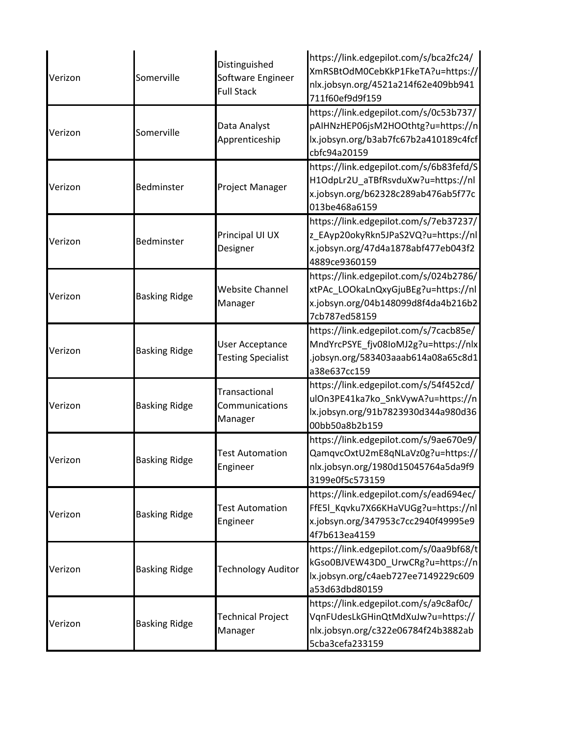| Verizon | Somerville           | Distinguished<br>Software Engineer<br><b>Full Stack</b> | https://link.edgepilot.com/s/bca2fc24/<br>XmRSBtOdM0CebKkP1FkeTA?u=https://<br>nlx.jobsyn.org/4521a214f62e409bb941<br>711f60ef9d9f159 |
|---------|----------------------|---------------------------------------------------------|---------------------------------------------------------------------------------------------------------------------------------------|
| Verizon | Somerville           | Data Analyst<br>Apprenticeship                          | https://link.edgepilot.com/s/0c53b737/<br>pAIHNzHEP06jsM2HOOthtg?u=https://n<br>lx.jobsyn.org/b3ab7fc67b2a410189c4fcf<br>cbfc94a20159 |
| Verizon | Bedminster           | Project Manager                                         | https://link.edgepilot.com/s/6b83fefd/S<br>H1OdpLr2U aTBfRsvduXw?u=https://nl<br>x.jobsyn.org/b62328c289ab476ab5f77c<br>013be468a6159 |
| Verizon | Bedminster           | Principal UI UX<br>Designer                             | https://link.edgepilot.com/s/7eb37237/<br>z_EAyp20okyRkn5JPaS2VQ?u=https://nl<br>x.jobsyn.org/47d4a1878abf477eb043f2<br>4889ce9360159 |
| Verizon | <b>Basking Ridge</b> | Website Channel<br>Manager                              | https://link.edgepilot.com/s/024b2786/<br>xtPAc_LOOkaLnQxyGjuBEg?u=https://nl<br>x.jobsyn.org/04b148099d8f4da4b216b2<br>7cb787ed58159 |
| Verizon | <b>Basking Ridge</b> | User Acceptance<br><b>Testing Specialist</b>            | https://link.edgepilot.com/s/7cacb85e/<br>MndYrcPSYE_fjv08IoMJ2g?u=https://nlx<br>.jobsyn.org/583403aaab614a08a65c8d1<br>a38e637cc159 |
| Verizon | <b>Basking Ridge</b> | Transactional<br>Communications<br>Manager              | https://link.edgepilot.com/s/54f452cd/<br>ulOn3PE41ka7ko_SnkVywA?u=https://n<br>lx.jobsyn.org/91b7823930d344a980d36<br>00bb50a8b2b159 |
| Verizon | <b>Basking Ridge</b> | <b>Test Automation</b><br>Engineer                      | https://link.edgepilot.com/s/9ae670e9/<br>QamqvcOxtU2mE8qNLaVz0g?u=https://<br>nlx.jobsyn.org/1980d15045764a5da9f9<br>3199e0f5c573159 |
| Verizon | <b>Basking Ridge</b> | <b>Test Automation</b><br>Engineer                      | https://link.edgepilot.com/s/ead694ec/<br>FfE5I Kqvku7X66KHaVUGg?u=https://nl<br>x.jobsyn.org/347953c7cc2940f49995e9<br>4f7b613ea4159 |
| Verizon | <b>Basking Ridge</b> | <b>Technology Auditor</b>                               | https://link.edgepilot.com/s/0aa9bf68/t<br>kGso0BJVEW43D0_UrwCRg?u=https://n<br>lx.jobsyn.org/c4aeb727ee7149229c609<br>a53d63dbd80159 |
| Verizon | <b>Basking Ridge</b> | <b>Technical Project</b><br>Manager                     | https://link.edgepilot.com/s/a9c8af0c/<br>VqnFUdesLkGHinQtMdXuJw?u=https://<br>nlx.jobsyn.org/c322e06784f24b3882ab<br>5cba3cefa233159 |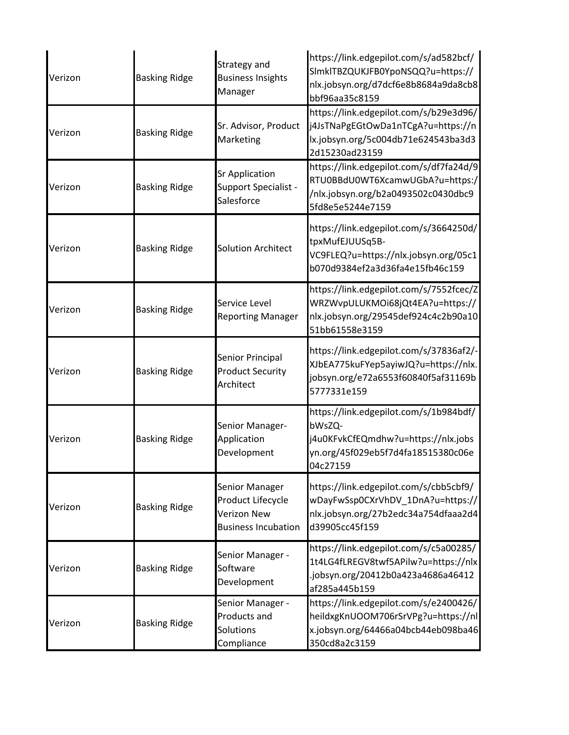| Verizon | <b>Basking Ridge</b> | Strategy and<br><b>Business Insights</b><br>Manager                              | https://link.edgepilot.com/s/ad582bcf/<br>SImkITBZQUKJFB0YpoNSQQ?u=https://<br>nlx.jobsyn.org/d7dcf6e8b8684a9da8cb8<br>bbf96aa35c8159     |
|---------|----------------------|----------------------------------------------------------------------------------|-------------------------------------------------------------------------------------------------------------------------------------------|
| Verizon | <b>Basking Ridge</b> | Sr. Advisor, Product<br>Marketing                                                | https://link.edgepilot.com/s/b29e3d96/<br>j4JsTNaPgEGtOwDa1nTCgA?u=https://n<br>lx.jobsyn.org/5c004db71e624543ba3d3<br>2d15230ad23159     |
| Verizon | <b>Basking Ridge</b> | <b>Sr Application</b><br>Support Specialist -<br>Salesforce                      | https://link.edgepilot.com/s/df7fa24d/9<br>RTU0BBdU0WT6XcamwUGbA?u=https:/<br>/nlx.jobsyn.org/b2a0493502c0430dbc9<br>5fd8e5e5244e7159     |
| Verizon | <b>Basking Ridge</b> | <b>Solution Architect</b>                                                        | https://link.edgepilot.com/s/3664250d/<br>tpxMufEJUUSq5B-<br>VC9FLEQ?u=https://nlx.jobsyn.org/05c1<br>b070d9384ef2a3d36fa4e15fb46c159     |
| Verizon | <b>Basking Ridge</b> | Service Level<br><b>Reporting Manager</b>                                        | https://link.edgepilot.com/s/7552fcec/Z<br>WRZWvpULUKMOi68jQt4EA?u=https://<br>nlx.jobsyn.org/29545def924c4c2b90a10<br>51bb61558e3159     |
| Verizon | <b>Basking Ridge</b> | Senior Principal<br><b>Product Security</b><br>Architect                         | https://link.edgepilot.com/s/37836af2/-<br>XJbEA775kuFYep5ayiwJQ?u=https://nlx.<br>jobsyn.org/e72a6553f60840f5af31169b<br>5777331e159     |
| Verizon | <b>Basking Ridge</b> | Senior Manager-<br>Application<br>Development                                    | https://link.edgepilot.com/s/1b984bdf/<br>bWsZQ-<br>j4u0KFvkCfEQmdhw?u=https://nlx.jobs<br>yn.org/45f029eb5f7d4fa18515380c06e<br>04c27159 |
| Verizon | <b>Basking Ridge</b> | Senior Manager<br>Product Lifecycle<br>Verizon New<br><b>Business Incubation</b> | https://link.edgepilot.com/s/cbb5cbf9/<br>wDayFwSsp0CXrVhDV_1DnA?u=https://<br>nlx.jobsyn.org/27b2edc34a754dfaaa2d4<br>d39905cc45f159     |
| Verizon | <b>Basking Ridge</b> | Senior Manager -<br>Software<br>Development                                      | https://link.edgepilot.com/s/c5a00285/<br>1t4LG4fLREGV8twf5APilw?u=https://nlx<br>jobsyn.org/20412b0a423a4686a46412<br>af285a445b159      |
| Verizon | <b>Basking Ridge</b> | Senior Manager -<br>Products and<br>Solutions<br>Compliance                      | https://link.edgepilot.com/s/e2400426/<br>heildxgKnUOOM706rSrVPg?u=https://nl<br>x.jobsyn.org/64466a04bcb44eb098ba46<br>350cd8a2c3159     |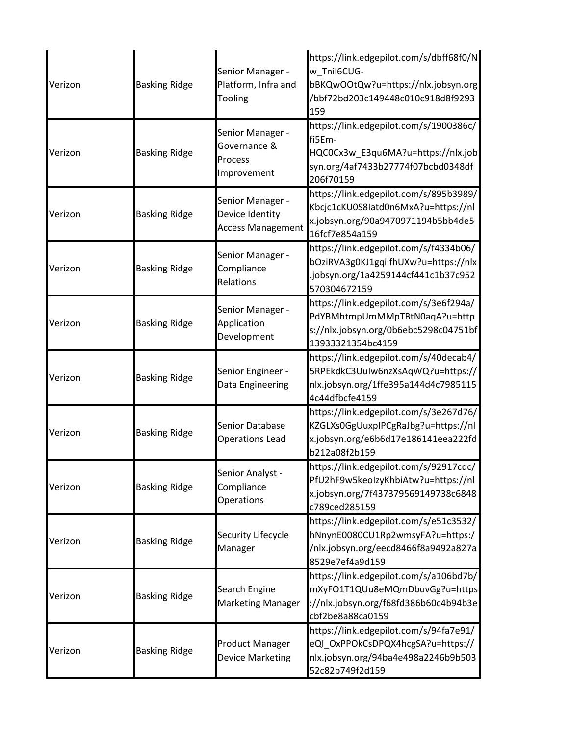| Verizon | <b>Basking Ridge</b> | Senior Manager -<br>Platform, Infra and<br>Tooling              | https://link.edgepilot.com/s/dbff68f0/N<br>w_Tnil6CUG-<br>bBKQwOOtQw?u=https://nlx.jobsyn.org<br>/bbf72bd203c149448c010c918d8f9293<br>159 |
|---------|----------------------|-----------------------------------------------------------------|-------------------------------------------------------------------------------------------------------------------------------------------|
| Verizon | <b>Basking Ridge</b> | Senior Manager -<br>Governance &<br>Process<br>Improvement      | https://link.edgepilot.com/s/1900386c/<br>fi5Em-<br>HQC0Cx3w_E3qu6MA?u=https://nlx.job<br>syn.org/4af7433b27774f07bcbd0348df<br>206f70159 |
| Verizon | <b>Basking Ridge</b> | Senior Manager -<br>Device Identity<br><b>Access Management</b> | https://link.edgepilot.com/s/895b3989/<br>Kbcjc1cKU0S8latd0n6MxA?u=https://nl<br>x.jobsyn.org/90a9470971194b5bb4de5<br>16fcf7e854a159     |
| Verizon | <b>Basking Ridge</b> | Senior Manager -<br>Compliance<br>Relations                     | https://link.edgepilot.com/s/f4334b06/<br>bOziRVA3g0KJ1gqiifhUXw?u=https://nlx<br>.jobsyn.org/1a4259144cf441c1b37c952<br>570304672159     |
| Verizon | <b>Basking Ridge</b> | Senior Manager -<br>Application<br>Development                  | https://link.edgepilot.com/s/3e6f294a/<br>PdYBMhtmpUmMMpTBtN0aqA?u=http<br>s://nlx.jobsyn.org/0b6ebc5298c04751bf<br>13933321354bc4159     |
| Verizon | <b>Basking Ridge</b> | Senior Engineer -<br>Data Engineering                           | https://link.edgepilot.com/s/40decab4/<br>5RPEkdkC3UuIw6nzXsAqWQ?u=https://<br>nlx.jobsyn.org/1ffe395a144d4c7985115<br>4c44dfbcfe4159     |
| Verizon | <b>Basking Ridge</b> | Senior Database<br><b>Operations Lead</b>                       | https://link.edgepilot.com/s/3e267d76/<br>KZGLXs0GgUuxpIPCgRaJbg?u=https://nl<br>x.jobsyn.org/e6b6d17e186141eea222fd<br>b212a08f2b159     |
| Verizon | <b>Basking Ridge</b> | Senior Analyst -<br>Compliance<br>Operations                    | https://link.edgepilot.com/s/92917cdc/<br>PfU2hF9w5keoIzyKhbiAtw?u=https://nl<br>x.jobsyn.org/7f437379569149738c6848<br>c789ced285159     |
| Verizon | <b>Basking Ridge</b> | Security Lifecycle<br>Manager                                   | https://link.edgepilot.com/s/e51c3532/<br>hNnynE0080CU1Rp2wmsyFA?u=https:/<br>/nlx.jobsyn.org/eecd8466f8a9492a827a<br>8529e7ef4a9d159     |
| Verizon | <b>Basking Ridge</b> | Search Engine<br><b>Marketing Manager</b>                       | https://link.edgepilot.com/s/a106bd7b/<br>mXyFO1T1QUu8eMQmDbuvGg?u=https<br>://nlx.jobsyn.org/f68fd386b60c4b94b3e<br>cbf2be8a88ca0159     |
| Verizon | <b>Basking Ridge</b> | <b>Product Manager</b><br><b>Device Marketing</b>               | https://link.edgepilot.com/s/94fa7e91/<br>eQI_OxPPOkCsDPQX4hcgSA?u=https://<br>nlx.jobsyn.org/94ba4e498a2246b9b503<br>52c82b749f2d159     |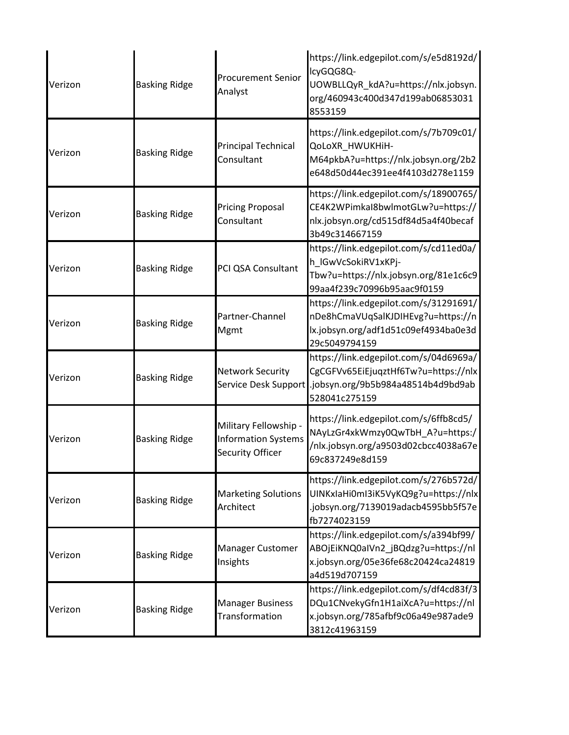| Verizon | <b>Basking Ridge</b> | <b>Procurement Senior</b><br>Analyst                                    | https://link.edgepilot.com/s/e5d8192d/<br>lcyGQG8Q-<br>UOWBLLQyR_kdA?u=https://nlx.jobsyn.<br>org/460943c400d347d199ab06853031<br>8553159                  |
|---------|----------------------|-------------------------------------------------------------------------|------------------------------------------------------------------------------------------------------------------------------------------------------------|
| Verizon | <b>Basking Ridge</b> | <b>Principal Technical</b><br>Consultant                                | https://link.edgepilot.com/s/7b709c01/<br>QoLoXR_HWUKHiH-<br>M64pkbA?u=https://nlx.jobsyn.org/2b2<br>e648d50d44ec391ee4f4103d278e1159                      |
| Verizon | <b>Basking Ridge</b> | <b>Pricing Proposal</b><br>Consultant                                   | https://link.edgepilot.com/s/18900765/<br>CE4K2WPimkaI8bwlmotGLw?u=https://<br>nlx.jobsyn.org/cd515df84d5a4f40becaf<br>3b49c314667159                      |
| Verizon | <b>Basking Ridge</b> | PCI QSA Consultant                                                      | https://link.edgepilot.com/s/cd11ed0a/<br>h_IGwVcSokiRV1xKPj-<br>Tbw?u=https://nlx.jobsyn.org/81e1c6c9<br>99aa4f239c70996b95aac9f0159                      |
| Verizon | <b>Basking Ridge</b> | Partner-Channel<br>Mgmt                                                 | https://link.edgepilot.com/s/31291691/<br>nDe8hCmaVUqSalKJDIHEvg?u=https://n<br>lx.jobsyn.org/adf1d51c09ef4934ba0e3d<br>29c5049794159                      |
| Verizon | <b>Basking Ridge</b> | <b>Network Security</b>                                                 | https://link.edgepilot.com/s/04d6969a/<br>CgCGFVv65EiEjuqztHf6Tw?u=https://nlx<br>Service Desk Support .jobsyn.org/9b5b984a48514b4d9bd9ab<br>528041c275159 |
| Verizon | <b>Basking Ridge</b> | Military Fellowship -<br><b>Information Systems</b><br>Security Officer | https://link.edgepilot.com/s/6ffb8cd5/<br>NAyLzGr4xkWmzy0QwTbH_A?u=https:/<br>/nlx.jobsyn.org/a9503d02cbcc4038a67e<br>69c837249e8d159                      |
| Verizon | <b>Basking Ridge</b> | <b>Marketing Solutions</b><br>Architect                                 | https://link.edgepilot.com/s/276b572d/<br>UINKxIaHi0mI3iK5VyKQ9g?u=https://nlx<br>.jobsyn.org/7139019adacb4595bb5f57e<br>fb7274023159                      |
| Verizon | <b>Basking Ridge</b> | <b>Manager Customer</b><br>Insights                                     | https://link.edgepilot.com/s/a394bf99/<br>ABOjEiKNQ0aIVn2_jBQdzg?u=https://nl<br>x.jobsyn.org/05e36fe68c20424ca24819<br>a4d519d707159                      |
| Verizon | <b>Basking Ridge</b> | <b>Manager Business</b><br>Transformation                               | https://link.edgepilot.com/s/df4cd83f/3<br>DQu1CNvekyGfn1H1aiXcA?u=https://nl<br>x.jobsyn.org/785afbf9c06a49e987ade9<br>3812c41963159                      |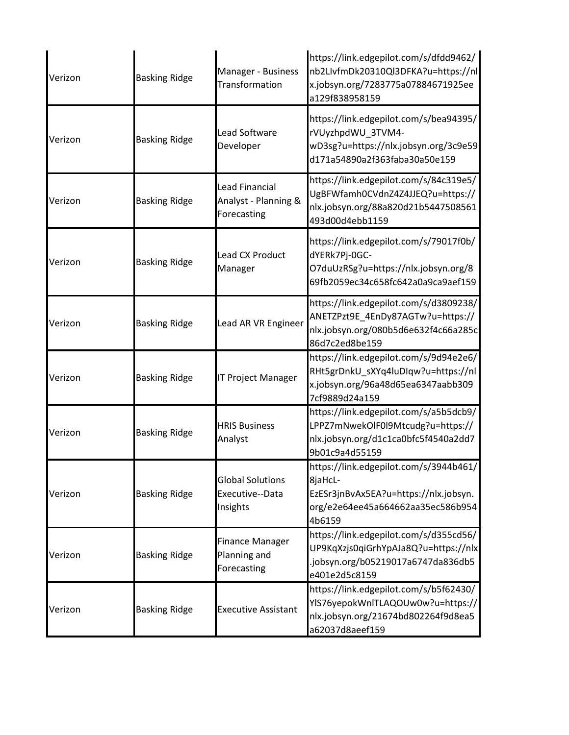| Verizon | <b>Basking Ridge</b> | Manager - Business<br>Transformation                   | https://link.edgepilot.com/s/dfdd9462/<br>nb2LIvfmDk20310Ql3DFKA?u=https://nl<br>x.jobsyn.org/7283775a07884671925ee<br>a129f838958159     |
|---------|----------------------|--------------------------------------------------------|-------------------------------------------------------------------------------------------------------------------------------------------|
| Verizon | <b>Basking Ridge</b> | <b>Lead Software</b><br>Developer                      | https://link.edgepilot.com/s/bea94395/<br>rVUyzhpdWU 3TVM4-<br>wD3sg?u=https://nlx.jobsyn.org/3c9e59<br>d171a54890a2f363faba30a50e159     |
| Verizon | <b>Basking Ridge</b> | Lead Financial<br>Analyst - Planning &<br>Forecasting  | https://link.edgepilot.com/s/84c319e5/<br>UgBFWfamh0CVdnZ4Z4JJEQ?u=https://<br>nlx.jobsyn.org/88a820d21b5447508561<br>493d00d4ebb1159     |
| Verizon | <b>Basking Ridge</b> | <b>Lead CX Product</b><br>Manager                      | https://link.edgepilot.com/s/79017f0b/<br>dYERk7Pj-0GC-<br>O7duUzRSg?u=https://nlx.jobsyn.org/8<br>69fb2059ec34c658fc642a0a9ca9aef159     |
| Verizon | <b>Basking Ridge</b> | Lead AR VR Engineer                                    | https://link.edgepilot.com/s/d3809238/<br>ANETZPzt9E_4EnDy87AGTw?u=https://<br>nlx.jobsyn.org/080b5d6e632f4c66a285c<br>86d7c2ed8be159     |
| Verizon | <b>Basking Ridge</b> | <b>IT Project Manager</b>                              | https://link.edgepilot.com/s/9d94e2e6/<br>RHt5grDnkU_sXYq4luDIqw?u=https://nl<br>x.jobsyn.org/96a48d65ea6347aabb309<br>7cf9889d24a159     |
| Verizon | <b>Basking Ridge</b> | <b>HRIS Business</b><br>Analyst                        | https://link.edgepilot.com/s/a5b5dcb9/<br>LPPZ7mNwekOlF0l9Mtcudg?u=https://<br>nlx.jobsyn.org/d1c1ca0bfc5f4540a2dd7<br>9b01c9a4d55159     |
| Verizon | <b>Basking Ridge</b> | <b>Global Solutions</b><br>Executive--Data<br>Insights | https://link.edgepilot.com/s/3944b461/<br>8jaHcL-<br>EzESr3jnBvAx5EA?u=https://nlx.jobsyn.<br>org/e2e64ee45a664662aa35ec586b954<br>4b6159 |
| Verizon | <b>Basking Ridge</b> | <b>Finance Manager</b><br>Planning and<br>Forecasting  | https://link.edgepilot.com/s/d355cd56/<br>UP9KqXzjs0qiGrhYpAJa8Q?u=https://nlx<br>.jobsyn.org/b05219017a6747da836db5<br>e401e2d5c8159     |
| Verizon | <b>Basking Ridge</b> | <b>Executive Assistant</b>                             | https://link.edgepilot.com/s/b5f62430/<br>YIS76yepokWnlTLAQOUw0w?u=https://<br>nlx.jobsyn.org/21674bd802264f9d8ea5<br>a62037d8aeef159     |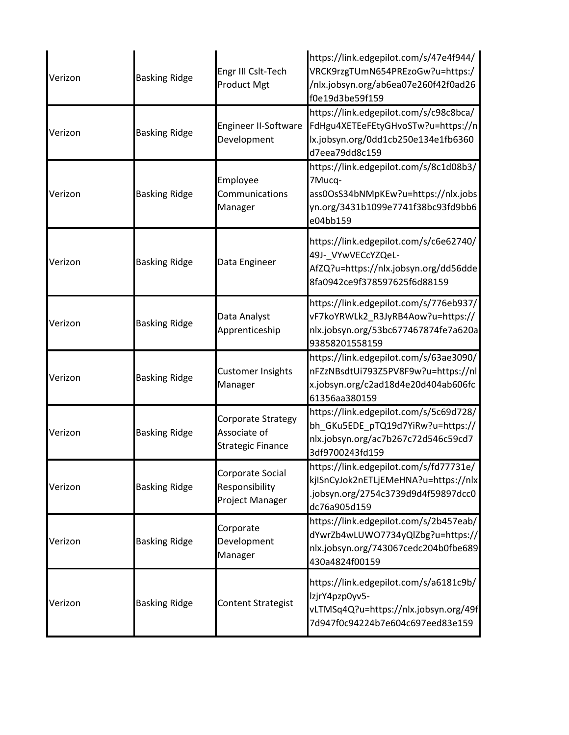| Verizon | <b>Basking Ridge</b> | Engr III Cslt-Tech<br><b>Product Mgt</b>                       | https://link.edgepilot.com/s/47e4f944/<br>VRCK9rzgTUmN654PREzoGw?u=https:/<br>/nlx.jobsyn.org/ab6ea07e260f42f0ad26<br>f0e19d3be59f159     |
|---------|----------------------|----------------------------------------------------------------|-------------------------------------------------------------------------------------------------------------------------------------------|
| Verizon | <b>Basking Ridge</b> | Engineer II-Software<br>Development                            | https://link.edgepilot.com/s/c98c8bca/<br>FdHgu4XETEeFEtyGHvoSTw?u=https://n<br>lx.jobsyn.org/0dd1cb250e134e1fb6360<br>d7eea79dd8c159     |
| Verizon | <b>Basking Ridge</b> | Employee<br>Communications<br>Manager                          | https://link.edgepilot.com/s/8c1d08b3/<br>7Mucq-<br>ass0OsS34bNMpKEw?u=https://nlx.jobs<br>yn.org/3431b1099e7741f38bc93fd9bb6<br>e04bb159 |
| Verizon | <b>Basking Ridge</b> | Data Engineer                                                  | https://link.edgepilot.com/s/c6e62740/<br>49J-_VYwVECcYZQeL-<br>AfZQ?u=https://nlx.jobsyn.org/dd56dde<br>8fa0942ce9f378597625f6d88159     |
| Verizon | <b>Basking Ridge</b> | Data Analyst<br>Apprenticeship                                 | https://link.edgepilot.com/s/776eb937/<br>vF7koYRWLk2_R3JyRB4Aow?u=https://<br>nlx.jobsyn.org/53bc677467874fe7a620a<br>93858201558159     |
| Verizon | <b>Basking Ridge</b> | <b>Customer Insights</b><br>Manager                            | https://link.edgepilot.com/s/63ae3090/<br>nFZzNBsdtUi793Z5PV8F9w?u=https://nl<br>x.jobsyn.org/c2ad18d4e20d404ab606fc<br>61356aa380159     |
| Verizon | <b>Basking Ridge</b> | Corporate Strategy<br>Associate of<br><b>Strategic Finance</b> | https://link.edgepilot.com/s/5c69d728/<br>bh GKu5EDE pTQ19d7YiRw?u=https://<br>nlx.jobsyn.org/ac7b267c72d546c59cd7<br>3df9700243fd159     |
| Verizon | <b>Basking Ridge</b> | Corporate Social<br>Responsibility<br>Project Manager          | https://link.edgepilot.com/s/fd77731e/<br>kjlSnCyJok2nETLjEMeHNA?u=https://nlx<br>.jobsyn.org/2754c3739d9d4f59897dcc0<br>dc76a905d159     |
| Verizon | <b>Basking Ridge</b> | Corporate<br>Development<br>Manager                            | https://link.edgepilot.com/s/2b457eab/<br>dYwrZb4wLUWO7734yQlZbg?u=https://<br>nlx.jobsyn.org/743067cedc204b0fbe689<br>430a4824f00159     |
| Verizon | <b>Basking Ridge</b> | <b>Content Strategist</b>                                      | https://link.edgepilot.com/s/a6181c9b/<br>lzjrY4pzp0yv5-<br>vLTMSq4Q?u=https://nlx.jobsyn.org/49f<br>7d947f0c94224b7e604c697eed83e159     |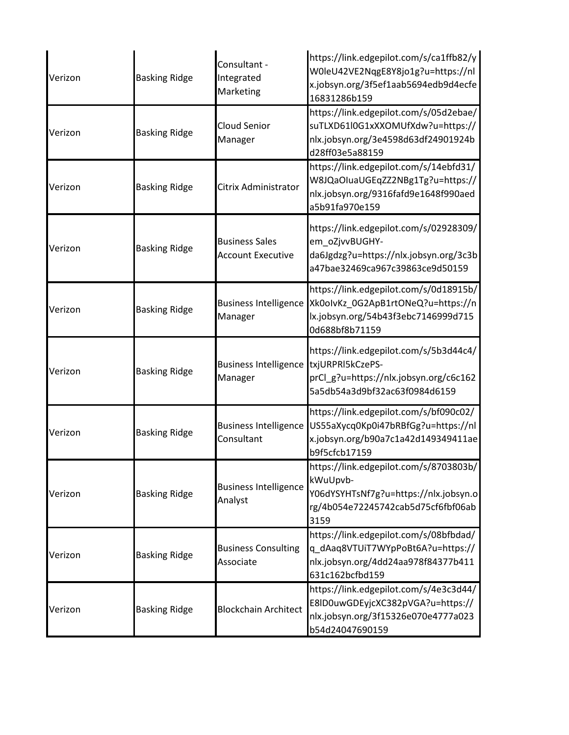| Verizon | <b>Basking Ridge</b> | Consultant -<br>Integrated<br>Marketing           | https://link.edgepilot.com/s/ca1ffb82/y<br>W0leU42VE2NqgE8Y8jo1g?u=https://nl<br>x.jobsyn.org/3f5ef1aab5694edb9d4ecfe<br>16831286b159     |
|---------|----------------------|---------------------------------------------------|-------------------------------------------------------------------------------------------------------------------------------------------|
| Verizon | <b>Basking Ridge</b> | <b>Cloud Senior</b><br>Manager                    | https://link.edgepilot.com/s/05d2ebae/<br>suTLXD61l0G1xXXOMUfXdw?u=https://<br>nlx.jobsyn.org/3e4598d63df24901924b<br>d28ff03e5a88159     |
| Verizon | <b>Basking Ridge</b> | Citrix Administrator                              | https://link.edgepilot.com/s/14ebfd31/<br>W8JQaOIuaUGEqZZ2NBg1Tg?u=https://<br>nlx.jobsyn.org/9316fafd9e1648f990aed<br>a5b91fa970e159     |
| Verizon | <b>Basking Ridge</b> | <b>Business Sales</b><br><b>Account Executive</b> | https://link.edgepilot.com/s/02928309/<br>em oZjvvBUGHY-<br>da6Jgdzg?u=https://nlx.jobsyn.org/3c3b<br>a47bae32469ca967c39863ce9d50159     |
| Verizon | <b>Basking Ridge</b> | <b>Business Intelligence</b><br>Manager           | https://link.edgepilot.com/s/0d18915b/<br>Xk0olvKz_0G2ApB1rtONeQ?u=https://n<br>lx.jobsyn.org/54b43f3ebc7146999d715<br>0d688bf8b71159     |
| Verizon | <b>Basking Ridge</b> | <b>Business Intelligence</b><br>Manager           | https://link.edgepilot.com/s/5b3d44c4/<br>txjURPRI5kCzePS-<br>prCl_g?u=https://nlx.jobsyn.org/c6c162<br>5a5db54a3d9bf32ac63f0984d6159     |
| Verizon | <b>Basking Ridge</b> | <b>Business Intelligence</b><br>Consultant        | https://link.edgepilot.com/s/bf090c02/<br>US55aXycq0Kp0i47bRBfGg?u=https://nl<br>x.jobsyn.org/b90a7c1a42d149349411ae<br>b9f5cfcb17159     |
| Verizon | <b>Basking Ridge</b> | <b>Business Intelligence</b><br>Analyst           | https://link.edgepilot.com/s/8703803b/<br>kWuUpvb-<br>Y06dYSYHTsNf7g?u=https://nlx.jobsyn.o<br>rg/4b054e72245742cab5d75cf6fbf06ab<br>3159 |
| Verizon | <b>Basking Ridge</b> | <b>Business Consulting</b><br>Associate           | https://link.edgepilot.com/s/08bfbdad/<br>q_dAaq8VTUiT7WYpPoBt6A?u=https://<br>nlx.jobsyn.org/4dd24aa978f84377b411<br>631c162bcfbd159     |
| Verizon | <b>Basking Ridge</b> | <b>Blockchain Architect</b>                       | https://link.edgepilot.com/s/4e3c3d44/<br>E8ID0uwGDEyjcXC382pVGA?u=https://<br>nlx.jobsyn.org/3f15326e070e4777a023<br>b54d24047690159     |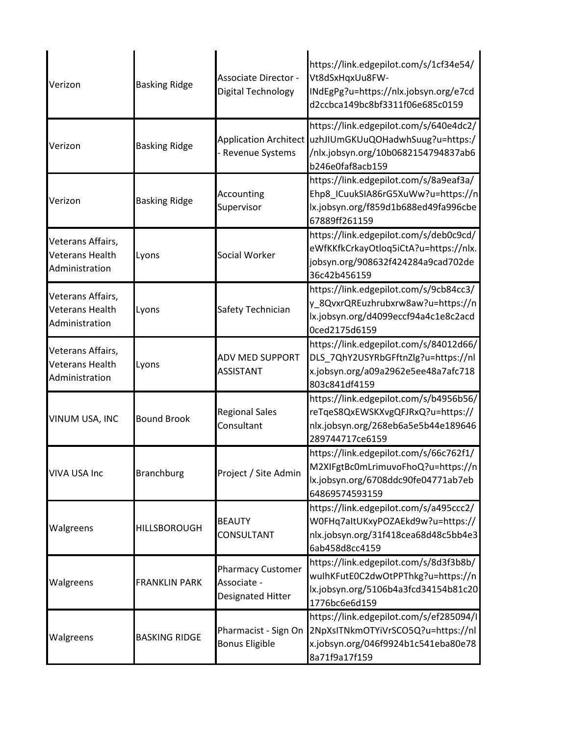| Verizon                                                       | <b>Basking Ridge</b> | Associate Director -<br>Digital Technology                   | https://link.edgepilot.com/s/1cf34e54/<br>Vt8dSxHqxUu8FW-<br>INdEgPg?u=https://nlx.jobsyn.org/e7cd<br>d2ccbca149bc8bf3311f06e685c0159                       |
|---------------------------------------------------------------|----------------------|--------------------------------------------------------------|-------------------------------------------------------------------------------------------------------------------------------------------------------------|
| Verizon                                                       | <b>Basking Ridge</b> | - Revenue Systems                                            | https://link.edgepilot.com/s/640e4dc2/<br>Application Architect uzhJIUmGKUuQOHadwhSuug?u=https:/<br>/nlx.jobsyn.org/10b0682154794837ab6<br>b246e0faf8acb159 |
| Verizon                                                       | <b>Basking Ridge</b> | Accounting<br>Supervisor                                     | https://link.edgepilot.com/s/8a9eaf3a/<br>Ehp8_ICuukSIA86rG5XuWw?u=https://n<br>lx.jobsyn.org/f859d1b688ed49fa996cbe<br>67889ff261159                       |
| Veterans Affairs,<br><b>Veterans Health</b><br>Administration | Lyons                | Social Worker                                                | https://link.edgepilot.com/s/deb0c9cd/<br>eWfKKfkCrkayOtloq5iCtA?u=https://nlx.<br>jobsyn.org/908632f424284a9cad702de<br>36c42b456159                       |
| Veterans Affairs,<br>Veterans Health<br>Administration        | Lyons                | Safety Technician                                            | https://link.edgepilot.com/s/9cb84cc3/<br>y_8QvxrQREuzhrubxrw8aw?u=https://n<br>lx.jobsyn.org/d4099eccf94a4c1e8c2acd<br>0ced2175d6159                       |
| Veterans Affairs,<br><b>Veterans Health</b><br>Administration | Lyons                | ADV MED SUPPORT<br><b>ASSISTANT</b>                          | https://link.edgepilot.com/s/84012d66/<br>DLS_7QhY2USYRbGFftnZlg?u=https://nl<br>x.jobsyn.org/a09a2962e5ee48a7afc718<br>803c841df4159                       |
| VINUM USA, INC                                                | <b>Bound Brook</b>   | <b>Regional Sales</b><br>Consultant                          | https://link.edgepilot.com/s/b4956b56/<br>reTqeS8QxEWSKXvgQFJRxQ?u=https://<br>nlx.jobsyn.org/268eb6a5e5b44e189646<br>289744717ce6159                       |
| <b>VIVA USA Inc</b>                                           | <b>Branchburg</b>    | Project / Site Admin                                         | https://link.edgepilot.com/s/66c762f1/<br>M2XIFgtBc0mLrimuvoFhoQ?u=https://n<br>lx.jobsyn.org/6708ddc90fe04771ab7eb<br>64869574593159                       |
| Walgreens                                                     | <b>HILLSBOROUGH</b>  | <b>BEAUTY</b><br>CONSULTANT                                  | https://link.edgepilot.com/s/a495ccc2/<br>W0FHq7altUKxyPOZAEkd9w?u=https://<br>nlx.jobsyn.org/31f418cea68d48c5bb4e3<br>6ab458d8cc4159                       |
| Walgreens                                                     | <b>FRANKLIN PARK</b> | <b>Pharmacy Customer</b><br>Associate -<br>Designated Hitter | https://link.edgepilot.com/s/8d3f3b8b/<br>wulhKFutE0C2dwOtPPThkg?u=https://n<br>lx.jobsyn.org/5106b4a3fcd34154b81c20<br>1776bc6e6d159                       |
| Walgreens                                                     | <b>BASKING RIDGE</b> | Pharmacist - Sign On<br><b>Bonus Eligible</b>                | https://link.edgepilot.com/s/ef285094/l<br>2NpXsITNkmOTYiVrSCO5Q?u=https://nl<br>x.jobsyn.org/046f9924b1c541eba80e78<br>8a71f9a17f159                       |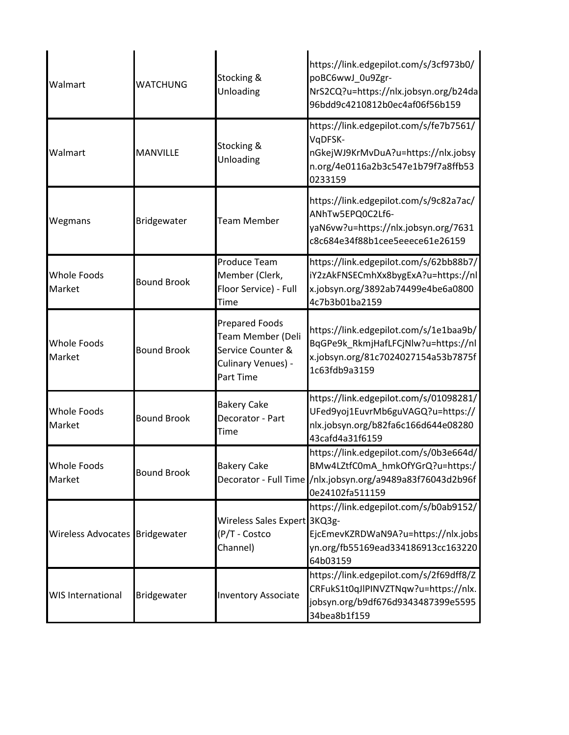| Walmart                        | <b>WATCHUNG</b>    | Stocking &<br>Unloading                                                                            | https://link.edgepilot.com/s/3cf973b0/<br>poBC6wwJ_0u9Zgr-<br>NrS2CQ?u=https://nlx.jobsyn.org/b24da<br>96bdd9c4210812b0ec4af06f56b159                       |
|--------------------------------|--------------------|----------------------------------------------------------------------------------------------------|-------------------------------------------------------------------------------------------------------------------------------------------------------------|
| Walmart                        | <b>MANVILLE</b>    | Stocking &<br>Unloading                                                                            | https://link.edgepilot.com/s/fe7b7561/<br>VqDFSK-<br>nGkejWJ9KrMvDuA?u=https://nlx.jobsy<br>n.org/4e0116a2b3c547e1b79f7a8ffb53<br>0233159                   |
| Wegmans                        | Bridgewater        | <b>Team Member</b>                                                                                 | https://link.edgepilot.com/s/9c82a7ac/<br>ANhTw5EPQ0C2Lf6-<br>yaN6vw?u=https://nlx.jobsyn.org/7631<br>c8c684e34f88b1cee5eeece61e26159                       |
| <b>Whole Foods</b><br>Market   | <b>Bound Brook</b> | Produce Team<br>Member (Clerk,<br>Floor Service) - Full<br>Time                                    | https://link.edgepilot.com/s/62bb88b7/<br>iY2zAkFNSECmhXx8bygExA?u=https://nl<br>x.jobsyn.org/3892ab74499e4be6a0800<br>4c7b3b01ba2159                       |
| <b>Whole Foods</b><br>Market   | <b>Bound Brook</b> | <b>Prepared Foods</b><br>Team Member (Deli<br>Service Counter &<br>Culinary Venues) -<br>Part Time | https://link.edgepilot.com/s/1e1baa9b/<br>BqGPe9k_RkmjHafLFCjNlw?u=https://nl<br>x.jobsyn.org/81c7024027154a53b7875f<br>1c63fdb9a3159                       |
| <b>Whole Foods</b><br>Market   | <b>Bound Brook</b> | <b>Bakery Cake</b><br>Decorator - Part<br>Time                                                     | https://link.edgepilot.com/s/01098281/<br>UFed9yoj1EuvrMb6guVAGQ?u=https://<br>nlx.jobsyn.org/b82fa6c166d644e08280<br>43cafd4a31f6159                       |
| <b>Whole Foods</b><br>Market   | <b>Bound Brook</b> | <b>Bakery Cake</b>                                                                                 | https://link.edgepilot.com/s/0b3e664d/<br>BMw4LZtfC0mA_hmkOfYGrQ?u=https:/<br>Decorator - Full Time /nlx.jobsyn.org/a9489a83f76043d2b96f<br>0e24102fa511159 |
| Wireless Advocates Bridgewater |                    | Wireless Sales Expert 3KQ3g-<br>(P/T - Costco<br>Channel)                                          | https://link.edgepilot.com/s/b0ab9152/<br>EjcEmevKZRDWaN9A?u=https://nlx.jobs<br>yn.org/fb55169ead334186913cc163220<br>64b03159                             |
| <b>WIS International</b>       | Bridgewater        | <b>Inventory Associate</b>                                                                         | https://link.edgepilot.com/s/2f69dff8/Z<br>CRFukS1t0qJlPINVZTNqw?u=https://nlx.<br>jobsyn.org/b9df676d9343487399e5595<br>34bea8b1f159                       |